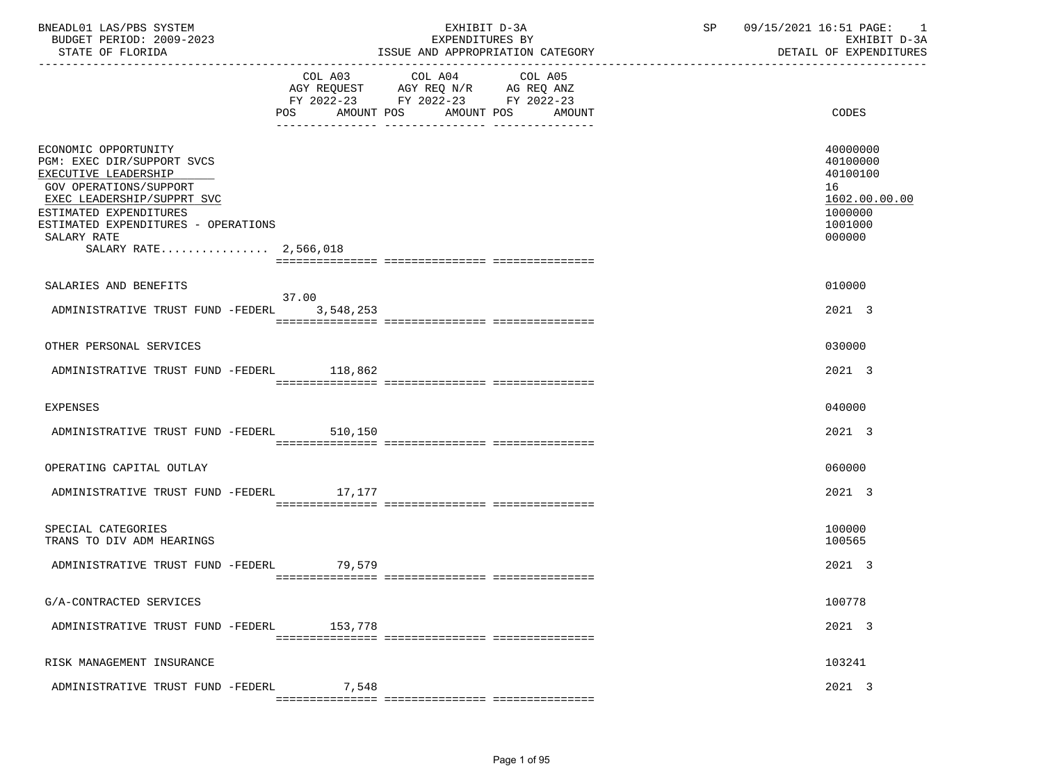| BNEADL01 LAS/PBS SYSTEM<br>BUDGET PERIOD: 2009-2023<br>STATE OF FLORIDA                                                                                                                                                                     |         | EXHIBIT D-3A<br>EXPENDITURES BY<br>ISSUE AND APPROPRIATION CATEGORY                                                                   | SP | 09/15/2021 16:51 PAGE: 1<br>EXHIBIT D-3A<br>DETAIL OF EXPENDITURES                      |
|---------------------------------------------------------------------------------------------------------------------------------------------------------------------------------------------------------------------------------------------|---------|---------------------------------------------------------------------------------------------------------------------------------------|----|-----------------------------------------------------------------------------------------|
|                                                                                                                                                                                                                                             |         | COL A03 COL A04 COL A05<br>AGY REQUEST AGY REQ N/R AG REQ ANZ<br>FY 2022-23 FY 2022-23 FY 2022-23<br>POS AMOUNT POS AMOUNT POS AMOUNT |    | CODES                                                                                   |
| ECONOMIC OPPORTUNITY<br>PGM: EXEC DIR/SUPPORT SVCS<br>EXECUTIVE LEADERSHIP<br>GOV OPERATIONS/SUPPORT<br>EXEC LEADERSHIP/SUPPRT SVC<br>ESTIMATED EXPENDITURES<br>ESTIMATED EXPENDITURES - OPERATIONS<br>SALARY RATE<br>SALARY RATE 2,566,018 |         |                                                                                                                                       |    | 40000000<br>40100000<br>40100100<br>16<br>1602.00.00.00<br>1000000<br>1001000<br>000000 |
| SALARIES AND BENEFITS                                                                                                                                                                                                                       | 37.00   |                                                                                                                                       |    | 010000                                                                                  |
| ADMINISTRATIVE TRUST FUND -FEDERL 3,548,253                                                                                                                                                                                                 |         |                                                                                                                                       |    | 2021 3                                                                                  |
| OTHER PERSONAL SERVICES                                                                                                                                                                                                                     |         |                                                                                                                                       |    | 030000                                                                                  |
| ADMINISTRATIVE TRUST FUND -FEDERL 118,862                                                                                                                                                                                                   |         |                                                                                                                                       |    | 2021 3                                                                                  |
| EXPENSES                                                                                                                                                                                                                                    |         |                                                                                                                                       |    | 040000                                                                                  |
| ADMINISTRATIVE TRUST FUND -FEDERL 510,150                                                                                                                                                                                                   |         |                                                                                                                                       |    | 2021 3                                                                                  |
| OPERATING CAPITAL OUTLAY                                                                                                                                                                                                                    |         |                                                                                                                                       |    | 060000                                                                                  |
| ADMINISTRATIVE TRUST FUND -FEDERL 17,177                                                                                                                                                                                                    |         |                                                                                                                                       |    | 2021 3                                                                                  |
| SPECIAL CATEGORIES<br>TRANS TO DIV ADM HEARINGS                                                                                                                                                                                             |         |                                                                                                                                       |    | 100000<br>100565                                                                        |
| ADMINISTRATIVE TRUST FUND -FEDERL                                                                                                                                                                                                           | 79,579  |                                                                                                                                       |    | 2021 3                                                                                  |
| G/A-CONTRACTED SERVICES                                                                                                                                                                                                                     |         |                                                                                                                                       |    | 100778                                                                                  |
| ADMINISTRATIVE TRUST FUND -FEDERL                                                                                                                                                                                                           | 153,778 |                                                                                                                                       |    | 2021 3                                                                                  |
| RISK MANAGEMENT INSURANCE                                                                                                                                                                                                                   |         |                                                                                                                                       |    | 103241                                                                                  |
| ADMINISTRATIVE TRUST FUND -FEDERL                                                                                                                                                                                                           | 7,548   |                                                                                                                                       |    | 2021 3                                                                                  |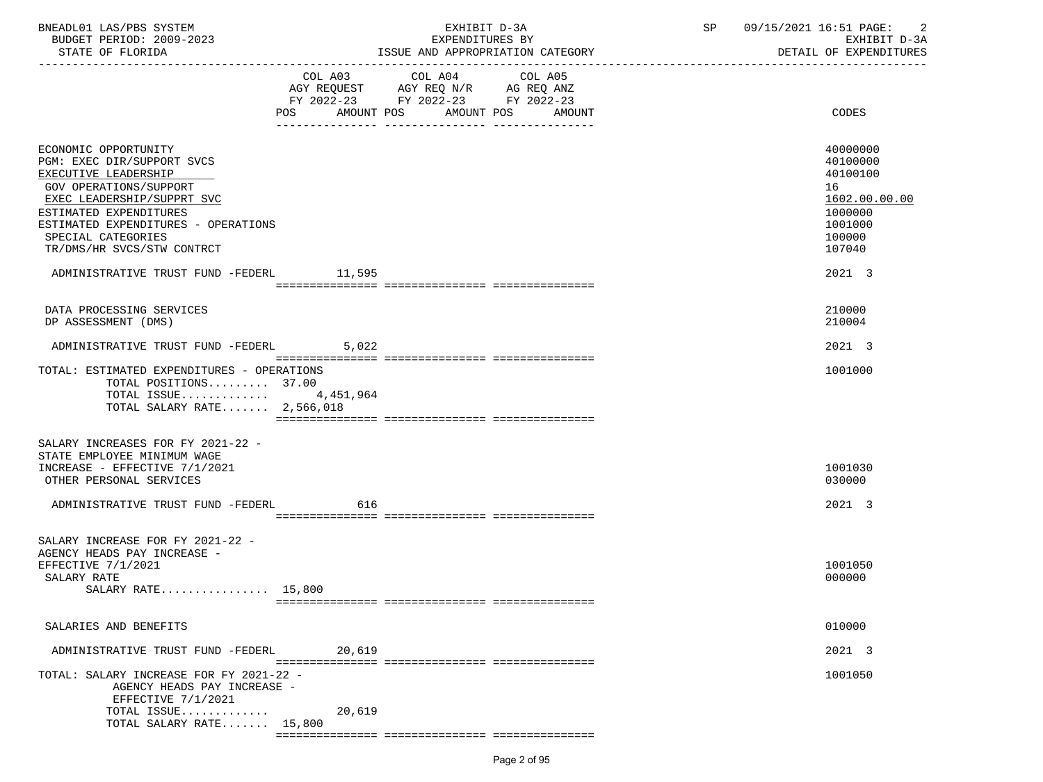| BNEADL01 LAS/PBS SYSTEM |                  |                          | EXHIBIT D-3A                     |
|-------------------------|------------------|--------------------------|----------------------------------|
|                         |                  | BUDGET PERIOD: 2009-2023 | EXPENDITURES BY                  |
|                         | STATE OF FLORIDA |                          | ISSUE AND APPROPRIATION CATEGORY |

-----------------------------------------------------------------------------------------------------------------------------------

EXPENDITURES BY EXHIBIT D-3A<br>ND APPROPRIATION CATEGORY ND SETAIL OF EXPENDITURES

|                                                                                                                                                                                                     | COL A03<br>AGY REQUEST | COL A04<br>AGY REQ N/R                         | COL A05<br>AG REQ ANZ |                                                                               |
|-----------------------------------------------------------------------------------------------------------------------------------------------------------------------------------------------------|------------------------|------------------------------------------------|-----------------------|-------------------------------------------------------------------------------|
|                                                                                                                                                                                                     | POS<br>AMOUNT POS      | FY 2022-23 FY 2022-23 FY 2022-23<br>AMOUNT POS | AMOUNT                | CODES                                                                         |
|                                                                                                                                                                                                     |                        |                                                |                       |                                                                               |
| ECONOMIC OPPORTUNITY<br>PGM: EXEC DIR/SUPPORT SVCS<br>EXECUTIVE LEADERSHIP<br>GOV OPERATIONS/SUPPORT<br>EXEC LEADERSHIP/SUPPRT SVC<br>ESTIMATED EXPENDITURES<br>ESTIMATED EXPENDITURES - OPERATIONS |                        |                                                |                       | 40000000<br>40100000<br>40100100<br>16<br>1602.00.00.00<br>1000000<br>1001000 |
| SPECIAL CATEGORIES<br>TR/DMS/HR SVCS/STW CONTRCT                                                                                                                                                    |                        |                                                |                       | 100000<br>107040                                                              |
| ADMINISTRATIVE TRUST FUND -FEDERL 11,595                                                                                                                                                            |                        |                                                |                       | 2021 3                                                                        |
| DATA PROCESSING SERVICES<br>DP ASSESSMENT (DMS)                                                                                                                                                     |                        |                                                |                       | 210000<br>210004                                                              |
| ADMINISTRATIVE TRUST FUND -FEDERL                                                                                                                                                                   | 5,022                  |                                                |                       | 2021 3                                                                        |
| TOTAL: ESTIMATED EXPENDITURES - OPERATIONS<br>TOTAL POSITIONS 37.00<br>TOTAL ISSUE $4,451,964$<br>TOTAL SALARY RATE $2,566,018$                                                                     |                        |                                                |                       | 1001000                                                                       |
|                                                                                                                                                                                                     |                        |                                                |                       |                                                                               |
| SALARY INCREASES FOR FY 2021-22 -<br>STATE EMPLOYEE MINIMUM WAGE<br>INCREASE - EFFECTIVE 7/1/2021<br>OTHER PERSONAL SERVICES                                                                        |                        |                                                |                       | 1001030<br>030000                                                             |
| ADMINISTRATIVE TRUST FUND -FEDERL                                                                                                                                                                   | 616                    |                                                |                       | 2021 3                                                                        |
| SALARY INCREASE FOR FY 2021-22 -<br>AGENCY HEADS PAY INCREASE -                                                                                                                                     |                        |                                                |                       |                                                                               |
| EFFECTIVE 7/1/2021<br>SALARY RATE<br>SALARY RATE 15,800                                                                                                                                             |                        |                                                |                       | 1001050<br>000000                                                             |
|                                                                                                                                                                                                     |                        |                                                |                       |                                                                               |
| SALARIES AND BENEFITS                                                                                                                                                                               |                        |                                                |                       | 010000                                                                        |
| ADMINISTRATIVE TRUST FUND -FEDERL                                                                                                                                                                   | 20,619                 |                                                |                       | 2021 3                                                                        |
| TOTAL: SALARY INCREASE FOR FY 2021-22 -<br>AGENCY HEADS PAY INCREASE -<br>EFFECTIVE 7/1/2021<br>TOTAL ISSUE                                                                                         | 20,619                 |                                                |                       | 1001050                                                                       |
| TOTAL SALARY RATE 15,800                                                                                                                                                                            |                        |                                                |                       |                                                                               |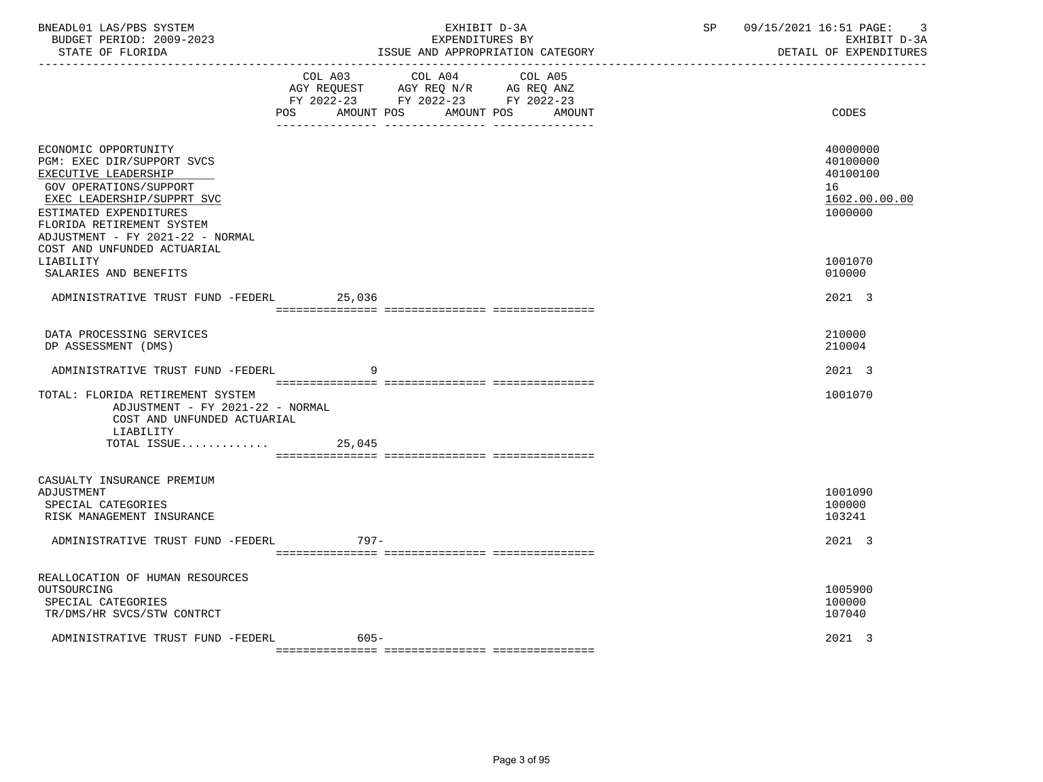| BNEADL01 LAS/PBS SYSTEM<br>BUDGET PERIOD: 2009-2023<br>STATE OF FLORIDA                                                                                                                                                       | EXHIBIT D-3A<br>EXPENDITURES BY<br>ISSUE AND APPROPRIATION CATEGORY |                                                                                                                            |        | SP | 09/15/2021 16:51 PAGE:<br>$\overline{3}$<br>EXHIBIT D-3A<br>DETAIL OF EXPENDITURES |
|-------------------------------------------------------------------------------------------------------------------------------------------------------------------------------------------------------------------------------|---------------------------------------------------------------------|----------------------------------------------------------------------------------------------------------------------------|--------|----|------------------------------------------------------------------------------------|
|                                                                                                                                                                                                                               | POS                                                                 | COL A03 COL A04 COL A05<br>AGY REQUEST AGY REQ N/R AG REQ ANZ<br>FY 2022-23 FY 2022-23 FY 2022-23<br>AMOUNT POS AMOUNT POS | AMOUNT |    | CODES                                                                              |
| ECONOMIC OPPORTUNITY<br>PGM: EXEC DIR/SUPPORT SVCS<br>EXECUTIVE LEADERSHIP<br>GOV OPERATIONS/SUPPORT<br>EXEC LEADERSHIP/SUPPRT SVC<br>ESTIMATED EXPENDITURES<br>FLORIDA RETIREMENT SYSTEM<br>ADJUSTMENT - FY 2021-22 - NORMAL |                                                                     |                                                                                                                            |        |    | 40000000<br>40100000<br>40100100<br>16<br>1602.00.00.00<br>1000000                 |
| COST AND UNFUNDED ACTUARIAL<br>LIABILITY<br>SALARIES AND BENEFITS                                                                                                                                                             |                                                                     |                                                                                                                            |        |    | 1001070<br>010000                                                                  |
| ADMINISTRATIVE TRUST FUND -FEDERL                                                                                                                                                                                             | 25,036                                                              |                                                                                                                            |        |    | 2021 3                                                                             |
| DATA PROCESSING SERVICES<br>DP ASSESSMENT (DMS)                                                                                                                                                                               |                                                                     |                                                                                                                            |        |    | 210000<br>210004                                                                   |
| ADMINISTRATIVE TRUST FUND -FEDERL                                                                                                                                                                                             | 9                                                                   |                                                                                                                            |        |    | 2021 3                                                                             |
| TOTAL: FLORIDA RETIREMENT SYSTEM<br>ADJUSTMENT - FY 2021-22 - NORMAL<br>COST AND UNFUNDED ACTUARIAL<br>LIABILITY                                                                                                              |                                                                     |                                                                                                                            |        |    | 1001070                                                                            |
| TOTAL ISSUE                                                                                                                                                                                                                   | 25,045                                                              |                                                                                                                            |        |    |                                                                                    |
| CASUALTY INSURANCE PREMIUM<br>ADJUSTMENT<br>SPECIAL CATEGORIES<br>RISK MANAGEMENT INSURANCE                                                                                                                                   |                                                                     |                                                                                                                            |        |    | 1001090<br>100000<br>103241                                                        |
| ADMINISTRATIVE TRUST FUND -FEDERL                                                                                                                                                                                             | 797–                                                                |                                                                                                                            |        |    | 2021 3                                                                             |
| REALLOCATION OF HUMAN RESOURCES<br>OUTSOURCING<br>SPECIAL CATEGORIES<br>TR/DMS/HR SVCS/STW CONTRCT                                                                                                                            |                                                                     |                                                                                                                            |        |    | 1005900<br>100000<br>107040                                                        |
| ADMINISTRATIVE TRUST FUND -FEDERL                                                                                                                                                                                             | $605 -$                                                             |                                                                                                                            |        |    | 2021 3                                                                             |

=============== =============== ===============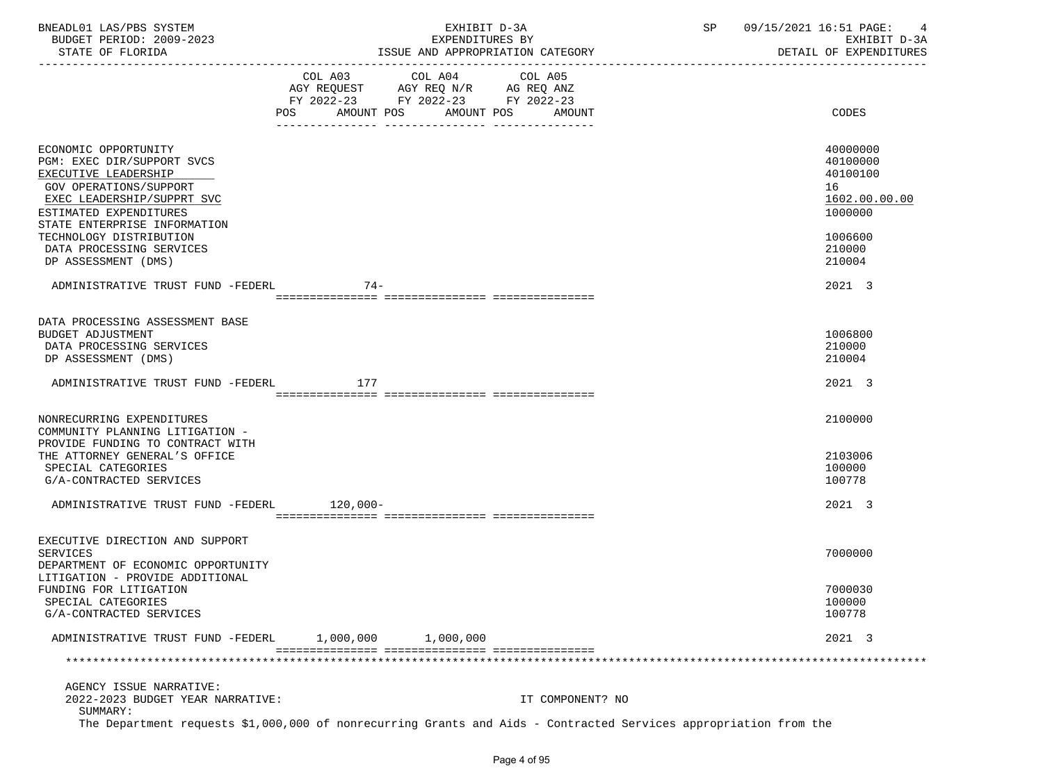| BNEADL01 LAS/PBS SYSTEM |                  |                          | EXHIBIT D-3A                     |  |
|-------------------------|------------------|--------------------------|----------------------------------|--|
|                         |                  | BUDGET PERIOD: 2009-2023 | EXPENDITURES BY                  |  |
|                         | STATE OF FLORIDA |                          | ISSUE AND APPROPRIATION CATEGORY |  |

BUDGET PERIOD: 2009-2023 EXPENDITURES BY EXHIBIT D-3A

|                                                                                                                                                                                              | COL A03 COL A04 COL A05<br>AGY REQUEST AGY REQ N/R AG REQ ANZ<br>FY 2022-23 FY 2022-23 FY 2022-23 |            |                                          |  |                                                                    |
|----------------------------------------------------------------------------------------------------------------------------------------------------------------------------------------------|---------------------------------------------------------------------------------------------------|------------|------------------------------------------|--|--------------------------------------------------------------------|
|                                                                                                                                                                                              | POS<br>AMOUNT POS                                                                                 | AMOUNT POS | AMOUNT<br>__ ________________ __________ |  | CODES                                                              |
| ECONOMIC OPPORTUNITY<br>PGM: EXEC DIR/SUPPORT SVCS<br>EXECUTIVE LEADERSHIP<br>GOV OPERATIONS/SUPPORT<br>EXEC LEADERSHIP/SUPPRT SVC<br>ESTIMATED EXPENDITURES<br>STATE ENTERPRISE INFORMATION |                                                                                                   |            |                                          |  | 40000000<br>40100000<br>40100100<br>16<br>1602.00.00.00<br>1000000 |
| TECHNOLOGY DISTRIBUTION<br>DATA PROCESSING SERVICES<br>DP ASSESSMENT (DMS)                                                                                                                   |                                                                                                   |            |                                          |  | 1006600<br>210000<br>210004                                        |
| ADMINISTRATIVE TRUST FUND -FEDERL                                                                                                                                                            | $74-$                                                                                             |            |                                          |  | 2021 3                                                             |
|                                                                                                                                                                                              |                                                                                                   |            |                                          |  |                                                                    |
| DATA PROCESSING ASSESSMENT BASE<br>BUDGET ADJUSTMENT<br>DATA PROCESSING SERVICES<br>DP ASSESSMENT (DMS)                                                                                      |                                                                                                   |            |                                          |  | 1006800<br>210000<br>210004                                        |
| ADMINISTRATIVE TRUST FUND -FEDERL                                                                                                                                                            | 177                                                                                               |            |                                          |  | 2021 3                                                             |
|                                                                                                                                                                                              |                                                                                                   |            |                                          |  |                                                                    |
| NONRECURRING EXPENDITURES<br>COMMUNITY PLANNING LITIGATION -<br>PROVIDE FUNDING TO CONTRACT WITH<br>THE ATTORNEY GENERAL'S OFFICE<br>SPECIAL CATEGORIES<br>G/A-CONTRACTED SERVICES           |                                                                                                   |            |                                          |  | 2100000<br>2103006<br>100000<br>100778                             |
| ADMINISTRATIVE TRUST FUND -FEDERL                                                                                                                                                            | 120,000-                                                                                          |            |                                          |  | 2021 3                                                             |
|                                                                                                                                                                                              |                                                                                                   |            |                                          |  |                                                                    |
| EXECUTIVE DIRECTION AND SUPPORT<br><b>SERVICES</b><br>DEPARTMENT OF ECONOMIC OPPORTUNITY                                                                                                     |                                                                                                   |            |                                          |  | 7000000                                                            |
| LITIGATION - PROVIDE ADDITIONAL<br>FUNDING FOR LITIGATION<br>SPECIAL CATEGORIES<br>G/A-CONTRACTED SERVICES                                                                                   |                                                                                                   |            |                                          |  | 7000030<br>100000<br>100778                                        |
| ADMINISTRATIVE TRUST FUND -FEDERL                                                                                                                                                            | 1,000,000                                                                                         | 1,000,000  |                                          |  | 2021 3                                                             |
|                                                                                                                                                                                              |                                                                                                   |            |                                          |  |                                                                    |
| AGENCY ISSUE NARRATIVE:<br>2022-2023 BUDGET YEAR NARRATIVE:<br>SUMMARY:<br>The Department requests \$1,000,000 of nonrecurring Grants and Aids - Contracted Services appropriation from the  |                                                                                                   |            | IT COMPONENT? NO                         |  |                                                                    |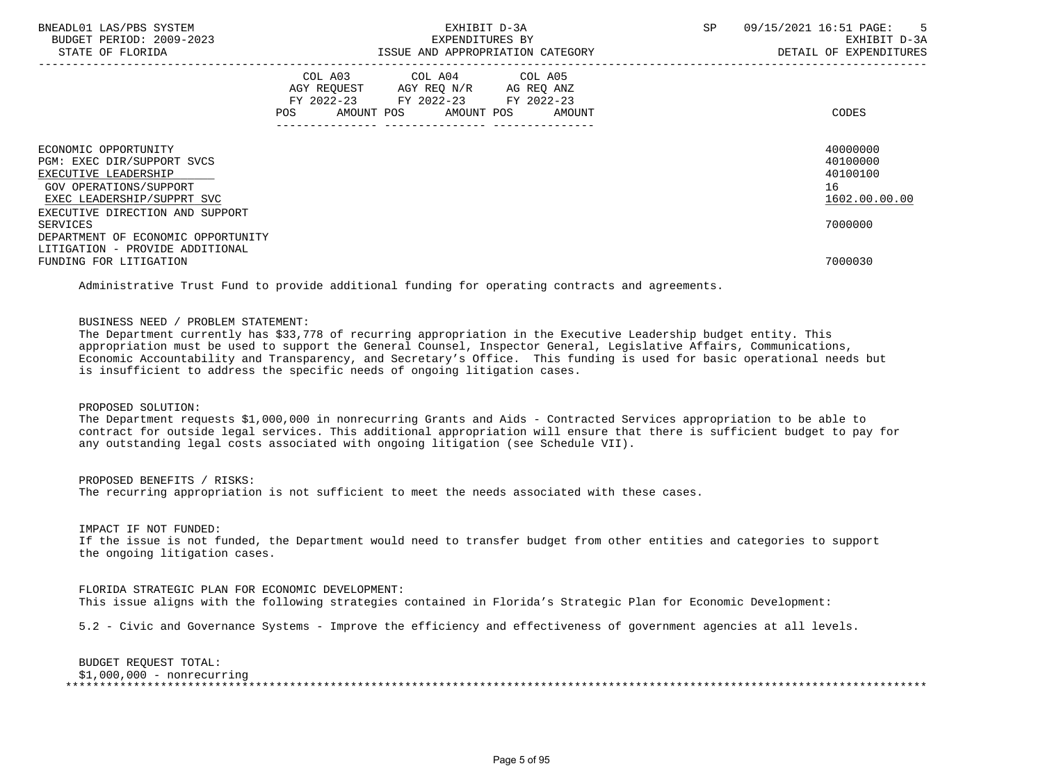| BNEADL01 LAS/PBS SYSTEM<br>BUDGET PERIOD: 2009-2023<br>STATE OF FLORIDA                              | SP<br>EXHIBIT D-3A<br>EXPENDITURES BY<br>ISSUE AND APPROPRIATION CATEGORY                                                                | 09/15/2021 16:51 PAGE: 5<br>EXHIBIT D-3A<br>DETAIL OF EXPENDITURES |
|------------------------------------------------------------------------------------------------------|------------------------------------------------------------------------------------------------------------------------------------------|--------------------------------------------------------------------|
|                                                                                                      | COL A03 COL A04 COL A05<br>AGY REQUEST AGY REQ N/R AG REQ ANZ<br>FY 2022-23 FY 2022-23 FY 2022-23<br>AMOUNT POS AMOUNT POS AMOUNT<br>POS | CODES                                                              |
| ECONOMIC OPPORTUNITY<br>PGM: EXEC DIR/SUPPORT SVCS<br>EXECUTIVE LEADERSHIP<br>GOV OPERATIONS/SUPPORT |                                                                                                                                          | 40000000<br>40100000<br>40100100<br>16                             |
| EXEC LEADERSHIP/SUPPRT SVC<br>EXECUTIVE DIRECTION AND SUPPORT<br>SERVICES                            |                                                                                                                                          | 1602.00.00.00<br>7000000                                           |
| DEPARTMENT OF ECONOMIC OPPORTUNITY<br>LITIGATION - PROVIDE ADDITIONAL<br>FUNDING FOR LITIGATION      |                                                                                                                                          | 7000030                                                            |
|                                                                                                      | Administrative Trust Fund to provide additional funding for operating contracts and agreements.                                          |                                                                    |

## BUSINESS NEED / PROBLEM STATEMENT:

 The Department currently has \$33,778 of recurring appropriation in the Executive Leadership budget entity. This appropriation must be used to support the General Counsel, Inspector General, Legislative Affairs, Communications, Economic Accountability and Transparency, and Secretary's Office. This funding is used for basic operational needs but is insufficient to address the specific needs of ongoing litigation cases.

PROPOSED SOLUTION:

 The Department requests \$1,000,000 in nonrecurring Grants and Aids - Contracted Services appropriation to be able to contract for outside legal services. This additional appropriation will ensure that there is sufficient budget to pay for any outstanding legal costs associated with ongoing litigation (see Schedule VII).

 PROPOSED BENEFITS / RISKS: The recurring appropriation is not sufficient to meet the needs associated with these cases.

IMPACT IF NOT FUNDED:

 If the issue is not funded, the Department would need to transfer budget from other entities and categories to support the ongoing litigation cases.

 FLORIDA STRATEGIC PLAN FOR ECONOMIC DEVELOPMENT: This issue aligns with the following strategies contained in Florida's Strategic Plan for Economic Development:

5.2 - Civic and Governance Systems - Improve the efficiency and effectiveness of government agencies at all levels.

 BUDGET REQUEST TOTAL: \$1,000,000 - nonrecurring \*\*\*\*\*\*\*\*\*\*\*\*\*\*\*\*\*\*\*\*\*\*\*\*\*\*\*\*\*\*\*\*\*\*\*\*\*\*\*\*\*\*\*\*\*\*\*\*\*\*\*\*\*\*\*\*\*\*\*\*\*\*\*\*\*\*\*\*\*\*\*\*\*\*\*\*\*\*\*\*\*\*\*\*\*\*\*\*\*\*\*\*\*\*\*\*\*\*\*\*\*\*\*\*\*\*\*\*\*\*\*\*\*\*\*\*\*\*\*\*\*\*\*\*\*\*\*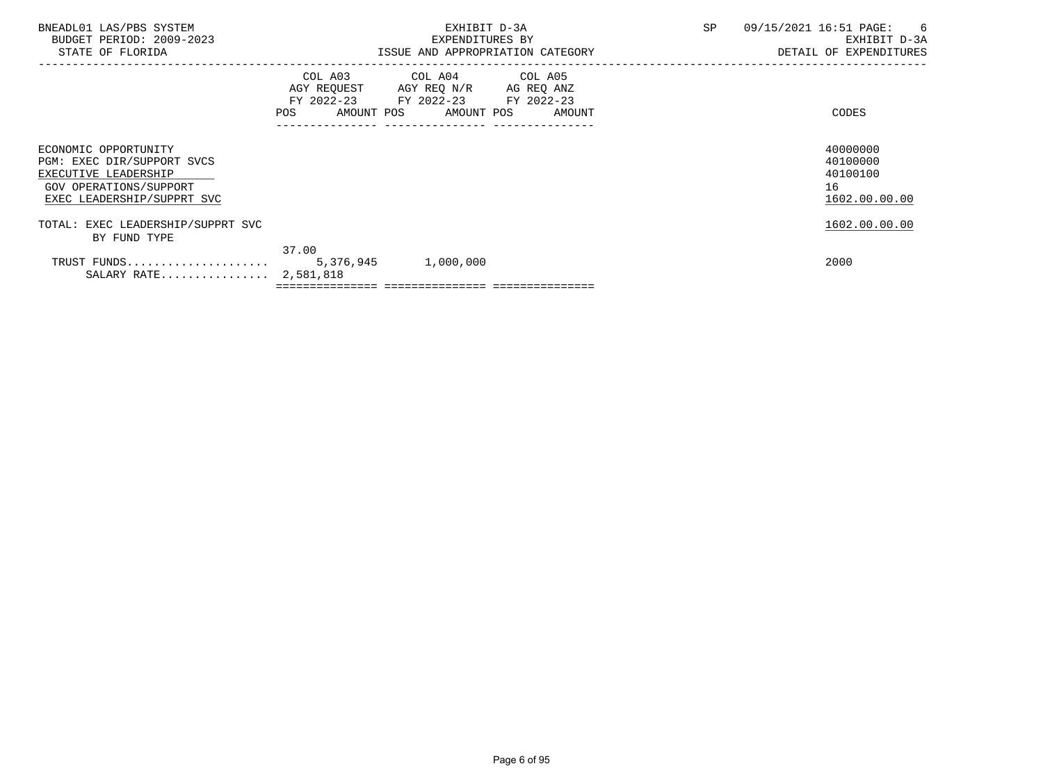|                                      | EXHIBIT D-3A<br>EXPENDITURES BY | SP                                                                                                                                                                                               | 09/15/2021 16:51 PAGE:<br>6<br>EXHIBIT D-3A<br>DETAIL OF EXPENDITURES |
|--------------------------------------|---------------------------------|--------------------------------------------------------------------------------------------------------------------------------------------------------------------------------------------------|-----------------------------------------------------------------------|
|                                      |                                 |                                                                                                                                                                                                  | CODES                                                                 |
|                                      |                                 |                                                                                                                                                                                                  | 40000000<br>40100000<br>40100100<br>16<br>1602.00.00.00               |
|                                      |                                 |                                                                                                                                                                                                  | 1602.00.00.00                                                         |
| TRUST FUNDS<br>SALARY RATE 2,581,818 |                                 |                                                                                                                                                                                                  | 2000                                                                  |
|                                      | 37.00                           | ISSUE AND APPROPRIATION CATEGORY<br>COL A03 COL A04 COL A05<br>AGY REQUEST AGY REQ N/R AG REQ ANZ<br>FY 2022-23 FY 2022-23 FY 2022-23<br>POS AMOUNT POS AMOUNT POS AMOUNT<br>5,376,945 1,000,000 |                                                                       |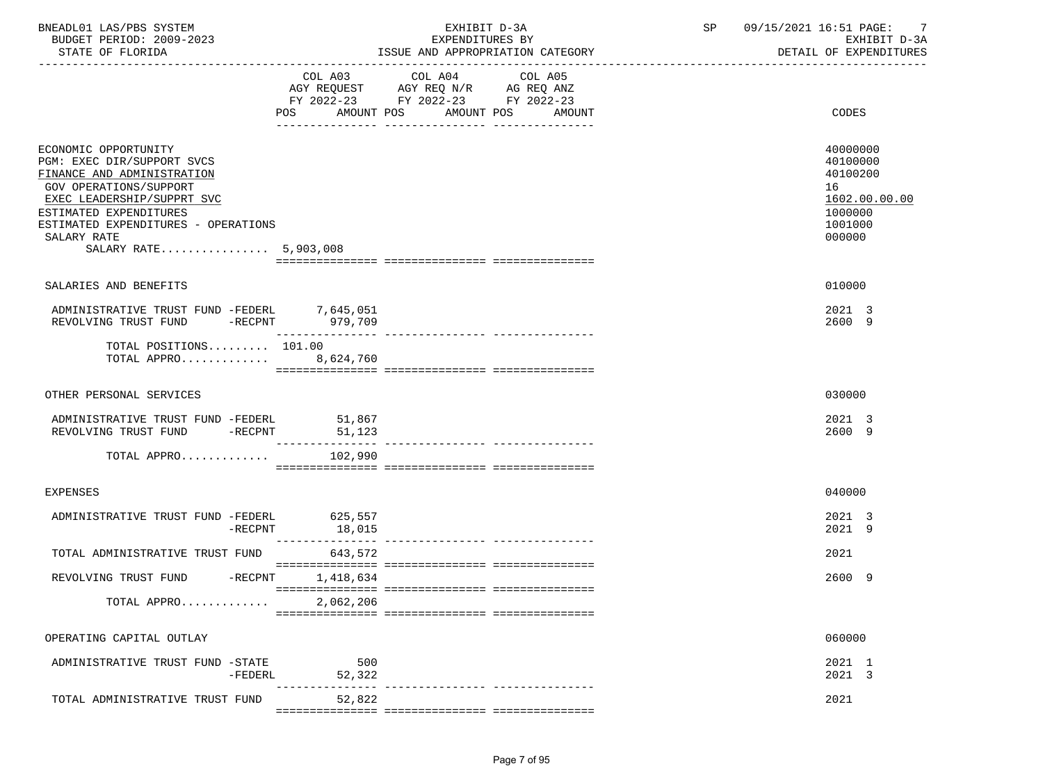| BNEADL01 LAS/PBS SYSTEM<br>BUDGET PERIOD: 2009-2023<br>STATE OF FLORIDA                                                                                                                                                                           |                          | EXHIBIT D-3A<br>EXPENDITURES BY<br>ISSUE AND APPROPRIATION CATEGORY                                                                     | SP and the set of the set of the set of the set of the set of the set of the set of the set of the set of the set of the set of the set of the set of the set of the set of the set of the set of the set of the set of the se | -7<br>09/15/2021 16:51 PAGE:<br>EXHIBIT D-3A<br>DETAIL OF EXPENDITURES                  |
|---------------------------------------------------------------------------------------------------------------------------------------------------------------------------------------------------------------------------------------------------|--------------------------|-----------------------------------------------------------------------------------------------------------------------------------------|--------------------------------------------------------------------------------------------------------------------------------------------------------------------------------------------------------------------------------|-----------------------------------------------------------------------------------------|
|                                                                                                                                                                                                                                                   | POS                      | COL A03 COL A04<br>COL A05<br>AGY REQUEST AGY REQ N/R AG REQ ANZ<br>FY 2022-23 FY 2022-23 FY 2022-23<br>AMOUNT POS AMOUNT POS<br>AMOUNT |                                                                                                                                                                                                                                | CODES                                                                                   |
| ECONOMIC OPPORTUNITY<br>PGM: EXEC DIR/SUPPORT SVCS<br>FINANCE AND ADMINISTRATION<br>GOV OPERATIONS/SUPPORT<br>EXEC LEADERSHIP/SUPPRT SVC<br>ESTIMATED EXPENDITURES<br>ESTIMATED EXPENDITURES - OPERATIONS<br>SALARY RATE<br>SALARY RATE 5,903,008 |                          |                                                                                                                                         |                                                                                                                                                                                                                                | 40000000<br>40100000<br>40100200<br>16<br>1602.00.00.00<br>1000000<br>1001000<br>000000 |
| SALARIES AND BENEFITS                                                                                                                                                                                                                             |                          |                                                                                                                                         |                                                                                                                                                                                                                                | 010000                                                                                  |
| ADMINISTRATIVE TRUST FUND -FEDERL 7,645,051<br>REVOLVING TRUST FUND -RECPNT                                                                                                                                                                       | 979,709                  |                                                                                                                                         |                                                                                                                                                                                                                                | 2021 3<br>2600 9                                                                        |
| TOTAL POSITIONS 101.00<br>TOTAL APPRO 8,624,760                                                                                                                                                                                                   |                          |                                                                                                                                         |                                                                                                                                                                                                                                |                                                                                         |
| OTHER PERSONAL SERVICES                                                                                                                                                                                                                           |                          |                                                                                                                                         |                                                                                                                                                                                                                                | 030000                                                                                  |
| ADMINISTRATIVE TRUST FUND -FEDERL<br>REVOLVING TRUST FUND -RECPNT                                                                                                                                                                                 | 51,867<br>51,123         |                                                                                                                                         |                                                                                                                                                                                                                                | 2021 3<br>2600 9                                                                        |
| TOTAL APPRO                                                                                                                                                                                                                                       | 102,990                  |                                                                                                                                         |                                                                                                                                                                                                                                |                                                                                         |
| <b>EXPENSES</b>                                                                                                                                                                                                                                   |                          |                                                                                                                                         |                                                                                                                                                                                                                                | 040000                                                                                  |
| ADMINISTRATIVE TRUST FUND -FEDERL 625,557<br>-RECPNT                                                                                                                                                                                              | 18,015                   |                                                                                                                                         |                                                                                                                                                                                                                                | 2021 3<br>2021 9                                                                        |
| TOTAL ADMINISTRATIVE TRUST FUND                                                                                                                                                                                                                   | -------------<br>643,572 |                                                                                                                                         |                                                                                                                                                                                                                                | 2021                                                                                    |
| REVOLVING TRUST FUND -RECPNT                                                                                                                                                                                                                      | 1,418,634                |                                                                                                                                         |                                                                                                                                                                                                                                | 2600 9                                                                                  |
| TOTAL APPRO                                                                                                                                                                                                                                       | 2,062,206                |                                                                                                                                         |                                                                                                                                                                                                                                |                                                                                         |
| OPERATING CAPITAL OUTLAY                                                                                                                                                                                                                          |                          |                                                                                                                                         |                                                                                                                                                                                                                                | 060000                                                                                  |
| ADMINISTRATIVE TRUST FUND -STATE<br>-FEDERL                                                                                                                                                                                                       | 500<br>52,322            |                                                                                                                                         |                                                                                                                                                                                                                                | 2021 1<br>2021 3                                                                        |
| TOTAL ADMINISTRATIVE TRUST FUND                                                                                                                                                                                                                   | 52,822                   |                                                                                                                                         |                                                                                                                                                                                                                                | 2021                                                                                    |
|                                                                                                                                                                                                                                                   |                          |                                                                                                                                         |                                                                                                                                                                                                                                |                                                                                         |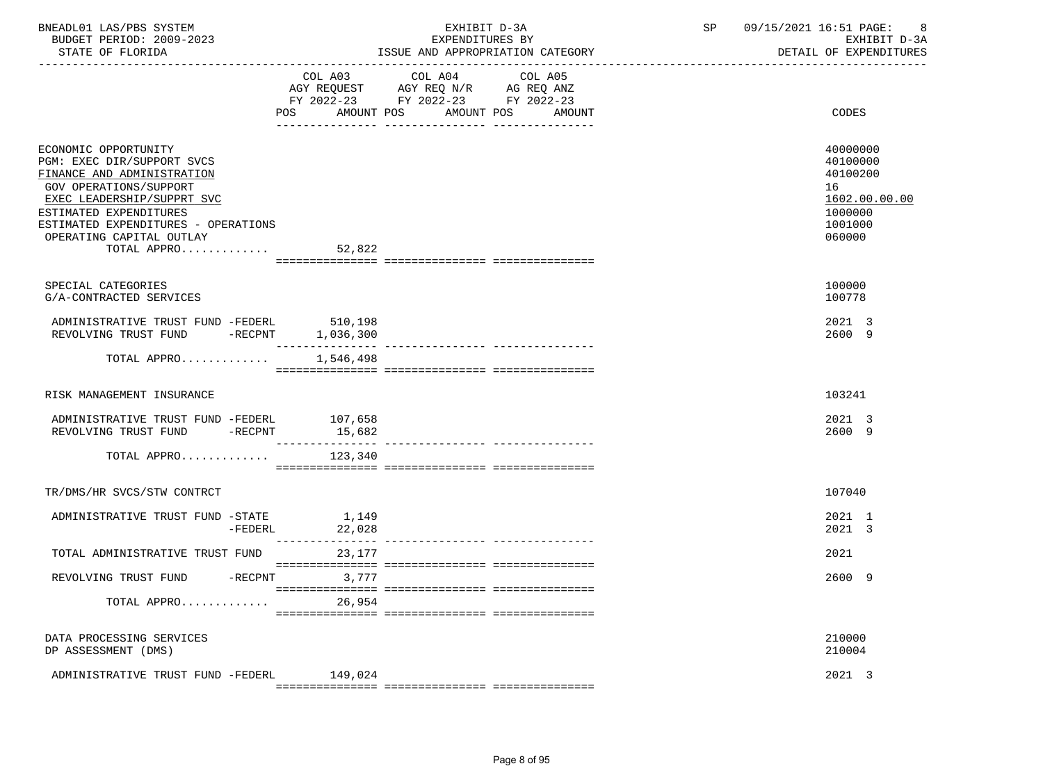| BNEADL01 LAS/PBS SYSTEM<br>BUDGET PERIOD: 2009-2023<br>STATE OF FLORIDA                                                                                                                                                                              |                       | EXHIBIT D-3A<br>EXPENDITURES BY<br>ISSUE AND APPROPRIATION CATEGORY                               | SP | 09/15/2021 16:51 PAGE:<br>-8<br>EXHIBIT D-3A<br>DETAIL OF EXPENDITURES                  |
|------------------------------------------------------------------------------------------------------------------------------------------------------------------------------------------------------------------------------------------------------|-----------------------|---------------------------------------------------------------------------------------------------|----|-----------------------------------------------------------------------------------------|
|                                                                                                                                                                                                                                                      | POS                   | COL A03 COL A04<br>COL A05<br>FY 2022-23 FY 2022-23 FY 2022-23<br>AMOUNT POS AMOUNT POS<br>AMOUNT |    | CODES                                                                                   |
| ECONOMIC OPPORTUNITY<br>PGM: EXEC DIR/SUPPORT SVCS<br>FINANCE AND ADMINISTRATION<br>GOV OPERATIONS/SUPPORT<br>EXEC LEADERSHIP/SUPPRT SVC<br>ESTIMATED EXPENDITURES<br>ESTIMATED EXPENDITURES - OPERATIONS<br>OPERATING CAPITAL OUTLAY<br>TOTAL APPRO | 52,822                |                                                                                                   |    | 40000000<br>40100000<br>40100200<br>16<br>1602.00.00.00<br>1000000<br>1001000<br>060000 |
|                                                                                                                                                                                                                                                      |                       |                                                                                                   |    |                                                                                         |
| SPECIAL CATEGORIES<br>G/A-CONTRACTED SERVICES                                                                                                                                                                                                        |                       |                                                                                                   |    | 100000<br>100778                                                                        |
| ADMINISTRATIVE TRUST FUND -FEDERL<br>REVOLVING TRUST FUND -RECPNT                                                                                                                                                                                    | 510,198<br>1,036,300  |                                                                                                   |    | 2021 3<br>2600 9                                                                        |
| TOTAL APPRO                                                                                                                                                                                                                                          | 1,546,498             |                                                                                                   |    |                                                                                         |
|                                                                                                                                                                                                                                                      |                       |                                                                                                   |    |                                                                                         |
| RISK MANAGEMENT INSURANCE                                                                                                                                                                                                                            |                       |                                                                                                   |    | 103241                                                                                  |
| ADMINISTRATIVE TRUST FUND -FEDERL<br>REVOLVING TRUST FUND -RECPNT                                                                                                                                                                                    | 107,658<br>15,682     |                                                                                                   |    | 2021 3<br>2600 9                                                                        |
| TOTAL APPRO                                                                                                                                                                                                                                          | 123,340               |                                                                                                   |    |                                                                                         |
| TR/DMS/HR SVCS/STW CONTRCT                                                                                                                                                                                                                           |                       |                                                                                                   |    | 107040                                                                                  |
| ADMINISTRATIVE TRUST FUND -STATE 1,149<br>22.028 -FEDERL 22.028<br>-FEDERL                                                                                                                                                                           | 22,028<br>___________ | ------------- ----------------                                                                    |    | 2021 1<br>2021 3                                                                        |
| TOTAL ADMINISTRATIVE TRUST FUND                                                                                                                                                                                                                      | 23,177                |                                                                                                   |    | 2021                                                                                    |
| REVOLVING TRUST FUND -RECPNT                                                                                                                                                                                                                         | 3,777                 |                                                                                                   |    | 2600 9                                                                                  |
| TOTAL APPRO                                                                                                                                                                                                                                          | 26,954                |                                                                                                   |    |                                                                                         |
| DATA PROCESSING SERVICES<br>DP ASSESSMENT (DMS)                                                                                                                                                                                                      |                       |                                                                                                   |    | 210000<br>210004                                                                        |
| ADMINISTRATIVE TRUST FUND -FEDERL                                                                                                                                                                                                                    | 149,024               |                                                                                                   |    | 2021 3                                                                                  |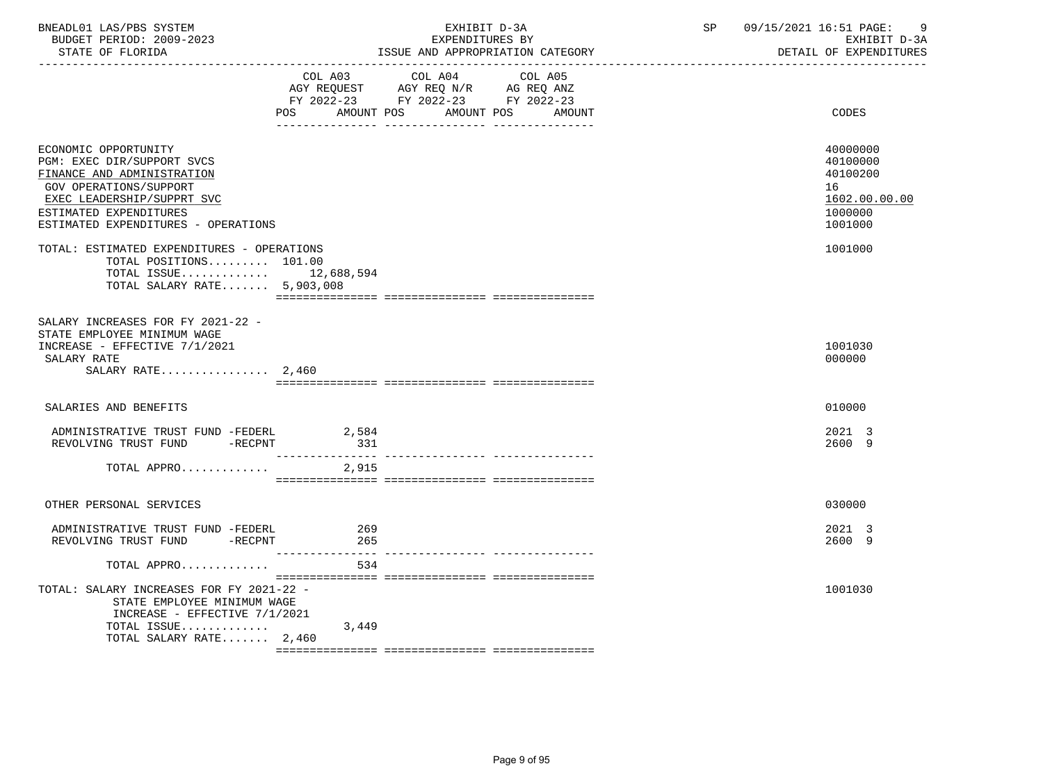| BNEADL01 LAS/PBS SYSTEM<br>BUDGET PERIOD: 2009-2023<br>STATE OF FLORIDA                                                                                                                                          | EXHIBIT D-3A<br>EXPENDITURES BY<br>ISSUE AND APPROPRIATION CATEGORY |                                                                                                         |                                 | SP | 09/15/2021 16:51 PAGE:<br>9<br>EXHIBIT D-3A<br>DETAIL OF EXPENDITURES         |
|------------------------------------------------------------------------------------------------------------------------------------------------------------------------------------------------------------------|---------------------------------------------------------------------|---------------------------------------------------------------------------------------------------------|---------------------------------|----|-------------------------------------------------------------------------------|
|                                                                                                                                                                                                                  | POS                                                                 | COL A03 COL A04<br>AGY REQUEST AGY REQ N/R AG REQ ANZ<br>FY 2022-23 FY 2022-23 FY 2022-23<br>AMOUNT POS | COL A05<br>AMOUNT POS<br>AMOUNT |    | CODES                                                                         |
| ECONOMIC OPPORTUNITY<br>PGM: EXEC DIR/SUPPORT SVCS<br>FINANCE AND ADMINISTRATION<br><b>GOV OPERATIONS/SUPPORT</b><br>EXEC LEADERSHIP/SUPPRT SVC<br>ESTIMATED EXPENDITURES<br>ESTIMATED EXPENDITURES - OPERATIONS |                                                                     |                                                                                                         |                                 |    | 40000000<br>40100000<br>40100200<br>16<br>1602.00.00.00<br>1000000<br>1001000 |
| TOTAL: ESTIMATED EXPENDITURES - OPERATIONS<br>TOTAL POSITIONS 101.00<br>TOTAL ISSUE 12,688,594<br>TOTAL SALARY RATE 5,903,008                                                                                    |                                                                     |                                                                                                         |                                 |    | 1001000                                                                       |
| SALARY INCREASES FOR FY 2021-22 -<br>STATE EMPLOYEE MINIMUM WAGE<br>INCREASE - EFFECTIVE 7/1/2021<br>SALARY RATE<br>SALARY RATE $2,460$                                                                          |                                                                     |                                                                                                         |                                 |    | 1001030<br>000000                                                             |
| SALARIES AND BENEFITS                                                                                                                                                                                            |                                                                     |                                                                                                         |                                 |    | 010000                                                                        |
| ADMINISTRATIVE TRUST FUND -FEDERL 2,584<br>REVOLVING TRUST FUND -RECPNT                                                                                                                                          | 331                                                                 |                                                                                                         |                                 |    | 2021 3<br>2600 9                                                              |
| TOTAL APPRO                                                                                                                                                                                                      | 2,915                                                               |                                                                                                         |                                 |    |                                                                               |
| OTHER PERSONAL SERVICES                                                                                                                                                                                          |                                                                     |                                                                                                         |                                 |    | 030000                                                                        |
| ADMINISTRATIVE TRUST FUND -FEDERL<br>REVOLVING TRUST FUND -RECPNT                                                                                                                                                | 269<br>265                                                          |                                                                                                         |                                 |    | 2021 3<br>2600 9                                                              |
| TOTAL APPRO                                                                                                                                                                                                      | 534                                                                 |                                                                                                         |                                 |    |                                                                               |
| TOTAL: SALARY INCREASES FOR FY 2021-22 -<br>STATE EMPLOYEE MINIMUM WAGE<br>INCREASE - EFFECTIVE 7/1/2021                                                                                                         |                                                                     |                                                                                                         |                                 |    | 1001030                                                                       |
| TOTAL ISSUE<br>TOTAL SALARY RATE 2,460                                                                                                                                                                           | 3,449                                                               |                                                                                                         |                                 |    |                                                                               |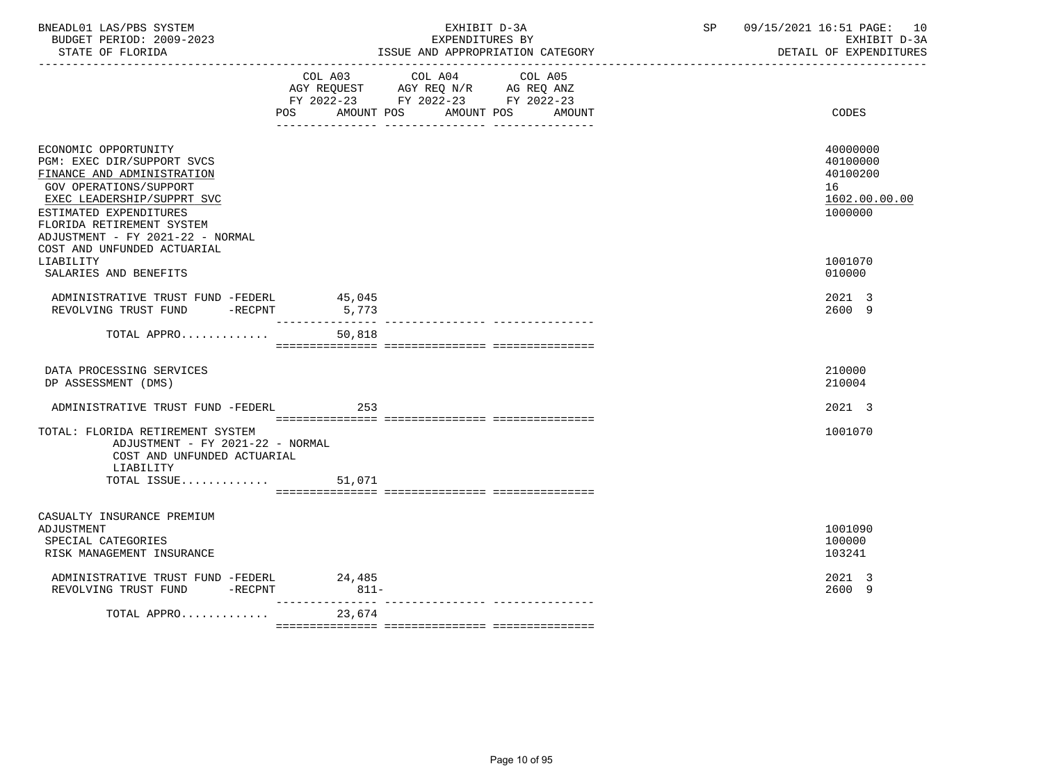| BNEADL01 LAS/PBS SYSTEM<br>BUDGET PERIOD: 2009-2023<br>STATE OF FLORIDA                                                                                                                                                             |        | EXHIBIT D-3A<br>EXPENDITURES BY<br>ISSUE AND APPROPRIATION CATEGORY                                                                      | SP<br>09/15/2021 16:51 PAGE: 10<br>EXHIBIT D-3A<br>DETAIL OF EXPENDITURES |
|-------------------------------------------------------------------------------------------------------------------------------------------------------------------------------------------------------------------------------------|--------|------------------------------------------------------------------------------------------------------------------------------------------|---------------------------------------------------------------------------|
|                                                                                                                                                                                                                                     |        | COL A03 COL A04<br>COL A05<br>AGY REQUEST AGY REQ N/R AG REQ ANZ<br>FY 2022-23 FY 2022-23 FY 2022-23<br>POS AMOUNT POS AMOUNT POS AMOUNT | CODES                                                                     |
| ECONOMIC OPPORTUNITY<br>PGM: EXEC DIR/SUPPORT SVCS<br>FINANCE AND ADMINISTRATION<br>GOV OPERATIONS/SUPPORT<br>EXEC LEADERSHIP/SUPPRT SVC<br>ESTIMATED EXPENDITURES<br>FLORIDA RETIREMENT SYSTEM<br>ADJUSTMENT - FY 2021-22 - NORMAL |        |                                                                                                                                          | 40000000<br>40100000<br>40100200<br>16<br>1602.00.00.00<br>1000000        |
| COST AND UNFUNDED ACTUARIAL<br>LIABILITY<br>SALARIES AND BENEFITS                                                                                                                                                                   |        |                                                                                                                                          | 1001070<br>010000                                                         |
| ADMINISTRATIVE TRUST FUND -FEDERL<br>REVOLVING TRUST FUND -RECPNT 5,773                                                                                                                                                             | 45,045 |                                                                                                                                          | 2021 3<br>2600 9                                                          |
| TOTAL APPRO                                                                                                                                                                                                                         | 50,818 |                                                                                                                                          |                                                                           |
| DATA PROCESSING SERVICES<br>DP ASSESSMENT (DMS)                                                                                                                                                                                     |        |                                                                                                                                          | 210000<br>210004                                                          |
| ADMINISTRATIVE TRUST FUND -FEDERL                                                                                                                                                                                                   | 253    |                                                                                                                                          | 2021 3                                                                    |
| TOTAL: FLORIDA RETIREMENT SYSTEM<br>ADJUSTMENT - FY 2021-22 - NORMAL<br>COST AND UNFUNDED ACTUARIAL<br>LIABILITY<br>TOTAL ISSUE                                                                                                     | 51,071 |                                                                                                                                          | 1001070                                                                   |
| CASUALTY INSURANCE PREMIUM<br>ADJUSTMENT<br>SPECIAL CATEGORIES<br>RISK MANAGEMENT INSURANCE                                                                                                                                         |        |                                                                                                                                          | 1001090<br>100000<br>103241                                               |
| ADMINISTRATIVE TRUST FUND -FEDERL 24,485<br>REVOLVING TRUST FUND -RECPNT                                                                                                                                                            | $811-$ |                                                                                                                                          | 2021 3<br>2600 9                                                          |
| TOTAL APPRO                                                                                                                                                                                                                         | 23,674 |                                                                                                                                          |                                                                           |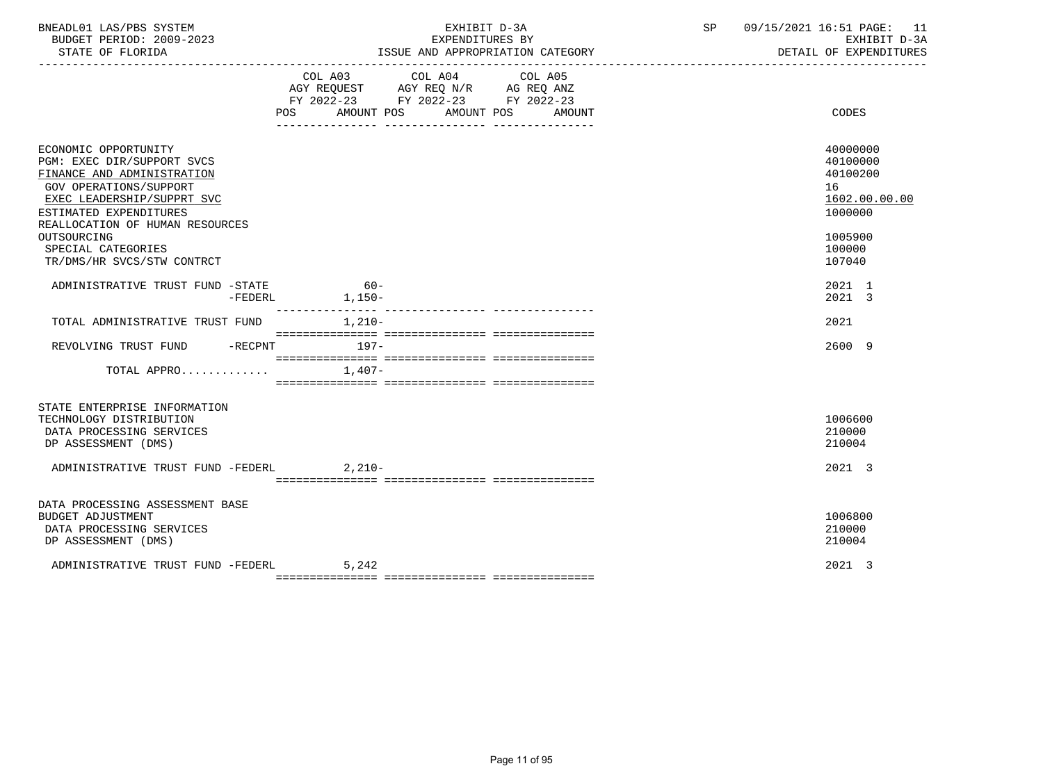| BNEADL01 LAS/PBS SYSTEM<br>BUDGET PERIOD: 2009-2023<br>STATE OF FLORIDA                                                                                                                                                                                                         | EXHIBIT D-3A<br>EXPENDITURES BY<br>ISSUE AND APPROPRIATION CATEGORY                                                                             | SP<br>09/15/2021 16:51 PAGE: 11<br>EXHIBIT D-3A<br>DETAIL OF EXPENDITURES                         |
|---------------------------------------------------------------------------------------------------------------------------------------------------------------------------------------------------------------------------------------------------------------------------------|-------------------------------------------------------------------------------------------------------------------------------------------------|---------------------------------------------------------------------------------------------------|
|                                                                                                                                                                                                                                                                                 | COL A03 COL A04 COL A05<br>AGY REQUEST AGY REQ N/R AG REQ ANZ<br>FY 2022-23 FY 2022-23 FY 2022-23<br>AMOUNT POS AMOUNT POS<br>AMOUNT<br>POS FOR | CODES                                                                                             |
| ECONOMIC OPPORTUNITY<br>PGM: EXEC DIR/SUPPORT SVCS<br>FINANCE AND ADMINISTRATION<br><b>GOV OPERATIONS/SUPPORT</b><br>EXEC LEADERSHIP/SUPPRT SVC<br>ESTIMATED EXPENDITURES<br>REALLOCATION OF HUMAN RESOURCES<br>OUTSOURCING<br>SPECIAL CATEGORIES<br>TR/DMS/HR SVCS/STW CONTRCT |                                                                                                                                                 | 40000000<br>40100000<br>40100200<br>16<br>1602.00.00.00<br>1000000<br>1005900<br>100000<br>107040 |
| ADMINISTRATIVE TRUST FUND -STATE<br>$-FEDERL$                                                                                                                                                                                                                                   | $60 -$<br>$1,150-$                                                                                                                              | 2021 1<br>2021 3                                                                                  |
| TOTAL ADMINISTRATIVE TRUST FUND 1,210-                                                                                                                                                                                                                                          |                                                                                                                                                 | 2021                                                                                              |
| REVOLVING TRUST FUND -RECPNT 197-                                                                                                                                                                                                                                               |                                                                                                                                                 | 2600 9                                                                                            |
| TOTAL APPRO                                                                                                                                                                                                                                                                     | $1.407-$                                                                                                                                        |                                                                                                   |
| STATE ENTERPRISE INFORMATION<br>TECHNOLOGY DISTRIBUTION<br>DATA PROCESSING SERVICES<br>DP ASSESSMENT (DMS)<br>ADMINISTRATIVE TRUST FUND -FEDERL 2,210-                                                                                                                          |                                                                                                                                                 | 1006600<br>210000<br>210004<br>2021 3                                                             |
|                                                                                                                                                                                                                                                                                 |                                                                                                                                                 |                                                                                                   |
| DATA PROCESSING ASSESSMENT BASE<br><b>BUDGET ADJUSTMENT</b><br>DATA PROCESSING SERVICES<br>DP ASSESSMENT (DMS)                                                                                                                                                                  |                                                                                                                                                 | 1006800<br>210000<br>210004                                                                       |
| ADMINISTRATIVE TRUST FUND -FEDERL                                                                                                                                                                                                                                               | 5,242                                                                                                                                           | 2021 3                                                                                            |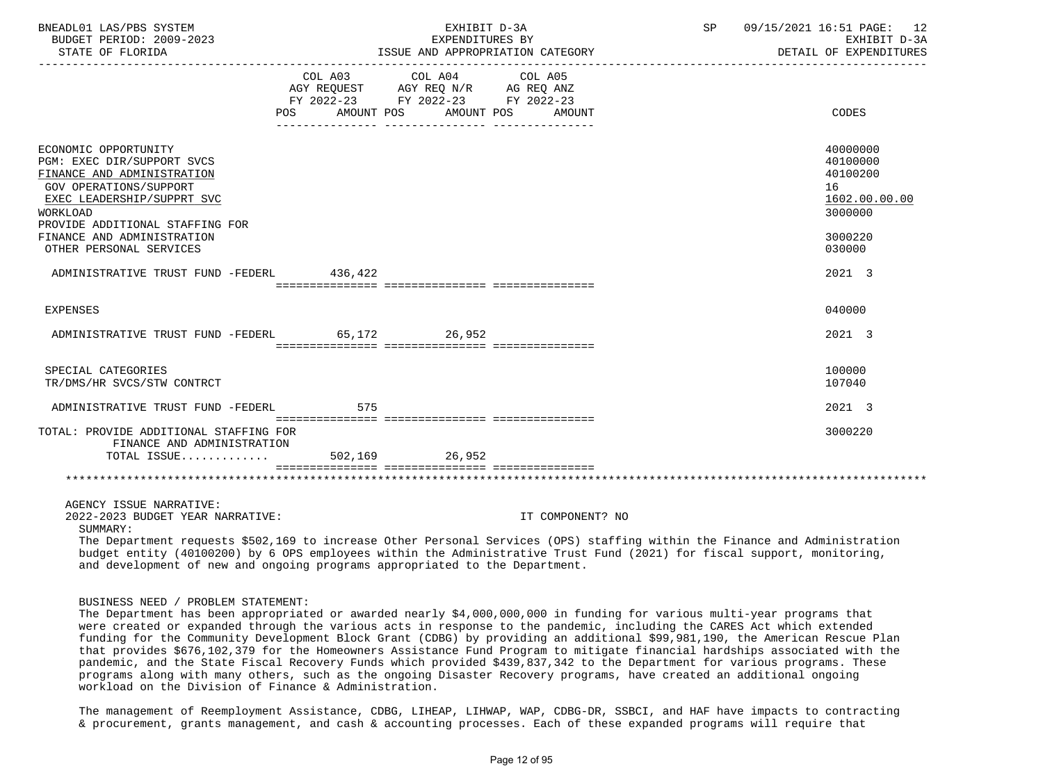| BNEADL01 LAS/PBS SYSTEM<br>BUDGET PERIOD: 2009-2023<br>STATE OF FLORIDA                                                                                                                                                                                 |                                                                                                                 | EXHIBIT D-3A<br>EXPENDITURES BY | ISSUE AND APPROPRIATION CATEGORY | SP | 09/15/2021 16:51 PAGE: 12<br>EXHIBIT D-3A<br>DETAIL OF EXPENDITURES                     |
|---------------------------------------------------------------------------------------------------------------------------------------------------------------------------------------------------------------------------------------------------------|-----------------------------------------------------------------------------------------------------------------|---------------------------------|----------------------------------|----|-----------------------------------------------------------------------------------------|
| POS FOR                                                                                                                                                                                                                                                 | COL A03 COL A04 COL A05<br>AGY REQUEST AGY REQ N/R AG REQ ANZ<br>FY 2022-23 FY 2022-23 FY 2022-23<br>AMOUNT POS | AMOUNT POS                      | AMOUNT                           |    | CODES                                                                                   |
| ECONOMIC OPPORTUNITY<br>PGM: EXEC DIR/SUPPORT SVCS<br>FINANCE AND ADMINISTRATION<br><b>GOV OPERATIONS/SUPPORT</b><br>EXEC LEADERSHIP/SUPPRT SVC<br>WORKLOAD<br>PROVIDE ADDITIONAL STAFFING FOR<br>FINANCE AND ADMINISTRATION<br>OTHER PERSONAL SERVICES |                                                                                                                 |                                 |                                  |    | 40000000<br>40100000<br>40100200<br>16<br>1602.00.00.00<br>3000000<br>3000220<br>030000 |
| ADMINISTRATIVE TRUST FUND -FEDERL 436,422                                                                                                                                                                                                               |                                                                                                                 |                                 |                                  |    | 2021 3                                                                                  |
| <b>EXPENSES</b>                                                                                                                                                                                                                                         |                                                                                                                 |                                 |                                  |    | 040000                                                                                  |
| ADMINISTRATIVE TRUST FUND -FEDERL 65.172 26.952                                                                                                                                                                                                         |                                                                                                                 |                                 |                                  |    | 2021 3                                                                                  |
| SPECIAL CATEGORIES<br>TR/DMS/HR SVCS/STW CONTRCT                                                                                                                                                                                                        |                                                                                                                 |                                 |                                  |    | 100000<br>107040                                                                        |
| ADMINISTRATIVE TRUST FUND -FEDERL                                                                                                                                                                                                                       | 575                                                                                                             |                                 |                                  |    | 2021 3                                                                                  |
| TOTAL: PROVIDE ADDITIONAL STAFFING FOR<br>FINANCE AND ADMINISTRATION<br>TOTAL ISSUE                                                                                                                                                                     | 502,169 26,952                                                                                                  |                                 |                                  |    | 3000220                                                                                 |
|                                                                                                                                                                                                                                                         |                                                                                                                 |                                 |                                  |    |                                                                                         |
| AGENCY ISSUE NARRATIVE:<br>2022-2023 BUDGET YEAR NARRATIVE:<br>SUMMARY:<br>The Department requests \$502,169 to increase Other Personal Services (OPS) staffing within the Finance and Administration                                                   |                                                                                                                 |                                 | IT COMPONENT? NO                 |    |                                                                                         |
| budget entity (40100200) by 6 OPS employees within the Administrative Trust Fund (2021) for fiscal support, monitoring,<br>and development of new and ongoing programs appropriated to the Department.                                                  |                                                                                                                 |                                 |                                  |    |                                                                                         |

BUSINESS NEED / PROBLEM STATEMENT:

 The Department has been appropriated or awarded nearly \$4,000,000,000 in funding for various multi-year programs that were created or expanded through the various acts in response to the pandemic, including the CARES Act which extended funding for the Community Development Block Grant (CDBG) by providing an additional \$99,981,190, the American Rescue Plan that provides \$676,102,379 for the Homeowners Assistance Fund Program to mitigate financial hardships associated with the pandemic, and the State Fiscal Recovery Funds which provided \$439,837,342 to the Department for various programs. These programs along with many others, such as the ongoing Disaster Recovery programs, have created an additional ongoing workload on the Division of Finance & Administration.

 The management of Reemployment Assistance, CDBG, LIHEAP, LIHWAP, WAP, CDBG-DR, SSBCI, and HAF have impacts to contracting & procurement, grants management, and cash & accounting processes. Each of these expanded programs will require that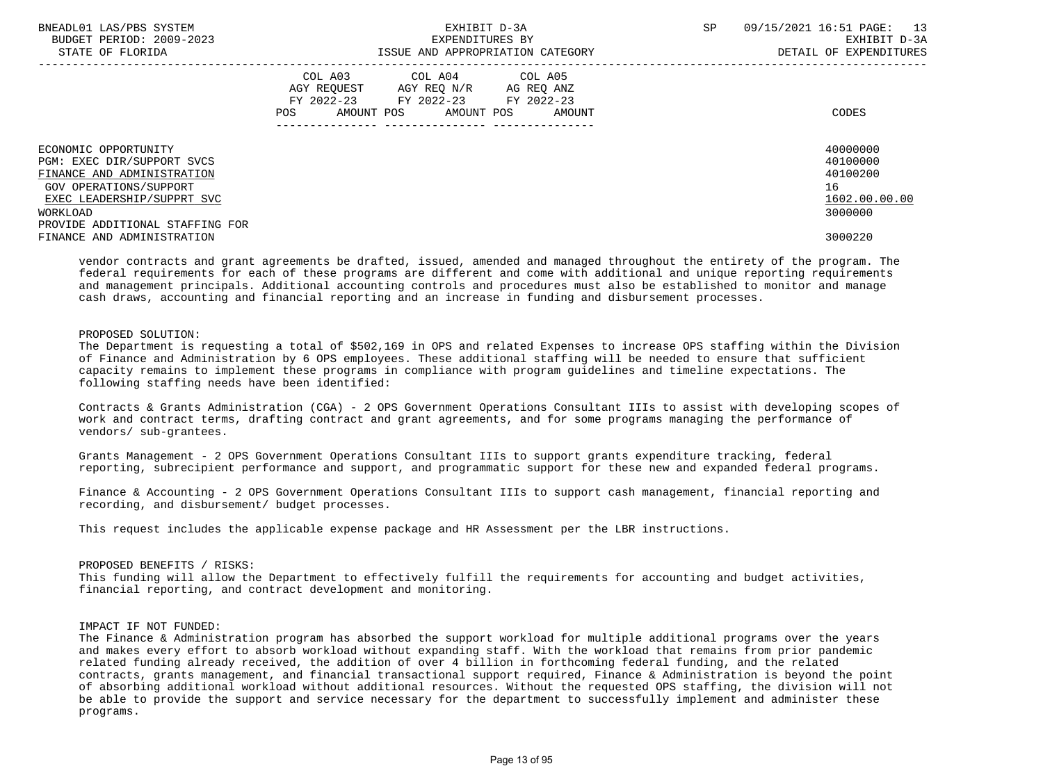| BNEADL01 LAS/PBS SYSTEM<br>BUDGET PERIOD: 2009-2023<br>STATE OF FLORIDA                                    | EXHIBIT D-3A<br>EXPENDITURES BY<br>ISSUE AND APPROPRIATION CATEGORY                                                                               | SP<br>13<br>09/15/2021 16:51 PAGE:<br>EXHIBIT D-3A<br>DETAIL OF EXPENDITURES |
|------------------------------------------------------------------------------------------------------------|---------------------------------------------------------------------------------------------------------------------------------------------------|------------------------------------------------------------------------------|
|                                                                                                            | COL A03<br>COL A04 COL A05<br>AGY REOUEST AGY REO N/R<br>AG REQ ANZ<br>FY 2022-23 FY 2022-23 FY 2022-23<br>AMOUNT POS AMOUNT POS<br>POS<br>AMOUNT | CODES                                                                        |
| ECONOMIC OPPORTUNITY<br>PGM: EXEC DIR/SUPPORT SVCS<br>FINANCE AND ADMINISTRATION<br>GOV OPERATIONS/SUPPORT |                                                                                                                                                   | 40000000<br>40100000<br>40100200<br>16                                       |
| EXEC LEADERSHIP/SUPPRT SVC<br>WORKLOAD<br>PROVIDE ADDITIONAL STAFFING FOR<br>FINANCE AND ADMINISTRATION    |                                                                                                                                                   | 1602.00.00.00<br>3000000<br>3000220                                          |

 vendor contracts and grant agreements be drafted, issued, amended and managed throughout the entirety of the program. The federal requirements for each of these programs are different and come with additional and unique reporting requirements and management principals. Additional accounting controls and procedures must also be established to monitor and manage cash draws, accounting and financial reporting and an increase in funding and disbursement processes.

#### PROPOSED SOLUTION:

 The Department is requesting a total of \$502,169 in OPS and related Expenses to increase OPS staffing within the Division of Finance and Administration by 6 OPS employees. These additional staffing will be needed to ensure that sufficient capacity remains to implement these programs in compliance with program guidelines and timeline expectations. The following staffing needs have been identified:

 Contracts & Grants Administration (CGA) - 2 OPS Government Operations Consultant IIIs to assist with developing scopes of work and contract terms, drafting contract and grant agreements, and for some programs managing the performance of vendors/ sub-grantees.

 Grants Management - 2 OPS Government Operations Consultant IIIs to support grants expenditure tracking, federal reporting, subrecipient performance and support, and programmatic support for these new and expanded federal programs.

 Finance & Accounting - 2 OPS Government Operations Consultant IIIs to support cash management, financial reporting and recording, and disbursement/ budget processes.

This request includes the applicable expense package and HR Assessment per the LBR instructions.

#### PROPOSED BENEFITS / RISKS:

 This funding will allow the Department to effectively fulfill the requirements for accounting and budget activities, financial reporting, and contract development and monitoring.

#### IMPACT IF NOT FUNDED:

 The Finance & Administration program has absorbed the support workload for multiple additional programs over the years and makes every effort to absorb workload without expanding staff. With the workload that remains from prior pandemic related funding already received, the addition of over 4 billion in forthcoming federal funding, and the related contracts, grants management, and financial transactional support required, Finance & Administration is beyond the point of absorbing additional workload without additional resources. Without the requested OPS staffing, the division will not be able to provide the support and service necessary for the department to successfully implement and administer these programs.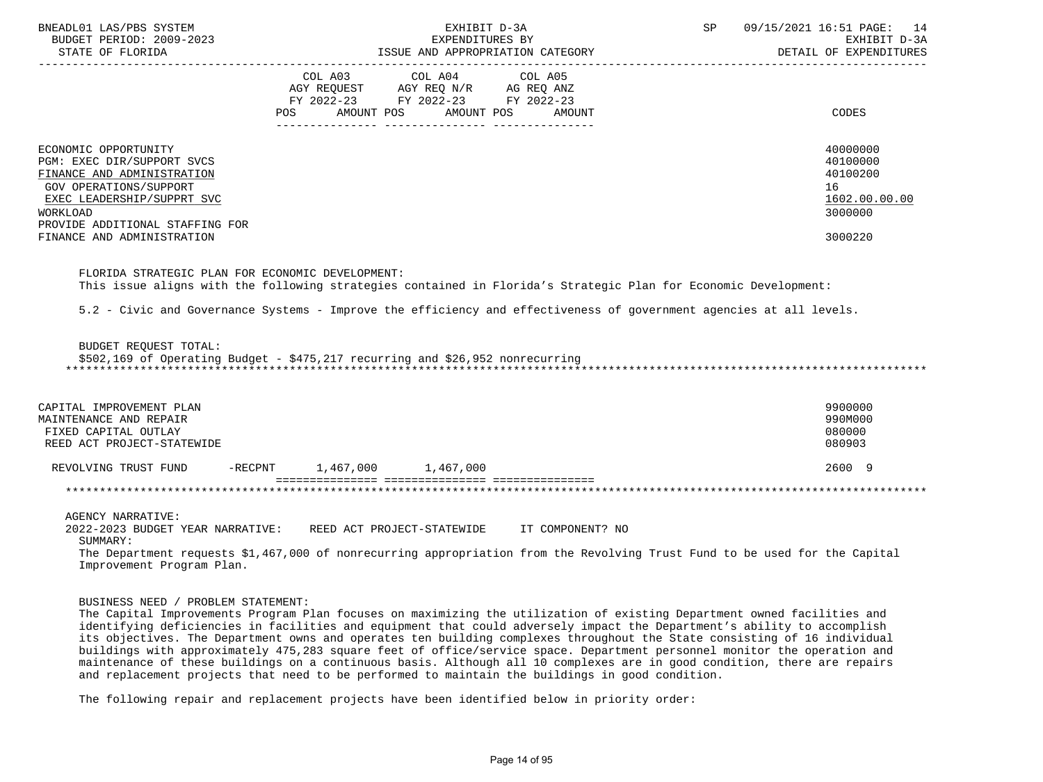| BNEADL01 LAS/PBS SYSTEM<br>BUDGET PERIOD: 2009-2023<br>STATE OF FLORIDA                                                                                                                 | EXHIBIT D-3A<br>EXPENDITURES BY<br>ISSUE AND APPROPRIATION CATEGORY                                                                         | 09/15/2021 16:51 PAGE:<br><b>SP</b><br>14<br>EXHIBIT D-3A<br>DETAIL OF EXPENDITURES |
|-----------------------------------------------------------------------------------------------------------------------------------------------------------------------------------------|---------------------------------------------------------------------------------------------------------------------------------------------|-------------------------------------------------------------------------------------|
|                                                                                                                                                                                         | COL A03<br>COL A04 COL A05<br>AGY REQUEST AGY REQ N/R AG REQ ANZ<br>FY 2022-23 FY 2022-23 FY 2022-23<br>POS<br>AMOUNT POS AMOUNT POS AMOUNT | CODES                                                                               |
| ECONOMIC OPPORTUNITY<br>PGM: EXEC DIR/SUPPORT SVCS<br>FINANCE AND ADMINISTRATION<br>GOV OPERATIONS/SUPPORT<br>EXEC LEADERSHIP/SUPPRT SVC<br>WORKLOAD<br>PROVIDE ADDITIONAL STAFFING FOR |                                                                                                                                             | 40000000<br>40100000<br>40100200<br>16<br>1602.00.00.00<br>3000000                  |
| FINANCE AND ADMINISTRATION                                                                                                                                                              |                                                                                                                                             | 3000220                                                                             |

 FLORIDA STRATEGIC PLAN FOR ECONOMIC DEVELOPMENT: This issue aligns with the following strategies contained in Florida's Strategic Plan for Economic Development:

5.2 - Civic and Governance Systems - Improve the efficiency and effectiveness of government agencies at all levels.

BUDGET REQUEST TOTAL:

\$502,169 of Operating Budget - \$475,217 recurring and \$26,952 nonrecurring

\*\*\*\*\*\*\*\*\*\*\*\*\*\*\*\*\*\*\*\*\*\*\*\*\*\*\*\*\*\*\*\*\*\*\*\*\*\*\*\*\*\*\*\*\*\*\*\*\*\*\*\*\*\*\*\*\*\*\*\*\*\*\*\*\*\*\*\*\*\*\*\*\*\*\*\*\*\*\*\*\*\*\*\*\*\*\*\*\*\*\*\*\*\*\*\*\*\*\*\*\*\*\*\*\*\*\*\*\*\*\*\*\*\*\*\*\*\*\*\*\*\*\*\*\*\*\*

| CAPITAL IMPROVEMENT PLAN<br>MAINTENANCE AND REPAIR<br>FIXED CAPITAL OUTLAY<br>REED ACT PROJECT-STATEWIDE |         |           |           | 9900000<br>990M000<br>080000<br>080903 |  |
|----------------------------------------------------------------------------------------------------------|---------|-----------|-----------|----------------------------------------|--|
| REVOLVING TRUST FUND                                                                                     | -RECPNT | 1,467,000 | 1,467,000 | 2600 9                                 |  |

\*\*\*\*\*\*\*\*\*\*\*\*\*\*\*\*\*\*\*\*\*\*\*\*\*\*\*\*\*\*\*\*\*\*\*\*\*\*\*\*\*\*\*\*\*\*\*\*\*\*\*\*\*\*\*\*\*\*\*\*\*\*\*\*\*\*\*\*\*\*\*\*\*\*\*\*\*\*\*\*\*\*\*\*\*\*\*\*\*\*\*\*\*\*\*\*\*\*\*\*\*\*\*\*\*\*\*\*\*\*\*\*\*\*\*\*\*\*\*\*\*\*\*\*\*\*\*

AGENCY NARRATIVE:

2022-2023 BUDGET YEAR NARRATIVE: REED ACT PROJECT-STATEWIDE IT COMPONENT? NO

SUMMARY:

 The Department requests \$1,467,000 of nonrecurring appropriation from the Revolving Trust Fund to be used for the Capital Improvement Program Plan.

## BUSINESS NEED / PROBLEM STATEMENT:

 The Capital Improvements Program Plan focuses on maximizing the utilization of existing Department owned facilities and identifying deficiencies in facilities and equipment that could adversely impact the Department's ability to accomplish its objectives. The Department owns and operates ten building complexes throughout the State consisting of 16 individual buildings with approximately 475,283 square feet of office/service space. Department personnel monitor the operation and maintenance of these buildings on a continuous basis. Although all 10 complexes are in good condition, there are repairs and replacement projects that need to be performed to maintain the buildings in good condition.

The following repair and replacement projects have been identified below in priority order: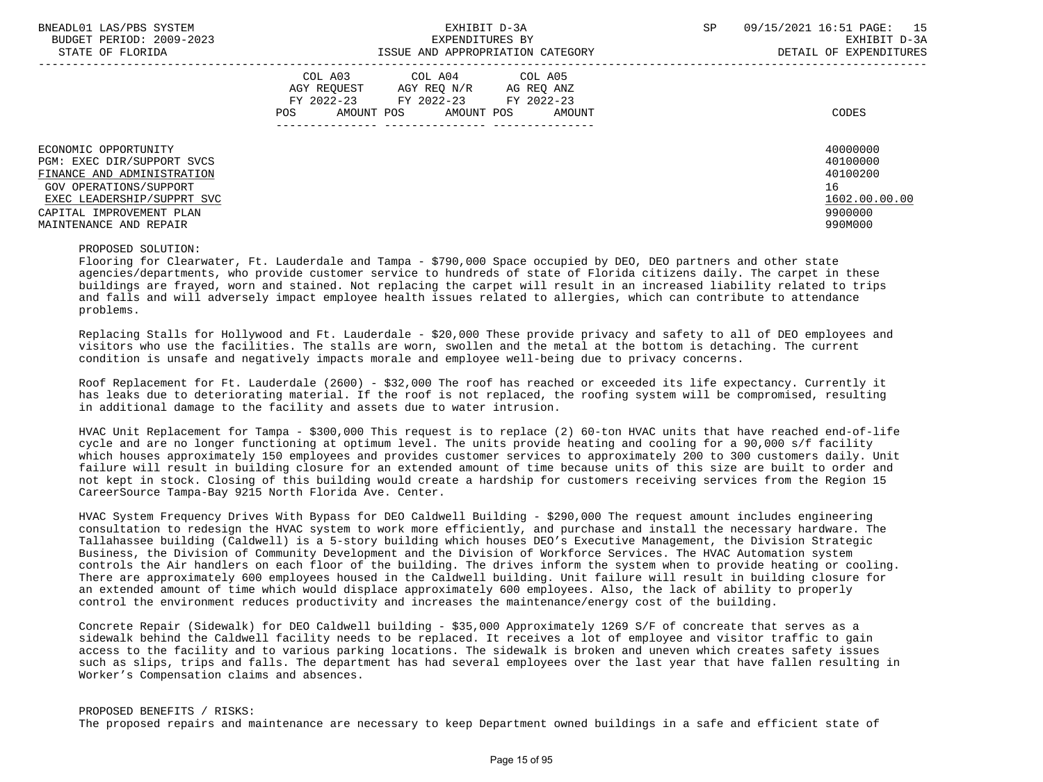| BNEADL01 LAS/PBS SYSTEM<br>BUDGET PERIOD: 2009-2023<br>STATE OF FLORIDA                                                                                                                        | EXHIBIT D-3A<br>EXPENDITURES BY<br>ISSUE AND APPROPRIATION CATEGORY                                                                            | SP | 09/15/2021 16:51 PAGE: 15<br>EXHIBIT D-3A<br>DETAIL OF EXPENDITURES           |
|------------------------------------------------------------------------------------------------------------------------------------------------------------------------------------------------|------------------------------------------------------------------------------------------------------------------------------------------------|----|-------------------------------------------------------------------------------|
|                                                                                                                                                                                                | COL A03<br>COL A04 COL A05<br>AGY REQUEST AGY REQ N/R AG REQ ANZ<br>FY 2022-23 FY 2022-23 FY 2022-23<br>AMOUNT POS AMOUNT POS<br>POS<br>AMOUNT |    | CODES                                                                         |
| ECONOMIC OPPORTUNITY<br>PGM: EXEC DIR/SUPPORT SVCS<br>FINANCE AND ADMINISTRATION<br>GOV OPERATIONS/SUPPORT<br>EXEC LEADERSHIP/SUPPRT SVC<br>CAPITAL IMPROVEMENT PLAN<br>MAINTENANCE AND REPAIR |                                                                                                                                                |    | 40000000<br>40100000<br>40100200<br>16<br>1602.00.00.00<br>9900000<br>990M000 |

PROPOSED SOLUTION:

 Flooring for Clearwater, Ft. Lauderdale and Tampa - \$790,000 Space occupied by DEO, DEO partners and other state agencies/departments, who provide customer service to hundreds of state of Florida citizens daily. The carpet in these buildings are frayed, worn and stained. Not replacing the carpet will result in an increased liability related to trips and falls and will adversely impact employee health issues related to allergies, which can contribute to attendance problems.

 Replacing Stalls for Hollywood and Ft. Lauderdale - \$20,000 These provide privacy and safety to all of DEO employees and visitors who use the facilities. The stalls are worn, swollen and the metal at the bottom is detaching. The current condition is unsafe and negatively impacts morale and employee well-being due to privacy concerns.

 Roof Replacement for Ft. Lauderdale (2600) - \$32,000 The roof has reached or exceeded its life expectancy. Currently it has leaks due to deteriorating material. If the roof is not replaced, the roofing system will be compromised, resulting in additional damage to the facility and assets due to water intrusion.

 HVAC Unit Replacement for Tampa - \$300,000 This request is to replace (2) 60-ton HVAC units that have reached end-of-life cycle and are no longer functioning at optimum level. The units provide heating and cooling for a 90,000 s/f facility which houses approximately 150 employees and provides customer services to approximately 200 to 300 customers daily. Unit failure will result in building closure for an extended amount of time because units of this size are built to order and not kept in stock. Closing of this building would create a hardship for customers receiving services from the Region 15 CareerSource Tampa-Bay 9215 North Florida Ave. Center.

 HVAC System Frequency Drives With Bypass for DEO Caldwell Building - \$290,000 The request amount includes engineering consultation to redesign the HVAC system to work more efficiently, and purchase and install the necessary hardware. The Tallahassee building (Caldwell) is a 5-story building which houses DEO's Executive Management, the Division Strategic Business, the Division of Community Development and the Division of Workforce Services. The HVAC Automation system controls the Air handlers on each floor of the building. The drives inform the system when to provide heating or cooling. There are approximately 600 employees housed in the Caldwell building. Unit failure will result in building closure for an extended amount of time which would displace approximately 600 employees. Also, the lack of ability to properly control the environment reduces productivity and increases the maintenance/energy cost of the building.

 Concrete Repair (Sidewalk) for DEO Caldwell building - \$35,000 Approximately 1269 S/F of concreate that serves as a sidewalk behind the Caldwell facility needs to be replaced. It receives a lot of employee and visitor traffic to gain access to the facility and to various parking locations. The sidewalk is broken and uneven which creates safety issues such as slips, trips and falls. The department has had several employees over the last year that have fallen resulting in Worker's Compensation claims and absences.

 PROPOSED BENEFITS / RISKS: The proposed repairs and maintenance are necessary to keep Department owned buildings in a safe and efficient state of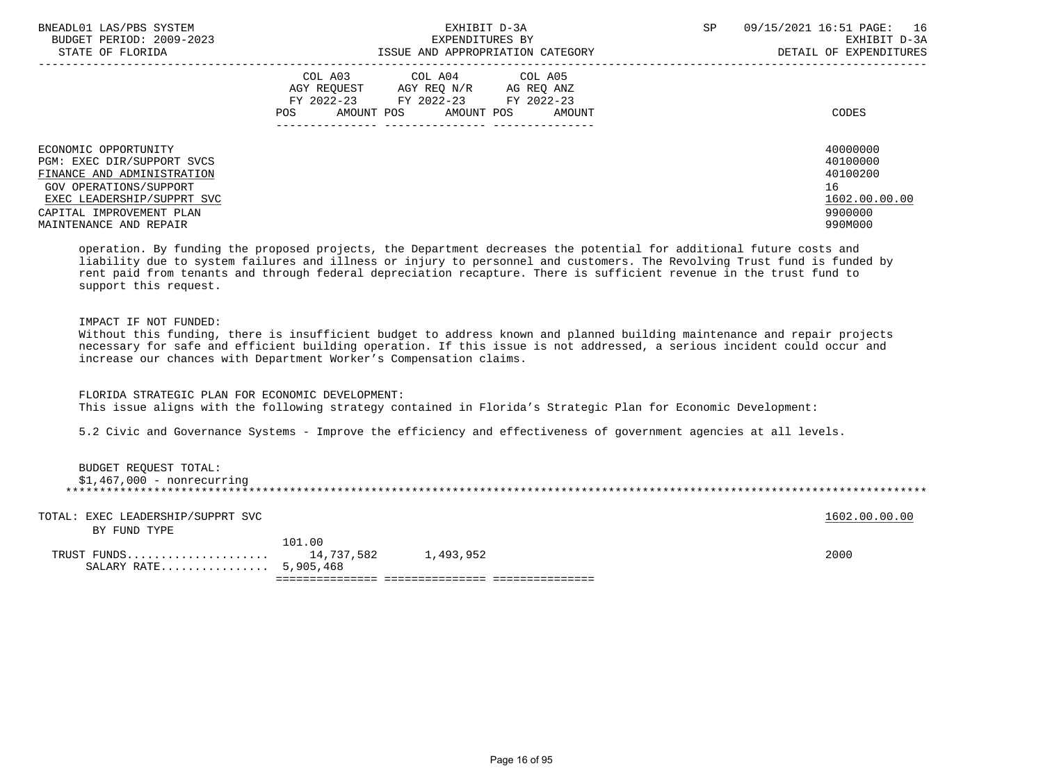| BNEADL01 LAS/PBS SYSTEM<br>BUDGET PERIOD: 2009-2023                                                                                                                  | EXHIBIT D-3A<br>EXPENDITURES BY                                                                                                                | 09/15/2021 16:51 PAGE: 16<br>SP<br>EXHIBIT D-3A                    |
|----------------------------------------------------------------------------------------------------------------------------------------------------------------------|------------------------------------------------------------------------------------------------------------------------------------------------|--------------------------------------------------------------------|
| STATE OF FLORIDA                                                                                                                                                     | ISSUE AND APPROPRIATION CATEGORY                                                                                                               | DETAIL OF EXPENDITURES                                             |
|                                                                                                                                                                      | COL A03 COL A04 COL A05<br>AGY REOUEST<br>AGY REO N/R AG REO ANZ<br>FY 2022-23 FY 2022-23 FY 2022-23<br>AMOUNT POS AMOUNT POS<br>POS<br>AMOUNT | CODES                                                              |
| ECONOMIC OPPORTUNITY<br>PGM: EXEC DIR/SUPPORT SVCS<br>FINANCE AND ADMINISTRATION<br>GOV OPERATIONS/SUPPORT<br>EXEC LEADERSHIP/SUPPRT SVC<br>CAPITAL IMPROVEMENT PLAN |                                                                                                                                                | 40000000<br>40100000<br>40100200<br>16<br>1602.00.00.00<br>9900000 |
| MAINTENANCE AND REPAIR                                                                                                                                               |                                                                                                                                                | 990M000                                                            |

 operation. By funding the proposed projects, the Department decreases the potential for additional future costs and liability due to system failures and illness or injury to personnel and customers. The Revolving Trust fund is funded by rent paid from tenants and through federal depreciation recapture. There is sufficient revenue in the trust fund to support this request.

# IMPACT IF NOT FUNDED:

 Without this funding, there is insufficient budget to address known and planned building maintenance and repair projects necessary for safe and efficient building operation. If this issue is not addressed, a serious incident could occur and increase our chances with Department Worker's Compensation claims.

FLORIDA STRATEGIC PLAN FOR ECONOMIC DEVELOPMENT:

This issue aligns with the following strategy contained in Florida's Strategic Plan for Economic Development:

5.2 Civic and Governance Systems - Improve the efficiency and effectiveness of government agencies at all levels.

| BUDGET REOUEST TOTAL:       |
|-----------------------------|
| $$1,467,000$ - nonrecurring |
|                             |
|                             |

| TOTAL: EXEC LEADERSHIP/SUPPRT SVC<br>BY FUND TYPE |        |           | 1602.00.00.00 |
|---------------------------------------------------|--------|-----------|---------------|
| SALARY RATE 5,905,468                             | 101.00 | 1,493,952 | 2000          |
|                                                   |        |           |               |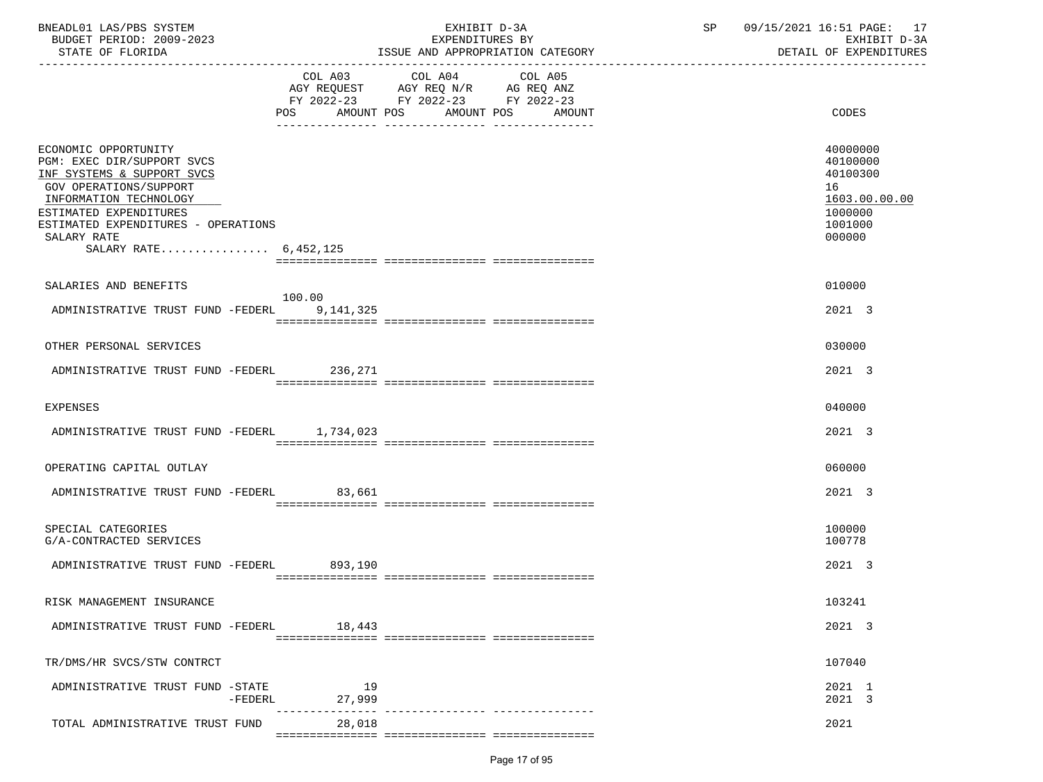| BNEADL01 LAS/PBS SYSTEM<br>BUDGET PERIOD: 2009-2023<br>STATE OF FLORIDA                                                                                                                                                                       |                                  | EXHIBIT D-3A<br>EXPENDITURES BY                                                           | ISSUE AND APPROPRIATION CATEGORY | SP | 09/15/2021 16:51 PAGE: 17<br>EXHIBIT D-3A<br>DETAIL OF EXPENDITURES                     |  |
|-----------------------------------------------------------------------------------------------------------------------------------------------------------------------------------------------------------------------------------------------|----------------------------------|-------------------------------------------------------------------------------------------|----------------------------------|----|-----------------------------------------------------------------------------------------|--|
|                                                                                                                                                                                                                                               | POS AMOUNT POS AMOUNT POS AMOUNT | COL A03 COL A04<br>AGY REQUEST AGY REQ N/R AG REQ ANZ<br>FY 2022-23 FY 2022-23 FY 2022-23 | COL A05                          |    | CODES                                                                                   |  |
| ECONOMIC OPPORTUNITY<br>PGM: EXEC DIR/SUPPORT SVCS<br>INF SYSTEMS & SUPPORT SVCS<br>GOV OPERATIONS/SUPPORT<br>INFORMATION TECHNOLOGY<br>ESTIMATED EXPENDITURES<br>ESTIMATED EXPENDITURES - OPERATIONS<br>SALARY RATE<br>SALARY RATE 6,452,125 |                                  |                                                                                           |                                  |    | 40000000<br>40100000<br>40100300<br>16<br>1603.00.00.00<br>1000000<br>1001000<br>000000 |  |
| SALARIES AND BENEFITS                                                                                                                                                                                                                         | 100.00                           |                                                                                           |                                  |    | 010000                                                                                  |  |
| ADMINISTRATIVE TRUST FUND -FEDERL 9.141.325                                                                                                                                                                                                   |                                  |                                                                                           |                                  |    | 2021 3                                                                                  |  |
| OTHER PERSONAL SERVICES                                                                                                                                                                                                                       |                                  |                                                                                           |                                  |    | 030000                                                                                  |  |
| ADMINISTRATIVE TRUST FUND -FEDERL 236,271                                                                                                                                                                                                     |                                  |                                                                                           |                                  |    | 2021 3                                                                                  |  |
| <b>EXPENSES</b>                                                                                                                                                                                                                               |                                  |                                                                                           |                                  |    | 040000                                                                                  |  |
| ADMINISTRATIVE TRUST FUND -FEDERL 1,734,023                                                                                                                                                                                                   |                                  |                                                                                           |                                  |    | 2021 3                                                                                  |  |
| OPERATING CAPITAL OUTLAY                                                                                                                                                                                                                      |                                  |                                                                                           |                                  |    | 060000                                                                                  |  |
| ADMINISTRATIVE TRUST FUND -FEDERL 83,661                                                                                                                                                                                                      |                                  |                                                                                           |                                  |    | 2021 3                                                                                  |  |
| SPECIAL CATEGORIES<br>G/A-CONTRACTED SERVICES                                                                                                                                                                                                 |                                  |                                                                                           |                                  |    | 100000<br>100778                                                                        |  |
| ADMINISTRATIVE TRUST FUND -FEDERL 893.190                                                                                                                                                                                                     |                                  |                                                                                           |                                  |    | 2021 3                                                                                  |  |
| RISK MANAGEMENT INSURANCE                                                                                                                                                                                                                     |                                  |                                                                                           |                                  |    | 103241                                                                                  |  |
| ADMINISTRATIVE TRUST FUND -FEDERL                                                                                                                                                                                                             | 18,443                           |                                                                                           |                                  |    | 2021 3                                                                                  |  |
| TR/DMS/HR SVCS/STW CONTRCT                                                                                                                                                                                                                    |                                  |                                                                                           |                                  |    | 107040                                                                                  |  |
| ADMINISTRATIVE TRUST FUND -STATE<br>$-FEDERL$                                                                                                                                                                                                 | 19<br>27,999                     |                                                                                           |                                  |    | 2021 1<br>2021 3                                                                        |  |
| TOTAL ADMINISTRATIVE TRUST FUND                                                                                                                                                                                                               | 28,018                           |                                                                                           |                                  |    | 2021                                                                                    |  |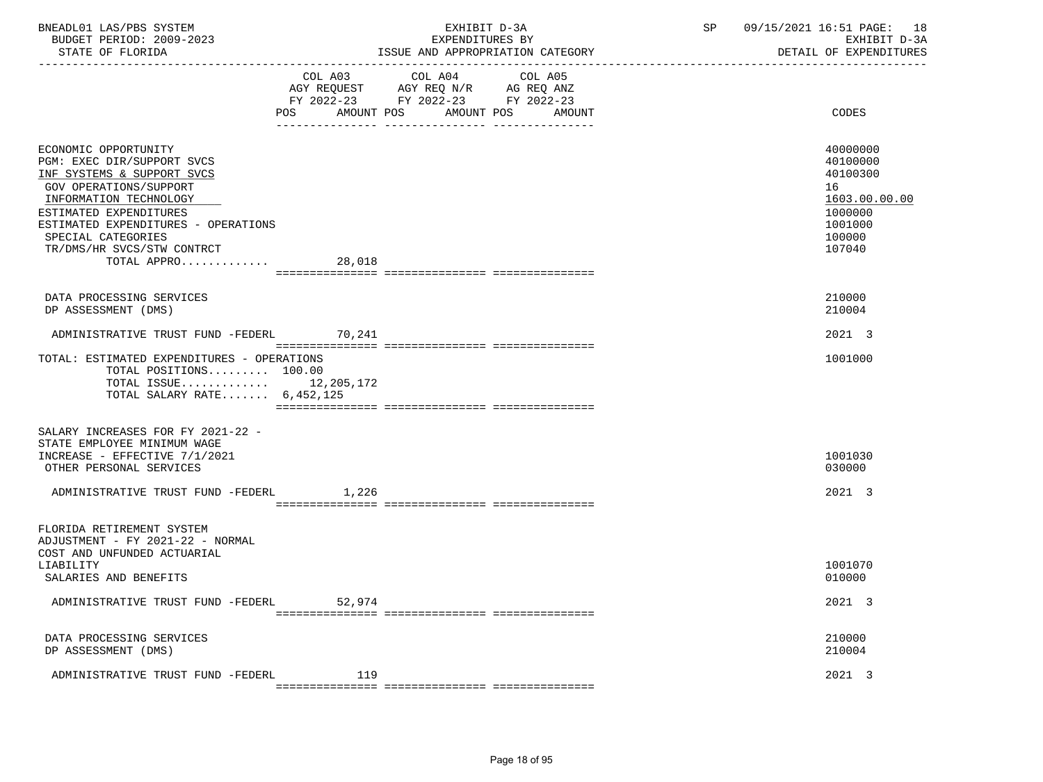| BNEADL01 LAS/PBS SYSTEM |                  |                          | EXHIBIT D-3A                     |  |
|-------------------------|------------------|--------------------------|----------------------------------|--|
|                         |                  | BUDGET PERIOD: 2009-2023 | EXPENDITURES BY                  |  |
|                         | STATE OF FLORIDA |                          | ISSUE AND APPROPRIATION CATEGORY |  |

|                                                                                                                                                                                                                                                                                 |        | $\begin{tabular}{lllllllllll} COL & A03 & \multicolumn{2}{l}COL & A04 & \multicolumn{2}{l}COL & A05 \\ AGY & REQUEST & \multicolumn{2}{l}AGY REQ N/R & \multicolumn{2}{l}AG REQ ANZ \\ \end{tabular}$<br>FY 2022-23 FY 2022-23 FY 2022-23 |        |                                                                                                   |
|---------------------------------------------------------------------------------------------------------------------------------------------------------------------------------------------------------------------------------------------------------------------------------|--------|-------------------------------------------------------------------------------------------------------------------------------------------------------------------------------------------------------------------------------------------|--------|---------------------------------------------------------------------------------------------------|
|                                                                                                                                                                                                                                                                                 | POS    | AMOUNT POS AMOUNT POS                                                                                                                                                                                                                     | AMOUNT | CODES                                                                                             |
| ECONOMIC OPPORTUNITY<br>PGM: EXEC DIR/SUPPORT SVCS<br>INF SYSTEMS & SUPPORT SVCS<br>GOV OPERATIONS/SUPPORT<br>INFORMATION TECHNOLOGY<br>ESTIMATED EXPENDITURES<br>ESTIMATED EXPENDITURES - OPERATIONS<br>SPECIAL CATEGORIES<br>TR/DMS/HR SVCS/STW CONTRCT<br>TOTAL APPRO 28,018 |        |                                                                                                                                                                                                                                           |        | 40000000<br>40100000<br>40100300<br>16<br>1603.00.00.00<br>1000000<br>1001000<br>100000<br>107040 |
| DATA PROCESSING SERVICES<br>DP ASSESSMENT (DMS)                                                                                                                                                                                                                                 |        |                                                                                                                                                                                                                                           |        | 210000<br>210004                                                                                  |
| ADMINISTRATIVE TRUST FUND -FEDERL 70,241                                                                                                                                                                                                                                        |        |                                                                                                                                                                                                                                           |        | 2021 3                                                                                            |
| TOTAL: ESTIMATED EXPENDITURES - OPERATIONS<br>TOTAL POSITIONS 100.00<br>TOTAL ISSUE $12,205,172$<br>TOTAL SALARY RATE $6,452,125$                                                                                                                                               |        |                                                                                                                                                                                                                                           |        | 1001000                                                                                           |
| SALARY INCREASES FOR FY 2021-22 -<br>STATE EMPLOYEE MINIMUM WAGE<br>INCREASE - EFFECTIVE 7/1/2021<br>OTHER PERSONAL SERVICES                                                                                                                                                    |        |                                                                                                                                                                                                                                           |        | 1001030<br>030000                                                                                 |
| ADMINISTRATIVE TRUST FUND -FEDERL                                                                                                                                                                                                                                               | 1,226  |                                                                                                                                                                                                                                           |        | 2021 3                                                                                            |
| FLORIDA RETIREMENT SYSTEM<br>ADJUSTMENT - FY 2021-22 - NORMAL<br>COST AND UNFUNDED ACTUARIAL                                                                                                                                                                                    |        |                                                                                                                                                                                                                                           |        |                                                                                                   |
| LIABILITY<br>SALARIES AND BENEFITS                                                                                                                                                                                                                                              |        |                                                                                                                                                                                                                                           |        | 1001070<br>010000                                                                                 |
| ADMINISTRATIVE TRUST FUND -FEDERL                                                                                                                                                                                                                                               | 52,974 |                                                                                                                                                                                                                                           |        | 2021 3                                                                                            |
| DATA PROCESSING SERVICES<br>DP ASSESSMENT (DMS)                                                                                                                                                                                                                                 |        |                                                                                                                                                                                                                                           |        | 210000<br>210004                                                                                  |
| ADMINISTRATIVE TRUST FUND -FEDERL                                                                                                                                                                                                                                               | 119    |                                                                                                                                                                                                                                           |        | 2021 3                                                                                            |

=============== =============== ===============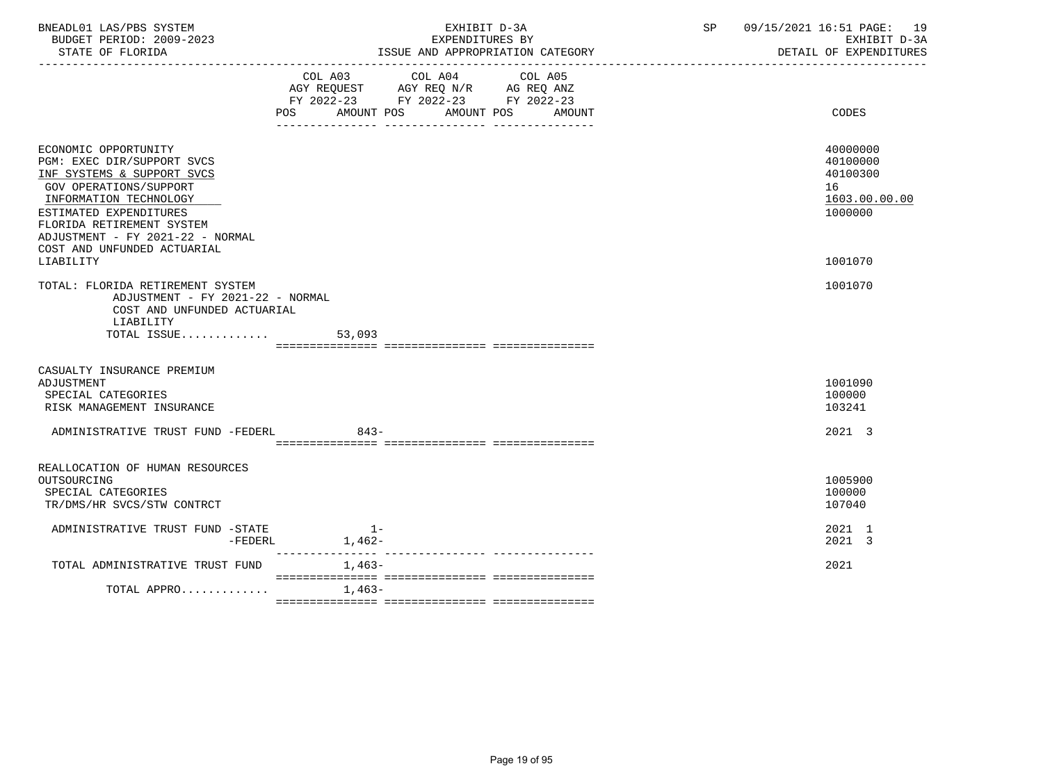| BNEADL01 LAS/PBS SYSTEM  |                                           | 19<br>09/                |
|--------------------------|-------------------------------------------|--------------------------|
| BUDGET PERIOD: 2009-2023 | EXPENDITURES BY                           | $D-3D$<br>PXHTBTT        |
| גתדתמים המיהים           | MOODDIATION CATOOON<br>T C CITE<br>7. NTT | מתחזים בחוות המצה המידים |

-----------------------------------------------------------------------------------------------------------------------------------

STATE OF FLORIDA STATE OF STATE OF STATE OF EXPENDITURES

|                                                                                                                                                                                                                                                                             | COL A05<br>COL A03<br>COL A04<br>AGY REQUEST AGY REQ N/R AG REQ ANZ<br>FY 2022-23 FY 2022-23 FY 2022-23<br>POS<br>AMOUNT POS<br>AMOUNT POS<br>AMOUNT | <b>CODES</b>                                                                  |
|-----------------------------------------------------------------------------------------------------------------------------------------------------------------------------------------------------------------------------------------------------------------------------|------------------------------------------------------------------------------------------------------------------------------------------------------|-------------------------------------------------------------------------------|
| ECONOMIC OPPORTUNITY<br>PGM: EXEC DIR/SUPPORT SVCS<br>INF SYSTEMS & SUPPORT SVCS<br>GOV OPERATIONS/SUPPORT<br>INFORMATION TECHNOLOGY<br>ESTIMATED EXPENDITURES<br>FLORIDA RETIREMENT SYSTEM<br>ADJUSTMENT - FY 2021-22 - NORMAL<br>COST AND UNFUNDED ACTUARIAL<br>LIABILITY |                                                                                                                                                      | 40000000<br>40100000<br>40100300<br>16<br>1603.00.00.00<br>1000000<br>1001070 |
| TOTAL: FLORIDA RETIREMENT SYSTEM<br>ADJUSTMENT - FY 2021-22 - NORMAL<br>COST AND UNFUNDED ACTUARIAL<br>LIABILITY<br>TOTAL ISSUE                                                                                                                                             | 53,093                                                                                                                                               | 1001070                                                                       |
| CASUALTY INSURANCE PREMIUM<br>ADJUSTMENT<br>SPECIAL CATEGORIES<br>RISK MANAGEMENT INSURANCE                                                                                                                                                                                 |                                                                                                                                                      | 1001090<br>100000<br>103241                                                   |
| ADMINISTRATIVE TRUST FUND -FEDERL                                                                                                                                                                                                                                           | $843-$                                                                                                                                               | 2021 3                                                                        |
| REALLOCATION OF HUMAN RESOURCES<br>OUTSOURCING<br>SPECIAL CATEGORIES<br>TR/DMS/HR SVCS/STW CONTRCT                                                                                                                                                                          |                                                                                                                                                      | 1005900<br>100000<br>107040                                                   |
| ADMINISTRATIVE TRUST FUND -STATE<br>$-FEDERL$                                                                                                                                                                                                                               | $1 -$<br>1,462-                                                                                                                                      | 2021 1<br>2021 3                                                              |
| TOTAL ADMINISTRATIVE TRUST FUND                                                                                                                                                                                                                                             | $1,463-$                                                                                                                                             | 2021                                                                          |
| TOTAL APPRO                                                                                                                                                                                                                                                                 | $1,463-$                                                                                                                                             |                                                                               |
|                                                                                                                                                                                                                                                                             |                                                                                                                                                      |                                                                               |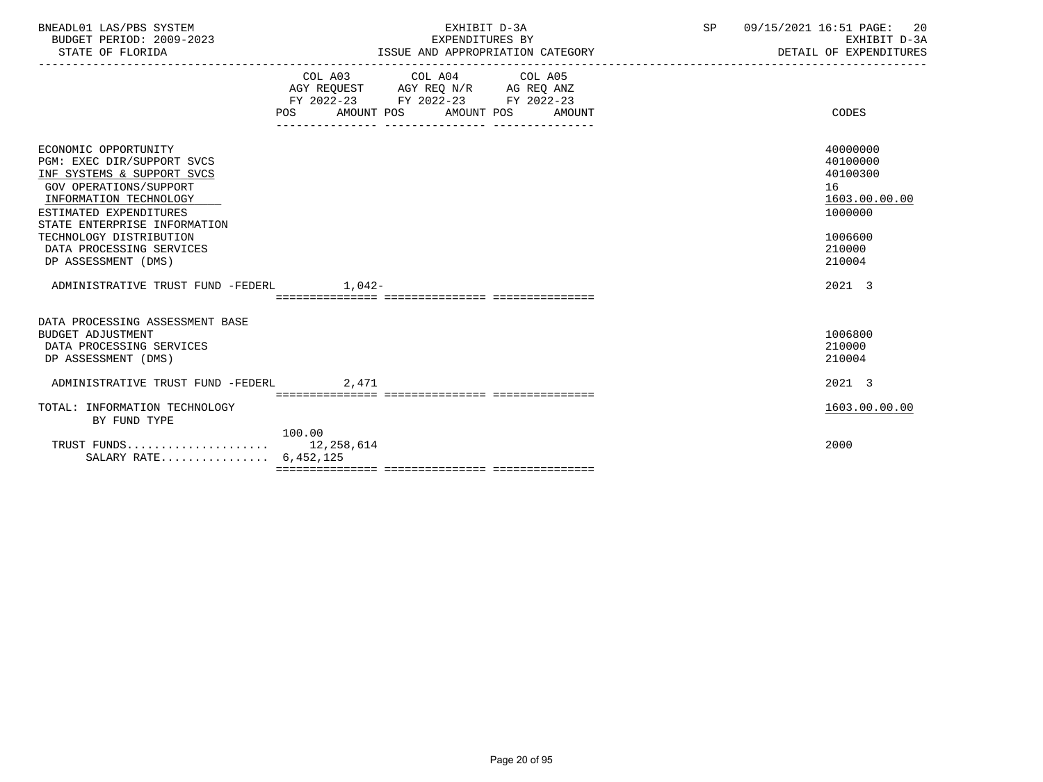| BNEADL01 LAS/PBS SYSTEM |                  |                          | EXHIBIT D-3A                     |  |
|-------------------------|------------------|--------------------------|----------------------------------|--|
|                         |                  | BUDGET PERIOD: 2009-2023 | EXPENDITURES BY                  |  |
|                         | STATE OF FLORIDA |                          | ISSUE AND APPROPRIATION CATEGORY |  |

|                                                                                                                                                                                                                                                                                     | POS FOR  | COL A03 COL A04 COL A05<br>AGY REQUEST AGY REQ N/R AG REQ ANZ<br>FY 2022-23 FY 2022-23 FY 2022-23<br>AMOUNT POS AMOUNT POS<br>______________________________________ | AMOUNT | CODES                                                                                             |
|-------------------------------------------------------------------------------------------------------------------------------------------------------------------------------------------------------------------------------------------------------------------------------------|----------|----------------------------------------------------------------------------------------------------------------------------------------------------------------------|--------|---------------------------------------------------------------------------------------------------|
| ECONOMIC OPPORTUNITY<br>PGM: EXEC DIR/SUPPORT SVCS<br>INF SYSTEMS & SUPPORT SVCS<br><b>GOV OPERATIONS/SUPPORT</b><br>INFORMATION TECHNOLOGY<br>ESTIMATED EXPENDITURES<br>STATE ENTERPRISE INFORMATION<br>TECHNOLOGY DISTRIBUTION<br>DATA PROCESSING SERVICES<br>DP ASSESSMENT (DMS) |          |                                                                                                                                                                      |        | 40000000<br>40100000<br>40100300<br>16<br>1603.00.00.00<br>1000000<br>1006600<br>210000<br>210004 |
| ADMINISTRATIVE TRUST FUND -FEDERL                                                                                                                                                                                                                                                   | $1.042-$ |                                                                                                                                                                      |        | 2021 3                                                                                            |
| DATA PROCESSING ASSESSMENT BASE<br><b>BUDGET ADJUSTMENT</b><br>DATA PROCESSING SERVICES<br>DP ASSESSMENT (DMS)                                                                                                                                                                      |          |                                                                                                                                                                      |        | 1006800<br>210000<br>210004                                                                       |
| ADMINISTRATIVE TRUST FUND -FEDERL                                                                                                                                                                                                                                                   | 2,471    |                                                                                                                                                                      |        | 2021 3                                                                                            |
| TOTAL: INFORMATION TECHNOLOGY<br>BY FUND TYPE                                                                                                                                                                                                                                       |          |                                                                                                                                                                      |        | 1603.00.00.00                                                                                     |
| SALARY RATE 6,452,125                                                                                                                                                                                                                                                               | 100.00   |                                                                                                                                                                      |        | 2000                                                                                              |
|                                                                                                                                                                                                                                                                                     |          |                                                                                                                                                                      |        |                                                                                                   |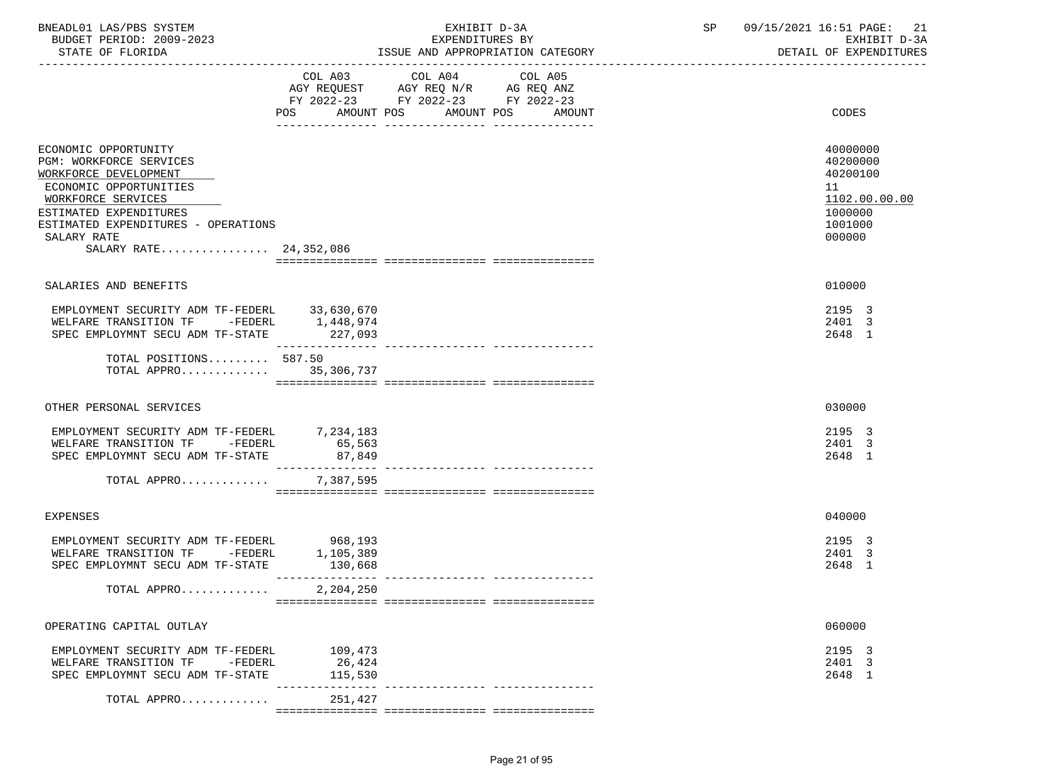| BNEADL01 LAS/PBS SYSTEM<br>BUDGET PERIOD: 2009-2023<br>STATE OF FLORIDA                                                                                                                   |                                                                                                                                          | EXHIBIT D-3A<br>EXPENDITURES BY<br>ISSUE AND APPROPRIATION CATEGORY | SP 09/15/2021 16:51 PAGE: 21<br>EXHIBIT D-3A<br>DETAIL OF EXPENDITURES        |
|-------------------------------------------------------------------------------------------------------------------------------------------------------------------------------------------|------------------------------------------------------------------------------------------------------------------------------------------|---------------------------------------------------------------------|-------------------------------------------------------------------------------|
|                                                                                                                                                                                           | COL A03 COL A04 COL A05<br>AGY REQUEST AGY REQ N/R AG REQ ANZ<br>FY 2022-23 FY 2022-23 FY 2022-23<br>AMOUNT POS AMOUNT POS<br><b>POS</b> | AMOUNT                                                              | CODES                                                                         |
| ECONOMIC OPPORTUNITY<br>PGM: WORKFORCE SERVICES<br>WORKFORCE DEVELOPMENT<br>ECONOMIC OPPORTUNITIES<br>WORKFORCE SERVICES<br>ESTIMATED EXPENDITURES<br>ESTIMATED EXPENDITURES - OPERATIONS |                                                                                                                                          |                                                                     | 40000000<br>40200000<br>40200100<br>11<br>1102.00.00.00<br>1000000<br>1001000 |
| SALARY RATE<br>SALARY RATE 24,352,086                                                                                                                                                     |                                                                                                                                          |                                                                     | 000000                                                                        |
| SALARIES AND BENEFITS                                                                                                                                                                     |                                                                                                                                          |                                                                     | 010000                                                                        |
| EMPLOYMENT SECURITY ADM TF-FEDERL 33,630,670<br>WELFARE TRANSITION TF $-$ FEDERL 1,448,974<br>SPEC EMPLOYMNT SECU ADM TF-STATE 227,093                                                    |                                                                                                                                          |                                                                     | 2195 3<br>2401 3<br>2648 1                                                    |
| TOTAL POSITIONS 587.50<br>TOTAL APPRO 35,306,737                                                                                                                                          | ________________                                                                                                                         |                                                                     |                                                                               |
| OTHER PERSONAL SERVICES                                                                                                                                                                   |                                                                                                                                          |                                                                     | 030000                                                                        |
| EMPLOYMENT SECURITY ADM TF-FEDERL 7,234,183<br>WELFARE TRANSITION TF -FEDERL<br>SPEC EMPLOYMNT SECU ADM TF-STATE                                                                          | 65, 563<br>87,849<br>________________                                                                                                    |                                                                     | 2195 3<br>2401 3<br>2648 1                                                    |
| TOTAL APPRO                                                                                                                                                                               | 7,387,595                                                                                                                                |                                                                     |                                                                               |
| <b>EXPENSES</b>                                                                                                                                                                           |                                                                                                                                          |                                                                     | 040000                                                                        |
| EMPLOYMENT SECURITY ADM TF-FEDERL<br>WELFARE TRANSITION TF -FEDERL<br>SPEC EMPLOYMNT SECU ADM TF-STATE                                                                                    | 968,193<br>1,105,389<br>130,668                                                                                                          |                                                                     | 2195 3<br>2401 3<br>2648 1                                                    |
| TOTAL APPRO                                                                                                                                                                               | 2,204,250                                                                                                                                |                                                                     |                                                                               |
| OPERATING CAPITAL OUTLAY                                                                                                                                                                  |                                                                                                                                          |                                                                     | 060000                                                                        |
| EMPLOYMENT SECURITY ADM TF-FEDERL<br>WELFARE TRANSITION TF -FEDERL<br>SPEC EMPLOYMNT SECU ADM TF-STATE                                                                                    | 109,473<br>26,424<br>115,530                                                                                                             |                                                                     | 2195 3<br>2401 3<br>2648 1                                                    |
| TOTAL APPRO                                                                                                                                                                               | 251,427                                                                                                                                  |                                                                     |                                                                               |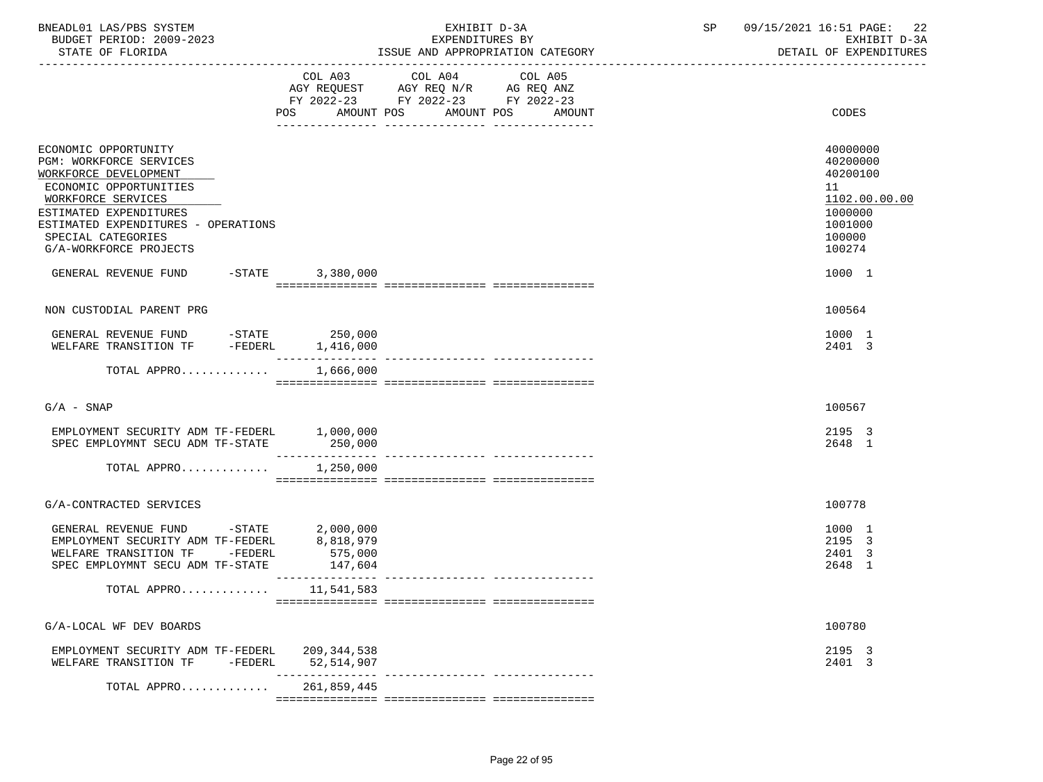| BNEADL01 LAS/PBS SYSTEM<br>BUDGET PERIOD: 2009-2023<br>STATE OF FLORIDA                                                                                                                                                                                                                   |                                 | EXHIBIT D-3A<br>EXPENDITURES BY<br>ISSUE AND APPROPRIATION CATEGORY                                                                      | <b>SP</b> | 09/15/2021 16:51 PAGE: 22<br>EXHIBIT D-3A<br>DETAIL OF EXPENDITURES                                         |
|-------------------------------------------------------------------------------------------------------------------------------------------------------------------------------------------------------------------------------------------------------------------------------------------|---------------------------------|------------------------------------------------------------------------------------------------------------------------------------------|-----------|-------------------------------------------------------------------------------------------------------------|
|                                                                                                                                                                                                                                                                                           |                                 | COL A03 COL A04 COL A05<br>AGY REQUEST AGY REQ N/R AG REQ ANZ<br>FY 2022-23 FY 2022-23 FY 2022-23<br>POS AMOUNT POS AMOUNT POS<br>AMOUNT |           | CODES                                                                                                       |
| ECONOMIC OPPORTUNITY<br><b>PGM: WORKFORCE SERVICES</b><br>WORKFORCE DEVELOPMENT<br>ECONOMIC OPPORTUNITIES<br>WORKFORCE SERVICES<br>ESTIMATED EXPENDITURES<br>ESTIMATED EXPENDITURES - OPERATIONS<br>SPECIAL CATEGORIES<br>G/A-WORKFORCE PROJECTS<br>GENERAL REVENUE FUND -STATE 3,380,000 |                                 |                                                                                                                                          |           | 40000000<br>40200000<br>40200100<br>11<br>1102.00.00.00<br>1000000<br>1001000<br>100000<br>100274<br>1000 1 |
| NON CUSTODIAL PARENT PRG                                                                                                                                                                                                                                                                  |                                 |                                                                                                                                          |           | 100564                                                                                                      |
| GENERAL REVENUE FUND -STATE 250,000<br>WELFARE TRANSITION TF -FEDERL 1,416,000                                                                                                                                                                                                            |                                 |                                                                                                                                          |           | 1000 1<br>2401 3                                                                                            |
| TOTAL APPRO $1,666,000$                                                                                                                                                                                                                                                                   |                                 |                                                                                                                                          |           |                                                                                                             |
| $G/A - SNAP$                                                                                                                                                                                                                                                                              |                                 |                                                                                                                                          |           | 100567                                                                                                      |
| EMPLOYMENT SECURITY ADM TF-FEDERL 1,000,000<br>SPEC EMPLOYMNT SECU ADM TF-STATE 250,000                                                                                                                                                                                                   |                                 |                                                                                                                                          |           | 2195 3<br>2648 1                                                                                            |
| TOTAL APPRO                                                                                                                                                                                                                                                                               | 1,250,000                       |                                                                                                                                          |           |                                                                                                             |
| G/A-CONTRACTED SERVICES                                                                                                                                                                                                                                                                   |                                 |                                                                                                                                          |           | 100778                                                                                                      |
| GENERAL REVENUE FUND -STATE $2,000,000$<br>EMPLOYMENT SECURITY ADM TF-FEDERL $8,818,979$<br>WELFARE TRANSITION TF -FEDERL<br>SPEC EMPLOYMNT SECU ADM TF-STATE                                                                                                                             | 575,000<br>147,604              |                                                                                                                                          |           | 1000 1<br>2195 3<br>2401 3<br>2648 1                                                                        |
| TOTAL APPRO 11,541,583                                                                                                                                                                                                                                                                    |                                 |                                                                                                                                          |           |                                                                                                             |
| G/A-LOCAL WF DEV BOARDS                                                                                                                                                                                                                                                                   |                                 |                                                                                                                                          |           | 100780                                                                                                      |
| EMPLOYMENT SECURITY ADM TF-FEDERL<br>WELFARE TRANSITION TF<br>-FEDERL                                                                                                                                                                                                                     | 209,344,538<br>52,514,907       |                                                                                                                                          |           | 2195 3<br>2401 3                                                                                            |
| TOTAL APPRO                                                                                                                                                                                                                                                                               | ________________<br>261,859,445 | ---------------- ----------------                                                                                                        |           |                                                                                                             |
|                                                                                                                                                                                                                                                                                           |                                 |                                                                                                                                          |           |                                                                                                             |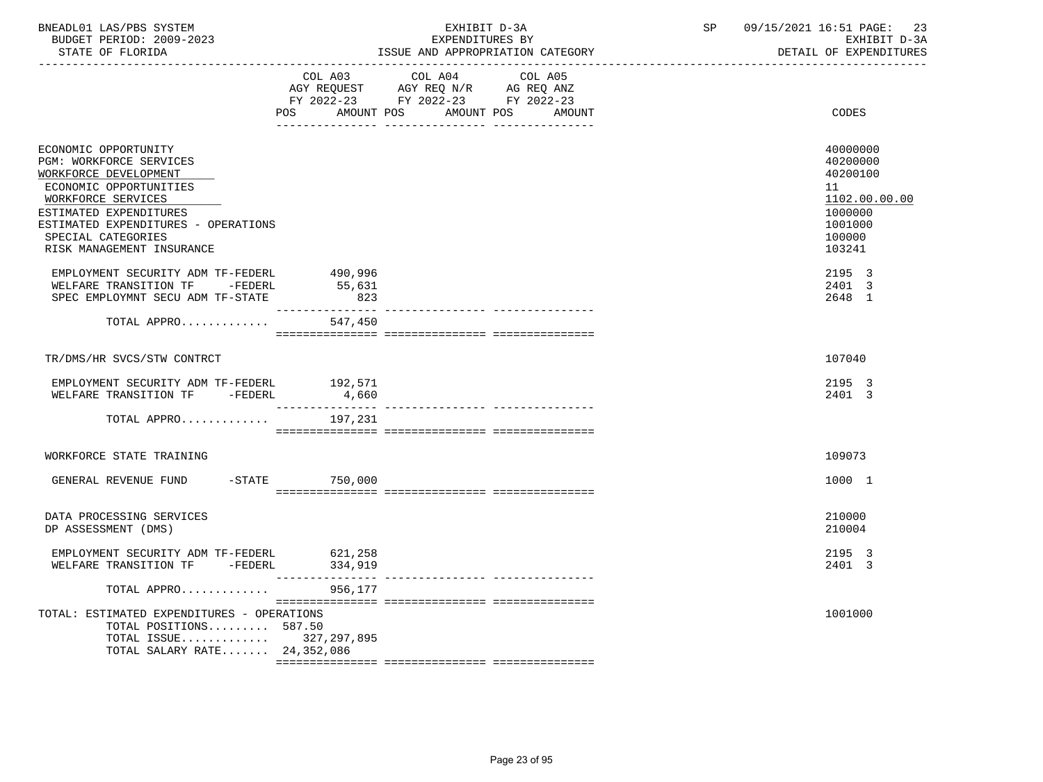| BNEADL01 LAS/PBS SYSTEM  | EXHIBIT D-3A                     | SP | 09/15/2021 16:51 PAGE: 23 |
|--------------------------|----------------------------------|----|---------------------------|
| BUDGET PERIOD: 2009-2023 | EXPENDITURES BY                  |    | EXHIBIT D-3A              |
| STATE OF FLORIDA         | ISSUE AND APPROPRIATION CATEGORY |    | DETAIL OF EXPENDITURES    |

|                                                                                                                                                                                                                                              | COL A03<br>POS<br>AMOUNT POS                    | COL A04<br>AGY REQUEST AGY REQ N/R AG REQ ANZ<br>FY 2022-23 FY 2022-23 FY 2022-23 | COL A05<br>AMOUNT POS<br>AMOUNT | CODES                                                                                             |
|----------------------------------------------------------------------------------------------------------------------------------------------------------------------------------------------------------------------------------------------|-------------------------------------------------|-----------------------------------------------------------------------------------|---------------------------------|---------------------------------------------------------------------------------------------------|
| ECONOMIC OPPORTUNITY<br>PGM: WORKFORCE SERVICES<br>WORKFORCE DEVELOPMENT<br>ECONOMIC OPPORTUNITIES<br>WORKFORCE SERVICES<br>ESTIMATED EXPENDITURES<br>ESTIMATED EXPENDITURES - OPERATIONS<br>SPECIAL CATEGORIES<br>RISK MANAGEMENT INSURANCE |                                                 |                                                                                   |                                 | 40000000<br>40200000<br>40200100<br>11<br>1102.00.00.00<br>1000000<br>1001000<br>100000<br>103241 |
| EMPLOYMENT SECURITY ADM TF-FEDERL<br>WELFARE TRANSITION TF -FEDERL<br>SPEC EMPLOYMNT SECU ADM TF-STATE                                                                                                                                       | 490,996<br>55,631<br>823                        |                                                                                   |                                 | 2195 3<br>2401 3<br>2648 1                                                                        |
| TOTAL APPRO                                                                                                                                                                                                                                  | 547,450                                         |                                                                                   |                                 |                                                                                                   |
| TR/DMS/HR SVCS/STW CONTRCT                                                                                                                                                                                                                   |                                                 |                                                                                   |                                 | 107040                                                                                            |
| EMPLOYMENT SECURITY ADM TF-FEDERL<br>WELFARE TRANSITION TF -FEDERL<br>TOTAL APPRO                                                                                                                                                            | 192,571<br>4,660<br>________________<br>197,231 |                                                                                   |                                 | 2195 3<br>2401 3                                                                                  |
|                                                                                                                                                                                                                                              |                                                 |                                                                                   |                                 |                                                                                                   |
| WORKFORCE STATE TRAINING<br>GENERAL REVENUE FUND -STATE 750,000                                                                                                                                                                              |                                                 |                                                                                   |                                 | 109073<br>1000 1                                                                                  |
| DATA PROCESSING SERVICES<br>DP ASSESSMENT (DMS)                                                                                                                                                                                              |                                                 |                                                                                   |                                 | 210000<br>210004                                                                                  |
| EMPLOYMENT SECURITY ADM TF-FEDERL<br>WELFARE TRANSITION TF -FEDERL                                                                                                                                                                           | 621,258<br>334,919                              |                                                                                   |                                 | 2195 3<br>2401 3                                                                                  |
| TOTAL APPRO                                                                                                                                                                                                                                  | 956,177                                         |                                                                                   |                                 |                                                                                                   |
| TOTAL: ESTIMATED EXPENDITURES - OPERATIONS<br>TOTAL POSITIONS 587.50<br>TOTAL ISSUE 327,297,895<br>TOTAL SALARY RATE 24,352,086                                                                                                              |                                                 |                                                                                   |                                 | 1001000                                                                                           |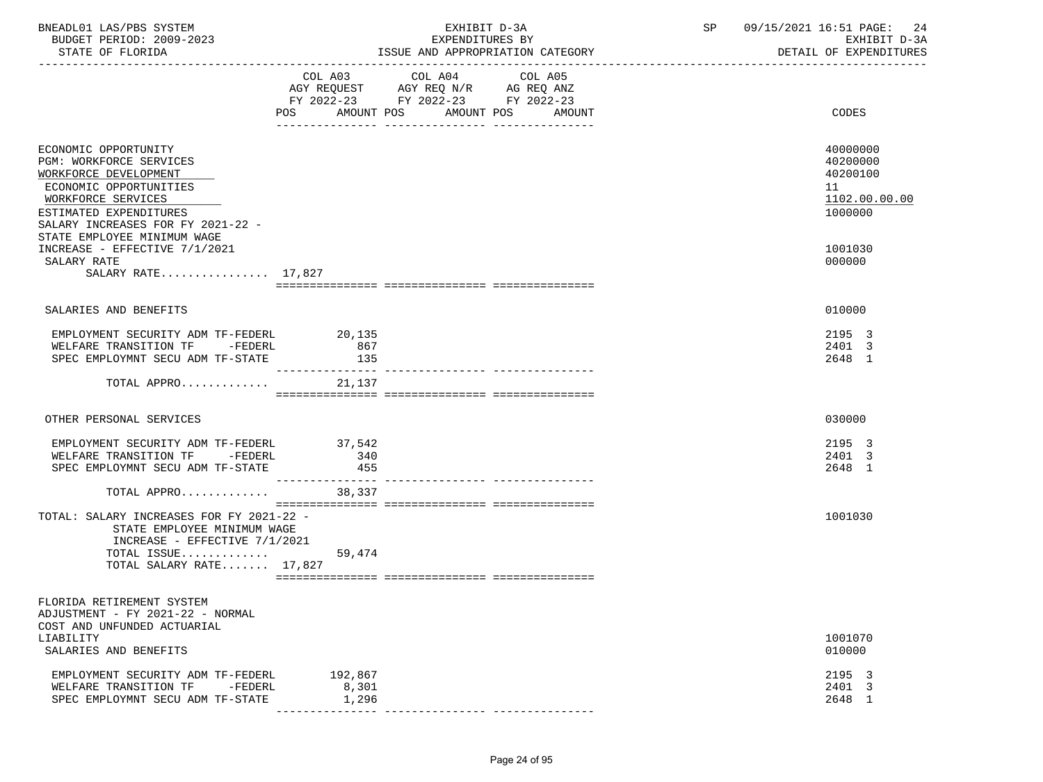| BNEADL01 LAS/PBS SYSTEM<br>BUDGET PERIOD: 2009-2023<br>STATE OF FLORIDA                                                                                                                                                |                            | EXHIBIT D-3A<br>EXPENDITURES BY                                                                   | ISSUE AND APPROPRIATION CATEGORY | SP 09/15/2021 16:51 PAGE: 24<br>EXHIBIT D-3A<br>DETAIL OF EXPENDITURES |
|------------------------------------------------------------------------------------------------------------------------------------------------------------------------------------------------------------------------|----------------------------|---------------------------------------------------------------------------------------------------|----------------------------------|------------------------------------------------------------------------|
|                                                                                                                                                                                                                        | POS                        | COL A03 COL A04 COL A05<br>AGY REQUEST AGY REQ N/R AG REQ ANZ<br>FY 2022-23 FY 2022-23 FY 2022-23 | AMOUNT POS AMOUNT POS AMOUNT     | CODES                                                                  |
| ECONOMIC OPPORTUNITY<br>PGM: WORKFORCE SERVICES<br>WORKFORCE DEVELOPMENT<br>ECONOMIC OPPORTUNITIES<br>WORKFORCE SERVICES<br>ESTIMATED EXPENDITURES<br>SALARY INCREASES FOR FY 2021-22 -<br>STATE EMPLOYEE MINIMUM WAGE |                            |                                                                                                   |                                  | 40000000<br>40200000<br>40200100<br>11<br>1102.00.00.00<br>1000000     |
| INCREASE - EFFECTIVE 7/1/2021<br>SALARY RATE<br>SALARY RATE 17,827                                                                                                                                                     |                            |                                                                                                   |                                  | 1001030<br>000000                                                      |
|                                                                                                                                                                                                                        |                            |                                                                                                   |                                  |                                                                        |
| SALARIES AND BENEFITS                                                                                                                                                                                                  |                            |                                                                                                   |                                  | 010000                                                                 |
| EMPLOYMENT SECURITY ADM TF-FEDERL<br>WELFARE TRANSITION TF -FEDERL<br>SPEC EMPLOYMNT SECU ADM TF-STATE                                                                                                                 | 20,135<br>867<br>135       |                                                                                                   |                                  | 2195 3<br>2401 3<br>2648 1                                             |
| TOTAL APPRO                                                                                                                                                                                                            | ----------------<br>21,137 |                                                                                                   |                                  |                                                                        |
| OTHER PERSONAL SERVICES                                                                                                                                                                                                |                            |                                                                                                   |                                  | 030000                                                                 |
| EMPLOYMENT SECURITY ADM TF-FEDERL 37,542<br>WELFARE TRANSITION TF -FEDERL<br>SPEC EMPLOYMNT SECU ADM TF-STATE                                                                                                          | 340<br>455                 |                                                                                                   |                                  | 2195 3<br>2401 3<br>2648 1                                             |
| TOTAL APPRO 38,337                                                                                                                                                                                                     |                            |                                                                                                   |                                  |                                                                        |
| TOTAL: SALARY INCREASES FOR FY 2021-22 -<br>STATE EMPLOYEE MINIMUM WAGE<br>INCREASE - EFFECTIVE 7/1/2021<br>TOTAL ISSUE<br>TOTAL SALARY RATE 17,827                                                                    | 59,474                     |                                                                                                   |                                  | 1001030                                                                |
| FLORIDA RETIREMENT SYSTEM<br>ADJUSTMENT - FY 2021-22 - NORMAL<br>COST AND UNFUNDED ACTUARIAL                                                                                                                           |                            |                                                                                                   |                                  |                                                                        |
| LIABILITY<br>SALARIES AND BENEFITS                                                                                                                                                                                     |                            |                                                                                                   |                                  | 1001070<br>010000                                                      |
| EMPLOYMENT SECURITY ADM TF-FEDERL<br>WELFARE TRANSITION TF<br>-FEDERL<br>SPEC EMPLOYMNT SECU ADM TF-STATE                                                                                                              | 192,867<br>8,301<br>1,296  |                                                                                                   |                                  | 2195 3<br>2401 3<br>2648 1                                             |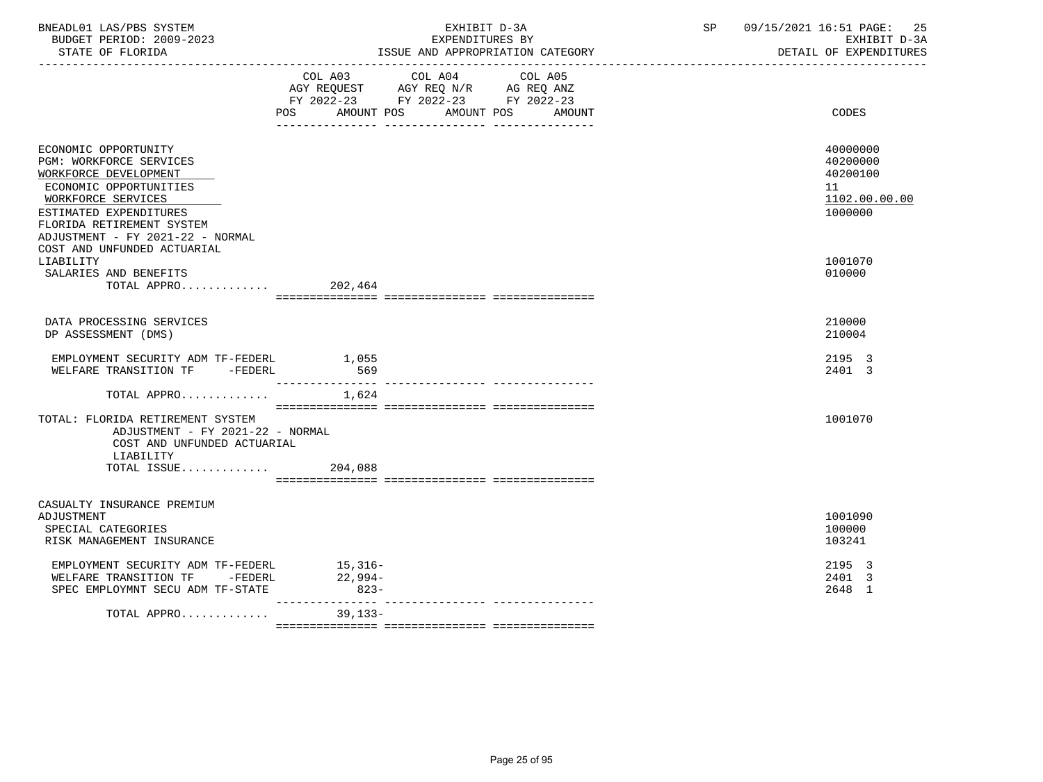| BNEADL01 LAS/PBS SYSTEM<br>BUDGET PERIOD: 2009-2023<br>STATE OF FLORIDA                                                                                                                                                                            |                                             | EXHIBIT D-3A<br>EXPENDITURES BY                                                   | ISSUE AND APPROPRIATION CATEGORY | SP 09/15/2021 16:51 PAGE:<br>25<br>EXHIBIT D-3A<br>DETAIL OF EXPENDITURES |
|----------------------------------------------------------------------------------------------------------------------------------------------------------------------------------------------------------------------------------------------------|---------------------------------------------|-----------------------------------------------------------------------------------|----------------------------------|---------------------------------------------------------------------------|
|                                                                                                                                                                                                                                                    | COL A03<br>POS AMOUNT POS AMOUNT POS AMOUNT | COL A04<br>AGY REQUEST AGY REQ N/R AG REQ ANZ<br>FY 2022-23 FY 2022-23 FY 2022-23 | COL A05                          | CODES                                                                     |
| ECONOMIC OPPORTUNITY<br>PGM: WORKFORCE SERVICES<br>WORKFORCE DEVELOPMENT<br>ECONOMIC OPPORTUNITIES<br>WORKFORCE SERVICES<br>ESTIMATED EXPENDITURES<br>FLORIDA RETIREMENT SYSTEM<br>ADJUSTMENT - FY 2021-22 - NORMAL<br>COST AND UNFUNDED ACTUARIAL |                                             |                                                                                   |                                  | 40000000<br>40200000<br>40200100<br>11<br>1102.00.00.00<br>1000000        |
| LIABILITY<br>SALARIES AND BENEFITS<br>TOTAL APPRO 202,464                                                                                                                                                                                          |                                             |                                                                                   |                                  | 1001070<br>010000                                                         |
| DATA PROCESSING SERVICES<br>DP ASSESSMENT (DMS)                                                                                                                                                                                                    |                                             |                                                                                   |                                  | 210000<br>210004                                                          |
| EMPLOYMENT SECURITY ADM TF-FEDERL<br>WELFARE TRANSITION TF -FEDERL                                                                                                                                                                                 | 1,055<br>569                                |                                                                                   |                                  | 2195 3<br>2401 3                                                          |
| TOTAL APPRO                                                                                                                                                                                                                                        | 1,624                                       |                                                                                   |                                  |                                                                           |
| TOTAL: FLORIDA RETIREMENT SYSTEM<br>ADJUSTMENT - FY 2021-22 - NORMAL<br>COST AND UNFUNDED ACTUARIAL<br>LIABILITY                                                                                                                                   |                                             |                                                                                   |                                  | 1001070                                                                   |
| TOTAL ISSUE                                                                                                                                                                                                                                        | 204,088                                     |                                                                                   |                                  |                                                                           |
| CASUALTY INSURANCE PREMIUM<br>ADJUSTMENT<br>SPECIAL CATEGORIES<br>RISK MANAGEMENT INSURANCE                                                                                                                                                        |                                             |                                                                                   |                                  | 1001090<br>100000<br>103241                                               |
| EMPLOYMENT SECURITY ADM TF-FEDERL<br>WELFARE TRANSITION TF -FEDERL<br>SPEC EMPLOYMNT SECU ADM TF-STATE                                                                                                                                             | $15,316-$<br>22,994-<br>$823-$              |                                                                                   |                                  | 2195 3<br>2401 3<br>2648 1                                                |
| TOTAL APPRO                                                                                                                                                                                                                                        | _______________<br>$39,133-$                |                                                                                   |                                  |                                                                           |
|                                                                                                                                                                                                                                                    |                                             |                                                                                   |                                  |                                                                           |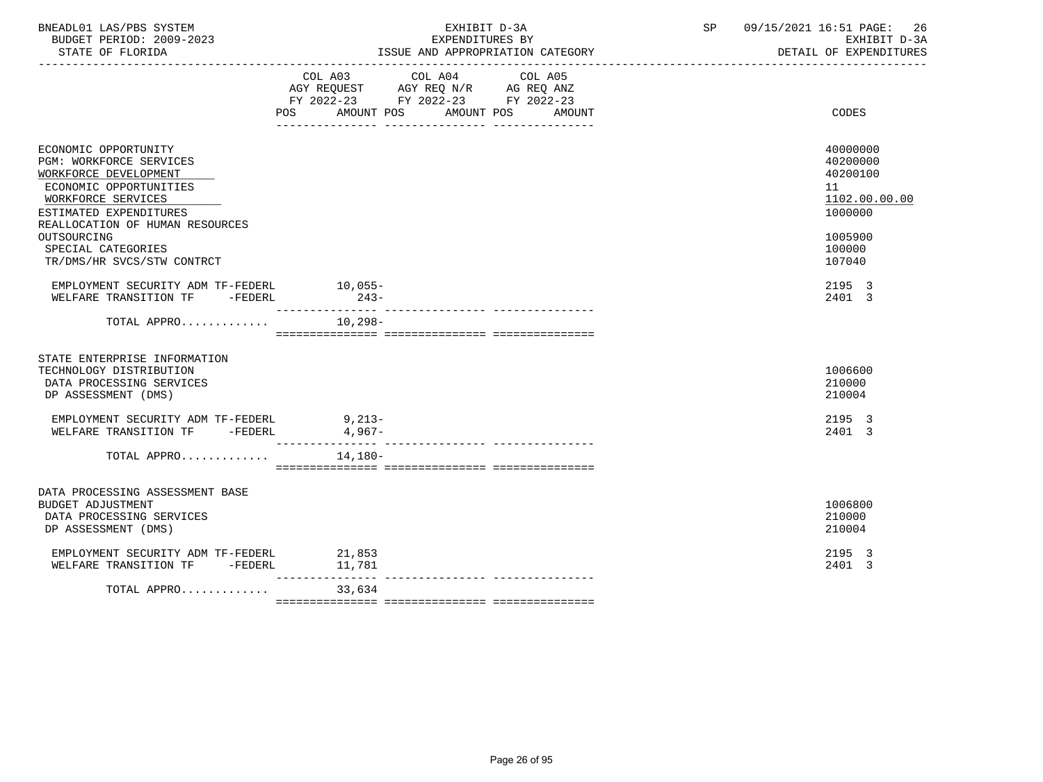| BNEADL01 LAS/PBS SYSTEM<br>BUDGET PERIOD: 2009-2023<br>STATE OF FLORIDA                                                                                                                                                                                  | EXHIBIT D-3A<br>EXPENDITURES BY<br>ISSUE AND APPROPRIATION CATEGORY                                                                         | 09/15/2021 16:51 PAGE: 26<br>SP <sub>2</sub><br>EXHIBIT D-3A<br>DETAIL OF EXPENDITURES            |
|----------------------------------------------------------------------------------------------------------------------------------------------------------------------------------------------------------------------------------------------------------|---------------------------------------------------------------------------------------------------------------------------------------------|---------------------------------------------------------------------------------------------------|
|                                                                                                                                                                                                                                                          | COL A03 COL A04 COL A05<br>AGY REQUEST AGY REQ N/R AG REQ ANZ<br>FY 2022-23 FY 2022-23 FY 2022-23<br>POS<br>AMOUNT POS AMOUNT POS<br>AMOUNT | CODES                                                                                             |
| ECONOMIC OPPORTUNITY<br>PGM: WORKFORCE SERVICES<br>WORKFORCE DEVELOPMENT<br>ECONOMIC OPPORTUNITIES<br>WORKFORCE SERVICES<br>ESTIMATED EXPENDITURES<br>REALLOCATION OF HUMAN RESOURCES<br>OUTSOURCING<br>SPECIAL CATEGORIES<br>TR/DMS/HR SVCS/STW CONTRCT |                                                                                                                                             | 40000000<br>40200000<br>40200100<br>11<br>1102.00.00.00<br>1000000<br>1005900<br>100000<br>107040 |
| EMPLOYMENT SECURITY ADM TF-FEDERL 10,055-<br>WELFARE TRANSITION TF -FEDERL                                                                                                                                                                               | $243-$                                                                                                                                      | 2195 3<br>2401 3                                                                                  |
| TOTAL APPRO                                                                                                                                                                                                                                              | $10.298 -$                                                                                                                                  |                                                                                                   |
| STATE ENTERPRISE INFORMATION<br>TECHNOLOGY DISTRIBUTION<br>DATA PROCESSING SERVICES<br>DP ASSESSMENT (DMS)                                                                                                                                               |                                                                                                                                             | 1006600<br>210000<br>210004                                                                       |
| EMPLOYMENT SECURITY ADM TF-FEDERL<br>WELFARE TRANSITION TF -FEDERL                                                                                                                                                                                       | $9,213-$<br>$4,967-$                                                                                                                        | 2195 3<br>2401 3                                                                                  |
| TOTAL APPRO                                                                                                                                                                                                                                              | 14,180-                                                                                                                                     |                                                                                                   |
| DATA PROCESSING ASSESSMENT BASE<br><b>BUDGET ADJUSTMENT</b><br>DATA PROCESSING SERVICES<br>DP ASSESSMENT (DMS)                                                                                                                                           |                                                                                                                                             | 1006800<br>210000<br>210004                                                                       |
| EMPLOYMENT SECURITY ADM TF-FEDERL 21,853<br>WELFARE TRANSITION TF -FEDERL                                                                                                                                                                                | 11,781                                                                                                                                      | 2195 3<br>2401 3                                                                                  |
| TOTAL APPRO                                                                                                                                                                                                                                              | ____________<br>33,634                                                                                                                      |                                                                                                   |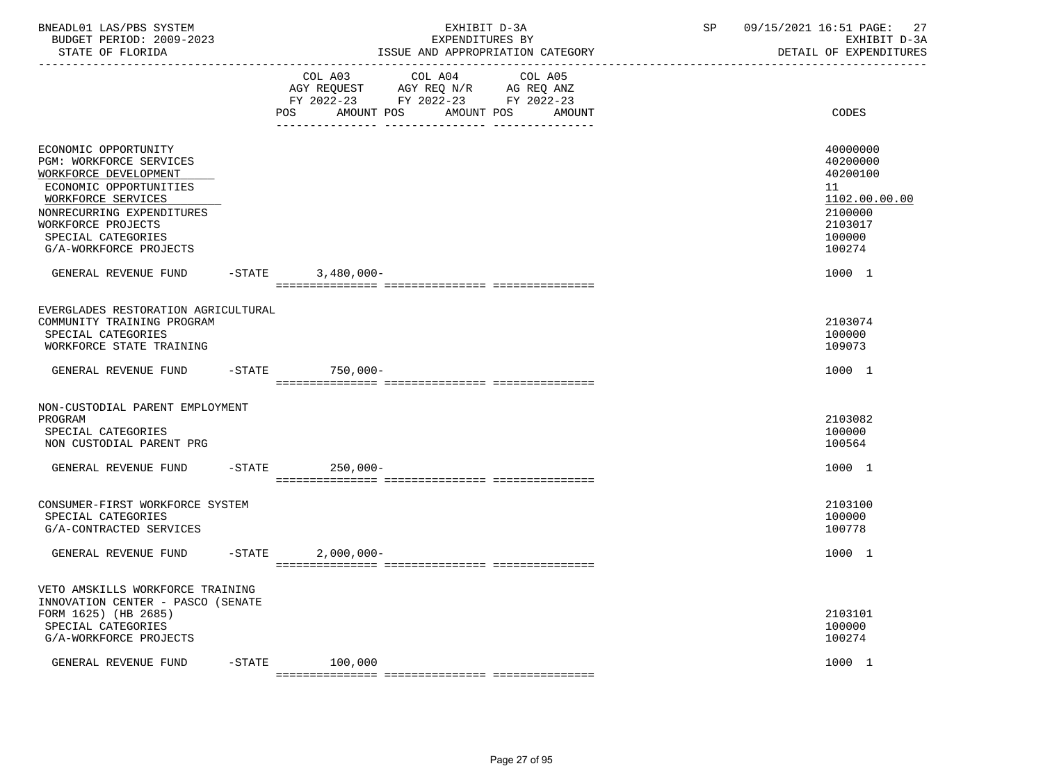| BNEADL01 LAS/PBS SYSTEM<br>BUDGET PERIOD: 2009-2023<br>STATE OF FLORIDA<br>----------------                                                                                                                                                                           |           |                   | EXHIBIT D-3A<br>EXPENDITURES BY<br>ISSUE AND APPROPRIATION CATEGORY                       | SP                                                | 09/15/2021 16:51 PAGE:<br>27<br>EXHIBIT D-3A<br>DETAIL OF EXPENDITURES |                                                                                                             |
|-----------------------------------------------------------------------------------------------------------------------------------------------------------------------------------------------------------------------------------------------------------------------|-----------|-------------------|-------------------------------------------------------------------------------------------|---------------------------------------------------|------------------------------------------------------------------------|-------------------------------------------------------------------------------------------------------------|
|                                                                                                                                                                                                                                                                       |           | AMOUNT POS<br>POS | COL A03 COL A04<br>AGY REQUEST AGY REQ N/R AG REQ ANZ<br>FY 2022-23 FY 2022-23 FY 2022-23 | COL A05<br>AMOUNT POS<br>AMOUNT                   |                                                                        | CODES                                                                                                       |
| ECONOMIC OPPORTUNITY<br>PGM: WORKFORCE SERVICES<br>WORKFORCE DEVELOPMENT<br>ECONOMIC OPPORTUNITIES<br>WORKFORCE SERVICES<br>NONRECURRING EXPENDITURES<br>WORKFORCE PROJECTS<br>SPECIAL CATEGORIES<br>G/A-WORKFORCE PROJECTS<br>GENERAL REVENUE FUND -STATE 3,480,000- |           |                   |                                                                                           |                                                   |                                                                        | 40000000<br>40200000<br>40200100<br>11<br>1102.00.00.00<br>2100000<br>2103017<br>100000<br>100274<br>1000 1 |
| EVERGLADES RESTORATION AGRICULTURAL<br>COMMUNITY TRAINING PROGRAM<br>SPECIAL CATEGORIES<br>WORKFORCE STATE TRAINING                                                                                                                                                   |           |                   |                                                                                           |                                                   |                                                                        | 2103074<br>100000<br>109073                                                                                 |
| GENERAL REVENUE FUND                                                                                                                                                                                                                                                  | $-$ STATE | 750,000-          |                                                                                           |                                                   |                                                                        | 1000 1                                                                                                      |
| NON-CUSTODIAL PARENT EMPLOYMENT<br>PROGRAM<br>SPECIAL CATEGORIES<br>NON CUSTODIAL PARENT PRG<br>GENERAL REVENUE FUND                                                                                                                                                  | $-$ STATE | 250,000-          |                                                                                           |                                                   |                                                                        | 2103082<br>100000<br>100564<br>1000 1                                                                       |
| CONSUMER-FIRST WORKFORCE SYSTEM<br>SPECIAL CATEGORIES<br>G/A-CONTRACTED SERVICES                                                                                                                                                                                      |           |                   |                                                                                           |                                                   |                                                                        | 2103100<br>100000<br>100778                                                                                 |
| GENERAL REVENUE FUND -STATE 2,000,000-                                                                                                                                                                                                                                |           |                   |                                                                                           |                                                   |                                                                        | 1000 1                                                                                                      |
| VETO AMSKILLS WORKFORCE TRAINING<br>INNOVATION CENTER - PASCO (SENATE<br>FORM 1625) (HB 2685)<br>SPECIAL CATEGORIES<br>G/A-WORKFORCE PROJECTS                                                                                                                         |           |                   |                                                                                           |                                                   |                                                                        | 2103101<br>100000<br>100274                                                                                 |
| GENERAL REVENUE FUND                                                                                                                                                                                                                                                  |           | $-$ STATE 100,000 |                                                                                           | . . soosoosoosoosa oosoosoosoosaa oosoosoosoosoos |                                                                        | 1000 1                                                                                                      |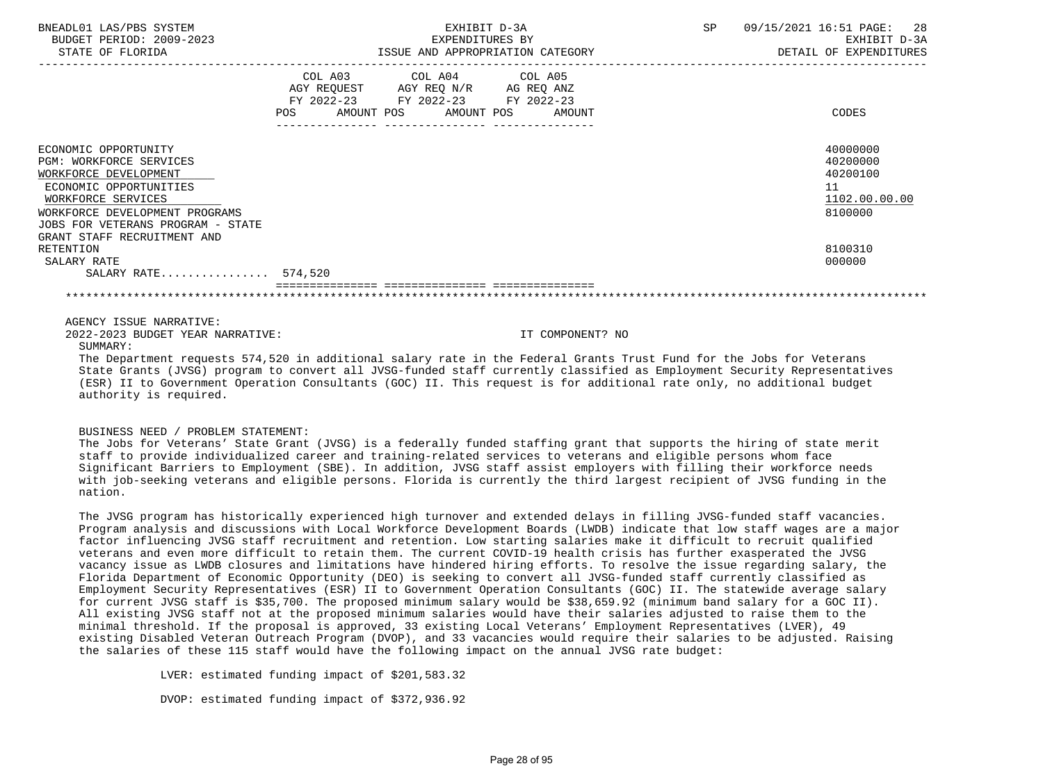| BNEADL01 LAS/PBS SYSTEM<br>BUDGET PERIOD: 2009-2023<br>STATE OF FLORIDA                                                                                                                                                               | EXHIBIT D-3A<br>EXPENDITURES BY<br>ISSUE AND APPROPRIATION CATEGORY                                                                         | SP | 09/15/2021 16:51 PAGE:<br>28<br>EXHIBIT D-3A<br>DETAIL OF EXPENDITURES |
|---------------------------------------------------------------------------------------------------------------------------------------------------------------------------------------------------------------------------------------|---------------------------------------------------------------------------------------------------------------------------------------------|----|------------------------------------------------------------------------|
|                                                                                                                                                                                                                                       | COL A03 COL A04 COL A05<br>AGY REQUEST AGY REQ N/R AG REQ ANZ<br>FY 2022-23 FY 2022-23 FY 2022-23<br>AMOUNT POS AMOUNT POS<br>POS<br>AMOUNT |    | CODES                                                                  |
| ECONOMIC OPPORTUNITY<br><b>PGM: WORKFORCE SERVICES</b><br>WORKFORCE DEVELOPMENT<br>ECONOMIC OPPORTUNITIES<br>WORKFORCE SERVICES<br>WORKFORCE DEVELOPMENT PROGRAMS<br>JOBS FOR VETERANS PROGRAM - STATE<br>GRANT STAFF RECRUITMENT AND |                                                                                                                                             |    | 40000000<br>40200000<br>40200100<br>11<br>1102.00.00.00<br>8100000     |
| RETENTION<br>SALARY RATE<br>SALARY RATE 574,520                                                                                                                                                                                       |                                                                                                                                             |    | 8100310<br>000000                                                      |
|                                                                                                                                                                                                                                       |                                                                                                                                             |    |                                                                        |
| AGENCY ISSUE NARRATIVE:<br>2022-2023 BUDGET YEAR NARRATIVE:                                                                                                                                                                           | IT COMPONENT? NO                                                                                                                            |    |                                                                        |

SUMMARY:

 The Department requests 574,520 in additional salary rate in the Federal Grants Trust Fund for the Jobs for Veterans State Grants (JVSG) program to convert all JVSG-funded staff currently classified as Employment Security Representatives (ESR) II to Government Operation Consultants (GOC) II. This request is for additional rate only, no additional budget authority is required.

#### BUSINESS NEED / PROBLEM STATEMENT:

 The Jobs for Veterans' State Grant (JVSG) is a federally funded staffing grant that supports the hiring of state merit staff to provide individualized career and training-related services to veterans and eligible persons whom face Significant Barriers to Employment (SBE). In addition, JVSG staff assist employers with filling their workforce needs with job-seeking veterans and eligible persons. Florida is currently the third largest recipient of JVSG funding in the nation.

 The JVSG program has historically experienced high turnover and extended delays in filling JVSG-funded staff vacancies. Program analysis and discussions with Local Workforce Development Boards (LWDB) indicate that low staff wages are a major factor influencing JVSG staff recruitment and retention. Low starting salaries make it difficult to recruit qualified veterans and even more difficult to retain them. The current COVID-19 health crisis has further exasperated the JVSG vacancy issue as LWDB closures and limitations have hindered hiring efforts. To resolve the issue regarding salary, the Florida Department of Economic Opportunity (DEO) is seeking to convert all JVSG-funded staff currently classified as Employment Security Representatives (ESR) II to Government Operation Consultants (GOC) II. The statewide average salary for current JVSG staff is \$35,700. The proposed minimum salary would be \$38,659.92 (minimum band salary for a GOC II). All existing JVSG staff not at the proposed minimum salaries would have their salaries adjusted to raise them to the minimal threshold. If the proposal is approved, 33 existing Local Veterans' Employment Representatives (LVER), 49 existing Disabled Veteran Outreach Program (DVOP), and 33 vacancies would require their salaries to be adjusted. Raising the salaries of these 115 staff would have the following impact on the annual JVSG rate budget:

LVER: estimated funding impact of \$201,583.32

DVOP: estimated funding impact of \$372,936.92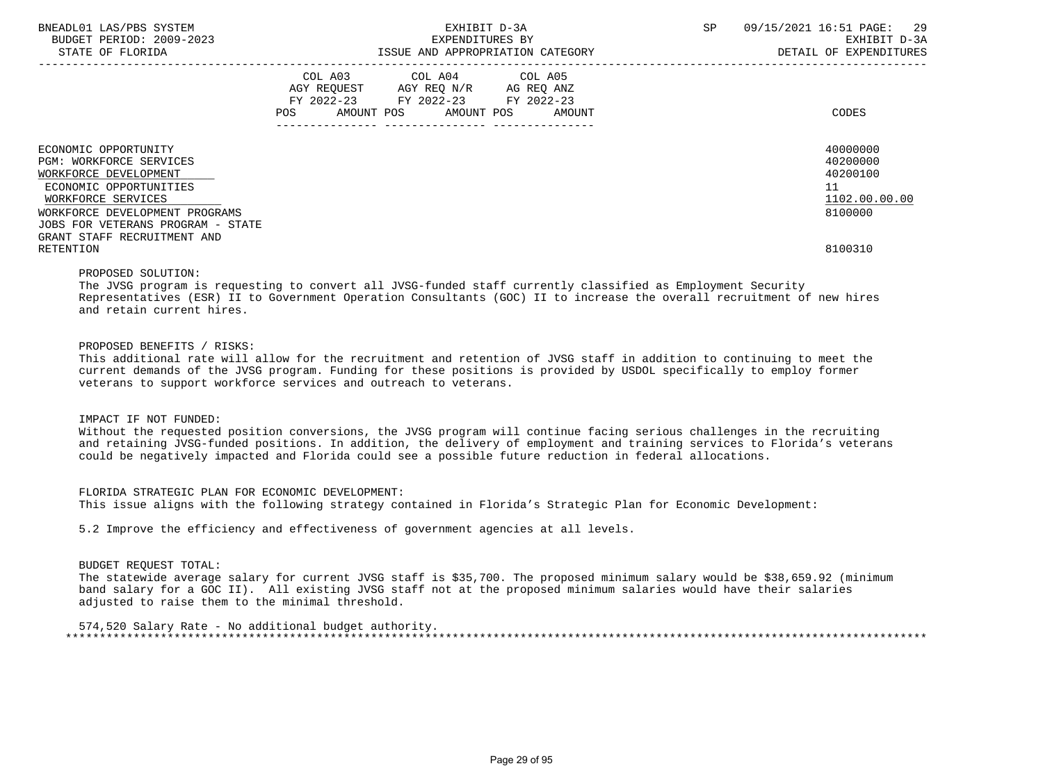| BNEADL01 LAS/PBS SYSTEM<br>BUDGET PERIOD: 2009-2023<br>STATE OF FLORIDA                                                                                                                                                               |                                                                        | EXHIBIT D-3A<br>EXPENDITURES BY<br>ISSUE AND APPROPRIATION CATEGORY | SP | 09/15/2021 16:51 PAGE:<br>29<br>EXHIBIT D-3A<br>DETAIL OF EXPENDITURES |
|---------------------------------------------------------------------------------------------------------------------------------------------------------------------------------------------------------------------------------------|------------------------------------------------------------------------|---------------------------------------------------------------------|----|------------------------------------------------------------------------|
|                                                                                                                                                                                                                                       | AGY REOUEST AGY REO N/R AG REO ANZ<br>FY 2022-23 FY 2022-23 FY 2022-23 | COL A03 COL A04 COL A05<br>AMOUNT POS AMOUNT POS AMOUNT             |    | CODES                                                                  |
| ECONOMIC OPPORTUNITY<br><b>PGM: WORKFORCE SERVICES</b><br>WORKFORCE DEVELOPMENT<br>ECONOMIC OPPORTUNITIES<br>WORKFORCE SERVICES<br>WORKFORCE DEVELOPMENT PROGRAMS<br>JOBS FOR VETERANS PROGRAM - STATE<br>GRANT STAFF RECRUITMENT AND |                                                                        |                                                                     |    | 40000000<br>40200000<br>40200100<br>11<br>1102.00.00.00<br>8100000     |
| RETENTION                                                                                                                                                                                                                             |                                                                        |                                                                     |    | 8100310                                                                |

#### PROPOSED SOLUTION:

 The JVSG program is requesting to convert all JVSG-funded staff currently classified as Employment Security Representatives (ESR) II to Government Operation Consultants (GOC) II to increase the overall recruitment of new hires and retain current hires.

## PROPOSED BENEFITS / RISKS:

 This additional rate will allow for the recruitment and retention of JVSG staff in addition to continuing to meet the current demands of the JVSG program. Funding for these positions is provided by USDOL specifically to employ former veterans to support workforce services and outreach to veterans.

#### IMPACT IF NOT FUNDED:

 Without the requested position conversions, the JVSG program will continue facing serious challenges in the recruiting and retaining JVSG-funded positions. In addition, the delivery of employment and training services to Florida's veterans could be negatively impacted and Florida could see a possible future reduction in federal allocations.

## FLORIDA STRATEGIC PLAN FOR ECONOMIC DEVELOPMENT:

This issue aligns with the following strategy contained in Florida's Strategic Plan for Economic Development:

5.2 Improve the efficiency and effectiveness of government agencies at all levels.

#### BUDGET REQUEST TOTAL:

 The statewide average salary for current JVSG staff is \$35,700. The proposed minimum salary would be \$38,659.92 (minimum band salary for a GOC II). All existing JVSG staff not at the proposed minimum salaries would have their salaries adjusted to raise them to the minimal threshold.

 574,520 Salary Rate - No additional budget authority. \*\*\*\*\*\*\*\*\*\*\*\*\*\*\*\*\*\*\*\*\*\*\*\*\*\*\*\*\*\*\*\*\*\*\*\*\*\*\*\*\*\*\*\*\*\*\*\*\*\*\*\*\*\*\*\*\*\*\*\*\*\*\*\*\*\*\*\*\*\*\*\*\*\*\*\*\*\*\*\*\*\*\*\*\*\*\*\*\*\*\*\*\*\*\*\*\*\*\*\*\*\*\*\*\*\*\*\*\*\*\*\*\*\*\*\*\*\*\*\*\*\*\*\*\*\*\*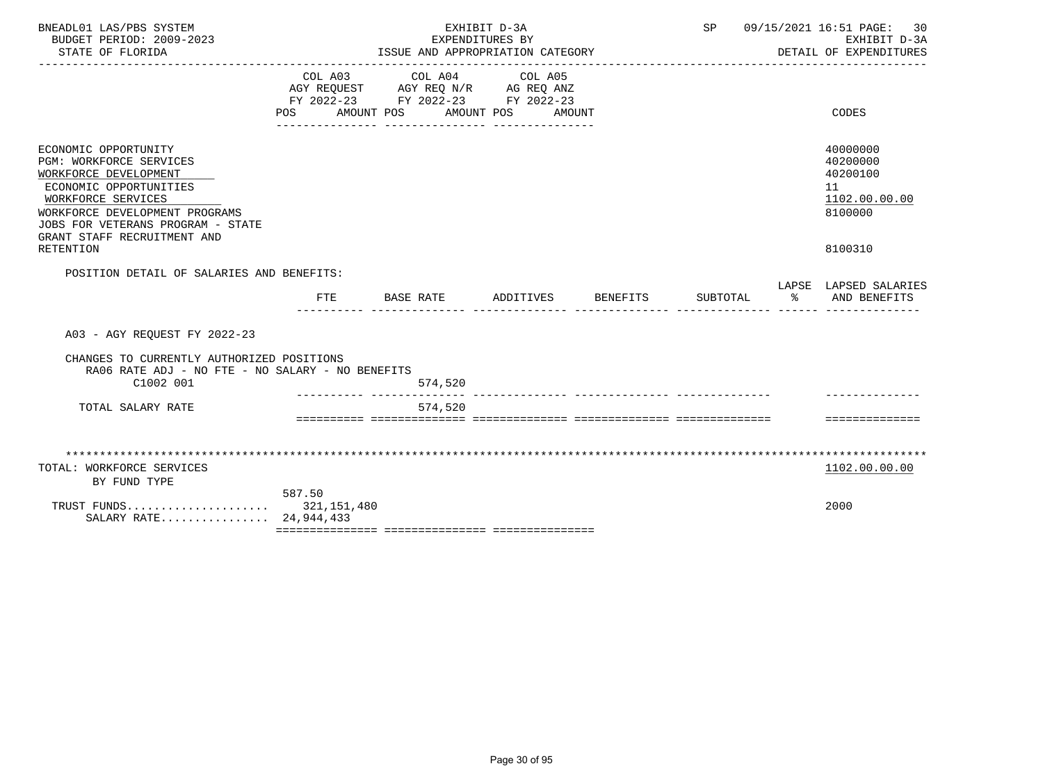| BNEADL01 LAS/PBS SYSTEM<br>BUDGET PERIOD: 2009-2023<br>STATE OF FLORIDA                                                                                                                                                                                   |                | EXPENDITURES BY<br>ISSUE AND APPROPRIATION CATEGORY<br>----------------------------       | EXHIBIT D-3A                    |                 | SP       |    | 09/15/2021 16:51 PAGE:<br>30<br>EXHIBIT D-3A<br>DETAIL OF EXPENDITURES        |
|-----------------------------------------------------------------------------------------------------------------------------------------------------------------------------------------------------------------------------------------------------------|----------------|-------------------------------------------------------------------------------------------|---------------------------------|-----------------|----------|----|-------------------------------------------------------------------------------|
|                                                                                                                                                                                                                                                           | POS AMOUNT POS | COL A03 COL A04<br>AGY REQUEST AGY REQ N/R AG REQ ANZ<br>FY 2022-23 FY 2022-23 FY 2022-23 | COL A05<br>AMOUNT POS<br>AMOUNT |                 |          |    | CODES                                                                         |
| ECONOMIC OPPORTUNITY<br><b>PGM: WORKFORCE SERVICES</b><br>WORKFORCE DEVELOPMENT<br>ECONOMIC OPPORTUNITIES<br>WORKFORCE SERVICES<br>WORKFORCE DEVELOPMENT PROGRAMS<br>JOBS FOR VETERANS PROGRAM - STATE<br>GRANT STAFF RECRUITMENT AND<br><b>RETENTION</b> |                |                                                                                           |                                 |                 |          |    | 40000000<br>40200000<br>40200100<br>11<br>1102.00.00.00<br>8100000<br>8100310 |
| POSITION DETAIL OF SALARIES AND BENEFITS:                                                                                                                                                                                                                 | <b>FTE</b>     | BASE RATE                                                                                 | ADDITIVES                       | <b>BENEFITS</b> | SUBTOTAL | ႜၟ | LAPSE LAPSED SALARIES<br>AND BENEFITS                                         |
| A03 - AGY REOUEST FY 2022-23                                                                                                                                                                                                                              |                |                                                                                           |                                 |                 |          |    |                                                                               |
| CHANGES TO CURRENTLY AUTHORIZED POSITIONS<br>RA06 RATE ADJ - NO FTE - NO SALARY - NO BENEFITS                                                                                                                                                             |                |                                                                                           |                                 |                 |          |    |                                                                               |
| C1002 001                                                                                                                                                                                                                                                 |                | 574,520                                                                                   |                                 |                 |          |    |                                                                               |
| TOTAL SALARY RATE                                                                                                                                                                                                                                         |                | 574,520                                                                                   |                                 |                 |          |    | ==============                                                                |
|                                                                                                                                                                                                                                                           |                |                                                                                           |                                 |                 |          |    |                                                                               |
| TOTAL: WORKFORCE SERVICES<br>BY FUND TYPE                                                                                                                                                                                                                 |                |                                                                                           |                                 |                 |          |    | 1102.00.00.00                                                                 |
| TRUST FUNDS 321,151,480<br>SALARY RATE 24,944,433                                                                                                                                                                                                         | 587.50         |                                                                                           |                                 |                 |          |    | 2000                                                                          |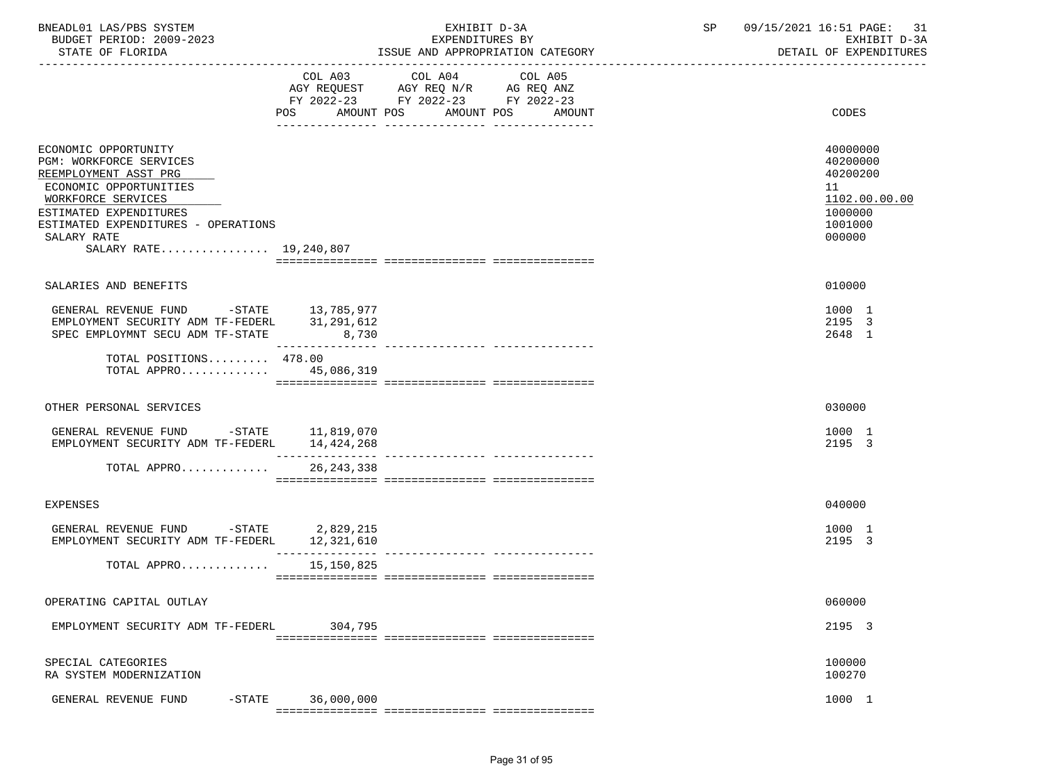| COL A03 COL A04 COL A05<br>AGY REQUEST AGY REQ N/R AG REQ ANZ<br>FY 2022-23 FY 2022-23 FY 2022-23<br>AMOUNT POS<br>AMOUNT POS<br>CODES<br>POS<br>AMOUNT<br>ECONOMIC OPPORTUNITY<br>40000000<br>PGM: WORKFORCE SERVICES<br>40200000<br>REEMPLOYMENT ASST PRG<br>40200200<br>ECONOMIC OPPORTUNITIES<br>11<br>WORKFORCE SERVICES<br>1102.00.00.00<br>ESTIMATED EXPENDITURES<br>1000000<br>ESTIMATED EXPENDITURES - OPERATIONS<br>1001000<br>SALARY RATE<br>000000<br>SALARY RATE 19,240,807<br>010000<br>SALARIES AND BENEFITS<br>GENERAL REVENUE FUND -STATE 13,785,977<br>1000 1<br>2195 3<br>EMPLOYMENT SECURITY ADM TF-FEDERL 31,291,612<br>8,730<br>SPEC EMPLOYMNT SECU ADM TF-STATE<br>2648 1<br>________________<br>---------------- ----------------<br>TOTAL POSITIONS 478.00<br>TOTAL APPRO 45,086,319<br>030000<br>OTHER PERSONAL SERVICES<br>GENERAL REVENUE FUND -STATE 11,819,070<br>1000 1<br>EMPLOYMENT SECURITY ADM TF-FEDERL<br>2195 3<br>14,424,268<br>TOTAL APPRO<br>26, 243, 338<br>040000<br><b>EXPENSES</b><br>GENERAL REVENUE FUND -STATE 2,829,215<br>1000 1<br>2195 3<br>EMPLOYMENT SECURITY ADM TF-FEDERL 12,321,610<br>TOTAL APPRO $15,150,825$<br>060000<br>OPERATING CAPITAL OUTLAY<br>2195 3<br>EMPLOYMENT SECURITY ADM TF-FEDERL<br>304,795<br>100000<br>SPECIAL CATEGORIES<br>100270<br>RA SYSTEM MODERNIZATION<br>36,000,000<br>1000 1<br>GENERAL REVENUE FUND<br>$-$ STATE | BNEADL01 LAS/PBS SYSTEM<br>BUDGET PERIOD: 2009-2023<br>STATE OF FLORIDA | EXHIBIT D-3A<br>EXPENDITURES BY<br>ISSUE AND APPROPRIATION CATEGORY | SP<br>09/15/2021 16:51 PAGE: 31<br>EXHIBIT D-3A<br>DETAIL OF EXPENDITURES |
|------------------------------------------------------------------------------------------------------------------------------------------------------------------------------------------------------------------------------------------------------------------------------------------------------------------------------------------------------------------------------------------------------------------------------------------------------------------------------------------------------------------------------------------------------------------------------------------------------------------------------------------------------------------------------------------------------------------------------------------------------------------------------------------------------------------------------------------------------------------------------------------------------------------------------------------------------------------------------------------------------------------------------------------------------------------------------------------------------------------------------------------------------------------------------------------------------------------------------------------------------------------------------------------------------------------------------------------------------------------------------------------------------------|-------------------------------------------------------------------------|---------------------------------------------------------------------|---------------------------------------------------------------------------|
|                                                                                                                                                                                                                                                                                                                                                                                                                                                                                                                                                                                                                                                                                                                                                                                                                                                                                                                                                                                                                                                                                                                                                                                                                                                                                                                                                                                                            |                                                                         |                                                                     |                                                                           |
|                                                                                                                                                                                                                                                                                                                                                                                                                                                                                                                                                                                                                                                                                                                                                                                                                                                                                                                                                                                                                                                                                                                                                                                                                                                                                                                                                                                                            |                                                                         |                                                                     |                                                                           |
|                                                                                                                                                                                                                                                                                                                                                                                                                                                                                                                                                                                                                                                                                                                                                                                                                                                                                                                                                                                                                                                                                                                                                                                                                                                                                                                                                                                                            |                                                                         |                                                                     |                                                                           |
|                                                                                                                                                                                                                                                                                                                                                                                                                                                                                                                                                                                                                                                                                                                                                                                                                                                                                                                                                                                                                                                                                                                                                                                                                                                                                                                                                                                                            |                                                                         |                                                                     |                                                                           |
|                                                                                                                                                                                                                                                                                                                                                                                                                                                                                                                                                                                                                                                                                                                                                                                                                                                                                                                                                                                                                                                                                                                                                                                                                                                                                                                                                                                                            |                                                                         |                                                                     |                                                                           |
|                                                                                                                                                                                                                                                                                                                                                                                                                                                                                                                                                                                                                                                                                                                                                                                                                                                                                                                                                                                                                                                                                                                                                                                                                                                                                                                                                                                                            |                                                                         |                                                                     |                                                                           |
|                                                                                                                                                                                                                                                                                                                                                                                                                                                                                                                                                                                                                                                                                                                                                                                                                                                                                                                                                                                                                                                                                                                                                                                                                                                                                                                                                                                                            |                                                                         |                                                                     |                                                                           |
|                                                                                                                                                                                                                                                                                                                                                                                                                                                                                                                                                                                                                                                                                                                                                                                                                                                                                                                                                                                                                                                                                                                                                                                                                                                                                                                                                                                                            |                                                                         |                                                                     |                                                                           |
|                                                                                                                                                                                                                                                                                                                                                                                                                                                                                                                                                                                                                                                                                                                                                                                                                                                                                                                                                                                                                                                                                                                                                                                                                                                                                                                                                                                                            |                                                                         |                                                                     |                                                                           |
|                                                                                                                                                                                                                                                                                                                                                                                                                                                                                                                                                                                                                                                                                                                                                                                                                                                                                                                                                                                                                                                                                                                                                                                                                                                                                                                                                                                                            |                                                                         |                                                                     |                                                                           |
|                                                                                                                                                                                                                                                                                                                                                                                                                                                                                                                                                                                                                                                                                                                                                                                                                                                                                                                                                                                                                                                                                                                                                                                                                                                                                                                                                                                                            |                                                                         |                                                                     |                                                                           |
|                                                                                                                                                                                                                                                                                                                                                                                                                                                                                                                                                                                                                                                                                                                                                                                                                                                                                                                                                                                                                                                                                                                                                                                                                                                                                                                                                                                                            |                                                                         |                                                                     |                                                                           |
|                                                                                                                                                                                                                                                                                                                                                                                                                                                                                                                                                                                                                                                                                                                                                                                                                                                                                                                                                                                                                                                                                                                                                                                                                                                                                                                                                                                                            |                                                                         |                                                                     |                                                                           |
|                                                                                                                                                                                                                                                                                                                                                                                                                                                                                                                                                                                                                                                                                                                                                                                                                                                                                                                                                                                                                                                                                                                                                                                                                                                                                                                                                                                                            |                                                                         |                                                                     |                                                                           |
|                                                                                                                                                                                                                                                                                                                                                                                                                                                                                                                                                                                                                                                                                                                                                                                                                                                                                                                                                                                                                                                                                                                                                                                                                                                                                                                                                                                                            |                                                                         |                                                                     |                                                                           |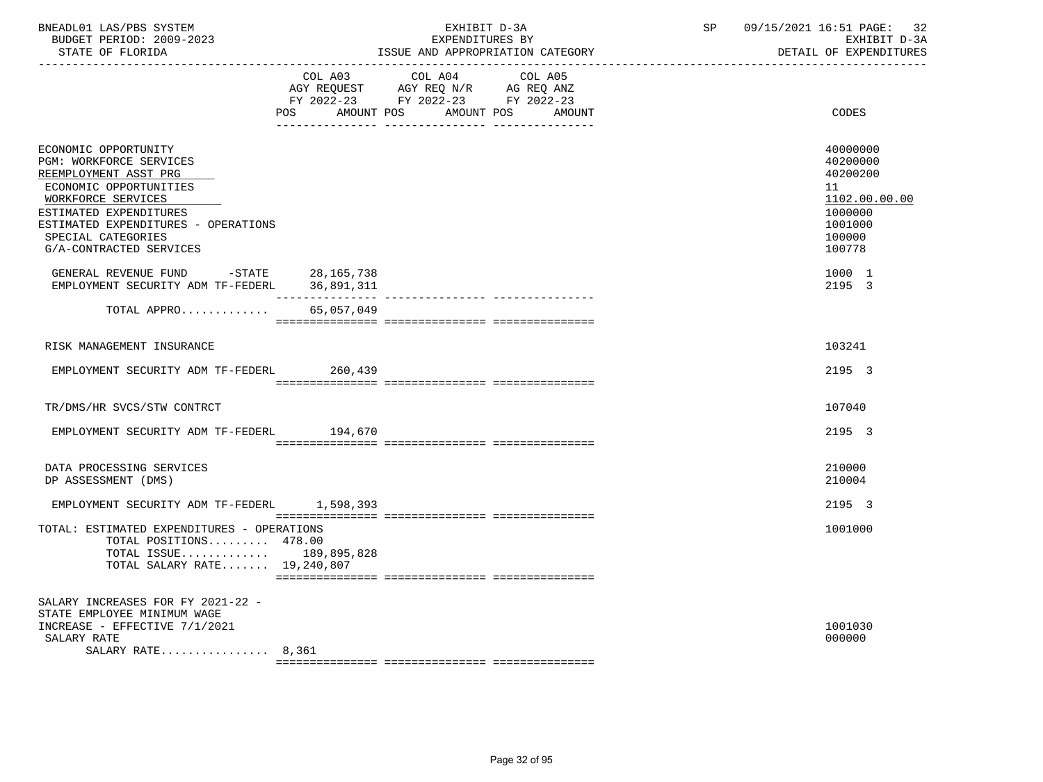| BNEADL01 LAS/PBS SYSTEM<br>BUDGET PERIOD: 2009-2023<br>STATE OF FLORIDA                                                                                                                                                                    |                           | EXHIBIT D-3A<br>EXPENDITURES BY                                                                   | ISSUE AND APPROPRIATION CATEGORY | SP 09/15/2021 16:51 PAGE: 32<br>EXHIBIT D-3A<br>DETAIL OF EXPENDITURES                            |
|--------------------------------------------------------------------------------------------------------------------------------------------------------------------------------------------------------------------------------------------|---------------------------|---------------------------------------------------------------------------------------------------|----------------------------------|---------------------------------------------------------------------------------------------------|
|                                                                                                                                                                                                                                            | POS AMOUNT POS AMOUNT POS | COL A03 COL A04 COL A05<br>AGY REQUEST AGY REQ N/R AG REQ ANZ<br>FY 2022-23 FY 2022-23 FY 2022-23 | AMOUNT                           | CODES                                                                                             |
| ECONOMIC OPPORTUNITY<br>PGM: WORKFORCE SERVICES<br>REEMPLOYMENT ASST PRG<br>ECONOMIC OPPORTUNITIES<br>WORKFORCE SERVICES<br>ESTIMATED EXPENDITURES<br>ESTIMATED EXPENDITURES - OPERATIONS<br>SPECIAL CATEGORIES<br>G/A-CONTRACTED SERVICES |                           |                                                                                                   |                                  | 40000000<br>40200000<br>40200200<br>11<br>1102.00.00.00<br>1000000<br>1001000<br>100000<br>100778 |
| GENERAL REVENUE FUND -STATE 28,165,738<br>EMPLOYMENT SECURITY ADM TF-FEDERL                                                                                                                                                                | 36,891,311                |                                                                                                   |                                  | 1000 1<br>2195 3                                                                                  |
| TOTAL APPRO                                                                                                                                                                                                                                | 65,057,049                |                                                                                                   |                                  |                                                                                                   |
| RISK MANAGEMENT INSURANCE                                                                                                                                                                                                                  |                           |                                                                                                   |                                  | 103241                                                                                            |
| EMPLOYMENT SECURITY ADM TF-FEDERL 260.439                                                                                                                                                                                                  |                           |                                                                                                   |                                  | 2195 3                                                                                            |
| TR/DMS/HR SVCS/STW CONTRCT                                                                                                                                                                                                                 |                           |                                                                                                   |                                  | 107040                                                                                            |
| EMPLOYMENT SECURITY ADM TF-FEDERL                                                                                                                                                                                                          | 194,670                   |                                                                                                   |                                  | 2195 3                                                                                            |
| DATA PROCESSING SERVICES<br>DP ASSESSMENT (DMS)                                                                                                                                                                                            |                           |                                                                                                   |                                  | 210000<br>210004                                                                                  |
| EMPLOYMENT SECURITY ADM TF-FEDERL 1,598,393                                                                                                                                                                                                |                           |                                                                                                   |                                  | 2195 3                                                                                            |
| TOTAL: ESTIMATED EXPENDITURES - OPERATIONS<br>TOTAL POSITIONS 478.00<br>TOTAL ISSUE 189,895,828<br>TOTAL SALARY RATE $19,240,807$                                                                                                          |                           |                                                                                                   |                                  | 1001000                                                                                           |
| SALARY INCREASES FOR FY 2021-22 -<br>STATE EMPLOYEE MINIMUM WAGE<br>INCREASE - EFFECTIVE 7/1/2021<br>SALARY RATE<br>SALARY RATE $8,361$                                                                                                    |                           |                                                                                                   |                                  | 1001030<br>000000                                                                                 |

Page 32 of 95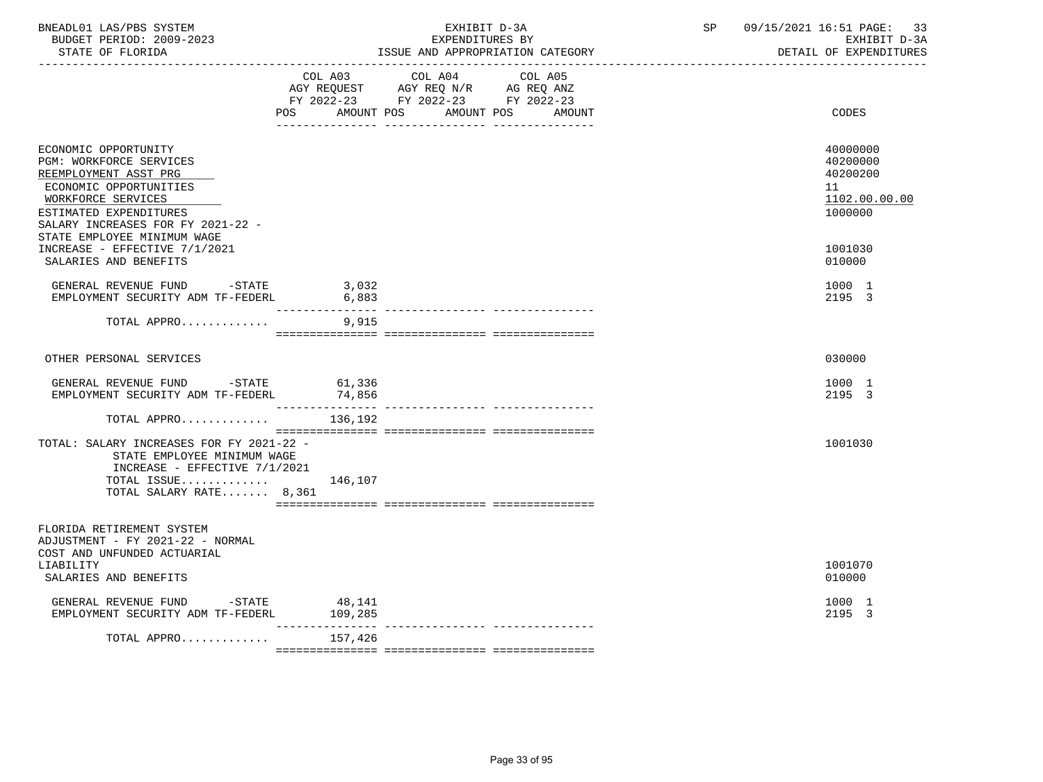| BNEADL01 LAS/PBS SYSTEM<br>BUDGET PERIOD: 2009-2023<br>STATE OF FLORIDA                                                                                                                                                |                              | EXHIBIT D-3A<br>EXPENDITURES BY                                                           | ISSUE AND APPROPRIATION CATEGORY            | SP | 09/15/2021 16:51 PAGE: 33<br>EXHIBIT D-3A<br>DETAIL OF EXPENDITURES |
|------------------------------------------------------------------------------------------------------------------------------------------------------------------------------------------------------------------------|------------------------------|-------------------------------------------------------------------------------------------|---------------------------------------------|----|---------------------------------------------------------------------|
|                                                                                                                                                                                                                        |                              | COL A03 COL A04<br>AGY REQUEST AGY REQ N/R AG REQ ANZ<br>FY 2022-23 FY 2022-23 FY 2022-23 | COL A05<br>POS AMOUNT POS AMOUNT POS AMOUNT |    | <b>CODES</b>                                                        |
| ECONOMIC OPPORTUNITY<br>PGM: WORKFORCE SERVICES<br>REEMPLOYMENT ASST PRG<br>ECONOMIC OPPORTUNITIES<br>WORKFORCE SERVICES<br>ESTIMATED EXPENDITURES<br>SALARY INCREASES FOR FY 2021-22 -<br>STATE EMPLOYEE MINIMUM WAGE |                              |                                                                                           |                                             |    | 40000000<br>40200000<br>40200200<br>11<br>1102.00.00.00<br>1000000  |
| INCREASE - EFFECTIVE 7/1/2021<br>SALARIES AND BENEFITS                                                                                                                                                                 |                              |                                                                                           |                                             |    | 1001030<br>010000                                                   |
| GENERAL REVENUE FUND -STATE<br>EMPLOYMENT SECURITY ADM TF-FEDERL                                                                                                                                                       | 3,032<br>6,883               |                                                                                           |                                             |    | 1000 1<br>2195 3                                                    |
| TOTAL APPRO                                                                                                                                                                                                            | 9,915                        |                                                                                           |                                             |    |                                                                     |
| OTHER PERSONAL SERVICES                                                                                                                                                                                                |                              |                                                                                           |                                             |    | 030000                                                              |
| GENERAL REVENUE FUND -STATE 61,336<br>EMPLOYMENT SECURITY ADM TF-FEDERL                                                                                                                                                | 74,856                       |                                                                                           |                                             |    | 1000 1<br>2195 3                                                    |
| TOTAL APPRO                                                                                                                                                                                                            | 136,192                      |                                                                                           |                                             |    |                                                                     |
| TOTAL: SALARY INCREASES FOR FY 2021-22 -<br>STATE EMPLOYEE MINIMUM WAGE<br>INCREASE - EFFECTIVE 7/1/2021<br>TOTAL ISSUE<br>TOTAL SALARY RATE 8,361                                                                     | 146,107                      |                                                                                           |                                             |    | 1001030                                                             |
| FLORIDA RETIREMENT SYSTEM<br>ADJUSTMENT - FY 2021-22 - NORMAL<br>COST AND UNFUNDED ACTUARIAL<br>LIABILITY<br>SALARIES AND BENEFITS                                                                                     |                              |                                                                                           |                                             |    | 1001070<br>010000                                                   |
| GENERAL REVENUE FUND -STATE 48,141<br>EMPLOYMENT SECURITY ADM TF-FEDERL                                                                                                                                                | 109,285                      |                                                                                           |                                             |    | 1000 1<br>2195 3                                                    |
| TOTAL APPRO                                                                                                                                                                                                            | $- - - - - - - -$<br>157,426 |                                                                                           |                                             |    |                                                                     |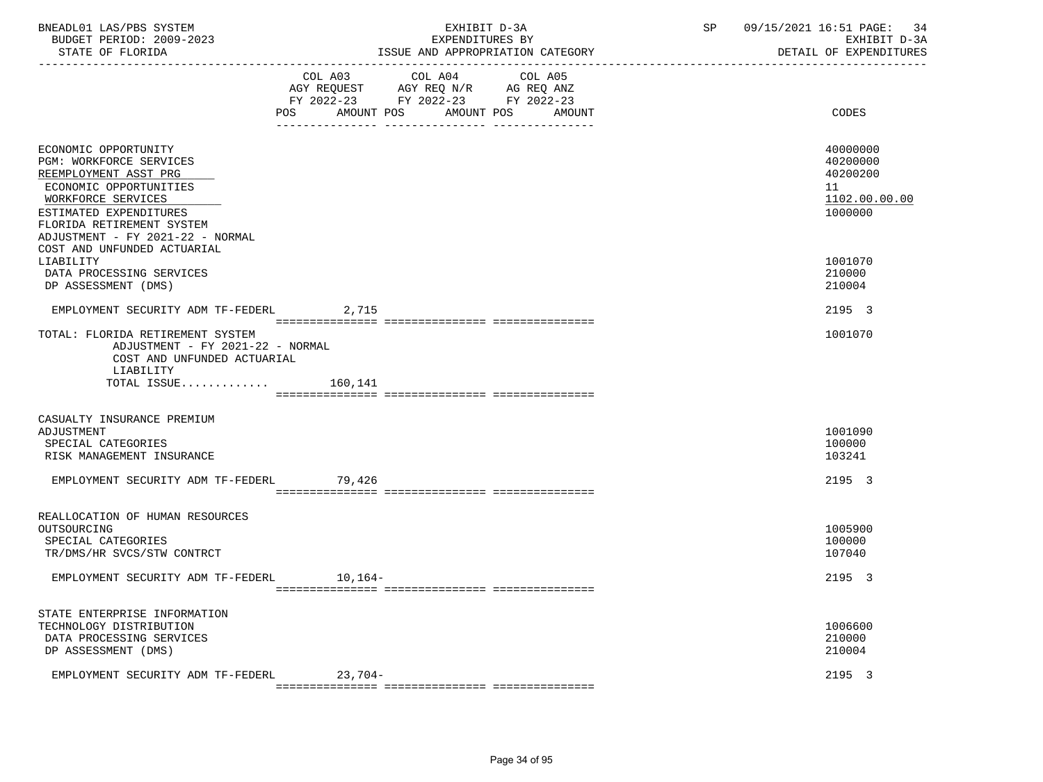| BNEADL01 LAS/PBS SYSTEM  | EXHIBIT D-3A                     | 09/15/2021 16:51 PAGE: 34 |
|--------------------------|----------------------------------|---------------------------|
| BUDGET PERIOD: 2009-2023 | EXPENDITURES BY                  | EXHIBIT D-3A              |
| STATE OF FLORIDA         | ISSUE AND APPROPRIATION CATEGORY | DETAIL OF EXPENDITURES    |

|                                                                                                                                                                                                                     | POS     | FY 2022-23 FY 2022-23 FY 2022-23<br>AMOUNT POS | AMOUNT POS<br>AMOUNT | CODES                                                              |
|---------------------------------------------------------------------------------------------------------------------------------------------------------------------------------------------------------------------|---------|------------------------------------------------|----------------------|--------------------------------------------------------------------|
| ECONOMIC OPPORTUNITY<br>PGM: WORKFORCE SERVICES<br>REEMPLOYMENT ASST PRG<br>ECONOMIC OPPORTUNITIES<br>WORKFORCE SERVICES<br>ESTIMATED EXPENDITURES<br>FLORIDA RETIREMENT SYSTEM<br>ADJUSTMENT - FY 2021-22 - NORMAL |         |                                                |                      | 40000000<br>40200000<br>40200200<br>11<br>1102.00.00.00<br>1000000 |
| COST AND UNFUNDED ACTUARIAL<br>LIABILITY<br>DATA PROCESSING SERVICES<br>DP ASSESSMENT (DMS)                                                                                                                         |         |                                                |                      | 1001070<br>210000<br>210004                                        |
| EMPLOYMENT SECURITY ADM TF-FEDERL                                                                                                                                                                                   | 2,715   |                                                |                      | 2195 3                                                             |
| TOTAL: FLORIDA RETIREMENT SYSTEM<br>ADJUSTMENT - FY 2021-22 - NORMAL<br>COST AND UNFUNDED ACTUARIAL<br>LIABILITY<br>TOTAL ISSUE                                                                                     | 160,141 |                                                |                      | 1001070                                                            |
| CASUALTY INSURANCE PREMIUM<br>ADJUSTMENT<br>SPECIAL CATEGORIES<br>RISK MANAGEMENT INSURANCE                                                                                                                         |         |                                                |                      | 1001090<br>100000<br>103241                                        |
| EMPLOYMENT SECURITY ADM TF-FEDERL                                                                                                                                                                                   | 79,426  |                                                |                      | 2195 3                                                             |
| REALLOCATION OF HUMAN RESOURCES<br>OUTSOURCING<br>SPECIAL CATEGORIES<br>TR/DMS/HR SVCS/STW CONTRCT                                                                                                                  |         |                                                |                      | 1005900<br>100000<br>107040                                        |
| EMPLOYMENT SECURITY ADM TF-FEDERL                                                                                                                                                                                   | 10,164– |                                                |                      | 2195 3                                                             |
| STATE ENTERPRISE INFORMATION<br>TECHNOLOGY DISTRIBUTION<br>DATA PROCESSING SERVICES<br>DP ASSESSMENT (DMS)                                                                                                          |         |                                                |                      | 1006600<br>210000<br>210004                                        |
| EMPLOYMENT SECURITY ADM TF-FEDERL                                                                                                                                                                                   | 23,704- |                                                |                      | 2195 3                                                             |

=============== =============== ===============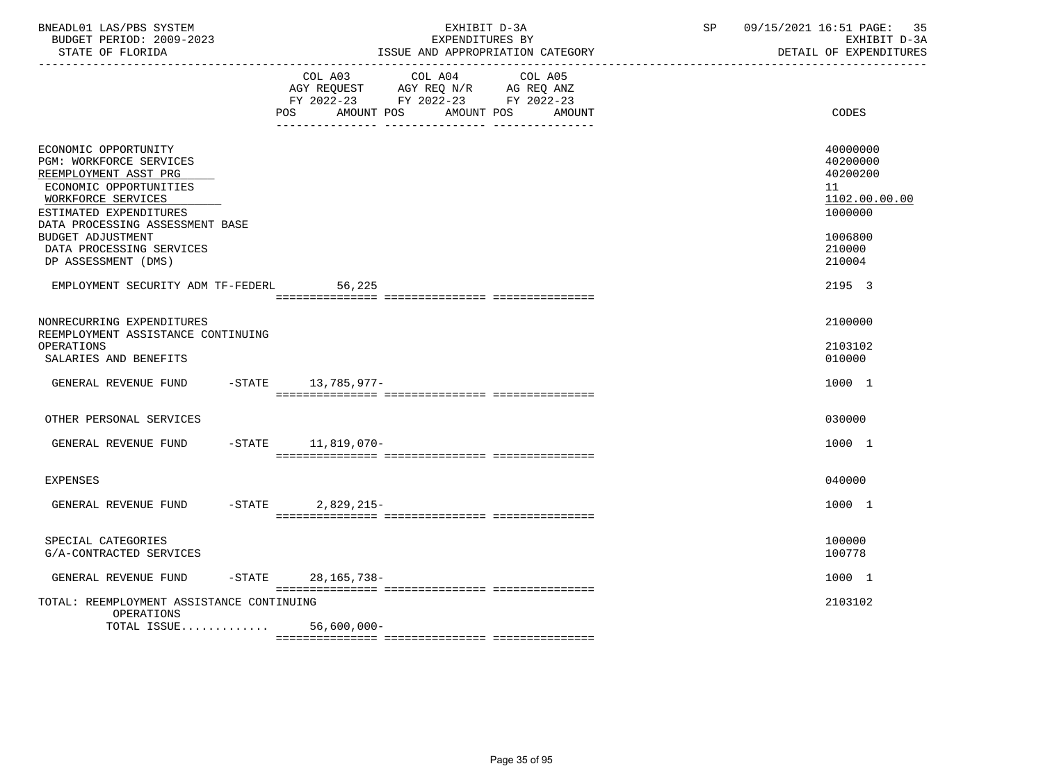| BNEADL01 LAS/PBS SYSTEM  | EXHIBIT D-3A                     | 09/15/2021 16:51 PAGE: 35 |
|--------------------------|----------------------------------|---------------------------|
| BUDGET PERIOD: 2009-2023 | EXPENDITURES BY                  | EXHIBIT D-3A              |
| STATE OF FLORIDA         | ISSUE AND APPROPRIATION CATEGORY | DETAIL OF EXPENDITURES    |

|                                                                                                                                                                                       | COL A03<br>COL A04<br>COL A05<br>AGY REQUEST AGY REQ N/R AG REQ ANZ<br>FY 2022-23 FY 2022-23 FY 2022-23<br><b>POS</b><br>AMOUNT POS<br>AMOUNT POS<br>AMOUNT | CODES                                                              |
|---------------------------------------------------------------------------------------------------------------------------------------------------------------------------------------|-------------------------------------------------------------------------------------------------------------------------------------------------------------|--------------------------------------------------------------------|
| ECONOMIC OPPORTUNITY<br>PGM: WORKFORCE SERVICES<br>REEMPLOYMENT ASST PRG<br>ECONOMIC OPPORTUNITIES<br>WORKFORCE SERVICES<br>ESTIMATED EXPENDITURES<br>DATA PROCESSING ASSESSMENT BASE | -- ----------------                                                                                                                                         | 40000000<br>40200000<br>40200200<br>11<br>1102.00.00.00<br>1000000 |
| BUDGET ADJUSTMENT<br>DATA PROCESSING SERVICES<br>DP ASSESSMENT (DMS)                                                                                                                  |                                                                                                                                                             | 1006800<br>210000<br>210004                                        |
| EMPLOYMENT SECURITY ADM TF-FEDERL                                                                                                                                                     | 56,225                                                                                                                                                      | 2195 3                                                             |
| NONRECURRING EXPENDITURES                                                                                                                                                             |                                                                                                                                                             | 2100000                                                            |
| REEMPLOYMENT ASSISTANCE CONTINUING<br>OPERATIONS<br>SALARIES AND BENEFITS                                                                                                             |                                                                                                                                                             | 2103102<br>010000                                                  |
| GENERAL REVENUE FUND                                                                                                                                                                  | $-STATE$ 13,785,977-                                                                                                                                        | 1000 1                                                             |
| OTHER PERSONAL SERVICES                                                                                                                                                               |                                                                                                                                                             | 030000                                                             |
| GENERAL REVENUE FUND                                                                                                                                                                  | $-STATE$ 11,819,070-                                                                                                                                        | 1000 1                                                             |
| <b>EXPENSES</b>                                                                                                                                                                       |                                                                                                                                                             | 040000                                                             |
| $-$ STATE<br>GENERAL REVENUE FUND                                                                                                                                                     | $2,829,215-$                                                                                                                                                | 1000 1                                                             |
| SPECIAL CATEGORIES<br>G/A-CONTRACTED SERVICES                                                                                                                                         |                                                                                                                                                             | 100000<br>100778                                                   |
| GENERAL REVENUE FUND                                                                                                                                                                  | -STATE 28, 165, 738-                                                                                                                                        | 1000 1                                                             |
| TOTAL: REEMPLOYMENT ASSISTANCE CONTINUING<br>OPERATIONS                                                                                                                               |                                                                                                                                                             | 2103102                                                            |
| TOTAL ISSUE 56,600,000-                                                                                                                                                               |                                                                                                                                                             |                                                                    |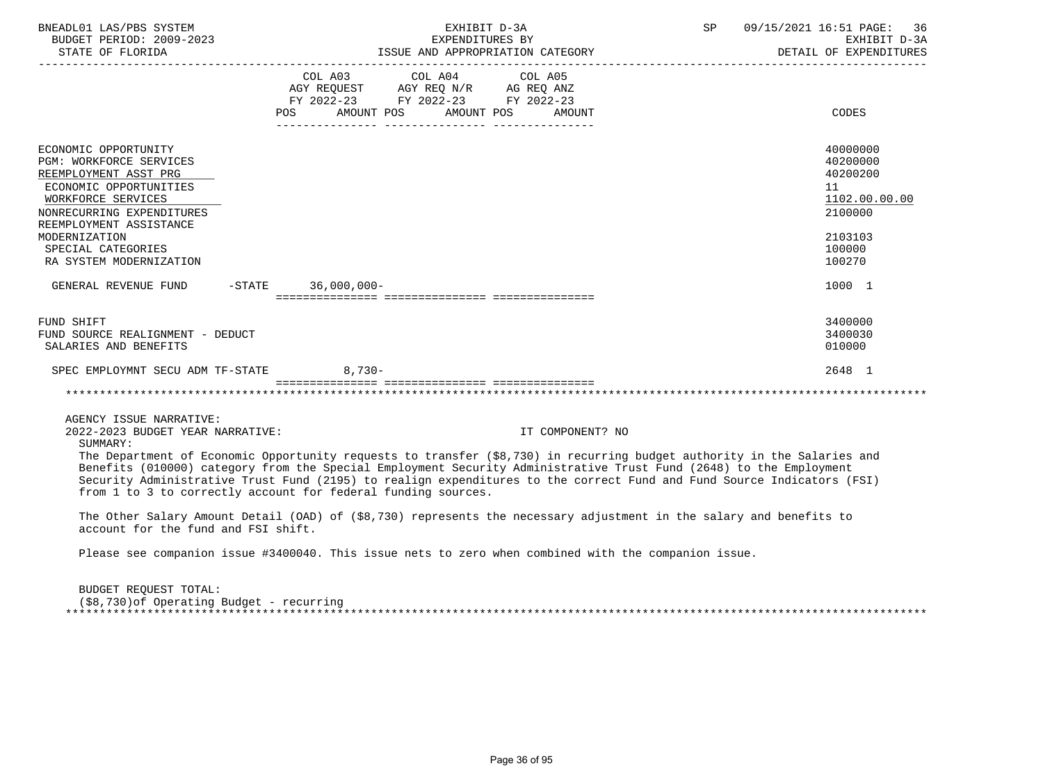| BNEADL01 LAS/PBS SYSTEM<br>BUDGET PERIOD: 2009-2023                                                                                                                                                                                                                                           |     | EXHIBIT D-3A<br>EXPENDITURES BY                                                                                                                                                                                                                                                                                                                                                                                                                                                                | SP               | 09/15/2021 16:51 PAGE: 36<br>EXHIBIT D-3A<br>DETAIL OF EXPENDITURES                                         |
|-----------------------------------------------------------------------------------------------------------------------------------------------------------------------------------------------------------------------------------------------------------------------------------------------|-----|------------------------------------------------------------------------------------------------------------------------------------------------------------------------------------------------------------------------------------------------------------------------------------------------------------------------------------------------------------------------------------------------------------------------------------------------------------------------------------------------|------------------|-------------------------------------------------------------------------------------------------------------|
|                                                                                                                                                                                                                                                                                               | POS | COL A03 COL A04 COL A05<br>AGY REQUEST AGY REQ N/R AG REQ ANZ<br>FY 2022-23 FY 2022-23 FY 2022-23<br>AMOUNT POS AMOUNT POS                                                                                                                                                                                                                                                                                                                                                                     | AMOUNT           | CODES                                                                                                       |
| ECONOMIC OPPORTUNITY<br>PGM: WORKFORCE SERVICES<br>REEMPLOYMENT ASST PRG<br>ECONOMIC OPPORTUNITIES<br>WORKFORCE SERVICES<br>NONRECURRING EXPENDITURES<br>REEMPLOYMENT ASSISTANCE<br>MODERNIZATION<br>SPECIAL CATEGORIES<br>RA SYSTEM MODERNIZATION<br>GENERAL REVENUE FUND -STATE 36,000,000- |     |                                                                                                                                                                                                                                                                                                                                                                                                                                                                                                |                  | 40000000<br>40200000<br>40200200<br>11<br>1102.00.00.00<br>2100000<br>2103103<br>100000<br>100270<br>1000 1 |
| FUND SHIFT<br>FUND SOURCE REALIGNMENT - DEDUCT<br>SALARIES AND BENEFITS                                                                                                                                                                                                                       |     |                                                                                                                                                                                                                                                                                                                                                                                                                                                                                                |                  | 3400000<br>3400030<br>010000                                                                                |
| SPEC EMPLOYMNT SECU ADM TF-STATE 8,730-                                                                                                                                                                                                                                                       |     |                                                                                                                                                                                                                                                                                                                                                                                                                                                                                                |                  | 2648 1                                                                                                      |
|                                                                                                                                                                                                                                                                                               |     |                                                                                                                                                                                                                                                                                                                                                                                                                                                                                                |                  |                                                                                                             |
| AGENCY ISSUE NARRATIVE:<br>2022-2023 BUDGET YEAR NARRATIVE:<br>SUMMARY:<br>from 1 to 3 to correctly account for federal funding sources.<br>account for the fund and FSI shift.                                                                                                               |     | The Department of Economic Opportunity requests to transfer (\$8,730) in recurring budget authority in the Salaries and<br>Benefits (010000) category from the Special Employment Security Administrative Trust Fund (2648) to the Employment<br>Security Administrative Trust Fund (2195) to realign expenditures to the correct Fund and Fund Source Indicators (FSI)<br>The Other Salary Amount Detail (OAD) of (\$8,730) represents the necessary adjustment in the salary and benefits to | IT COMPONENT? NO |                                                                                                             |
|                                                                                                                                                                                                                                                                                               |     | Please see companion issue #3400040. This issue nets to zero when combined with the companion issue.                                                                                                                                                                                                                                                                                                                                                                                           |                  |                                                                                                             |

 BUDGET REQUEST TOTAL: (\$8,730)of Operating Budget - recurring \*\*\*\*\*\*\*\*\*\*\*\*\*\*\*\*\*\*\*\*\*\*\*\*\*\*\*\*\*\*\*\*\*\*\*\*\*\*\*\*\*\*\*\*\*\*\*\*\*\*\*\*\*\*\*\*\*\*\*\*\*\*\*\*\*\*\*\*\*\*\*\*\*\*\*\*\*\*\*\*\*\*\*\*\*\*\*\*\*\*\*\*\*\*\*\*\*\*\*\*\*\*\*\*\*\*\*\*\*\*\*\*\*\*\*\*\*\*\*\*\*\*\*\*\*\*\*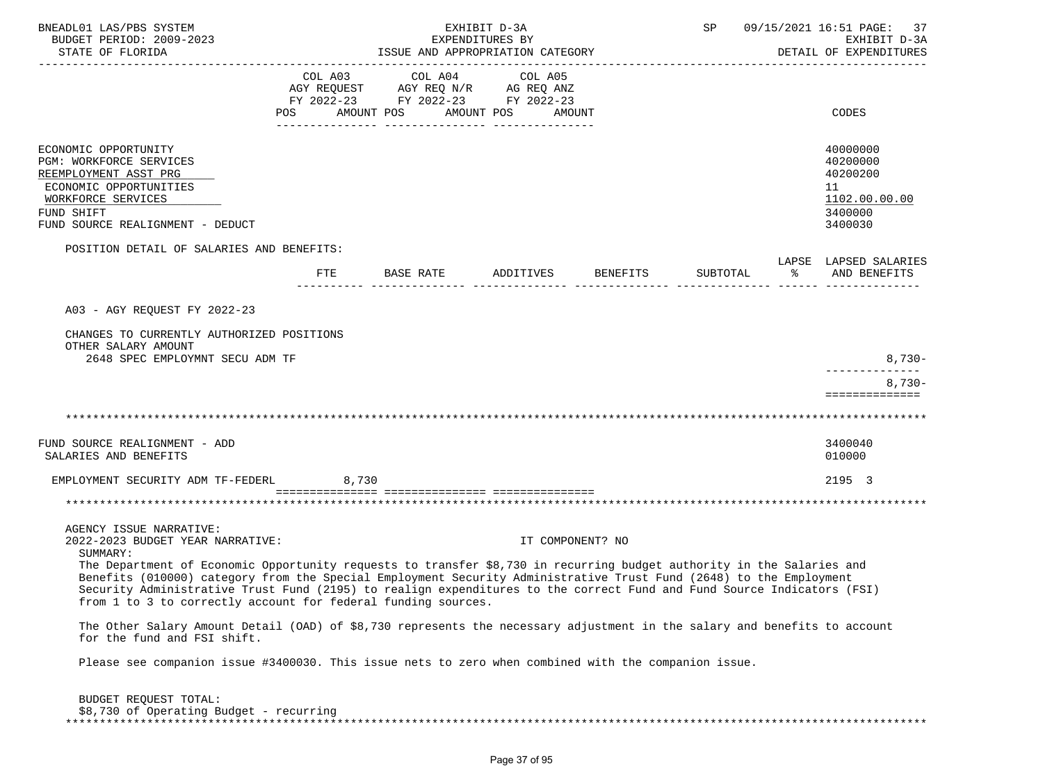| BNEADL01 LAS/PBS SYSTEM<br>BUDGET PERIOD: 2009-2023<br>STATE OF FLORIDA                                                                                                                                                                                                                                       | EXHIBIT D-3A<br>EXPENDITURES BY<br>ISSUE AND APPROPRIATION CATEGORY |                                                                                                 |                                 |          |          |               | SP 09/15/2021 16:51 PAGE: 37<br>EXHIBIT D-3A<br>DETAIL OF EXPENDITURES        |
|---------------------------------------------------------------------------------------------------------------------------------------------------------------------------------------------------------------------------------------------------------------------------------------------------------------|---------------------------------------------------------------------|-------------------------------------------------------------------------------------------------|---------------------------------|----------|----------|---------------|-------------------------------------------------------------------------------|
|                                                                                                                                                                                                                                                                                                               | COL A03<br>POS                                                      | COL A04<br>AGY REQUEST AGY REQ N/R AG REQ ANZ<br>FY 2022-23 FY 2022-23 FY 2022-23<br>AMOUNT POS | COL A05<br>AMOUNT POS<br>AMOUNT |          |          |               | CODES                                                                         |
| ECONOMIC OPPORTUNITY<br>PGM: WORKFORCE SERVICES<br>REEMPLOYMENT ASST PRG<br>ECONOMIC OPPORTUNITIES<br>WORKFORCE SERVICES<br>FUND SHIFT<br>FUND SOURCE REALIGNMENT - DEDUCT                                                                                                                                    |                                                                     |                                                                                                 |                                 |          |          |               | 40000000<br>40200000<br>40200200<br>11<br>1102.00.00.00<br>3400000<br>3400030 |
| POSITION DETAIL OF SALARIES AND BENEFITS:                                                                                                                                                                                                                                                                     | <b>FTE</b>                                                          | BASE RATE                                                                                       | ADDITIVES                       | BENEFITS | SUBTOTAL | $\frac{1}{6}$ | LAPSE LAPSED SALARIES<br>AND BENEFITS                                         |
| A03 - AGY REQUEST FY 2022-23                                                                                                                                                                                                                                                                                  |                                                                     |                                                                                                 |                                 |          |          |               |                                                                               |
| CHANGES TO CURRENTLY AUTHORIZED POSITIONS<br>OTHER SALARY AMOUNT<br>2648 SPEC EMPLOYMNT SECU ADM TF                                                                                                                                                                                                           |                                                                     |                                                                                                 |                                 |          |          |               | $8,730-$                                                                      |
|                                                                                                                                                                                                                                                                                                               |                                                                     |                                                                                                 |                                 |          |          |               | . _ _ _ _ _ _ _ _ _ _ _ _ _<br>$8,730-$<br>==============                     |
|                                                                                                                                                                                                                                                                                                               |                                                                     |                                                                                                 |                                 |          |          |               |                                                                               |
| FUND SOURCE REALIGNMENT - ADD<br>SALARIES AND BENEFITS                                                                                                                                                                                                                                                        |                                                                     |                                                                                                 |                                 |          |          |               | 3400040<br>010000                                                             |
| EMPLOYMENT SECURITY ADM TF-FEDERL                                                                                                                                                                                                                                                                             | 8,730                                                               |                                                                                                 |                                 |          |          |               | 2195 3                                                                        |
|                                                                                                                                                                                                                                                                                                               |                                                                     |                                                                                                 |                                 |          |          |               |                                                                               |
| AGENCY ISSUE NARRATIVE:<br>2022-2023 BUDGET YEAR NARRATIVE:<br>SUMMARY:<br>The Department of Economic Opportunity requests to transfer \$8,730 in recurring budget authority in the Salaries and                                                                                                              |                                                                     |                                                                                                 | IT COMPONENT? NO                |          |          |               |                                                                               |
| Benefits (010000) category from the Special Employment Security Administrative Trust Fund (2648) to the Employment<br>Security Administrative Trust Fund (2195) to realign expenditures to the correct Fund and Fund Source Indicators (FSI)<br>from 1 to 3 to correctly account for federal funding sources. |                                                                     |                                                                                                 |                                 |          |          |               |                                                                               |
| The Other Salary Amount Detail (OAD) of \$8,730 represents the necessary adjustment in the salary and benefits to account<br>for the fund and FSI shift.                                                                                                                                                      |                                                                     |                                                                                                 |                                 |          |          |               |                                                                               |
| Please see companion issue #3400030. This issue nets to zero when combined with the companion issue.                                                                                                                                                                                                          |                                                                     |                                                                                                 |                                 |          |          |               |                                                                               |
| BUDGET REQUEST TOTAL:<br>$$8,730$ of Operating Budget - recurring                                                                                                                                                                                                                                             |                                                                     |                                                                                                 |                                 |          |          |               |                                                                               |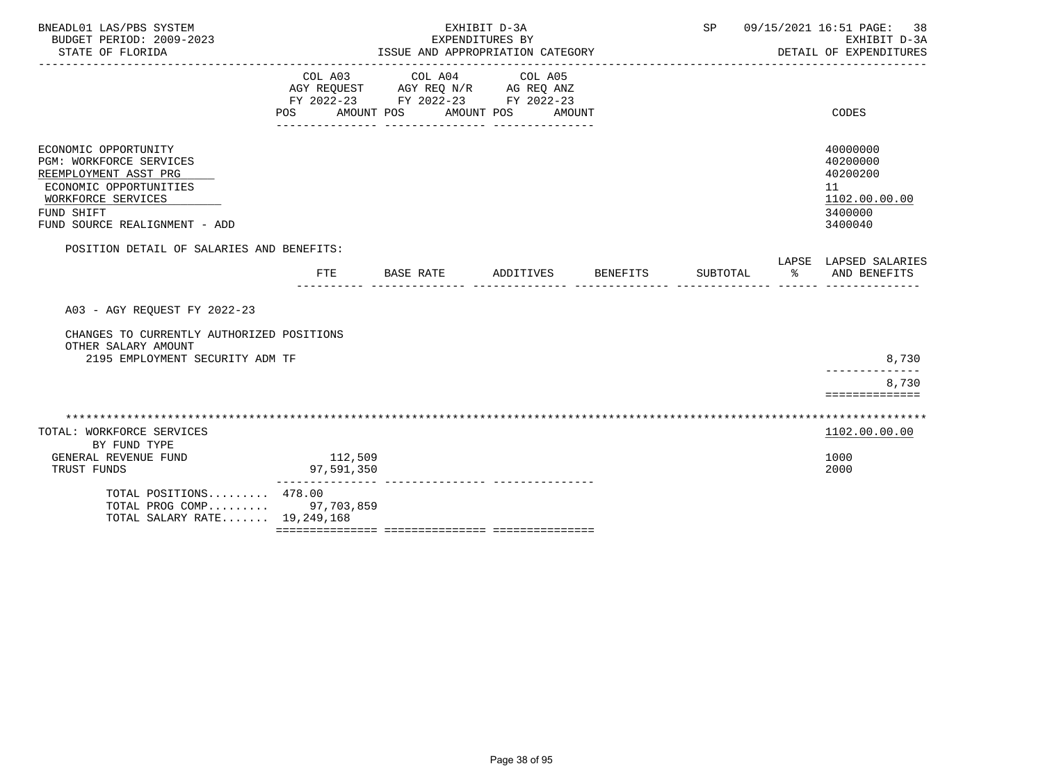| BNEADL01 LAS/PBS SYSTEM<br>BUDGET PERIOD: 2009-2023<br>STATE OF FLORIDA                                                                                                        |                       | EXHIBIT D-3A<br>EXPENDITURES BY<br>ISSUE AND APPROPRIATION CATEGORY                                                                |                                 |                 | SP       |   | 09/15/2021 16:51 PAGE:<br>38<br>EXHIBIT D-3A<br>DETAIL OF EXPENDITURES        |
|--------------------------------------------------------------------------------------------------------------------------------------------------------------------------------|-----------------------|------------------------------------------------------------------------------------------------------------------------------------|---------------------------------|-----------------|----------|---|-------------------------------------------------------------------------------|
|                                                                                                                                                                                | POS AMOUNT POS        | COL A03 COL A04<br>AGY REQUEST AGY REQ N/R AG REQ ANZ<br>FY 2022-23 FY 2022-23 FY 2022-23<br>_____________________________________ | COL A05<br>AMOUNT POS<br>AMOUNT |                 |          |   | CODES                                                                         |
| ECONOMIC OPPORTUNITY<br><b>PGM: WORKFORCE SERVICES</b><br>REEMPLOYMENT ASST PRG<br>ECONOMIC OPPORTUNITIES<br>WORKFORCE SERVICES<br>FUND SHIFT<br>FUND SOURCE REALIGNMENT - ADD |                       |                                                                                                                                    |                                 |                 |          |   | 40000000<br>40200000<br>40200200<br>11<br>1102.00.00.00<br>3400000<br>3400040 |
| POSITION DETAIL OF SALARIES AND BENEFITS:                                                                                                                                      | <b>FTE</b>            | BASE RATE                                                                                                                          | ADDITIVES                       | <b>BENEFITS</b> | SUBTOTAL | ႜ | LAPSE LAPSED SALARIES<br>AND BENEFITS                                         |
| A03 - AGY REQUEST FY 2022-23                                                                                                                                                   |                       |                                                                                                                                    |                                 |                 |          |   |                                                                               |
| CHANGES TO CURRENTLY AUTHORIZED POSITIONS<br>OTHER SALARY AMOUNT<br>2195 EMPLOYMENT SECURITY ADM TF                                                                            |                       |                                                                                                                                    |                                 |                 |          |   | 8,730                                                                         |
|                                                                                                                                                                                |                       |                                                                                                                                    |                                 |                 |          |   | ----------<br>8,730<br>==============                                         |
| TOTAL: WORKFORCE SERVICES<br>BY FUND TYPE                                                                                                                                      |                       |                                                                                                                                    |                                 |                 |          |   | 1102.00.00.00                                                                 |
| GENERAL REVENUE FUND<br>TRUST FUNDS                                                                                                                                            | 112,509<br>97,591,350 |                                                                                                                                    |                                 |                 |          |   | 1000<br>2000                                                                  |
| TOTAL POSITIONS 478.00<br>TOTAL PROG COMP 97,703,859<br>TOTAL SALARY RATE 19,249,168                                                                                           |                       |                                                                                                                                    |                                 |                 |          |   |                                                                               |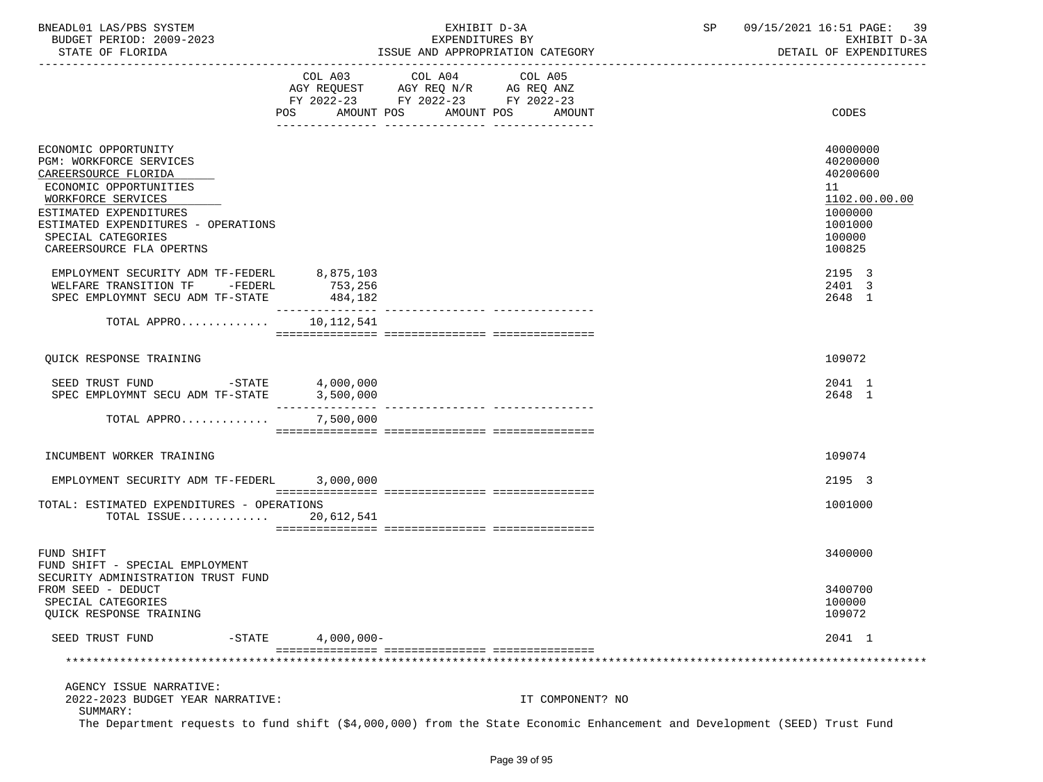| BNEADL01<br>LAS/PBS SYSTEM  | EXHIBI.<br>— (2) — 3 ∆ | 16:51<br>09/15/2021<br>39<br>PAGE: |
|-----------------------------|------------------------|------------------------------------|
| 2009-2023<br>BUDGET PERIOD: | EXPENDITURES BY        | $D - 3D$<br>EXHIBIT                |
|                             |                        | ----------------------             |

STATE OF FLORIDA **ISSUE AND APPROPRIATION CATEGORY ISSUE AND APPROPRIATION** CATEGORY

|                                                                                                                                                                                                                                            |                                 | COL A03 COL A04 COL A05<br>AGY REQUEST AGY REQ N/R AG REQ ANZ |                      |                                                                                                   |
|--------------------------------------------------------------------------------------------------------------------------------------------------------------------------------------------------------------------------------------------|---------------------------------|---------------------------------------------------------------|----------------------|---------------------------------------------------------------------------------------------------|
|                                                                                                                                                                                                                                            | AMOUNT POS<br>POS               | FY 2022-23 FY 2022-23 FY 2022-23                              | AMOUNT POS<br>AMOUNT | CODES                                                                                             |
| ECONOMIC OPPORTUNITY<br>PGM: WORKFORCE SERVICES<br>CAREERSOURCE FLORIDA<br>ECONOMIC OPPORTUNITIES<br>WORKFORCE SERVICES<br>ESTIMATED EXPENDITURES<br>ESTIMATED EXPENDITURES - OPERATIONS<br>SPECIAL CATEGORIES<br>CAREERSOURCE FLA OPERTNS |                                 |                                                               |                      | 40000000<br>40200000<br>40200600<br>11<br>1102.00.00.00<br>1000000<br>1001000<br>100000<br>100825 |
| EMPLOYMENT SECURITY ADM TF-FEDERL<br>WELFARE TRANSITION TF -FEDERL<br>SPEC EMPLOYMNT SECU ADM TF-STATE                                                                                                                                     | 8,875,103<br>753,256<br>484,182 |                                                               |                      | 2195 3<br>2401 3<br>2648 1                                                                        |
| TOTAL APPRO                                                                                                                                                                                                                                | -------------<br>10,112,541     |                                                               |                      |                                                                                                   |
| <b>OUICK RESPONSE TRAINING</b>                                                                                                                                                                                                             |                                 |                                                               |                      | 109072                                                                                            |
| SEED TRUST FUND<br>$-$ STATE 4,000,000<br>SPEC EMPLOYMNT SECU ADM TF-STATE                                                                                                                                                                 | 3,500,000                       |                                                               |                      | 2041 1<br>2648 1                                                                                  |
| TOTAL APPRO                                                                                                                                                                                                                                | 7,500,000                       |                                                               |                      |                                                                                                   |
| INCUMBENT WORKER TRAINING                                                                                                                                                                                                                  |                                 |                                                               |                      | 109074                                                                                            |
| EMPLOYMENT SECURITY ADM TF-FEDERL 3,000,000                                                                                                                                                                                                |                                 |                                                               |                      | 2195 3                                                                                            |
| TOTAL: ESTIMATED EXPENDITURES - OPERATIONS                                                                                                                                                                                                 |                                 |                                                               |                      | 1001000                                                                                           |
| TOTAL ISSUE                                                                                                                                                                                                                                | 20,612,541                      |                                                               |                      |                                                                                                   |
| FUND SHIFT<br>FUND SHIFT - SPECIAL EMPLOYMENT                                                                                                                                                                                              |                                 |                                                               |                      | 3400000                                                                                           |
| SECURITY ADMINISTRATION TRUST FUND<br>FROM SEED - DEDUCT<br>SPECIAL CATEGORIES<br>QUICK RESPONSE TRAINING                                                                                                                                  |                                 |                                                               |                      | 3400700<br>100000<br>109072                                                                       |
| SEED TRUST FUND<br>$-STATE$                                                                                                                                                                                                                | $4,000,000-$                    |                                                               |                      | 2041 1                                                                                            |
|                                                                                                                                                                                                                                            |                                 |                                                               |                      |                                                                                                   |
| AGENCY ISSUE NARRATIVE:<br>2022-2023 BUDGET YEAR NARRATIVE:<br>SUMMARY:<br>The Department requests to fund shift (\$4,000,000) from the State Economic Enhancement and Development (SEED) Trust Fund                                       |                                 |                                                               | IT COMPONENT? NO     |                                                                                                   |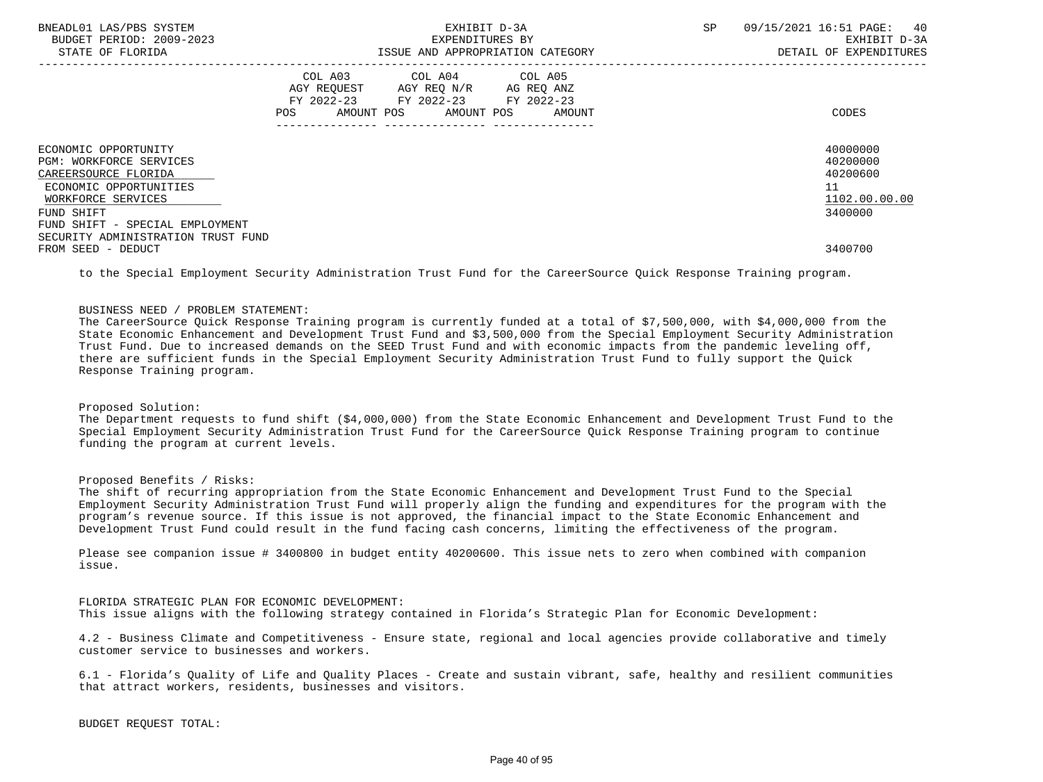| BNEADL01 LAS/PBS SYSTEM<br>BUDGET PERIOD: 2009-2023<br>STATE OF FLORIDA                                                                                                                                               |     | EXHIBIT D-3A<br>EXPENDITURES BY<br>ISSUE AND APPROPRIATION CATEGORY                                                               | SP | 09/15/2021 16:51 PAGE:<br>40<br>EXHIBIT D-3A<br>DETAIL OF EXPENDITURES |
|-----------------------------------------------------------------------------------------------------------------------------------------------------------------------------------------------------------------------|-----|-----------------------------------------------------------------------------------------------------------------------------------|----|------------------------------------------------------------------------|
|                                                                                                                                                                                                                       | POS | COL A03 COL A04 COL A05<br>AGY REQUEST AGY REQ N/R AG REQ ANZ<br>FY 2022-23 FY 2022-23 FY 2022-23<br>AMOUNT POS AMOUNT POS AMOUNT |    | CODES                                                                  |
| ECONOMIC OPPORTUNITY<br><b>PGM: WORKFORCE SERVICES</b><br>CAREERSOURCE FLORIDA<br>ECONOMIC OPPORTUNITIES<br>WORKFORCE SERVICES<br>FUND SHIFT<br>FUND SHIFT - SPECIAL EMPLOYMENT<br>SECURITY ADMINISTRATION TRUST FUND |     |                                                                                                                                   |    | 40000000<br>40200000<br>40200600<br>11<br>1102.00.00.00<br>3400000     |
| FROM SEED - DEDUCT                                                                                                                                                                                                    |     |                                                                                                                                   |    | 3400700                                                                |

to the Special Employment Security Administration Trust Fund for the CareerSource Quick Response Training program.

### BUSINESS NEED / PROBLEM STATEMENT:

 The CareerSource Quick Response Training program is currently funded at a total of \$7,500,000, with \$4,000,000 from the State Economic Enhancement and Development Trust Fund and \$3,500,000 from the Special Employment Security Administration Trust Fund. Due to increased demands on the SEED Trust Fund and with economic impacts from the pandemic leveling off, there are sufficient funds in the Special Employment Security Administration Trust Fund to fully support the Quick Response Training program.

# Proposed Solution:

 The Department requests to fund shift (\$4,000,000) from the State Economic Enhancement and Development Trust Fund to the Special Employment Security Administration Trust Fund for the CareerSource Quick Response Training program to continue funding the program at current levels.

## Proposed Benefits / Risks:

 The shift of recurring appropriation from the State Economic Enhancement and Development Trust Fund to the Special Employment Security Administration Trust Fund will properly align the funding and expenditures for the program with the program's revenue source. If this issue is not approved, the financial impact to the State Economic Enhancement and Development Trust Fund could result in the fund facing cash concerns, limiting the effectiveness of the program.

 Please see companion issue # 3400800 in budget entity 40200600. This issue nets to zero when combined with companion issue.

 FLORIDA STRATEGIC PLAN FOR ECONOMIC DEVELOPMENT: This issue aligns with the following strategy contained in Florida's Strategic Plan for Economic Development:

 4.2 - Business Climate and Competitiveness - Ensure state, regional and local agencies provide collaborative and timely customer service to businesses and workers.

 6.1 - Florida's Quality of Life and Quality Places - Create and sustain vibrant, safe, healthy and resilient communities that attract workers, residents, businesses and visitors.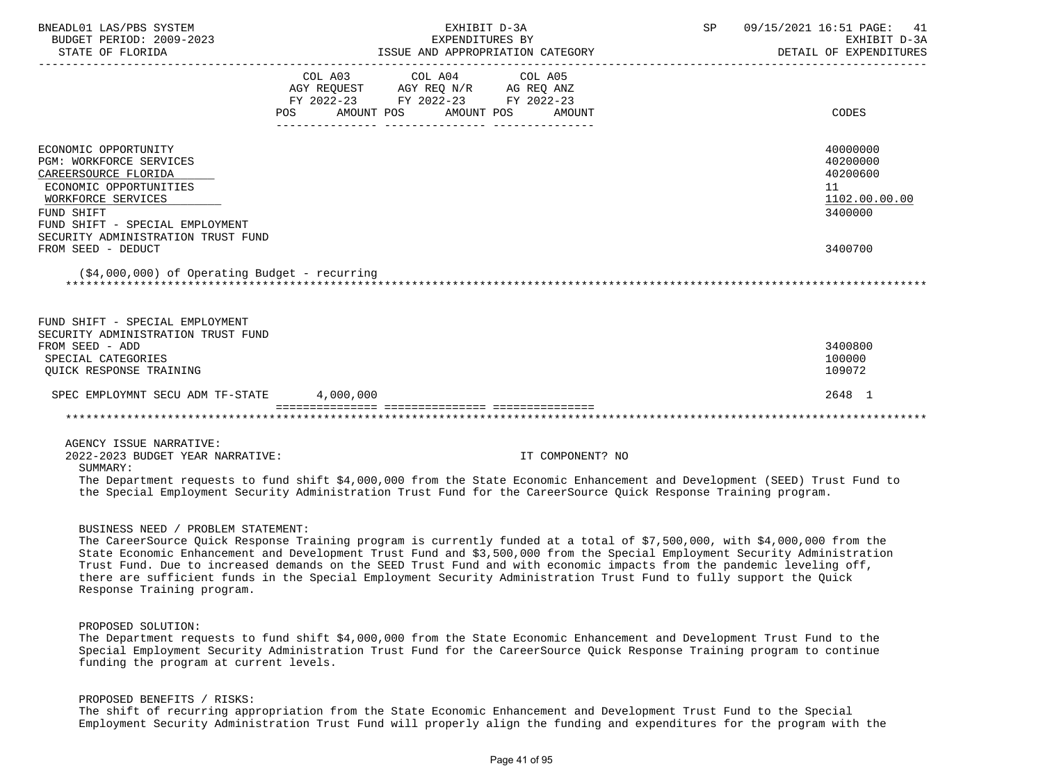| BNEADL01 LAS/PBS SYSTEM<br>BUDGET PERIOD: 2009-2023<br>STATE OF FLORIDA                                                                                                                                                                                                                                                  |                   | EXHIBIT D-3A<br>EXPENDITURES BY                                                                                 | ISSUE AND APPROPRIATION CATEGORY | SP | 09/15/2021 16:51 PAGE: 41<br>EXHIBIT D-3A<br>DETAIL OF EXPENDITURES |  |
|--------------------------------------------------------------------------------------------------------------------------------------------------------------------------------------------------------------------------------------------------------------------------------------------------------------------------|-------------------|-----------------------------------------------------------------------------------------------------------------|----------------------------------|----|---------------------------------------------------------------------|--|
|                                                                                                                                                                                                                                                                                                                          | AMOUNT POS<br>POS | COL A03 COL A04 COL A05<br>AGY REQUEST AGY REQ N/R AG REQ ANZ<br>FY 2022-23 FY 2022-23 FY 2022-23<br>AMOUNT POS | AMOUNT                           |    | CODES                                                               |  |
| ECONOMIC OPPORTUNITY<br><b>PGM: WORKFORCE SERVICES</b><br>CAREERSOURCE FLORIDA<br>ECONOMIC OPPORTUNITIES<br>WORKFORCE SERVICES<br>FUND SHIFT<br>FUND SHIFT - SPECIAL EMPLOYMENT<br>SECURITY ADMINISTRATION TRUST FUND                                                                                                    |                   |                                                                                                                 |                                  |    | 40000000<br>40200000<br>40200600<br>11<br>1102.00.00.00<br>3400000  |  |
| FROM SEED - DEDUCT<br>$(54,000,000)$ of Operating Budget - recurring                                                                                                                                                                                                                                                     |                   |                                                                                                                 |                                  |    | 3400700                                                             |  |
| FUND SHIFT - SPECIAL EMPLOYMENT<br>SECURITY ADMINISTRATION TRUST FUND<br>FROM SEED - ADD<br>SPECIAL CATEGORIES<br>OUICK RESPONSE TRAINING                                                                                                                                                                                |                   |                                                                                                                 |                                  |    | 3400800<br>100000<br>109072                                         |  |
| SPEC EMPLOYMNT SECU ADM TF-STATE                                                                                                                                                                                                                                                                                         | 4,000,000         |                                                                                                                 |                                  |    | 2648 1                                                              |  |
|                                                                                                                                                                                                                                                                                                                          |                   |                                                                                                                 |                                  |    |                                                                     |  |
| AGENCY ISSUE NARRATIVE:<br>2022-2023 BUDGET YEAR NARRATIVE:<br>SUMMARY:<br>The Department requests to fund shift \$4,000,000 from the State Economic Enhancement and Development (SEED) Trust Fund to<br>the Special Employment Security Administration Trust Fund for the CareerSource Ouick Response Training program. |                   |                                                                                                                 | IT COMPONENT? NO                 |    |                                                                     |  |

### BUSINESS NEED / PROBLEM STATEMENT:

 The CareerSource Quick Response Training program is currently funded at a total of \$7,500,000, with \$4,000,000 from the State Economic Enhancement and Development Trust Fund and \$3,500,000 from the Special Employment Security Administration Trust Fund. Due to increased demands on the SEED Trust Fund and with economic impacts from the pandemic leveling off, there are sufficient funds in the Special Employment Security Administration Trust Fund to fully support the Quick Response Training program.

## PROPOSED SOLUTION:

 The Department requests to fund shift \$4,000,000 from the State Economic Enhancement and Development Trust Fund to the Special Employment Security Administration Trust Fund for the CareerSource Quick Response Training program to continue funding the program at current levels.

## PROPOSED BENEFITS / RISKS:

 The shift of recurring appropriation from the State Economic Enhancement and Development Trust Fund to the Special Employment Security Administration Trust Fund will properly align the funding and expenditures for the program with the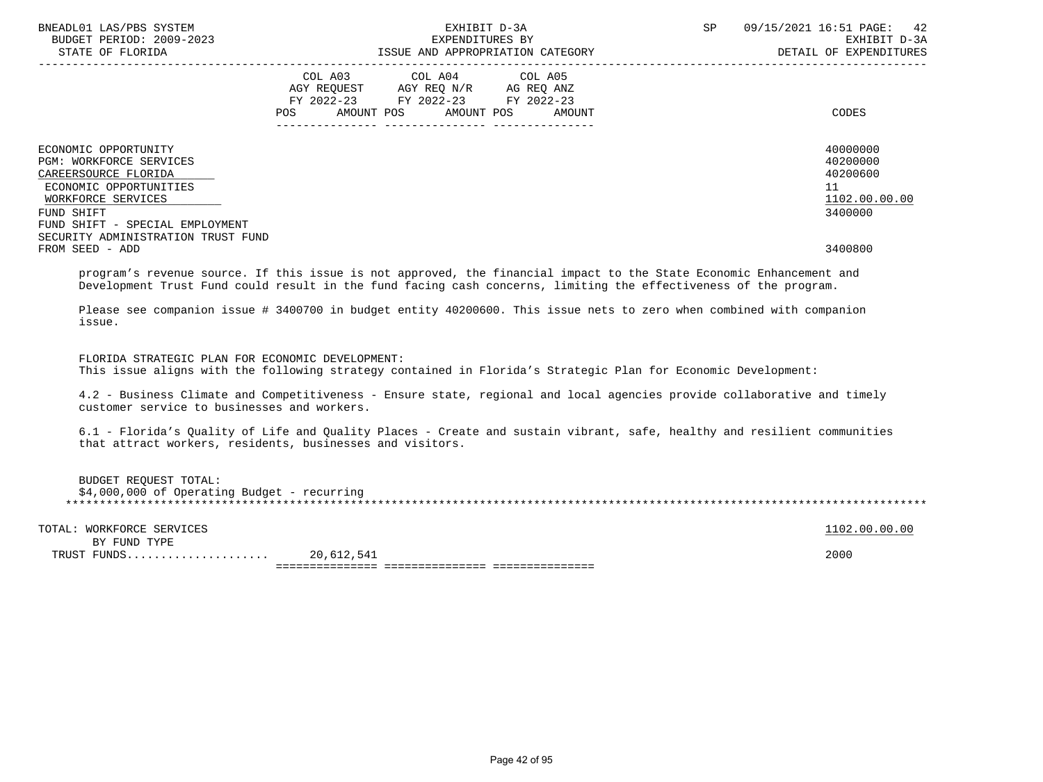| BNEADL01 LAS/PBS SYSTEM<br>BUDGET PERIOD: 2009-2023                                                                                                                                                            | EXHIBIT D-3A<br>EXPENDITURES BY                                                                                                                                                                                                          | SP 09/15/2021 16:51 PAGE: 42<br>EXHIBIT D-3A<br>DETAIL OF EXPENDITURES |
|----------------------------------------------------------------------------------------------------------------------------------------------------------------------------------------------------------------|------------------------------------------------------------------------------------------------------------------------------------------------------------------------------------------------------------------------------------------|------------------------------------------------------------------------|
|                                                                                                                                                                                                                | COL A03 COL A04 COL A05<br>AGY REQUEST AGY REQ N/R AG REQ ANZ<br>FY 2022-23 FY 2022-23 FY 2022-23<br>AMOUNT POS<br>AMOUNT POS<br>AMOUNT<br>POS                                                                                           | CODES                                                                  |
| ECONOMIC OPPORTUNITY<br>PGM: WORKFORCE SERVICES<br>CAREERSOURCE FLORIDA<br>ECONOMIC OPPORTUNITIES<br>WORKFORCE SERVICES<br>FUND SHIFT<br>FUND SHIFT - SPECIAL EMPLOYMENT<br>SECURITY ADMINISTRATION TRUST FUND |                                                                                                                                                                                                                                          | 40000000<br>40200000<br>40200600<br>11<br>1102.00.00.00<br>3400000     |
| FROM SEED - ADD                                                                                                                                                                                                |                                                                                                                                                                                                                                          | 3400800                                                                |
| issue.                                                                                                                                                                                                         | Development Trust Fund could result in the fund facing cash concerns, limiting the effectiveness of the program.<br>Please see companion issue # 3400700 in budget entity 40200600. This issue nets to zero when combined with companion |                                                                        |
| FLORIDA STRATEGIC PLAN FOR ECONOMIC DEVELOPMENT:                                                                                                                                                               | This issue aligns with the following strategy contained in Florida's Strategic Plan for Economic Development:                                                                                                                            |                                                                        |
| customer service to businesses and workers.                                                                                                                                                                    | 4.2 - Business Climate and Competitiveness - Ensure state, regional and local agencies provide collaborative and timely                                                                                                                  |                                                                        |
|                                                                                                                                                                                                                | 6.1 - Florida's Quality of Life and Quality Places - Create and sustain vibrant, safe, healthy and resilient communities<br>that attract workers, residents, businesses and visitors.                                                    |                                                                        |
| <b>BUDGET REQUEST TOTAL:</b><br>$$4,000,000$ of Operating Budget - recurring                                                                                                                                   |                                                                                                                                                                                                                                          |                                                                        |
| TOTAL: WORKFORCE SERVICES                                                                                                                                                                                      |                                                                                                                                                                                                                                          | 1102.00.00.00                                                          |
| BY FUND TYPE                                                                                                                                                                                                   |                                                                                                                                                                                                                                          | 2000                                                                   |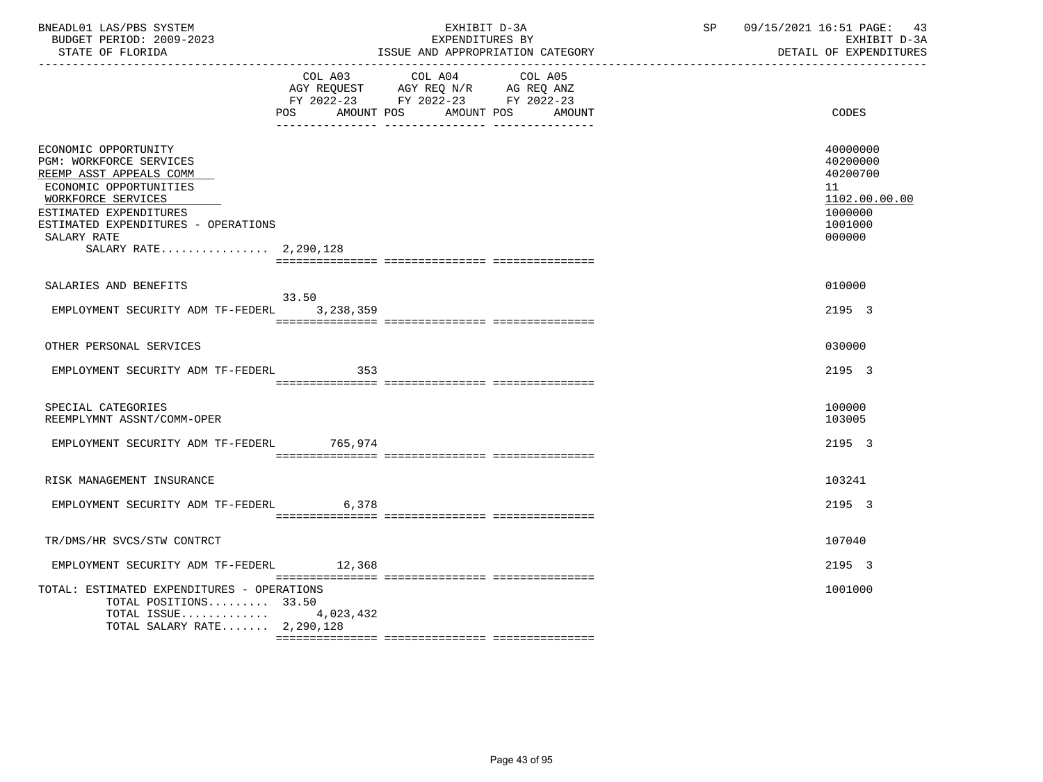| BNEADL01 LAS/PBS SYSTEM<br>BUDGET PERIOD: 2009-2023<br>STATE OF FLORIDA                                                                                                                                                             |           | EXHIBIT D-3A<br>EXPENDITURES BY                                                                                                   | ISSUE AND APPROPRIATION CATEGORY | SP and the set of the set of the set of the set of the set of the set of the set of the set of the set of the set of the set of the set of the set of the set of the set of the set of the set of the set of the set of the se | 09/15/2021 16:51 PAGE:<br>43<br>EXHIBIT D-3A<br>DETAIL OF EXPENDITURES                  |  |  |
|-------------------------------------------------------------------------------------------------------------------------------------------------------------------------------------------------------------------------------------|-----------|-----------------------------------------------------------------------------------------------------------------------------------|----------------------------------|--------------------------------------------------------------------------------------------------------------------------------------------------------------------------------------------------------------------------------|-----------------------------------------------------------------------------------------|--|--|
|                                                                                                                                                                                                                                     | POS       | COL A03 COL A04 COL A05<br>AGY REQUEST AGY REQ N/R AG REQ ANZ<br>FY 2022-23 FY 2022-23 FY 2022-23<br>AMOUNT POS AMOUNT POS AMOUNT |                                  |                                                                                                                                                                                                                                | CODES                                                                                   |  |  |
| ECONOMIC OPPORTUNITY<br>PGM: WORKFORCE SERVICES<br>REEMP ASST APPEALS COMM<br>ECONOMIC OPPORTUNITIES<br>WORKFORCE SERVICES<br>ESTIMATED EXPENDITURES<br>ESTIMATED EXPENDITURES - OPERATIONS<br>SALARY RATE<br>SALARY RATE 2,290,128 |           |                                                                                                                                   |                                  |                                                                                                                                                                                                                                | 40000000<br>40200000<br>40200700<br>11<br>1102.00.00.00<br>1000000<br>1001000<br>000000 |  |  |
| SALARIES AND BENEFITS                                                                                                                                                                                                               | 33.50     |                                                                                                                                   |                                  |                                                                                                                                                                                                                                | 010000                                                                                  |  |  |
| EMPLOYMENT SECURITY ADM TF-FEDERL                                                                                                                                                                                                   | 3,238,359 |                                                                                                                                   |                                  |                                                                                                                                                                                                                                | 2195 3                                                                                  |  |  |
| OTHER PERSONAL SERVICES                                                                                                                                                                                                             |           |                                                                                                                                   |                                  |                                                                                                                                                                                                                                | 030000                                                                                  |  |  |
| EMPLOYMENT SECURITY ADM TF-FEDERL                                                                                                                                                                                                   | 353       |                                                                                                                                   |                                  |                                                                                                                                                                                                                                | 2195 3                                                                                  |  |  |
| SPECIAL CATEGORIES<br>REEMPLYMNT ASSNT/COMM-OPER                                                                                                                                                                                    |           |                                                                                                                                   |                                  |                                                                                                                                                                                                                                | 100000<br>103005                                                                        |  |  |
| EMPLOYMENT SECURITY ADM TF-FEDERL 765,974                                                                                                                                                                                           |           |                                                                                                                                   |                                  |                                                                                                                                                                                                                                | 2195 3                                                                                  |  |  |
| RISK MANAGEMENT INSURANCE                                                                                                                                                                                                           |           |                                                                                                                                   |                                  |                                                                                                                                                                                                                                | 103241                                                                                  |  |  |
| EMPLOYMENT SECURITY ADM TF-FEDERL 6,378                                                                                                                                                                                             |           |                                                                                                                                   |                                  |                                                                                                                                                                                                                                | 2195 3                                                                                  |  |  |
| TR/DMS/HR SVCS/STW CONTRCT                                                                                                                                                                                                          |           |                                                                                                                                   |                                  |                                                                                                                                                                                                                                | 107040                                                                                  |  |  |
| EMPLOYMENT SECURITY ADM TF-FEDERL                                                                                                                                                                                                   | 12,368    |                                                                                                                                   |                                  |                                                                                                                                                                                                                                | 2195 3                                                                                  |  |  |
| TOTAL: ESTIMATED EXPENDITURES - OPERATIONS<br>TOTAL POSITIONS 33.50<br>TOTAL ISSUE $4,023,432$<br>TOTAL SALARY RATE 2,290,128                                                                                                       |           |                                                                                                                                   |                                  |                                                                                                                                                                                                                                | 1001000                                                                                 |  |  |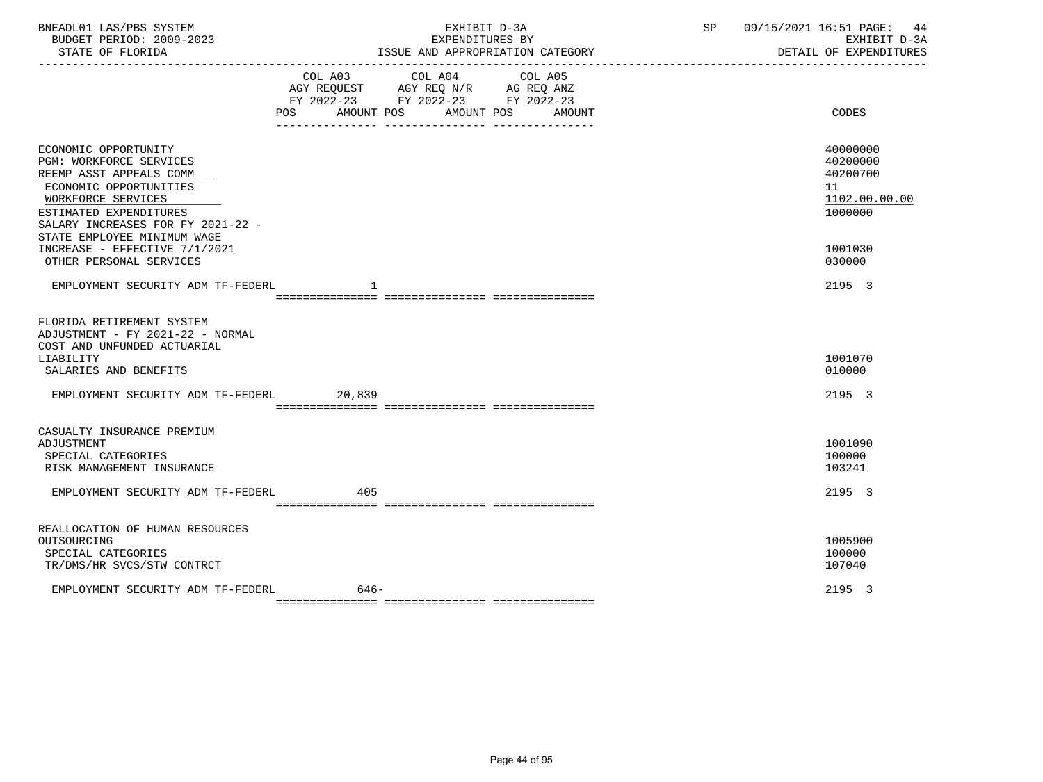| BNEADL01 LAS/PBS SYSTEM<br>BUDGET PERIOD: 2009-2023<br>STATE OF FLORIDA                                                                                                                                                                                                                     | EXHIBIT D-3A<br>EXPENDITURES BY<br>ISSUE AND APPROPRIATION CATEGORY  | 09/15/2021 16:51 PAGE: 44<br>SP<br>EXHIBIT D-3A<br>DETAIL OF EXPENDITURES               |
|---------------------------------------------------------------------------------------------------------------------------------------------------------------------------------------------------------------------------------------------------------------------------------------------|----------------------------------------------------------------------|-----------------------------------------------------------------------------------------|
|                                                                                                                                                                                                                                                                                             | FY 2022-23 FY 2022-23 FY 2022-23<br>POS AMOUNT POS AMOUNT POS AMOUNT | CODES                                                                                   |
| ECONOMIC OPPORTUNITY<br><b>PGM: WORKFORCE SERVICES</b><br>REEMP ASST APPEALS COMM<br>ECONOMIC OPPORTUNITIES<br>WORKFORCE SERVICES<br>ESTIMATED EXPENDITURES<br>SALARY INCREASES FOR FY 2021-22 -<br>STATE EMPLOYEE MINIMUM WAGE<br>INCREASE - EFFECTIVE 7/1/2021<br>OTHER PERSONAL SERVICES |                                                                      | 40000000<br>40200000<br>40200700<br>11<br>1102.00.00.00<br>1000000<br>1001030<br>030000 |
| EMPLOYMENT SECURITY ADM TF-FEDERL                                                                                                                                                                                                                                                           | 1                                                                    | 2195 3                                                                                  |
| FLORIDA RETIREMENT SYSTEM<br>ADJUSTMENT - FY 2021-22 - NORMAL<br>COST AND UNFUNDED ACTUARIAL<br>LIABILITY<br>SALARIES AND BENEFITS<br>EMPLOYMENT SECURITY ADM TF-FEDERL 20,839                                                                                                              |                                                                      | 1001070<br>010000<br>2195 3                                                             |
|                                                                                                                                                                                                                                                                                             |                                                                      |                                                                                         |
| CASUALTY INSURANCE PREMIUM<br>ADJUSTMENT<br>SPECIAL CATEGORIES<br>RISK MANAGEMENT INSURANCE                                                                                                                                                                                                 |                                                                      | 1001090<br>100000<br>103241                                                             |
| EMPLOYMENT SECURITY ADM TF-FEDERL 405                                                                                                                                                                                                                                                       |                                                                      | 2195 3                                                                                  |
| REALLOCATION OF HUMAN RESOURCES<br>OUTSOURCING<br>SPECIAL CATEGORIES<br>TR/DMS/HR SVCS/STW CONTRCT                                                                                                                                                                                          |                                                                      | 1005900<br>100000<br>107040                                                             |
| EMPLOYMENT SECURITY ADM TF-FEDERL                                                                                                                                                                                                                                                           | $646-$                                                               | 2195 3                                                                                  |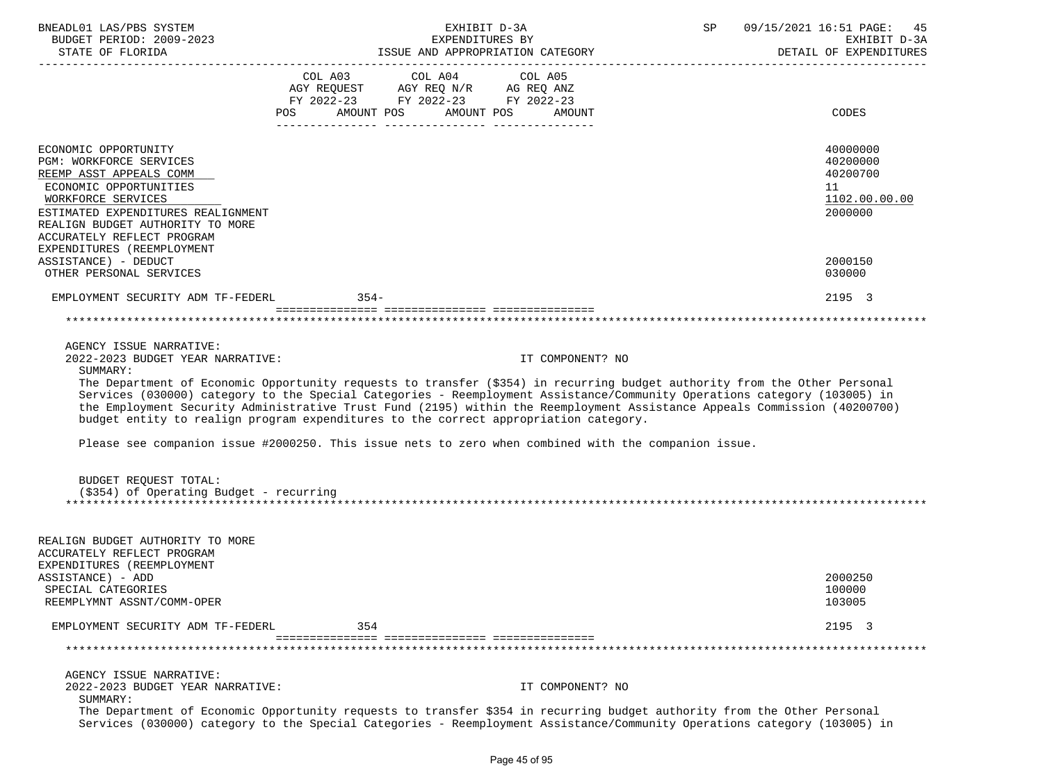| BNEADL01 LAS/PBS SYSTEM<br>BUDGET PERIOD: 2009-2023                                                                                                                                                                                                 | EXHIBIT D-3A<br>EXPENDITURES BY |     |  | SP                                                                                                                                                                                                 | 09/15/2021 16:51 PAGE:<br>45<br>EXHIBIT D-3A |  |                      |
|-----------------------------------------------------------------------------------------------------------------------------------------------------------------------------------------------------------------------------------------------------|---------------------------------|-----|--|----------------------------------------------------------------------------------------------------------------------------------------------------------------------------------------------------|----------------------------------------------|--|----------------------|
|                                                                                                                                                                                                                                                     |                                 |     |  |                                                                                                                                                                                                    | DETAIL OF EXPENDITURES                       |  |                      |
|                                                                                                                                                                                                                                                     |                                 |     |  | COL A03 COL A04 COL A05                                                                                                                                                                            |                                              |  |                      |
|                                                                                                                                                                                                                                                     |                                 |     |  |                                                                                                                                                                                                    |                                              |  |                      |
|                                                                                                                                                                                                                                                     |                                 |     |  | $\begin{tabular}{lllllll} \bf AGY & \bf REQUEST & \bf AGY & \bf REQ & \tt N/R & \tt AG & \tt REQ & \tt ANZ \\ \bf FY & \tt 2022-23 & \tt FY & \tt 2022-23 & \tt FY & \tt 2022-23 \\ \end{tabular}$ |                                              |  |                      |
|                                                                                                                                                                                                                                                     | POS AMOUNT POS AMOUNT POS       |     |  |                                                                                                                                                                                                    | AMOUNT                                       |  | CODES                |
|                                                                                                                                                                                                                                                     |                                 |     |  |                                                                                                                                                                                                    |                                              |  |                      |
| ECONOMIC OPPORTUNITY<br>PGM: WORKFORCE SERVICES                                                                                                                                                                                                     |                                 |     |  |                                                                                                                                                                                                    |                                              |  | 40000000<br>40200000 |
| REEMP ASST APPEALS COMM                                                                                                                                                                                                                             |                                 |     |  |                                                                                                                                                                                                    |                                              |  | 40200700             |
| ECONOMIC OPPORTUNITIES                                                                                                                                                                                                                              |                                 |     |  |                                                                                                                                                                                                    |                                              |  | 11                   |
| WORKFORCE SERVICES                                                                                                                                                                                                                                  |                                 |     |  |                                                                                                                                                                                                    |                                              |  | 1102.00.00.00        |
| ESTIMATED EXPENDITURES REALIGNMENT                                                                                                                                                                                                                  |                                 |     |  |                                                                                                                                                                                                    |                                              |  | 2000000              |
| REALIGN BUDGET AUTHORITY TO MORE                                                                                                                                                                                                                    |                                 |     |  |                                                                                                                                                                                                    |                                              |  |                      |
| ACCURATELY REFLECT PROGRAM                                                                                                                                                                                                                          |                                 |     |  |                                                                                                                                                                                                    |                                              |  |                      |
| EXPENDITURES (REEMPLOYMENT<br>ASSISTANCE) - DEDUCT                                                                                                                                                                                                  |                                 |     |  |                                                                                                                                                                                                    |                                              |  | 2000150              |
| OTHER PERSONAL SERVICES                                                                                                                                                                                                                             |                                 |     |  |                                                                                                                                                                                                    |                                              |  | 030000               |
|                                                                                                                                                                                                                                                     |                                 |     |  |                                                                                                                                                                                                    |                                              |  |                      |
| EMPLOYMENT SECURITY ADM TF-FEDERL 354-                                                                                                                                                                                                              |                                 |     |  |                                                                                                                                                                                                    |                                              |  | 2195 3               |
|                                                                                                                                                                                                                                                     |                                 |     |  |                                                                                                                                                                                                    |                                              |  |                      |
|                                                                                                                                                                                                                                                     |                                 |     |  |                                                                                                                                                                                                    |                                              |  |                      |
| AGENCY ISSUE NARRATIVE:<br>2022-2023 BUDGET YEAR NARRATIVE:                                                                                                                                                                                         |                                 |     |  |                                                                                                                                                                                                    | IT COMPONENT? NO                             |  |                      |
| SUMMARY:                                                                                                                                                                                                                                            |                                 |     |  |                                                                                                                                                                                                    |                                              |  |                      |
| The Department of Economic Opportunity requests to transfer (\$354) in recurring budget authority from the Other Personal                                                                                                                           |                                 |     |  |                                                                                                                                                                                                    |                                              |  |                      |
| Services (030000) category to the Special Categories - Reemployment Assistance/Community Operations category (103005) in                                                                                                                            |                                 |     |  |                                                                                                                                                                                                    |                                              |  |                      |
| the Employment Security Administrative Trust Fund (2195) within the Reemployment Assistance Appeals Commission (40200700)                                                                                                                           |                                 |     |  |                                                                                                                                                                                                    |                                              |  |                      |
| budget entity to realign program expenditures to the correct appropriation category.                                                                                                                                                                |                                 |     |  |                                                                                                                                                                                                    |                                              |  |                      |
| Please see companion issue #2000250. This issue nets to zero when combined with the companion issue.                                                                                                                                                |                                 |     |  |                                                                                                                                                                                                    |                                              |  |                      |
|                                                                                                                                                                                                                                                     |                                 |     |  |                                                                                                                                                                                                    |                                              |  |                      |
| BUDGET REQUEST TOTAL:                                                                                                                                                                                                                               |                                 |     |  |                                                                                                                                                                                                    |                                              |  |                      |
| (\$354) of Operating Budget - recurring                                                                                                                                                                                                             |                                 |     |  |                                                                                                                                                                                                    |                                              |  |                      |
|                                                                                                                                                                                                                                                     |                                 |     |  |                                                                                                                                                                                                    |                                              |  |                      |
|                                                                                                                                                                                                                                                     |                                 |     |  |                                                                                                                                                                                                    |                                              |  |                      |
| REALIGN BUDGET AUTHORITY TO MORE                                                                                                                                                                                                                    |                                 |     |  |                                                                                                                                                                                                    |                                              |  |                      |
| ACCURATELY REFLECT PROGRAM<br>EXPENDITURES (REEMPLOYMENT                                                                                                                                                                                            |                                 |     |  |                                                                                                                                                                                                    |                                              |  |                      |
| ASSISTANCE) - ADD                                                                                                                                                                                                                                   |                                 |     |  |                                                                                                                                                                                                    |                                              |  | 2000250              |
| SPECIAL CATEGORIES                                                                                                                                                                                                                                  |                                 |     |  |                                                                                                                                                                                                    |                                              |  | 100000               |
| REEMPLYMNT ASSNT/COMM-OPER                                                                                                                                                                                                                          |                                 |     |  |                                                                                                                                                                                                    |                                              |  | 103005               |
| EMPLOYMENT SECURITY ADM TF-FEDERL                                                                                                                                                                                                                   |                                 | 354 |  |                                                                                                                                                                                                    |                                              |  | 2195 3               |
|                                                                                                                                                                                                                                                     |                                 |     |  |                                                                                                                                                                                                    |                                              |  |                      |
|                                                                                                                                                                                                                                                     |                                 |     |  |                                                                                                                                                                                                    |                                              |  |                      |
| AGENCY ISSUE NARRATIVE:                                                                                                                                                                                                                             |                                 |     |  |                                                                                                                                                                                                    |                                              |  |                      |
| 2022-2023 BUDGET YEAR NARRATIVE:<br>SUMMARY:                                                                                                                                                                                                        |                                 |     |  |                                                                                                                                                                                                    | IT COMPONENT? NO                             |  |                      |
| The Department of Economic Opportunity requests to transfer \$354 in recurring budget authority from the Other Personal<br>Services (030000) category to the Special Categories - Reemployment Assistance/Community Operations category (103005) in |                                 |     |  |                                                                                                                                                                                                    |                                              |  |                      |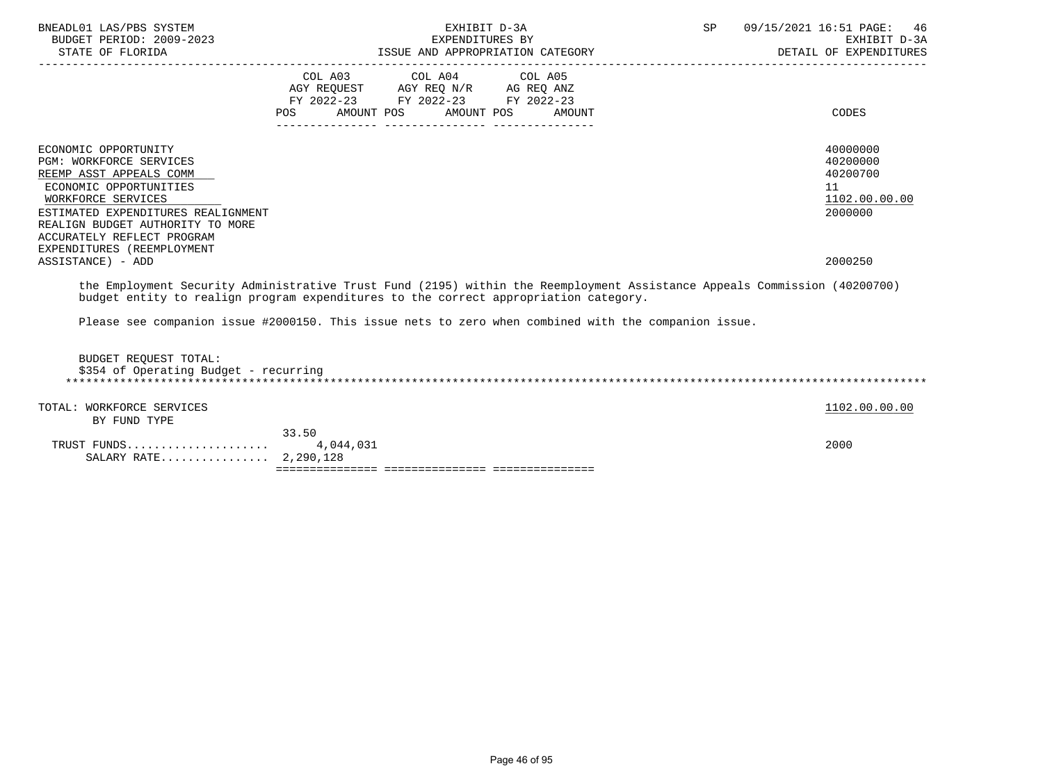| BNEADL01 LAS/PBS SYSTEM<br>BUDGET PERIOD: 2009-2023<br>STATE OF FLORIDA<br>_______________________________                                                                                                                                                              | EXHIBIT D-3A<br>EXPENDITURES BY<br>ISSUE AND APPROPRIATION CATEGORY                                                                                                                                                                                                                     | SP | 09/15/2021 16:51 PAGE: 46<br>EXHIBIT D-3A<br>DETAIL OF EXPENDITURES |
|-------------------------------------------------------------------------------------------------------------------------------------------------------------------------------------------------------------------------------------------------------------------------|-----------------------------------------------------------------------------------------------------------------------------------------------------------------------------------------------------------------------------------------------------------------------------------------|----|---------------------------------------------------------------------|
|                                                                                                                                                                                                                                                                         | $\begin{tabular}{lllllllllll} COL & A03 & \multicolumn{2}{l}COL & A04 & \multicolumn{2}{l}COL & A05 \\ AGY & REQUEST & \multicolumn{2}{l}AGY REQ N/R & \multicolumn{2}{l}AG REQ ANZ \\ \end{tabular}$<br>FY 2022-23 FY 2022-23 FY 2022-23<br>AMOUNT POS AMOUNT POS<br>POS FOR<br>AMOUNT |    | CODES                                                               |
| ECONOMIC OPPORTUNITY<br><b>PGM: WORKFORCE SERVICES</b><br>REEMP ASST APPEALS COMM<br>ECONOMIC OPPORTUNITIES<br>WORKFORCE SERVICES<br>ESTIMATED EXPENDITURES REALIGNMENT<br>REALIGN BUDGET AUTHORITY TO MORE<br>ACCURATELY REFLECT PROGRAM<br>EXPENDITURES (REEMPLOYMENT |                                                                                                                                                                                                                                                                                         |    | 40000000<br>40200000<br>40200700<br>11<br>1102.00.00.00<br>2000000  |
| ASSISTANCE) - ADD                                                                                                                                                                                                                                                       | the Employment Security Administrative Trust Fund (2195) within the Reemployment Assistance Appeals Commission (40200700)<br>budget entity to realign program expenditures to the correct appropriation category.                                                                       |    | 2000250                                                             |
|                                                                                                                                                                                                                                                                         | Please see companion issue #2000150. This issue nets to zero when combined with the companion issue.                                                                                                                                                                                    |    |                                                                     |
| BUDGET REOUEST TOTAL:<br>\$354 of Operating Budget - recurring                                                                                                                                                                                                          |                                                                                                                                                                                                                                                                                         |    |                                                                     |
| TOTAL: WORKFORCE SERVICES<br>BY FUND TYPE                                                                                                                                                                                                                               |                                                                                                                                                                                                                                                                                         |    | 1102.00.00.00                                                       |
| SALARY RATE 2,290,128                                                                                                                                                                                                                                                   | 33.50                                                                                                                                                                                                                                                                                   |    | 2000                                                                |
|                                                                                                                                                                                                                                                                         |                                                                                                                                                                                                                                                                                         |    |                                                                     |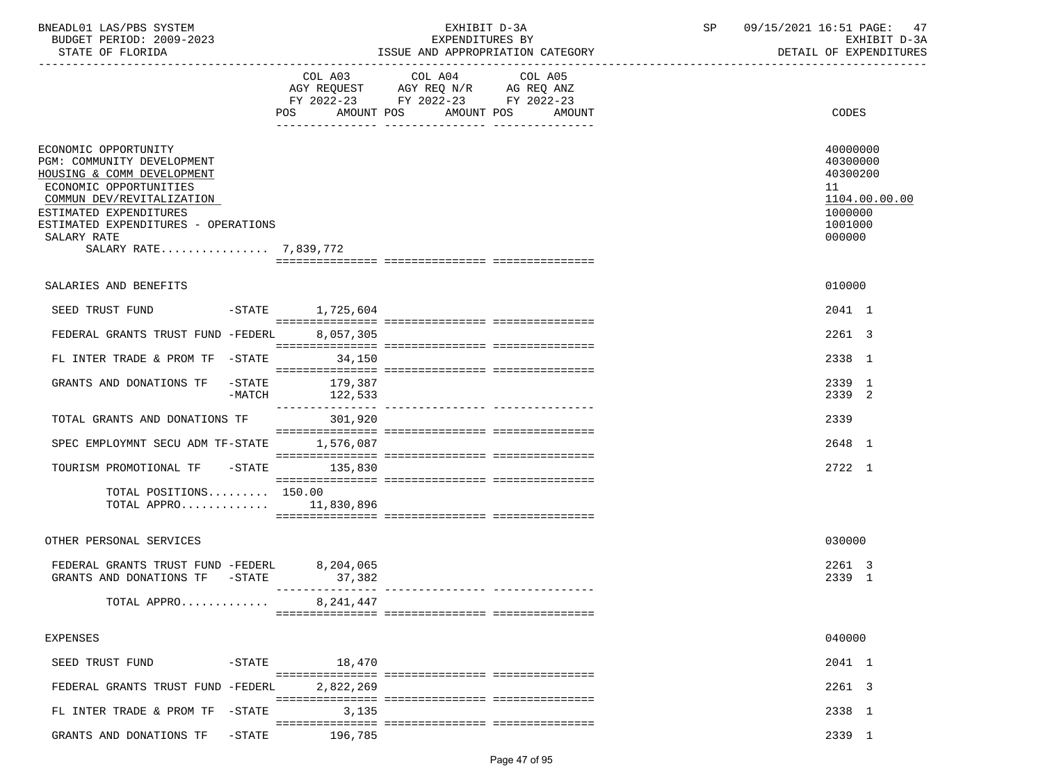| BNEADL01 LAS/PBS SYSTEM  | EXHIBIT<br>$1 - 5\Delta$                  | 16:51<br>09/15/2021<br>PAGE: |
|--------------------------|-------------------------------------------|------------------------------|
| BUDGET PERIOD: 2009-2023 | EXPENDITURES BY                           | D-3A<br>EXHIBIT              |
| גתדתמים המיהים           | MOODDIATION CATOOON<br>T O OTTE<br>7. NTD | מתחזים בחוות המצפ המשפחה     |

| STATE OF FLORIDA                                                                                                                                                                                                                                 |                                                                                                                       | ISSUE AND APPROPRIATION CATEGORY<br>-------------------------------- | DETAIL OF EXPENDITURES                                                                  |
|--------------------------------------------------------------------------------------------------------------------------------------------------------------------------------------------------------------------------------------------------|-----------------------------------------------------------------------------------------------------------------------|----------------------------------------------------------------------|-----------------------------------------------------------------------------------------|
|                                                                                                                                                                                                                                                  | COL A03 COL A04<br>AGY REQUEST AGY REQ N/R AG REQ ANZ<br>FY 2022-23 FY 2022-23 FY 2022-23<br><b>POS</b><br>AMOUNT POS | COL A05<br>AMOUNT POS<br>AMOUNT                                      | CODES                                                                                   |
| ECONOMIC OPPORTUNITY<br>PGM: COMMUNITY DEVELOPMENT<br>HOUSING & COMM DEVELOPMENT<br>ECONOMIC OPPORTUNITIES<br>COMMUN DEV/REVITALIZATION<br>ESTIMATED EXPENDITURES<br>ESTIMATED EXPENDITURES - OPERATIONS<br>SALARY RATE<br>SALARY RATE 7,839,772 |                                                                                                                       |                                                                      | 40000000<br>40300000<br>40300200<br>11<br>1104.00.00.00<br>1000000<br>1001000<br>000000 |
| SALARIES AND BENEFITS                                                                                                                                                                                                                            |                                                                                                                       |                                                                      | 010000                                                                                  |
| SEED TRUST FUND                                                                                                                                                                                                                                  | -STATE 1,725,604                                                                                                      |                                                                      | 2041 1                                                                                  |
| FEDERAL GRANTS TRUST FUND -FEDERL                                                                                                                                                                                                                | 8,057,305                                                                                                             |                                                                      | 2261 3                                                                                  |
| FL INTER TRADE & PROM TF -STATE                                                                                                                                                                                                                  | 34,150                                                                                                                |                                                                      | 2338 1                                                                                  |
| GRANTS AND DONATIONS TF -STATE<br>$-MATCH$                                                                                                                                                                                                       | 179,387<br>122,533                                                                                                    |                                                                      | 2339 1<br>2339 2                                                                        |
| TOTAL GRANTS AND DONATIONS TF                                                                                                                                                                                                                    | 301,920                                                                                                               |                                                                      | 2339                                                                                    |
| SPEC EMPLOYMNT SECU ADM TF-STATE                                                                                                                                                                                                                 | 1,576,087                                                                                                             |                                                                      | 2648 1                                                                                  |
| TOURISM PROMOTIONAL TF - STATE                                                                                                                                                                                                                   | 135,830                                                                                                               |                                                                      | 2722 1                                                                                  |
| TOTAL POSITIONS 150.00<br>TOTAL APPRO 11,830,896                                                                                                                                                                                                 |                                                                                                                       |                                                                      |                                                                                         |
| OTHER PERSONAL SERVICES                                                                                                                                                                                                                          |                                                                                                                       |                                                                      | 030000                                                                                  |
| FEDERAL GRANTS TRUST FUND -FEDERL<br>GRANTS AND DONATIONS TF -STATE                                                                                                                                                                              | 8,204,065<br>37,382                                                                                                   |                                                                      | 2261 3<br>2339 1                                                                        |
| TOTAL APPRO                                                                                                                                                                                                                                      | 8,241,447                                                                                                             |                                                                      |                                                                                         |
| <b>EXPENSES</b>                                                                                                                                                                                                                                  |                                                                                                                       |                                                                      | 040000                                                                                  |
| SEED TRUST FUND                                                                                                                                                                                                                                  | $-STATE$ 18,470                                                                                                       |                                                                      | 2041 1                                                                                  |
| FEDERAL GRANTS TRUST FUND -FEDERL                                                                                                                                                                                                                | 2,822,269                                                                                                             |                                                                      | 2261 3                                                                                  |
| -STATE<br>FL INTER TRADE & PROM TF                                                                                                                                                                                                               | 3,135                                                                                                                 |                                                                      | 2338 1                                                                                  |
| GRANTS AND DONATIONS TF<br>$-STATE$                                                                                                                                                                                                              | 196,785                                                                                                               |                                                                      | 2339 1                                                                                  |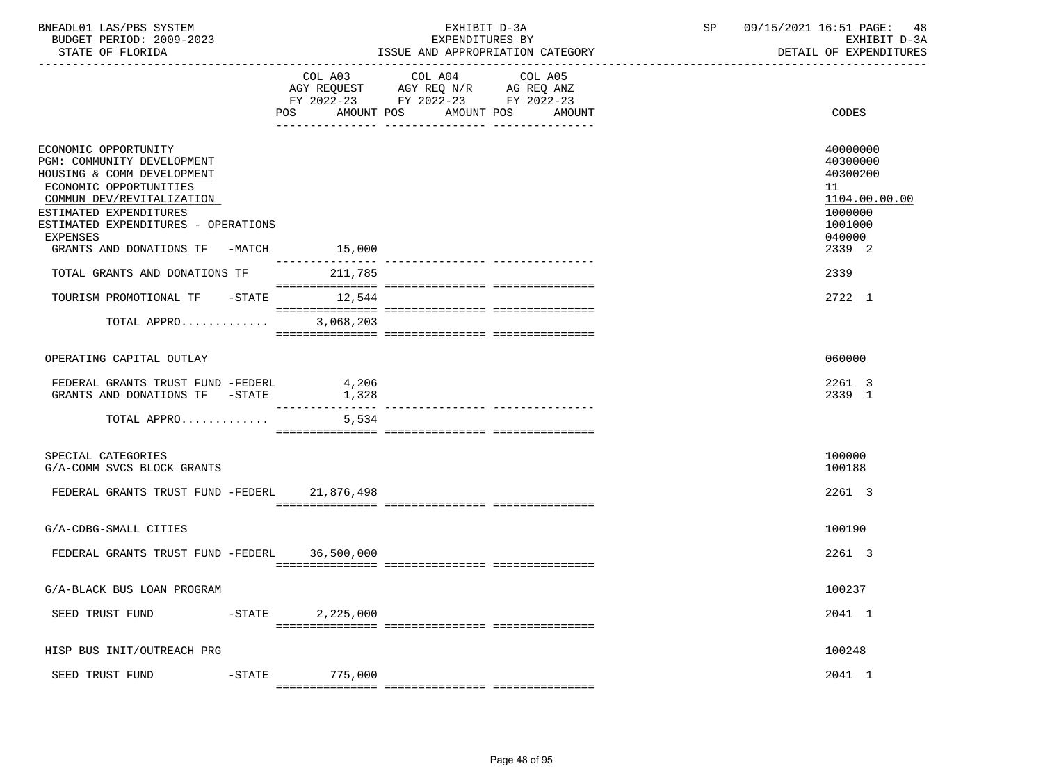ISSUE AND APPROPRIATION CATEGORY

|                                                                                                                                                                                                                                                               | COL A03                           | COL A04<br>COL A05<br>AGY REQUEST AGY REQ N/R AG REQ ANZ<br>FY 2022-23 FY 2022-23 FY 2022-23 |                                                                                                   |
|---------------------------------------------------------------------------------------------------------------------------------------------------------------------------------------------------------------------------------------------------------------|-----------------------------------|----------------------------------------------------------------------------------------------|---------------------------------------------------------------------------------------------------|
|                                                                                                                                                                                                                                                               | AMOUNT POS<br>POS                 | AMOUNT POS<br>AMOUNT                                                                         | CODES                                                                                             |
| ECONOMIC OPPORTUNITY<br>PGM: COMMUNITY DEVELOPMENT<br>HOUSING & COMM DEVELOPMENT<br>ECONOMIC OPPORTUNITIES<br>COMMUN DEV/REVITALIZATION<br>ESTIMATED EXPENDITURES<br>ESTIMATED EXPENDITURES - OPERATIONS<br><b>EXPENSES</b><br>GRANTS AND DONATIONS TF -MATCH | 15,000                            |                                                                                              | 40000000<br>40300000<br>40300200<br>11<br>1104.00.00.00<br>1000000<br>1001000<br>040000<br>2339 2 |
| TOTAL GRANTS AND DONATIONS TF                                                                                                                                                                                                                                 | 211,785                           |                                                                                              | 2339                                                                                              |
| TOURISM PROMOTIONAL TF -STATE 12,544<br>TOTAL APPRO                                                                                                                                                                                                           | 3,068,203                         |                                                                                              | 2722 1                                                                                            |
|                                                                                                                                                                                                                                                               |                                   |                                                                                              |                                                                                                   |
| OPERATING CAPITAL OUTLAY                                                                                                                                                                                                                                      |                                   |                                                                                              | 060000                                                                                            |
| FEDERAL GRANTS TRUST FUND -FEDERL<br>GRANTS AND DONATIONS TF -STATE                                                                                                                                                                                           | 4,206<br>1,328<br>--------------- |                                                                                              | 2261 3<br>2339 1                                                                                  |
| TOTAL APPRO                                                                                                                                                                                                                                                   | 5,534                             |                                                                                              |                                                                                                   |
| SPECIAL CATEGORIES<br>G/A-COMM SVCS BLOCK GRANTS                                                                                                                                                                                                              |                                   |                                                                                              | 100000<br>100188                                                                                  |
| FEDERAL GRANTS TRUST FUND -FEDERL 21,876,498                                                                                                                                                                                                                  |                                   |                                                                                              | 2261 3                                                                                            |
| G/A-CDBG-SMALL CITIES                                                                                                                                                                                                                                         |                                   |                                                                                              | 100190                                                                                            |
| FEDERAL GRANTS TRUST FUND -FEDERL                                                                                                                                                                                                                             | 36,500,000                        |                                                                                              | 2261 3                                                                                            |
| G/A-BLACK BUS LOAN PROGRAM                                                                                                                                                                                                                                    |                                   |                                                                                              | 100237                                                                                            |
| $-STATE$<br>SEED TRUST FUND                                                                                                                                                                                                                                   | 2,225,000                         |                                                                                              | 2041 1                                                                                            |
| HISP BUS INIT/OUTREACH PRG                                                                                                                                                                                                                                    |                                   |                                                                                              | 100248                                                                                            |
| SEED TRUST FUND<br>$-$ STATE                                                                                                                                                                                                                                  | 775,000                           |                                                                                              | 2041 1                                                                                            |

=============== =============== ===============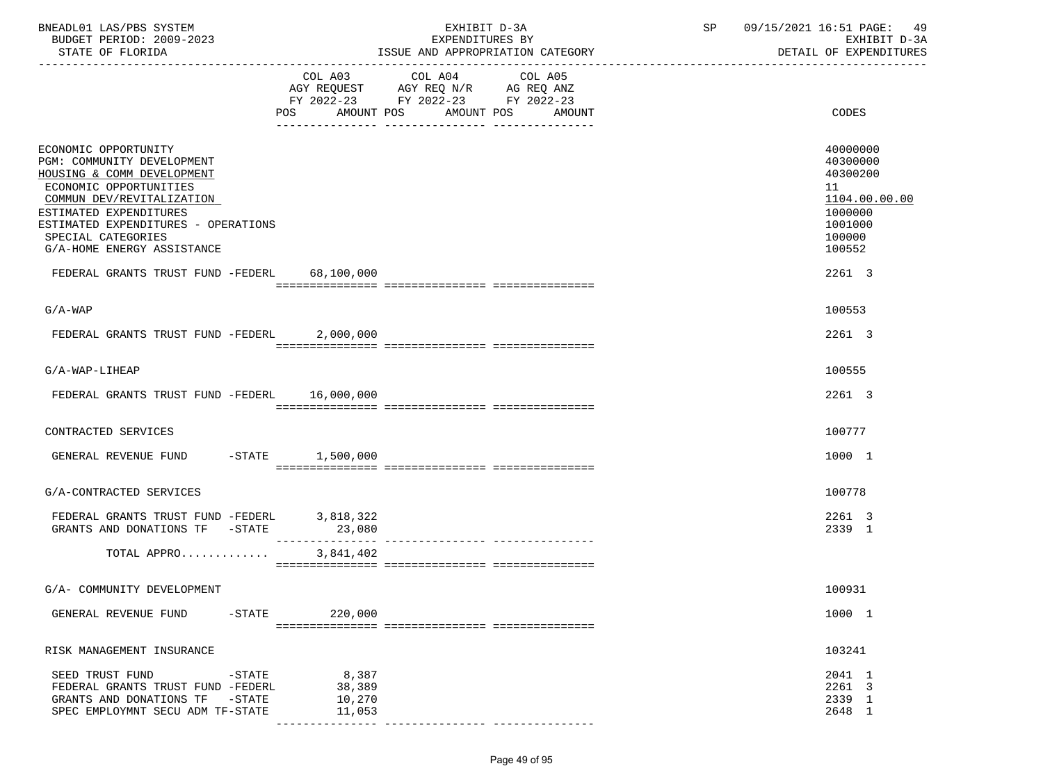| BNEADL01 LAS/PBS SYSTEM<br>BUDGET PERIOD: 2009-2023<br>STATE OF FLORIDA                                                                                                                                                                                      |                                                        | EXHIBIT D-3A<br>EXPENDITURES BY<br>ISSUE AND APPROPRIATION CATEGORY                                                       | SP 09/15/2021 16:51 PAGE: 49<br>EXHIBIT D-3A<br>DETAIL OF EXPENDITURES                            |
|--------------------------------------------------------------------------------------------------------------------------------------------------------------------------------------------------------------------------------------------------------------|--------------------------------------------------------|---------------------------------------------------------------------------------------------------------------------------|---------------------------------------------------------------------------------------------------|
|                                                                                                                                                                                                                                                              | AMOUNT POS<br>POS                                      | COL A03 COL A04 COL A05<br>AGY REQUEST AGY REQ N/R AG REQ ANZ<br>FY 2022-23 FY 2022-23 FY 2022-23<br>AMOUNT POS<br>AMOUNT | CODES                                                                                             |
| ECONOMIC OPPORTUNITY<br>PGM: COMMUNITY DEVELOPMENT<br>HOUSING & COMM DEVELOPMENT<br>ECONOMIC OPPORTUNITIES<br>COMMUN DEV/REVITALIZATION<br>ESTIMATED EXPENDITURES<br>ESTIMATED EXPENDITURES - OPERATIONS<br>SPECIAL CATEGORIES<br>G/A-HOME ENERGY ASSISTANCE |                                                        |                                                                                                                           | 40000000<br>40300000<br>40300200<br>11<br>1104.00.00.00<br>1000000<br>1001000<br>100000<br>100552 |
| FEDERAL GRANTS TRUST FUND -FEDERL 68,100,000                                                                                                                                                                                                                 |                                                        |                                                                                                                           | 2261 3                                                                                            |
| $G/A-WAP$                                                                                                                                                                                                                                                    |                                                        |                                                                                                                           | 100553                                                                                            |
| FEDERAL GRANTS TRUST FUND -FEDERL                                                                                                                                                                                                                            | 2,000,000                                              |                                                                                                                           | 2261 3                                                                                            |
| G/A-WAP-LIHEAP                                                                                                                                                                                                                                               |                                                        |                                                                                                                           | 100555                                                                                            |
| FEDERAL GRANTS TRUST FUND -FEDERL 16,000,000                                                                                                                                                                                                                 |                                                        |                                                                                                                           | 2261 3                                                                                            |
| CONTRACTED SERVICES                                                                                                                                                                                                                                          |                                                        |                                                                                                                           | 100777                                                                                            |
| GENERAL REVENUE FUND -STATE 1,500,000                                                                                                                                                                                                                        |                                                        |                                                                                                                           | 1000 1                                                                                            |
| G/A-CONTRACTED SERVICES                                                                                                                                                                                                                                      |                                                        |                                                                                                                           | 100778                                                                                            |
| FEDERAL GRANTS TRUST FUND -FEDERL $3,818,322$<br>GRANTS AND DONATIONS TF -STATE                                                                                                                                                                              | 23,080<br>_______________                              |                                                                                                                           | 2261 3<br>2339 1                                                                                  |
| TOTAL APPRO                                                                                                                                                                                                                                                  | 3,841,402                                              |                                                                                                                           |                                                                                                   |
| G/A- COMMUNITY DEVELOPMENT                                                                                                                                                                                                                                   |                                                        |                                                                                                                           | 100931                                                                                            |
| GENERAL REVENUE FUND<br>$-$ STATE                                                                                                                                                                                                                            | 220,000                                                |                                                                                                                           | 1000 1                                                                                            |
|                                                                                                                                                                                                                                                              |                                                        |                                                                                                                           |                                                                                                   |
| RISK MANAGEMENT INSURANCE                                                                                                                                                                                                                                    |                                                        |                                                                                                                           | 103241                                                                                            |
| SEED TRUST FUND<br>-STATE<br>FEDERAL GRANTS TRUST FUND -FEDERL<br>GRANTS AND DONATIONS TF<br>$-$ STATE<br>SPEC EMPLOYMNT SECU ADM TF-STATE                                                                                                                   | 8,387<br>38,389<br>10,270<br>11,053<br>--------------- |                                                                                                                           | 2041 1<br>2261 3<br>2339 1<br>2648 1                                                              |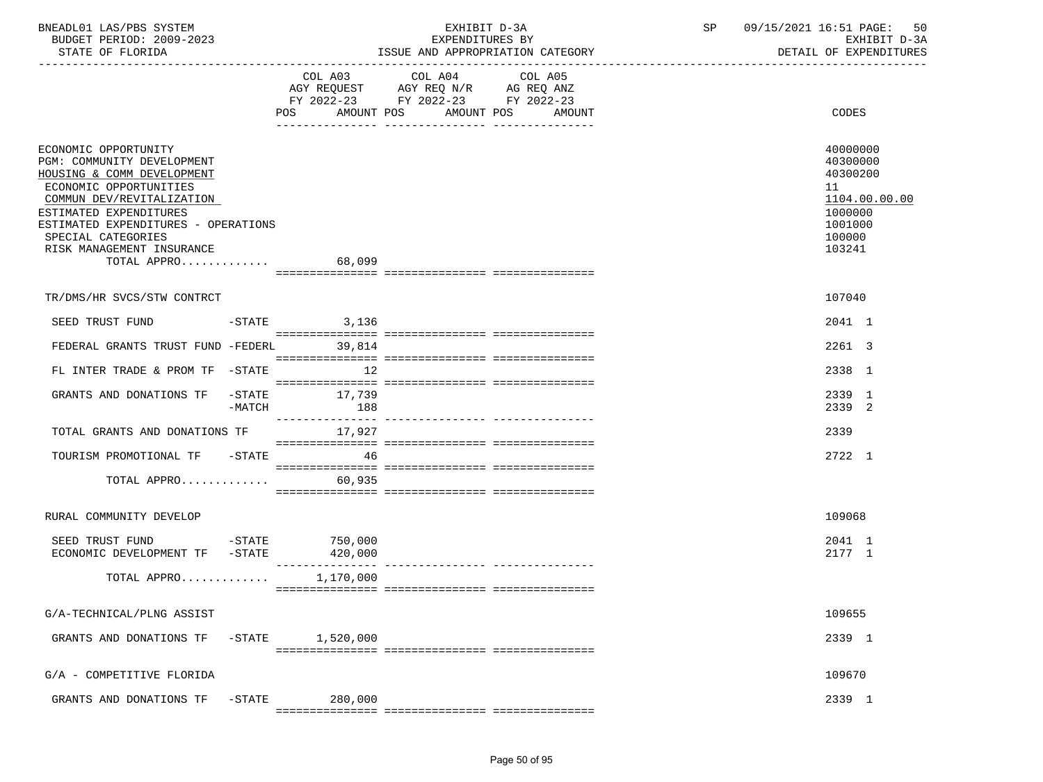| BNEADL01 LAS/PBS SYSTEM |                  |                          | EXHIBIT D-3A                     |  |  |  |  |  |
|-------------------------|------------------|--------------------------|----------------------------------|--|--|--|--|--|
|                         |                  | BUDGET PERIOD: 2009-2023 | EXPENDITURES BY                  |  |  |  |  |  |
|                         | STATE OF FLORIDA |                          | ISSUE AND APPROPRIATION CATEGORY |  |  |  |  |  |

|                                                                                                                                                                                                                                                                            | COL A03                 | COL A04<br>COL A05<br>AGY REQUEST AGY REQ N/R AG REQ ANZ<br>FY 2022-23 FY 2022-23 FY 2022-23<br>POS AMOUNT POS AMOUNT POS AMOUNT | CODES                                                                                             |
|----------------------------------------------------------------------------------------------------------------------------------------------------------------------------------------------------------------------------------------------------------------------------|-------------------------|----------------------------------------------------------------------------------------------------------------------------------|---------------------------------------------------------------------------------------------------|
| ECONOMIC OPPORTUNITY<br>PGM: COMMUNITY DEVELOPMENT<br>HOUSING & COMM DEVELOPMENT<br>ECONOMIC OPPORTUNITIES<br>COMMUN DEV/REVITALIZATION<br>ESTIMATED EXPENDITURES<br>ESTIMATED EXPENDITURES - OPERATIONS<br>SPECIAL CATEGORIES<br>RISK MANAGEMENT INSURANCE<br>TOTAL APPRO | 68,099                  |                                                                                                                                  | 40000000<br>40300000<br>40300200<br>11<br>1104.00.00.00<br>1000000<br>1001000<br>100000<br>103241 |
|                                                                                                                                                                                                                                                                            |                         |                                                                                                                                  |                                                                                                   |
| TR/DMS/HR SVCS/STW CONTRCT                                                                                                                                                                                                                                                 |                         |                                                                                                                                  | 107040                                                                                            |
| SEED TRUST FUND                                                                                                                                                                                                                                                            | $-$ STATE 3, 136        |                                                                                                                                  | 2041 1                                                                                            |
| FEDERAL GRANTS TRUST FUND -FEDERL 39,814                                                                                                                                                                                                                                   |                         |                                                                                                                                  | 2261 3                                                                                            |
| FL INTER TRADE & PROM TF -STATE                                                                                                                                                                                                                                            | $\sim$ 12               |                                                                                                                                  | 2338 1                                                                                            |
| GRANTS AND DONATIONS TF -STATE                                                                                                                                                                                                                                             | 17,739<br>-MATCH<br>188 |                                                                                                                                  | 2339 1<br>2339 2                                                                                  |
| TOTAL GRANTS AND DONATIONS TF                                                                                                                                                                                                                                              | 17,927                  |                                                                                                                                  | 2339                                                                                              |
| TOURISM PROMOTIONAL TF -STATE                                                                                                                                                                                                                                              | 46                      |                                                                                                                                  | 2722 1                                                                                            |
| TOTAL APPRO                                                                                                                                                                                                                                                                | 60,935                  |                                                                                                                                  |                                                                                                   |
| RURAL COMMUNITY DEVELOP                                                                                                                                                                                                                                                    |                         |                                                                                                                                  | 109068                                                                                            |
| SEED TRUST FUND<br>$-STATE$<br>ECONOMIC DEVELOPMENT TF -STATE 420,000                                                                                                                                                                                                      | 750,000                 |                                                                                                                                  | 2041 1<br>2177 1                                                                                  |
| TOTAL APPRO $1,170,000$                                                                                                                                                                                                                                                    |                         |                                                                                                                                  |                                                                                                   |
| G/A-TECHNICAL/PLNG ASSIST                                                                                                                                                                                                                                                  |                         |                                                                                                                                  | 109655                                                                                            |
| GRANTS AND DONATIONS TF -STATE 1,520,000                                                                                                                                                                                                                                   |                         |                                                                                                                                  | 2339 1                                                                                            |
| G/A - COMPETITIVE FLORIDA                                                                                                                                                                                                                                                  |                         |                                                                                                                                  | 109670                                                                                            |
| GRANTS AND DONATIONS TF -STATE                                                                                                                                                                                                                                             | 280,000                 |                                                                                                                                  | 2339 1                                                                                            |

=============== =============== ===============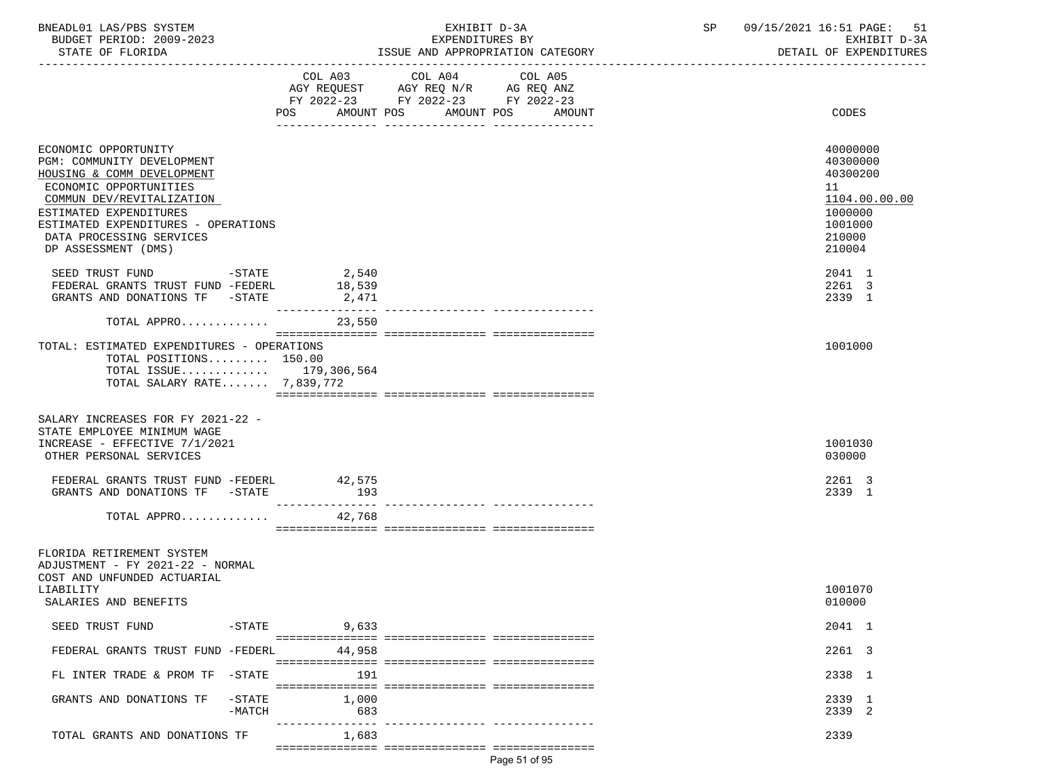| BNEADL01 LAS/PBS SYSTEM  | EXHIBIT D-3A                     | 09/15/2021 16:51 PAGE: 51 |
|--------------------------|----------------------------------|---------------------------|
| BUDGET PERIOD: 2009-2023 | EXPENDITURES BY                  | EXHIBIT D-3A              |
| STATE OF FLORIDA         | ISSUE AND APPROPRIATION CATEGORY | DETAIL OF EXPENDITURES    |

|                                                                                                                                                                                                                                                             | FY 2022-23 FY 2022-23 FY 2022-23 |              |                      |                                                                                                   |
|-------------------------------------------------------------------------------------------------------------------------------------------------------------------------------------------------------------------------------------------------------------|----------------------------------|--------------|----------------------|---------------------------------------------------------------------------------------------------|
|                                                                                                                                                                                                                                                             | POS AMOUNT POS                   | ------------ | AMOUNT POS<br>AMOUNT | CODES                                                                                             |
| ECONOMIC OPPORTUNITY<br>PGM: COMMUNITY DEVELOPMENT<br>HOUSING & COMM DEVELOPMENT<br>ECONOMIC OPPORTUNITIES<br>COMMUN DEV/REVITALIZATION<br>ESTIMATED EXPENDITURES<br>ESTIMATED EXPENDITURES - OPERATIONS<br>DATA PROCESSING SERVICES<br>DP ASSESSMENT (DMS) |                                  |              |                      | 40000000<br>40300000<br>40300200<br>11<br>1104.00.00.00<br>1000000<br>1001000<br>210000<br>210004 |
| SEED TRUST FUND<br>$-STATE$<br>FEDERAL GRANTS TRUST FUND -FEDERL<br>GRANTS AND DONATIONS TF -STATE                                                                                                                                                          | 2,540<br>18,539<br>2,471         |              |                      | 2041 1<br>2261 3<br>2339 1                                                                        |
| TOTAL APPRO                                                                                                                                                                                                                                                 | 23,550                           |              |                      |                                                                                                   |
| TOTAL: ESTIMATED EXPENDITURES - OPERATIONS<br>TOTAL POSITIONS 150.00<br>TOTAL ISSUE 179,306,564<br>TOTAL SALARY RATE 7,839,772                                                                                                                              |                                  |              |                      | 1001000                                                                                           |
| SALARY INCREASES FOR FY 2021-22 -<br>STATE EMPLOYEE MINIMUM WAGE<br>INCREASE - EFFECTIVE 7/1/2021<br>OTHER PERSONAL SERVICES                                                                                                                                |                                  |              |                      | 1001030<br>030000                                                                                 |
| FEDERAL GRANTS TRUST FUND -FEDERL<br>$-\mathtt{STATE}$<br>GRANTS AND DONATIONS TF                                                                                                                                                                           | 42,575<br>193                    |              |                      | 2261 3<br>2339 1                                                                                  |
| TOTAL APPRO                                                                                                                                                                                                                                                 | 42,768                           |              |                      |                                                                                                   |
| FLORIDA RETIREMENT SYSTEM<br>ADJUSTMENT - FY 2021-22 - NORMAL<br>COST AND UNFUNDED ACTUARIAL<br>LIABILITY<br>SALARIES AND BENEFITS                                                                                                                          |                                  |              |                      | 1001070<br>010000                                                                                 |
| SEED TRUST FUND                                                                                                                                                                                                                                             | $-STATE$<br>9,633                |              |                      | 2041 1                                                                                            |
| FEDERAL GRANTS TRUST FUND -FEDERL                                                                                                                                                                                                                           | 44,958                           |              |                      | 2261 3                                                                                            |
| FL INTER TRADE & PROM TF -STATE                                                                                                                                                                                                                             | 191                              |              |                      | 2338 1                                                                                            |
| $-$ STATE<br>GRANTS AND DONATIONS TF<br>$-MATCH$                                                                                                                                                                                                            | 1,000<br>683                     |              |                      | 2339 1<br>2339 2                                                                                  |
| TOTAL GRANTS AND DONATIONS TF                                                                                                                                                                                                                               | ---------------<br>1,683         |              |                      | 2339                                                                                              |
|                                                                                                                                                                                                                                                             |                                  |              | Page 51 of 95        |                                                                                                   |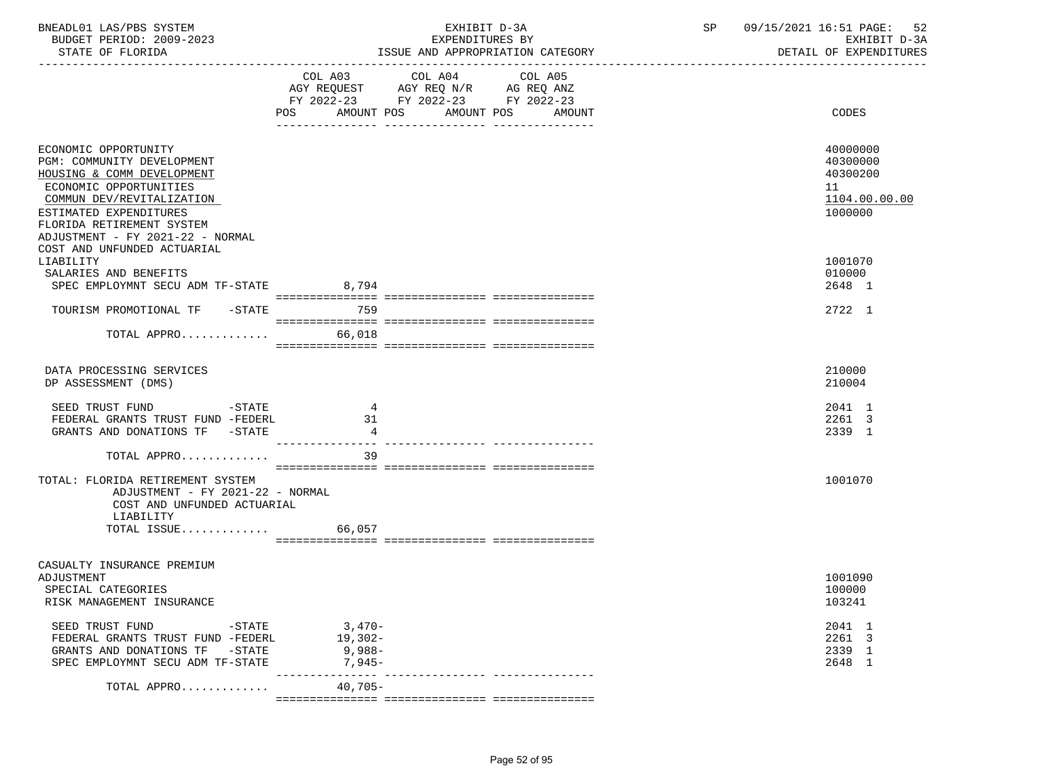| BNEADL01 LAS/PBS SYSTEM<br>BUDGET PERIOD: 2009-2023<br>STATE OF FLORIDA                                                                                                                                                            |                                             | EXHIBIT D-3A<br>EXPENDITURES BY<br>ISSUE AND APPROPRIATION CATEGORY | SP 09/15/2021 16:51 PAGE:<br>52<br>EXHIBIT D-3A<br>DETAIL OF EXPENDITURES |
|------------------------------------------------------------------------------------------------------------------------------------------------------------------------------------------------------------------------------------|---------------------------------------------|---------------------------------------------------------------------|---------------------------------------------------------------------------|
|                                                                                                                                                                                                                                    | <b>POS</b>                                  | FY 2022-23 FY 2022-23 FY 2022-23<br>AMOUNT POS AMOUNT POS AMOUNT    | CODES                                                                     |
| ECONOMIC OPPORTUNITY<br>PGM: COMMUNITY DEVELOPMENT<br>HOUSING & COMM DEVELOPMENT<br>ECONOMIC OPPORTUNITIES<br>COMMUN DEV/REVITALIZATION<br>ESTIMATED EXPENDITURES<br>FLORIDA RETIREMENT SYSTEM<br>ADJUSTMENT - FY 2021-22 - NORMAL |                                             |                                                                     | 40000000<br>40300000<br>40300200<br>11<br>1104.00.00.00<br>1000000        |
| COST AND UNFUNDED ACTUARIAL<br>LIABILITY<br>SALARIES AND BENEFITS<br>SPEC EMPLOYMNT SECU ADM TF-STATE 8,794                                                                                                                        |                                             |                                                                     | 1001070<br>010000<br>2648 1                                               |
| TOURISM PROMOTIONAL TF -STATE 759<br>TOTAL APPRO                                                                                                                                                                                   | 66,018                                      |                                                                     | 2722 1                                                                    |
| DATA PROCESSING SERVICES<br>DP ASSESSMENT (DMS)                                                                                                                                                                                    |                                             |                                                                     | 210000<br>210004                                                          |
| SEED TRUST FUND<br>$-$ STATE<br>FEDERAL GRANTS TRUST FUND -FEDERL<br>GRANTS AND DONATIONS TF -STATE                                                                                                                                | $\overline{4}$<br>31<br>$\overline{4}$      |                                                                     | 2041 1<br>2261 3<br>2339 1                                                |
| TOTAL APPRO                                                                                                                                                                                                                        | 39                                          |                                                                     |                                                                           |
| TOTAL: FLORIDA RETIREMENT SYSTEM<br>ADJUSTMENT - FY 2021-22 - NORMAL<br>COST AND UNFUNDED ACTUARIAL<br>LIABILITY                                                                                                                   |                                             |                                                                     | 1001070                                                                   |
| TOTAL ISSUE                                                                                                                                                                                                                        | 66,057                                      |                                                                     |                                                                           |
| CASUALTY INSURANCE PREMIUM<br>ADJUSTMENT<br>SPECIAL CATEGORIES<br>RISK MANAGEMENT INSURANCE                                                                                                                                        |                                             |                                                                     | 1001090<br>100000<br>103241                                               |
| SEED TRUST FUND<br>$-STATE$<br>FEDERAL GRANTS TRUST FUND -FEDERL<br>GRANTS AND DONATIONS TF -STATE<br>SPEC EMPLOYMNT SECU ADM TF-STATE                                                                                             | $3,470-$<br>$19,302-$<br>9,988-<br>$7.945-$ |                                                                     | 2041 1<br>2261 3<br>2339 1<br>2648 1                                      |
| TOTAL APPRO                                                                                                                                                                                                                        | ________________<br>$40,705-$               | ------------- ----------------                                      |                                                                           |
|                                                                                                                                                                                                                                    |                                             |                                                                     |                                                                           |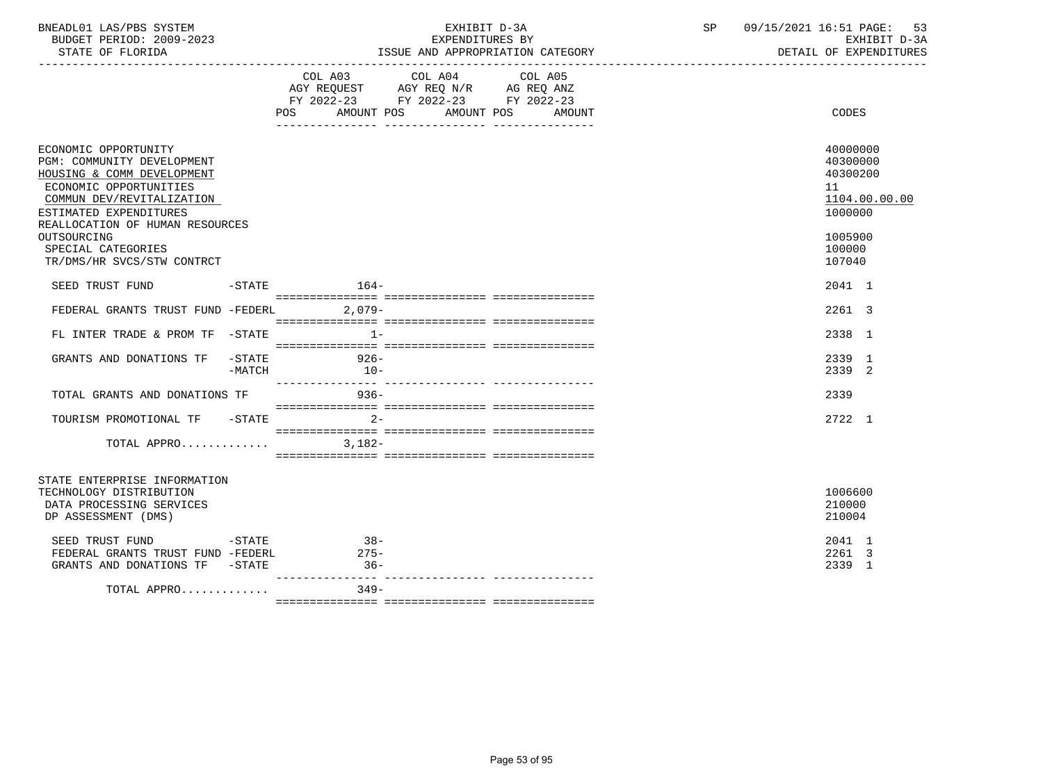|                                                                                                                                                                                                      |        | POS AMOUNT POS AMOUNT POS | COL A03 COL A04 COL A05<br>AGY REQUEST AGY REQ N/R AG REQ ANZ<br>FY 2022-23 FY 2022-23 FY 2022-23 | AMOUNT | CODES                                                              |
|------------------------------------------------------------------------------------------------------------------------------------------------------------------------------------------------------|--------|---------------------------|---------------------------------------------------------------------------------------------------|--------|--------------------------------------------------------------------|
| ECONOMIC OPPORTUNITY<br>PGM: COMMUNITY DEVELOPMENT<br>HOUSING & COMM DEVELOPMENT<br>ECONOMIC OPPORTUNITIES<br>COMMUN DEV/REVITALIZATION<br>ESTIMATED EXPENDITURES<br>REALLOCATION OF HUMAN RESOURCES |        |                           |                                                                                                   |        | 40000000<br>40300000<br>40300200<br>11<br>1104.00.00.00<br>1000000 |
| OUTSOURCING                                                                                                                                                                                          |        |                           |                                                                                                   |        | 1005900                                                            |
|                                                                                                                                                                                                      |        |                           |                                                                                                   |        | 100000                                                             |
| SPECIAL CATEGORIES                                                                                                                                                                                   |        |                           |                                                                                                   |        |                                                                    |
| TR/DMS/HR SVCS/STW CONTRCT                                                                                                                                                                           |        |                           |                                                                                                   |        | 107040                                                             |
| SEED TRUST FUND -STATE 164-                                                                                                                                                                          |        |                           |                                                                                                   |        | 2041 1                                                             |
| FEDERAL GRANTS TRUST FUND -FEDERL 2,079-                                                                                                                                                             |        |                           |                                                                                                   |        | 2261 3                                                             |
|                                                                                                                                                                                                      |        |                           |                                                                                                   |        |                                                                    |
|                                                                                                                                                                                                      |        |                           |                                                                                                   |        |                                                                    |
| FL INTER TRADE & PROM TF -STATE                                                                                                                                                                      |        | $1 -$                     |                                                                                                   |        | 2338 1                                                             |
|                                                                                                                                                                                                      |        |                           |                                                                                                   |        |                                                                    |
| GRANTS AND DONATIONS TF -STATE                                                                                                                                                                       |        | $926 -$                   |                                                                                                   |        | 2339 1                                                             |
|                                                                                                                                                                                                      | -MATCH | $10-$                     |                                                                                                   |        | 2339 2                                                             |
|                                                                                                                                                                                                      |        |                           | -------- --------------- -----------                                                              |        |                                                                    |
| TOTAL GRANTS AND DONATIONS TF                                                                                                                                                                        |        | $936-$                    |                                                                                                   |        | 2339                                                               |
|                                                                                                                                                                                                      |        |                           |                                                                                                   |        |                                                                    |
| TOURISM PROMOTIONAL TF -STATE                                                                                                                                                                        |        | $2 -$                     |                                                                                                   |        | 2722 1                                                             |
|                                                                                                                                                                                                      |        |                           |                                                                                                   |        |                                                                    |
|                                                                                                                                                                                                      |        |                           |                                                                                                   |        |                                                                    |
| TOTAL APPRO                                                                                                                                                                                          |        | $3,182-$                  |                                                                                                   |        |                                                                    |
|                                                                                                                                                                                                      |        |                           |                                                                                                   |        |                                                                    |
| STATE ENTERPRISE INFORMATION                                                                                                                                                                         |        |                           |                                                                                                   |        |                                                                    |
| TECHNOLOGY DISTRIBUTION                                                                                                                                                                              |        |                           |                                                                                                   |        | 1006600                                                            |
| DATA PROCESSING SERVICES                                                                                                                                                                             |        |                           |                                                                                                   |        | 210000                                                             |
| DP ASSESSMENT (DMS)                                                                                                                                                                                  |        |                           |                                                                                                   |        | 210004                                                             |
|                                                                                                                                                                                                      |        |                           |                                                                                                   |        |                                                                    |
| SEED TRUST FUND -STATE                                                                                                                                                                               |        | $38 -$                    |                                                                                                   |        | 2041 1                                                             |
| FEDERAL GRANTS TRUST FUND -FEDERL                                                                                                                                                                    |        | $275 -$                   |                                                                                                   |        | 2261 3                                                             |
| GRANTS AND DONATIONS TF -STATE                                                                                                                                                                       |        | $36 -$                    |                                                                                                   |        | 2339 1                                                             |
|                                                                                                                                                                                                      |        | _________________         |                                                                                                   |        |                                                                    |
| TOTAL APPRO                                                                                                                                                                                          |        | $349 -$                   |                                                                                                   |        |                                                                    |
|                                                                                                                                                                                                      |        |                           |                                                                                                   |        |                                                                    |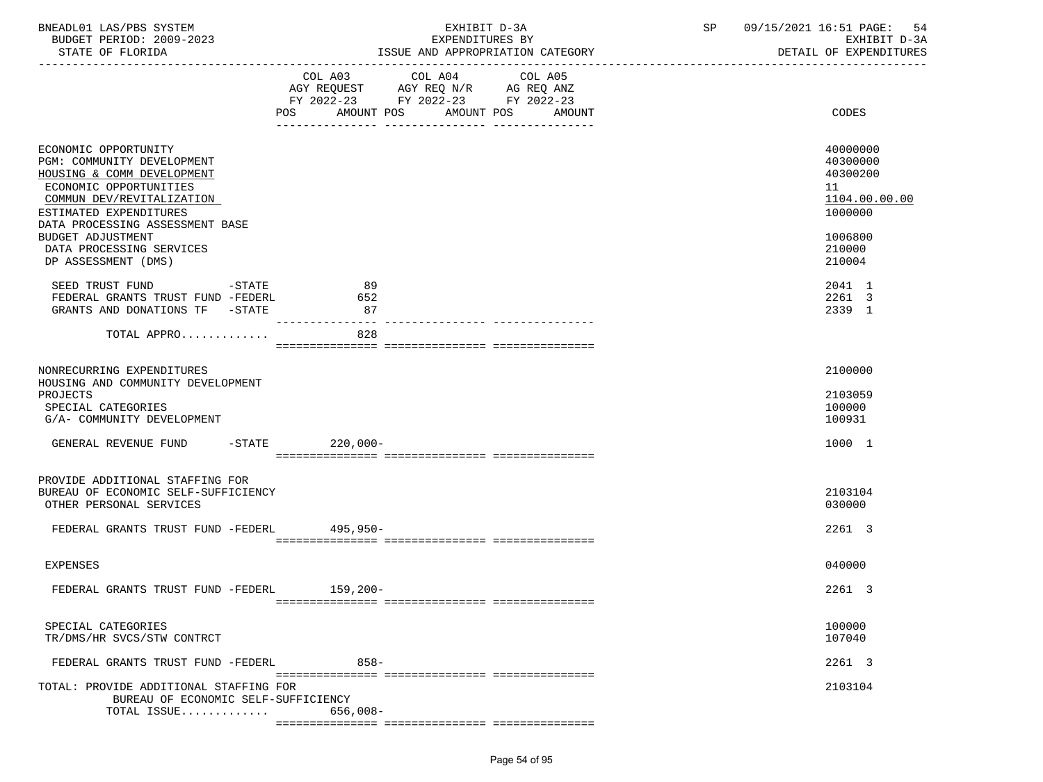| BNEADL01 LAS/PBS SYSTEM |                  |                          |  |
|-------------------------|------------------|--------------------------|--|
|                         |                  | BUDGET PERIOD: 2009-2023 |  |
|                         | STATE OF FLORIDA |                          |  |
|                         |                  |                          |  |
|                         |                  | $ -$                     |  |

|                                                                                                                                                                                                                                                       | COL A04<br>COL A03<br>COL A05<br>AGY REQUEST AGY REQ N/R AG REQ ANZ<br>FY 2022-23 FY 2022-23 FY 2022-23<br>AMOUNT POS<br>POS<br>AMOUNT POS<br>AMOUNT | CODES                                                                                   |
|-------------------------------------------------------------------------------------------------------------------------------------------------------------------------------------------------------------------------------------------------------|------------------------------------------------------------------------------------------------------------------------------------------------------|-----------------------------------------------------------------------------------------|
| ECONOMIC OPPORTUNITY<br>PGM: COMMUNITY DEVELOPMENT<br>HOUSING & COMM DEVELOPMENT<br>ECONOMIC OPPORTUNITIES<br>COMMUN DEV/REVITALIZATION<br>ESTIMATED EXPENDITURES<br>DATA PROCESSING ASSESSMENT BASE<br>BUDGET ADJUSTMENT<br>DATA PROCESSING SERVICES |                                                                                                                                                      | 40000000<br>40300000<br>40300200<br>11<br>1104.00.00.00<br>1000000<br>1006800<br>210000 |
| DP ASSESSMENT (DMS)                                                                                                                                                                                                                                   |                                                                                                                                                      | 210004                                                                                  |
| SEED TRUST FUND<br>-STATE<br>FEDERAL GRANTS TRUST FUND -FEDERL<br>GRANTS AND DONATIONS TF -STATE                                                                                                                                                      | 89<br>652<br>87<br>---------------                                                                                                                   | 2041 1<br>2261 3<br>2339 1                                                              |
| TOTAL APPRO                                                                                                                                                                                                                                           | 828                                                                                                                                                  |                                                                                         |
|                                                                                                                                                                                                                                                       |                                                                                                                                                      |                                                                                         |
| NONRECURRING EXPENDITURES<br>HOUSING AND COMMUNITY DEVELOPMENT<br>PROJECTS<br>SPECIAL CATEGORIES<br>G/A- COMMUNITY DEVELOPMENT                                                                                                                        |                                                                                                                                                      | 2100000<br>2103059<br>100000<br>100931                                                  |
| $-STATE$<br>GENERAL REVENUE FUND                                                                                                                                                                                                                      | 220,000-                                                                                                                                             | 1000 1                                                                                  |
|                                                                                                                                                                                                                                                       |                                                                                                                                                      |                                                                                         |
| PROVIDE ADDITIONAL STAFFING FOR<br>BUREAU OF ECONOMIC SELF-SUFFICIENCY<br>OTHER PERSONAL SERVICES                                                                                                                                                     |                                                                                                                                                      | 2103104<br>030000                                                                       |
| FEDERAL GRANTS TRUST FUND -FEDERL 495,950-                                                                                                                                                                                                            |                                                                                                                                                      | 2261 3                                                                                  |
|                                                                                                                                                                                                                                                       |                                                                                                                                                      |                                                                                         |
| <b>EXPENSES</b>                                                                                                                                                                                                                                       |                                                                                                                                                      | 040000                                                                                  |
| FEDERAL GRANTS TRUST FUND -FEDERL 159,200-                                                                                                                                                                                                            |                                                                                                                                                      | 2261 3                                                                                  |
|                                                                                                                                                                                                                                                       |                                                                                                                                                      |                                                                                         |
| SPECIAL CATEGORIES                                                                                                                                                                                                                                    |                                                                                                                                                      | 100000                                                                                  |
| TR/DMS/HR SVCS/STW CONTRCT                                                                                                                                                                                                                            |                                                                                                                                                      | 107040                                                                                  |
| FEDERAL GRANTS TRUST FUND -FEDERL                                                                                                                                                                                                                     | $858 -$                                                                                                                                              | 2261 3                                                                                  |
| TOTAL: PROVIDE ADDITIONAL STAFFING FOR<br>BUREAU OF ECONOMIC SELF-SUFFICIENCY                                                                                                                                                                         |                                                                                                                                                      | 2103104                                                                                 |
| TOTAL ISSUE                                                                                                                                                                                                                                           | $656,008-$                                                                                                                                           |                                                                                         |

ISSUE AND APPROPRIATION CATEGORY

=============== =============== ===============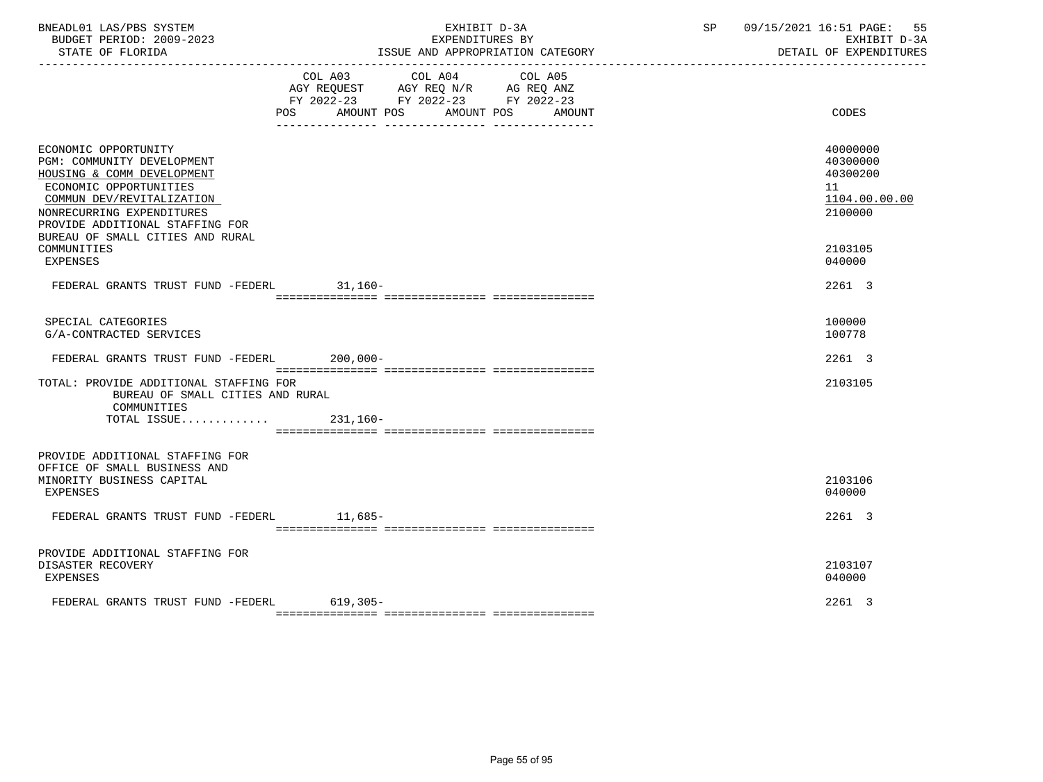| BNEADL01 LAS/PBS SYSTEM<br>BUDGET PERIOD: 2009-2023<br>STATE OF FLORIDA                                                                                                                                                                                    |                                                                                                     | EXPENDITURES BY<br>____________________________________ | EXHIBIT D-3A<br>ISSUE AND APPROPRIATION CATEGORY | ----------------------------------- | SP 09/15/2021 16:51 PAGE: 55<br>EXHIBIT D-3A<br>DETAIL OF EXPENDITURES        |
|------------------------------------------------------------------------------------------------------------------------------------------------------------------------------------------------------------------------------------------------------------|-----------------------------------------------------------------------------------------------------|---------------------------------------------------------|--------------------------------------------------|-------------------------------------|-------------------------------------------------------------------------------|
|                                                                                                                                                                                                                                                            | AGY REQUEST AGY REQ N/R AG REQ ANZ<br>FY 2022-23 FY 2022-23 FY 2022-23<br>POS AMOUNT POS AMOUNT POS | COL A03 COL A04                                         | COL A05<br>AMOUNT                                |                                     | CODES                                                                         |
| ECONOMIC OPPORTUNITY<br>PGM: COMMUNITY DEVELOPMENT<br>HOUSING & COMM DEVELOPMENT<br>ECONOMIC OPPORTUNITIES<br>COMMUN DEV/REVITALIZATION<br>NONRECURRING EXPENDITURES<br>PROVIDE ADDITIONAL STAFFING FOR<br>BUREAU OF SMALL CITIES AND RURAL<br>COMMUNITIES |                                                                                                     |                                                         |                                                  |                                     | 40000000<br>40300000<br>40300200<br>11<br>1104.00.00.00<br>2100000<br>2103105 |
| <b>EXPENSES</b>                                                                                                                                                                                                                                            |                                                                                                     |                                                         |                                                  |                                     | 040000<br>2261 3                                                              |
| FEDERAL GRANTS TRUST FUND -FEDERL 31,160-                                                                                                                                                                                                                  |                                                                                                     |                                                         |                                                  |                                     |                                                                               |
| SPECIAL CATEGORIES<br>G/A-CONTRACTED SERVICES                                                                                                                                                                                                              |                                                                                                     |                                                         |                                                  |                                     | 100000<br>100778                                                              |
| FEDERAL GRANTS TRUST FUND -FEDERL 200,000-                                                                                                                                                                                                                 |                                                                                                     |                                                         |                                                  |                                     | 2261 3                                                                        |
| TOTAL: PROVIDE ADDITIONAL STAFFING FOR<br>BUREAU OF SMALL CITIES AND RURAL<br>COMMUNITIES<br>TOTAL ISSUE $231,160-$                                                                                                                                        |                                                                                                     |                                                         |                                                  |                                     | 2103105                                                                       |
| PROVIDE ADDITIONAL STAFFING FOR<br>OFFICE OF SMALL BUSINESS AND<br>MINORITY BUSINESS CAPITAL<br>EXPENSES                                                                                                                                                   |                                                                                                     |                                                         |                                                  |                                     | 2103106<br>040000                                                             |
| FEDERAL GRANTS TRUST FUND -FEDERL 11,685-                                                                                                                                                                                                                  |                                                                                                     |                                                         |                                                  |                                     | 2261 3                                                                        |
| PROVIDE ADDITIONAL STAFFING FOR<br>DISASTER RECOVERY<br>EXPENSES                                                                                                                                                                                           |                                                                                                     |                                                         |                                                  |                                     | 2103107<br>040000                                                             |
| FEDERAL GRANTS TRUST FUND -FEDERL                                                                                                                                                                                                                          | $619,305-$                                                                                          |                                                         |                                                  |                                     | 2261 3                                                                        |
|                                                                                                                                                                                                                                                            |                                                                                                     |                                                         |                                                  |                                     |                                                                               |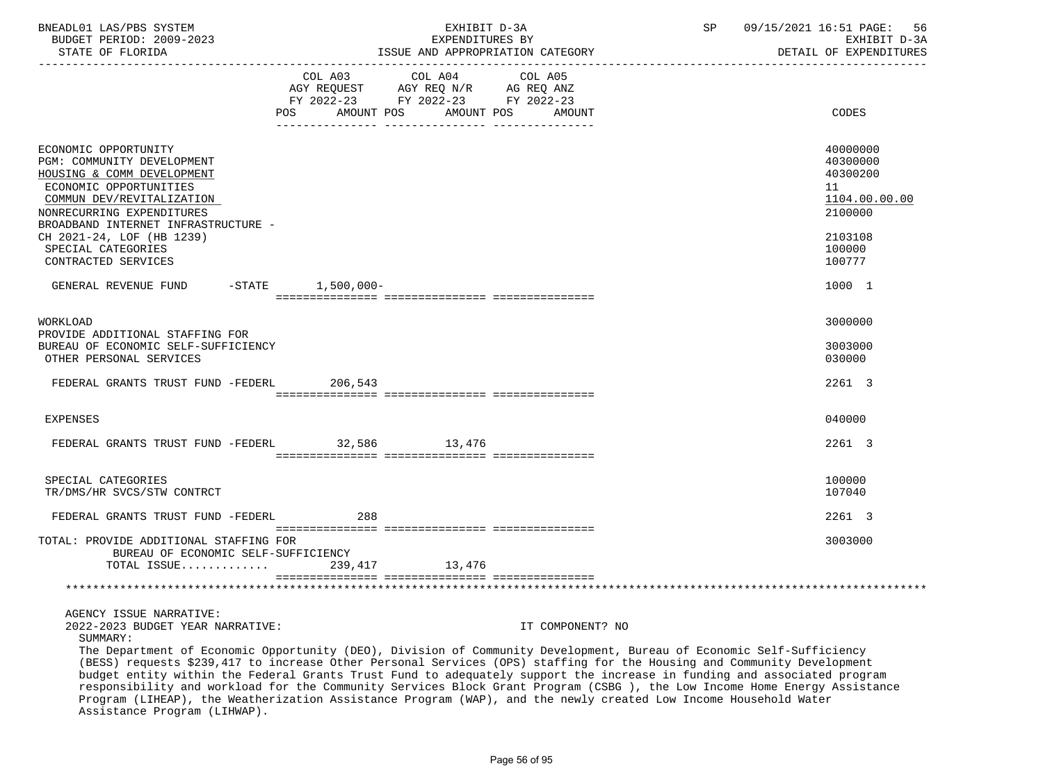| BNEADL01 LAS/PBS SYSTEM<br>BUDGET PERIOD: 2009-2023<br>STATE OF FLORIDA                                                                                                                                                                                                               |                     | EXHIBIT D-3A<br>EXPENDITURES BY<br>ISSUE AND APPROPRIATION CATEGORY                                                                                                                                                                                                                                                                                                                                   | 09/15/2021 16:51 PAGE:<br>SP<br>-56<br>EXHIBIT D-3A<br>DETAIL OF EXPENDITURES<br>--------------------------------- |
|---------------------------------------------------------------------------------------------------------------------------------------------------------------------------------------------------------------------------------------------------------------------------------------|---------------------|-------------------------------------------------------------------------------------------------------------------------------------------------------------------------------------------------------------------------------------------------------------------------------------------------------------------------------------------------------------------------------------------------------|--------------------------------------------------------------------------------------------------------------------|
|                                                                                                                                                                                                                                                                                       | <b>POS</b>          | COL A03 COL A04 COL A05<br>AGY REQUEST AGY REQ N/R AG REQ ANZ<br>FY 2022-23 FY 2022-23 FY 2022-23<br>AMOUNT POS AMOUNT POS AMOUNT                                                                                                                                                                                                                                                                     | CODES                                                                                                              |
| ECONOMIC OPPORTUNITY<br>PGM: COMMUNITY DEVELOPMENT<br>HOUSING & COMM DEVELOPMENT<br>ECONOMIC OPPORTUNITIES<br>COMMUN DEV/REVITALIZATION<br>NONRECURRING EXPENDITURES<br>BROADBAND INTERNET INFRASTRUCTURE -<br>CH 2021-24, LOF (HB 1239)<br>SPECIAL CATEGORIES<br>CONTRACTED SERVICES |                     |                                                                                                                                                                                                                                                                                                                                                                                                       | 40000000<br>40300000<br>40300200<br>11<br>1104.00.00.00<br>2100000<br>2103108<br>100000<br>100777                  |
| GENERAL REVENUE FUND                                                                                                                                                                                                                                                                  | $-STATE$ 1,500,000- |                                                                                                                                                                                                                                                                                                                                                                                                       | 1000 1                                                                                                             |
| WORKLOAD<br>PROVIDE ADDITIONAL STAFFING FOR<br>BUREAU OF ECONOMIC SELF-SUFFICIENCY<br>OTHER PERSONAL SERVICES                                                                                                                                                                         |                     |                                                                                                                                                                                                                                                                                                                                                                                                       | 3000000<br>3003000<br>030000                                                                                       |
| FEDERAL GRANTS TRUST FUND -FEDERL                                                                                                                                                                                                                                                     | 206,543             |                                                                                                                                                                                                                                                                                                                                                                                                       | 2261 3                                                                                                             |
| <b>EXPENSES</b>                                                                                                                                                                                                                                                                       |                     |                                                                                                                                                                                                                                                                                                                                                                                                       | 040000                                                                                                             |
| FEDERAL GRANTS TRUST FUND -FEDERL 32,586 13,476                                                                                                                                                                                                                                       |                     |                                                                                                                                                                                                                                                                                                                                                                                                       | 2261 3                                                                                                             |
| SPECIAL CATEGORIES<br>TR/DMS/HR SVCS/STW CONTRCT                                                                                                                                                                                                                                      |                     |                                                                                                                                                                                                                                                                                                                                                                                                       | 100000<br>107040                                                                                                   |
| FEDERAL GRANTS TRUST FUND -FEDERL                                                                                                                                                                                                                                                     | 288                 |                                                                                                                                                                                                                                                                                                                                                                                                       | 2261 3                                                                                                             |
| TOTAL: PROVIDE ADDITIONAL STAFFING FOR<br>BUREAU OF ECONOMIC SELF-SUFFICIENCY<br>TOTAL ISSUE 239,417 13,476                                                                                                                                                                           |                     |                                                                                                                                                                                                                                                                                                                                                                                                       | 3003000                                                                                                            |
|                                                                                                                                                                                                                                                                                       |                     |                                                                                                                                                                                                                                                                                                                                                                                                       |                                                                                                                    |
| AGENCY ISSUE NARRATIVE:<br>2022-2023 BUDGET YEAR NARRATIVE:<br>SUMMARY:                                                                                                                                                                                                               |                     | IT COMPONENT? NO<br>The Department of Economic Opportunity (DEO), Division of Community Development, Bureau of Economic Self-Sufficiency<br>(BESS) requests \$239,417 to increase Other Personal Services (OPS) staffing for the Housing and Community Development<br>thanks include high change actions and an association of control control of the control of an alternative control of the annual |                                                                                                                    |

 budget entity within the Federal Grants Trust Fund to adequately support the increase in funding and associated program responsibility and workload for the Community Services Block Grant Program (CSBG ), the Low Income Home Energy Assistance Program (LIHEAP), the Weatherization Assistance Program (WAP), and the newly created Low Income Household Water Assistance Program (LIHWAP).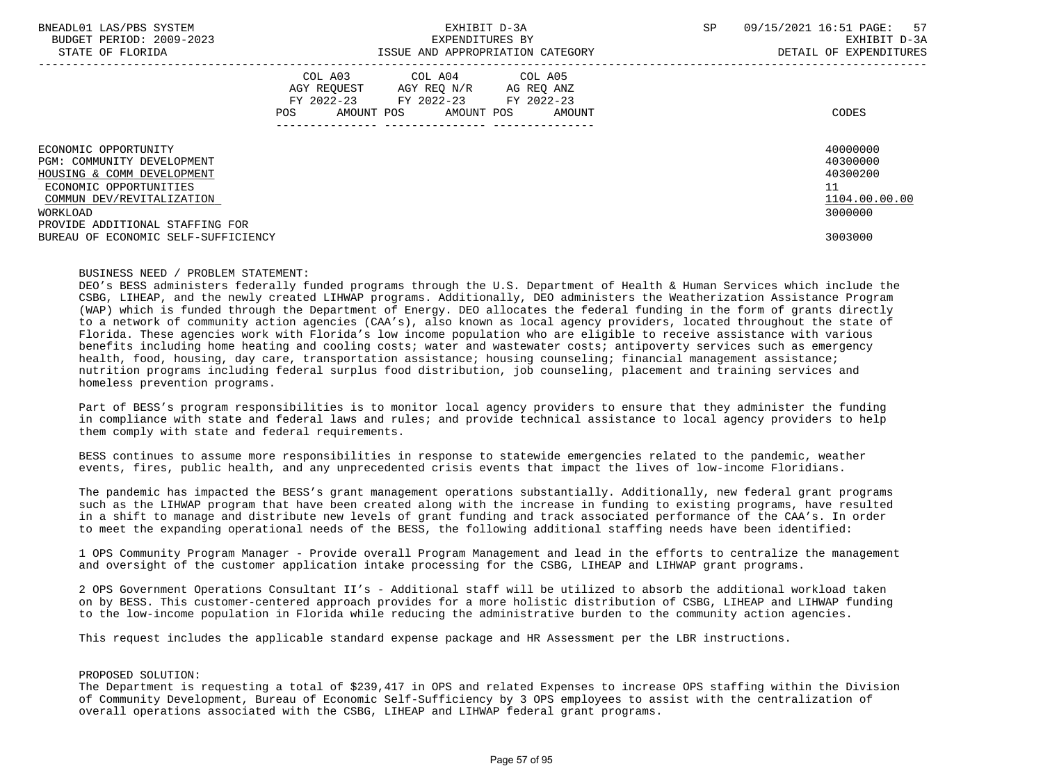| BNEADL01 LAS/PBS SYSTEM<br>BUDGET PERIOD: 2009-2023<br>STATE OF FLORIDA                                                                             | EXHIBIT D-3A<br>EXPENDITURES BY<br>ISSUE AND APPROPRIATION CATEGORY                                                                         | SP | 57<br>09/15/2021 16:51 PAGE:<br>EXHIBIT D-3A<br>DETAIL OF EXPENDITURES |
|-----------------------------------------------------------------------------------------------------------------------------------------------------|---------------------------------------------------------------------------------------------------------------------------------------------|----|------------------------------------------------------------------------|
|                                                                                                                                                     | COL A03 COL A04 COL A05<br>AGY REQUEST AGY REO N/R AG REO ANZ<br>FY 2022-23 FY 2022-23 FY 2022-23<br>AMOUNT POS AMOUNT POS<br>POS<br>AMOUNT |    | CODES                                                                  |
| ECONOMIC OPPORTUNITY<br>PGM: COMMUNITY DEVELOPMENT<br>HOUSING & COMM DEVELOPMENT<br>ECONOMIC OPPORTUNITIES<br>COMMUN DEV/REVITALIZATION<br>WORKLOAD |                                                                                                                                             |    | 40000000<br>40300000<br>40300200<br>11<br>1104.00.00.00<br>3000000     |
| PROVIDE ADDITIONAL STAFFING FOR<br>BUREAU OF ECONOMIC SELF-SUFFICIENCY                                                                              |                                                                                                                                             |    | 3003000                                                                |

#### BUSINESS NEED / PROBLEM STATEMENT:

 DEO's BESS administers federally funded programs through the U.S. Department of Health & Human Services which include the CSBG, LIHEAP, and the newly created LIHWAP programs. Additionally, DEO administers the Weatherization Assistance Program (WAP) which is funded through the Department of Energy. DEO allocates the federal funding in the form of grants directly to a network of community action agencies (CAA's), also known as local agency providers, located throughout the state of Florida. These agencies work with Florida's low income population who are eligible to receive assistance with various benefits including home heating and cooling costs; water and wastewater costs; antipoverty services such as emergency health, food, housing, day care, transportation assistance; housing counseling; financial management assistance; nutrition programs including federal surplus food distribution, job counseling, placement and training services and homeless prevention programs.

 Part of BESS's program responsibilities is to monitor local agency providers to ensure that they administer the funding in compliance with state and federal laws and rules; and provide technical assistance to local agency providers to help them comply with state and federal requirements.

 BESS continues to assume more responsibilities in response to statewide emergencies related to the pandemic, weather events, fires, public health, and any unprecedented crisis events that impact the lives of low-income Floridians.

 The pandemic has impacted the BESS's grant management operations substantially. Additionally, new federal grant programs such as the LIHWAP program that have been created along with the increase in funding to existing programs, have resulted in a shift to manage and distribute new levels of grant funding and track associated performance of the CAA's. In order to meet the expanding operational needs of the BESS, the following additional staffing needs have been identified:

 1 OPS Community Program Manager - Provide overall Program Management and lead in the efforts to centralize the management and oversight of the customer application intake processing for the CSBG, LIHEAP and LIHWAP grant programs.

 2 OPS Government Operations Consultant II's - Additional staff will be utilized to absorb the additional workload taken on by BESS. This customer-centered approach provides for a more holistic distribution of CSBG, LIHEAP and LIHWAP funding to the low-income population in Florida while reducing the administrative burden to the community action agencies.

This request includes the applicable standard expense package and HR Assessment per the LBR instructions.

# PROPOSED SOLUTION:

 The Department is requesting a total of \$239,417 in OPS and related Expenses to increase OPS staffing within the Division of Community Development, Bureau of Economic Self-Sufficiency by 3 OPS employees to assist with the centralization of overall operations associated with the CSBG, LIHEAP and LIHWAP federal grant programs.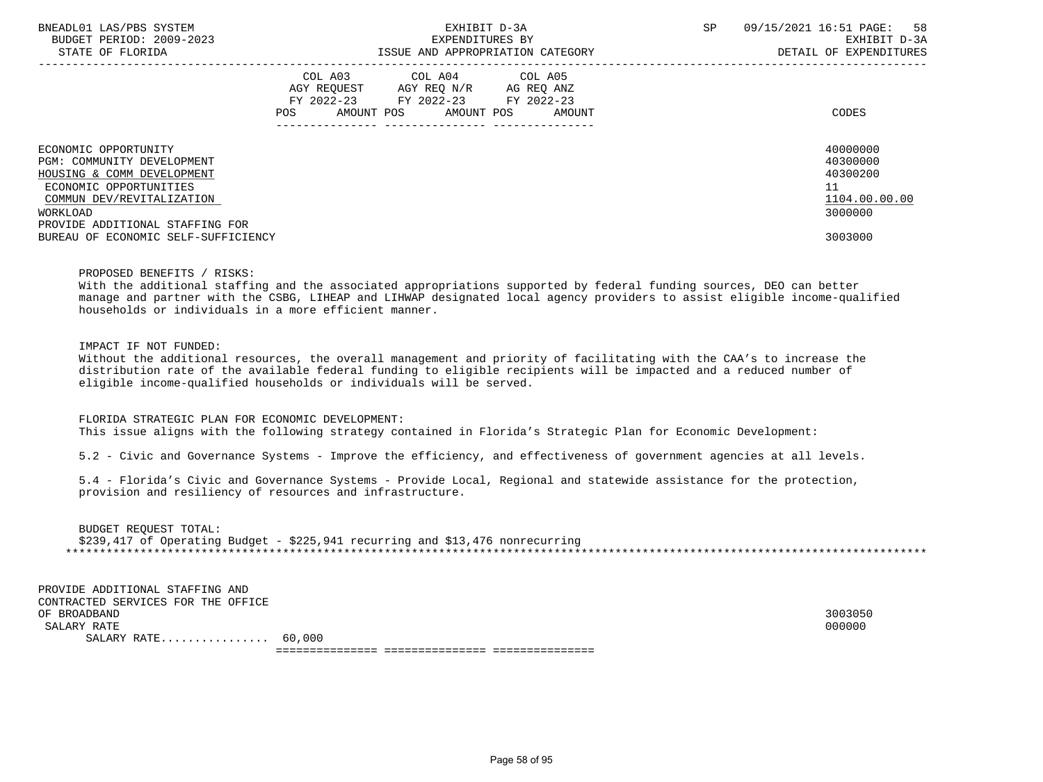| BNEADL01 LAS/PBS SYSTEM<br>BUDGET PERIOD: 2009-2023<br>STATE OF FLORIDA | EXHIBIT D-3A<br>EXPENDITURES BY<br>ISSUE AND APPROPRIATION CATEGORY                                                                            | <b>SP</b> | 09/15/2021 16:51 PAGE:<br>58<br>EXHIBIT D-3A<br>DETAIL OF EXPENDITURES |
|-------------------------------------------------------------------------|------------------------------------------------------------------------------------------------------------------------------------------------|-----------|------------------------------------------------------------------------|
|                                                                         | COL A03<br>COL A04 COL A05<br>AGY REOUEST AGY REO N/R<br>AG REQ ANZ<br>FY 2022-23 FY 2022-23 FY 2022-23<br>AMOUNT POS AMOUNT POS AMOUNT<br>POS |           | CODES                                                                  |
| ECONOMIC OPPORTUNITY                                                    |                                                                                                                                                |           | 40000000                                                               |
| PGM: COMMUNITY DEVELOPMENT                                              |                                                                                                                                                |           | 40300000                                                               |
| HOUSING & COMM DEVELOPMENT                                              |                                                                                                                                                |           | 40300200                                                               |
| ECONOMIC OPPORTUNITIES                                                  |                                                                                                                                                |           | 11                                                                     |
| COMMUN DEV/REVITALIZATION                                               |                                                                                                                                                |           | 1104.00.00.00                                                          |
| WORKLOAD                                                                |                                                                                                                                                |           | 3000000                                                                |
| PROVIDE ADDITIONAL STAFFING FOR                                         |                                                                                                                                                |           |                                                                        |
| BUREAU OF ECONOMIC SELF-SUFFICIENCY                                     |                                                                                                                                                |           | 3003000                                                                |

### PROPOSED BENEFITS / RISKS:

 With the additional staffing and the associated appropriations supported by federal funding sources, DEO can better manage and partner with the CSBG, LIHEAP and LIHWAP designated local agency providers to assist eligible income-qualified households or individuals in a more efficient manner.

## IMPACT IF NOT FUNDED:

 Without the additional resources, the overall management and priority of facilitating with the CAA's to increase the distribution rate of the available federal funding to eligible recipients will be impacted and a reduced number of eligible income-qualified households or individuals will be served.

 FLORIDA STRATEGIC PLAN FOR ECONOMIC DEVELOPMENT: This issue aligns with the following strategy contained in Florida's Strategic Plan for Economic Development:

5.2 - Civic and Governance Systems - Improve the efficiency, and effectiveness of government agencies at all levels.

 5.4 - Florida's Civic and Governance Systems - Provide Local, Regional and statewide assistance for the protection, provision and resiliency of resources and infrastructure.

 BUDGET REQUEST TOTAL: \$239,417 of Operating Budget - \$225,941 recurring and \$13,476 nonrecurring \*\*\*\*\*\*\*\*\*\*\*\*\*\*\*\*\*\*\*\*\*\*\*\*\*\*\*\*\*\*\*\*\*\*\*\*\*\*\*\*\*\*\*\*\*\*\*\*\*\*\*\*\*\*\*\*\*\*\*\*\*\*\*\*\*\*\*\*\*\*\*\*\*\*\*\*\*\*\*\*\*\*\*\*\*\*\*\*\*\*\*\*\*\*\*\*\*\*\*\*\*\*\*\*\*\*\*\*\*\*\*\*\*\*\*\*\*\*\*\*\*\*\*\*\*\*\*

 PROVIDE ADDITIONAL STAFFING AND CONTRACTED SERVICES FOR THE OFFICE OF BROADBAND 3003050  $\texttt{SALARY RATE}$  . The contract of the contract of the contract of the contract of the contract of the contract of the contract of the contract of the contract of the contract of the contract of the contract of the contract o SALARY RATE................ 60,000 =============== =============== ===============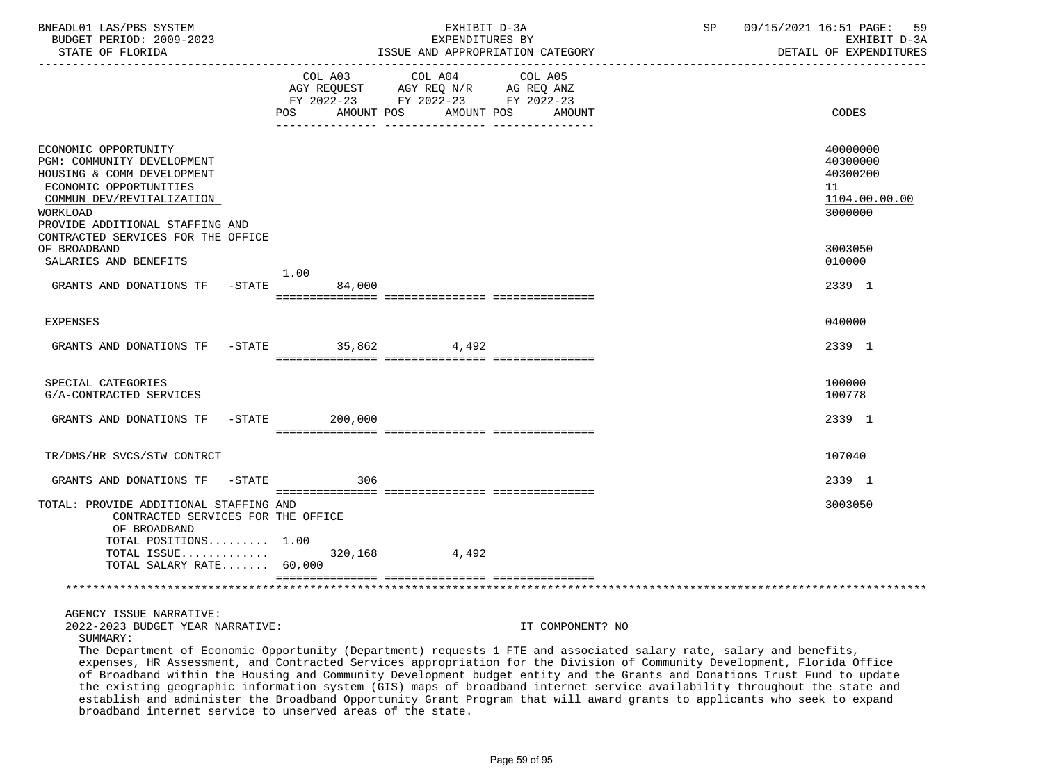| BNEADL01 LAS/PBS SYSTEM<br>BUDGET PERIOD: 2009-2023<br>STATE OF FLORIDA                                                                                                                                                                                                                                                                                                            |                | EXHIBIT D-3A<br>EXPENDITURES BY<br>ISSUE AND APPROPRIATION CATEGORY                                                               | SP               | 09/15/2021 16:51 PAGE:<br>59<br>EXHIBIT D-3A<br>DETAIL OF EXPENDITURES                                                       |
|------------------------------------------------------------------------------------------------------------------------------------------------------------------------------------------------------------------------------------------------------------------------------------------------------------------------------------------------------------------------------------|----------------|-----------------------------------------------------------------------------------------------------------------------------------|------------------|------------------------------------------------------------------------------------------------------------------------------|
|                                                                                                                                                                                                                                                                                                                                                                                    |                | COL A03 COL A04<br>COL A05<br>AGY REQUEST AGY REQ N/R AG REQ ANZ<br>FY 2022-23 FY 2022-23 FY 2022-23<br>POS AMOUNT POS AMOUNT POS | AMOUNT           | CODES                                                                                                                        |
| ECONOMIC OPPORTUNITY<br>PGM: COMMUNITY DEVELOPMENT<br>HOUSING & COMM DEVELOPMENT<br>ECONOMIC OPPORTUNITIES<br>COMMUN DEV/REVITALIZATION<br>WORKLOAD<br>PROVIDE ADDITIONAL STAFFING AND<br>CONTRACTED SERVICES FOR THE OFFICE                                                                                                                                                       |                |                                                                                                                                   |                  | 40000000<br>40300000<br>40300200<br>11<br>1104.00.00.00<br>3000000                                                           |
| OF BROADBAND<br>SALARIES AND BENEFITS                                                                                                                                                                                                                                                                                                                                              |                |                                                                                                                                   |                  | 3003050<br>010000                                                                                                            |
| GRANTS AND DONATIONS TF -STATE                                                                                                                                                                                                                                                                                                                                                     | 1.00<br>84,000 |                                                                                                                                   |                  | 2339 1                                                                                                                       |
| <b>EXPENSES</b>                                                                                                                                                                                                                                                                                                                                                                    |                |                                                                                                                                   |                  | 040000                                                                                                                       |
| GRANTS AND DONATIONS TF -STATE 35,862 4,492                                                                                                                                                                                                                                                                                                                                        |                |                                                                                                                                   |                  | 2339 1                                                                                                                       |
| SPECIAL CATEGORIES<br>G/A-CONTRACTED SERVICES                                                                                                                                                                                                                                                                                                                                      |                |                                                                                                                                   |                  | 100000<br>100778                                                                                                             |
| GRANTS AND DONATIONS TF -STATE 200,000                                                                                                                                                                                                                                                                                                                                             |                |                                                                                                                                   |                  | 2339 1                                                                                                                       |
| TR/DMS/HR SVCS/STW CONTRCT                                                                                                                                                                                                                                                                                                                                                         |                |                                                                                                                                   |                  | 107040                                                                                                                       |
| GRANTS AND DONATIONS TF -STATE                                                                                                                                                                                                                                                                                                                                                     | 306            |                                                                                                                                   |                  | 2339 1                                                                                                                       |
| TOTAL: PROVIDE ADDITIONAL STAFFING AND<br>CONTRACTED SERVICES FOR THE OFFICE<br>OF BROADBAND<br>TOTAL POSITIONS 1.00<br>TOTAL SALARY RATE 60,000                                                                                                                                                                                                                                   |                |                                                                                                                                   |                  | 3003050                                                                                                                      |
| واللواحلة علواطه علواطه علواطر علواطر علواطر علواطر علواطر علواطر علواطر علواطر علواطر علواطر علواطر علواطر                                                                                                                                                                                                                                                                        |                |                                                                                                                                   |                  | للمناوب فالمناوب فالمناوب فالمناوب فالمناوب فالمناوب فالمناوب فالمناوب فالمناوب فالمناوب فالمناوب فالمناوب فالمناوب فالمناوب |
| AGENCY ISSUE NARRATIVE:<br>2022-2023 BUDGET YEAR NARRATIVE:<br>SUMMARY:<br>The Department of Economic Opportunity (Department) requests 1 FTE and associated salary rate, salary and benefits,                                                                                                                                                                                     |                |                                                                                                                                   | IT COMPONENT? NO |                                                                                                                              |
| expenses, HR Assessment, and Contracted Services appropriation for the Division of Community Development, Florida Office<br>of Broadband within the Housing and Community Development budget entity and the Grants and Donations Trust Fund to update<br>the existing geographic information system (GIS) maps of broadband internet service availability throughout the state and |                |                                                                                                                                   |                  |                                                                                                                              |

establish and administer the Broadband Opportunity Grant Program that will award grants to applicants who seek to expand

broadband internet service to unserved areas of the state.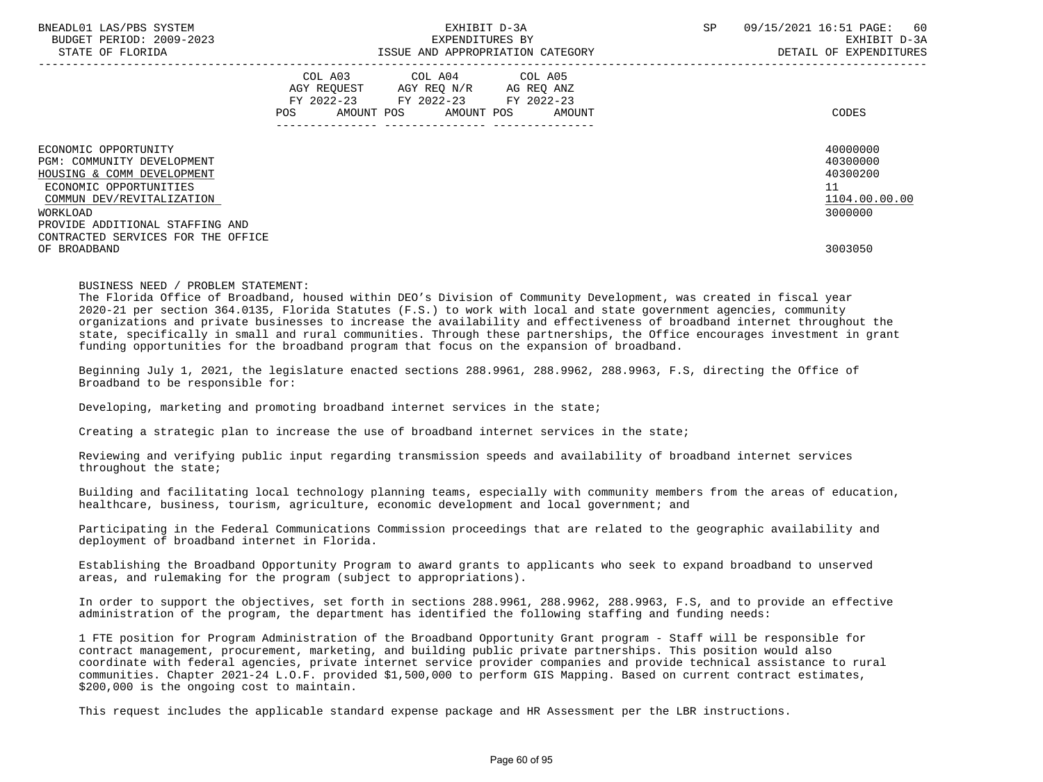| BNEADL01 LAS/PBS SYSTEM<br>BUDGET PERIOD: 2009-2023<br>STATE OF FLORIDA          | EXHIBIT D-3A<br>EXPENDITURES BY<br>ISSUE AND APPROPRIATION CATEGORY |                                                                                   |                                          |  |        | SP | 09/15/2021 16:51 PAGE:<br>-60<br>EXHIBIT D-3A<br>DETAIL OF EXPENDITURES |
|----------------------------------------------------------------------------------|---------------------------------------------------------------------|-----------------------------------------------------------------------------------|------------------------------------------|--|--------|----|-------------------------------------------------------------------------|
|                                                                                  | POS                                                                 | COL A03<br>AGY REOUEST AGY REO N/R AG REO ANZ<br>FY 2022-23 FY 2022-23 FY 2022-23 | COL A04 COL A05<br>AMOUNT POS AMOUNT POS |  | AMOUNT |    | CODES                                                                   |
| ECONOMIC OPPORTUNITY<br>PGM: COMMUNITY DEVELOPMENT<br>HOUSING & COMM DEVELOPMENT |                                                                     |                                                                                   |                                          |  |        |    | 40000000<br>40300000<br>40300200                                        |
| ECONOMIC OPPORTUNITIES<br>COMMUN DEV/REVITALIZATION                              |                                                                     |                                                                                   |                                          |  |        |    | 11<br>1104.00.00.00                                                     |
| WORKLOAD                                                                         |                                                                     |                                                                                   |                                          |  |        |    | 3000000                                                                 |
| PROVIDE ADDITIONAL STAFFING AND                                                  |                                                                     |                                                                                   |                                          |  |        |    |                                                                         |
| CONTRACTED SERVICES FOR THE OFFICE<br>OF BROADBAND                               |                                                                     |                                                                                   |                                          |  |        |    | 3003050                                                                 |

# BUSINESS NEED / PROBLEM STATEMENT:

 The Florida Office of Broadband, housed within DEO's Division of Community Development, was created in fiscal year 2020-21 per section 364.0135, Florida Statutes (F.S.) to work with local and state government agencies, community organizations and private businesses to increase the availability and effectiveness of broadband internet throughout the state, specifically in small and rural communities. Through these partnerships, the Office encourages investment in grant funding opportunities for the broadband program that focus on the expansion of broadband.

 Beginning July 1, 2021, the legislature enacted sections 288.9961, 288.9962, 288.9963, F.S, directing the Office of Broadband to be responsible for:

Developing, marketing and promoting broadband internet services in the state;

Creating a strategic plan to increase the use of broadband internet services in the state;

 Reviewing and verifying public input regarding transmission speeds and availability of broadband internet services throughout the state;

 Building and facilitating local technology planning teams, especially with community members from the areas of education, healthcare, business, tourism, agriculture, economic development and local government; and

 Participating in the Federal Communications Commission proceedings that are related to the geographic availability and deployment of broadband internet in Florida.

 Establishing the Broadband Opportunity Program to award grants to applicants who seek to expand broadband to unserved areas, and rulemaking for the program (subject to appropriations).

 In order to support the objectives, set forth in sections 288.9961, 288.9962, 288.9963, F.S, and to provide an effective administration of the program, the department has identified the following staffing and funding needs:

 1 FTE position for Program Administration of the Broadband Opportunity Grant program - Staff will be responsible for contract management, procurement, marketing, and building public private partnerships. This position would also coordinate with federal agencies, private internet service provider companies and provide technical assistance to rural communities. Chapter 2021-24 L.O.F. provided \$1,500,000 to perform GIS Mapping. Based on current contract estimates, \$200,000 is the ongoing cost to maintain.

This request includes the applicable standard expense package and HR Assessment per the LBR instructions.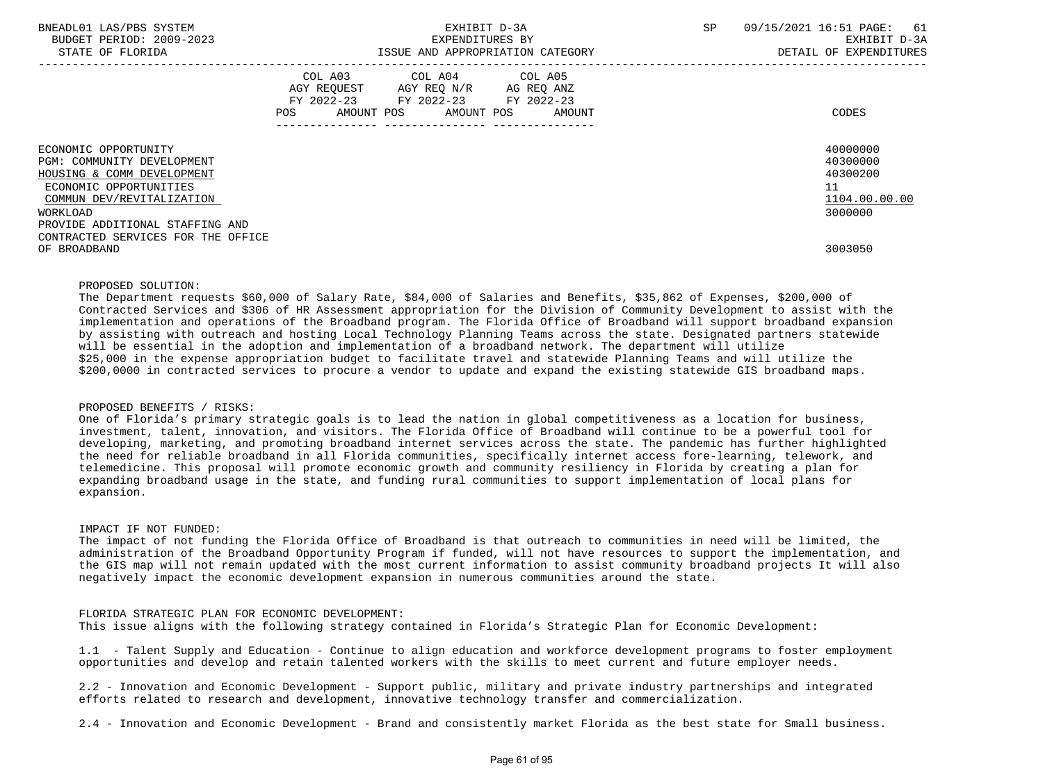| BNEADL01 LAS/PBS SYSTEM<br>BUDGET PERIOD: 2009-2023<br>STATE OF FLORIDA                                                                                                                |                    | EXHIBIT D-3A<br>EXPENDITURES BY<br>ISSUE AND APPROPRIATION CATEGORY                       | SP                           | 09/15/2021 16:51 PAGE:<br>61<br>EXHIBIT D-3A<br>DETAIL OF EXPENDITURES |                                                                    |
|----------------------------------------------------------------------------------------------------------------------------------------------------------------------------------------|--------------------|-------------------------------------------------------------------------------------------|------------------------------|------------------------------------------------------------------------|--------------------------------------------------------------------|
|                                                                                                                                                                                        | COL A03<br>POS FOR | COL A04 COL A05<br>AGY REOUEST AGY REO N/R AG REO ANZ<br>FY 2022-23 FY 2022-23 FY 2022-23 | AMOUNT POS AMOUNT POS AMOUNT |                                                                        | CODES                                                              |
| ECONOMIC OPPORTUNITY<br>PGM: COMMUNITY DEVELOPMENT<br>HOUSING & COMM DEVELOPMENT<br>ECONOMIC OPPORTUNITIES<br>COMMUN DEV/REVITALIZATION<br>WORKLOAD<br>PROVIDE ADDITIONAL STAFFING AND |                    |                                                                                           |                              |                                                                        | 40000000<br>40300000<br>40300200<br>11<br>1104.00.00.00<br>3000000 |
| CONTRACTED SERVICES FOR THE OFFICE<br>OF BROADBAND                                                                                                                                     |                    |                                                                                           |                              |                                                                        | 3003050                                                            |

### PROPOSED SOLUTION:

 The Department requests \$60,000 of Salary Rate, \$84,000 of Salaries and Benefits, \$35,862 of Expenses, \$200,000 of Contracted Services and \$306 of HR Assessment appropriation for the Division of Community Development to assist with the implementation and operations of the Broadband program. The Florida Office of Broadband will support broadband expansion by assisting with outreach and hosting Local Technology Planning Teams across the state. Designated partners statewide will be essential in the adoption and implementation of a broadband network. The department will utilize \$25,000 in the expense appropriation budget to facilitate travel and statewide Planning Teams and will utilize the \$200,0000 in contracted services to procure a vendor to update and expand the existing statewide GIS broadband maps.

# PROPOSED BENEFITS / RISKS:

 One of Florida's primary strategic goals is to lead the nation in global competitiveness as a location for business, investment, talent, innovation, and visitors. The Florida Office of Broadband will continue to be a powerful tool for developing, marketing, and promoting broadband internet services across the state. The pandemic has further highlighted the need for reliable broadband in all Florida communities, specifically internet access fore-learning, telework, and telemedicine. This proposal will promote economic growth and community resiliency in Florida by creating a plan for expanding broadband usage in the state, and funding rural communities to support implementation of local plans for expansion.

### IMPACT IF NOT FUNDED:

 The impact of not funding the Florida Office of Broadband is that outreach to communities in need will be limited, the administration of the Broadband Opportunity Program if funded, will not have resources to support the implementation, and the GIS map will not remain updated with the most current information to assist community broadband projects It will also negatively impact the economic development expansion in numerous communities around the state.

## FLORIDA STRATEGIC PLAN FOR ECONOMIC DEVELOPMENT:

This issue aligns with the following strategy contained in Florida's Strategic Plan for Economic Development:

 1.1 - Talent Supply and Education - Continue to align education and workforce development programs to foster employment opportunities and develop and retain talented workers with the skills to meet current and future employer needs.

 2.2 - Innovation and Economic Development - Support public, military and private industry partnerships and integrated efforts related to research and development, innovative technology transfer and commercialization.

2.4 - Innovation and Economic Development - Brand and consistently market Florida as the best state for Small business.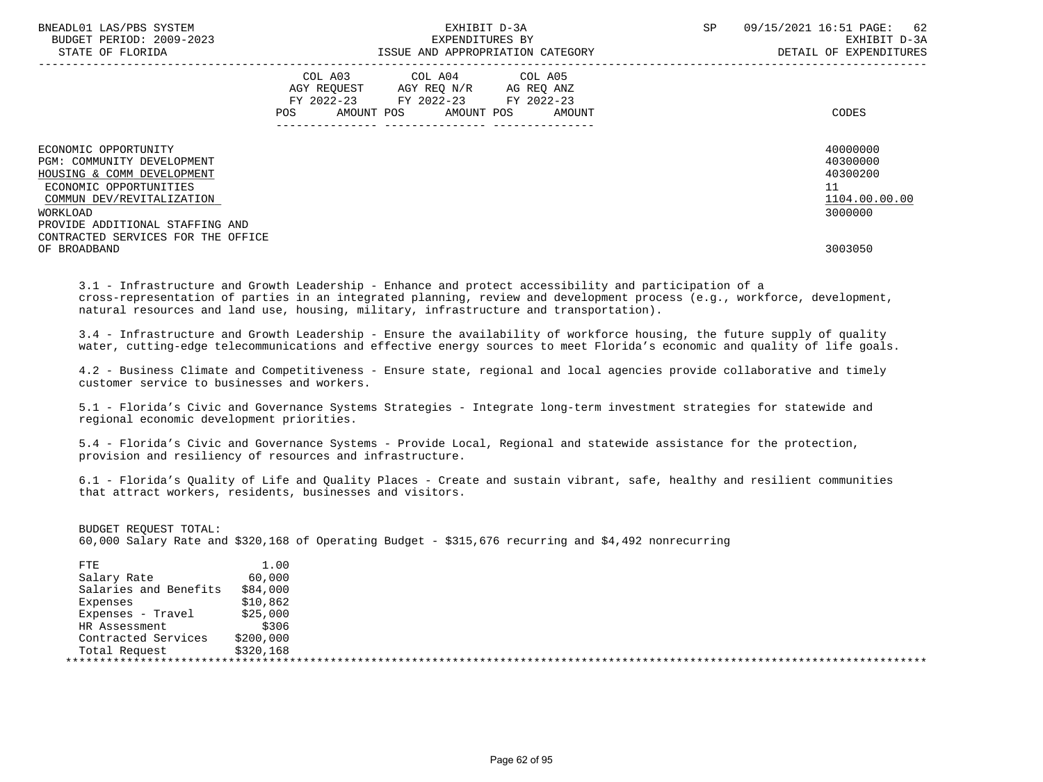| BNEADL01 LAS/PBS SYSTEM<br>BUDGET PERIOD: 2009-2023<br>STATE OF FLORIDA                                                                 |                                                                                                                           | EXHIBIT D-3A<br>EXPENDITURES BY<br>ISSUE AND APPROPRIATION CATEGORY                                                                   | <b>SP</b> | 09/15/2021 16:51 PAGE:<br>62<br>EXHIBIT D-3A<br>DETAIL OF EXPENDITURES |                                                         |
|-----------------------------------------------------------------------------------------------------------------------------------------|---------------------------------------------------------------------------------------------------------------------------|---------------------------------------------------------------------------------------------------------------------------------------|-----------|------------------------------------------------------------------------|---------------------------------------------------------|
|                                                                                                                                         | COL A03<br>POS FOR THE POST OF THE POST OF THE POST OF THE POST OF THE POST OF THE POST OF THE POST OF THE POST OF THE PO | COL A04 COL A05<br>AGY REOUEST AGY REO N/R AG REO ANZ<br>FY 2022-23 FY 2022-23 FY 2022-23<br>AMOUNT POS AMOUNT POS<br>--------------- | AMOUNT    |                                                                        | CODES                                                   |
| ECONOMIC OPPORTUNITY<br>PGM: COMMUNITY DEVELOPMENT<br>HOUSING & COMM DEVELOPMENT<br>ECONOMIC OPPORTUNITIES<br>COMMUN DEV/REVITALIZATION |                                                                                                                           |                                                                                                                                       |           |                                                                        | 40000000<br>40300000<br>40300200<br>11<br>1104.00.00.00 |
| WORKLOAD<br>PROVIDE ADDITIONAL STAFFING AND<br>CONTRACTED SERVICES FOR THE OFFICE<br>OF BROADBAND                                       |                                                                                                                           |                                                                                                                                       |           |                                                                        | 3000000<br>3003050                                      |

 3.1 - Infrastructure and Growth Leadership - Enhance and protect accessibility and participation of a cross-representation of parties in an integrated planning, review and development process (e.g., workforce, development, natural resources and land use, housing, military, infrastructure and transportation).

 3.4 - Infrastructure and Growth Leadership - Ensure the availability of workforce housing, the future supply of quality water, cutting-edge telecommunications and effective energy sources to meet Florida's economic and quality of life goals.

 4.2 - Business Climate and Competitiveness - Ensure state, regional and local agencies provide collaborative and timely customer service to businesses and workers.

 5.1 - Florida's Civic and Governance Systems Strategies - Integrate long-term investment strategies for statewide and regional economic development priorities.

 5.4 - Florida's Civic and Governance Systems - Provide Local, Regional and statewide assistance for the protection, provision and resiliency of resources and infrastructure.

 6.1 - Florida's Quality of Life and Quality Places - Create and sustain vibrant, safe, healthy and resilient communities that attract workers, residents, businesses and visitors.

| BUDGET REOUEST TOTAL: |  |  |  |  |  |                                                                                                     |  |
|-----------------------|--|--|--|--|--|-----------------------------------------------------------------------------------------------------|--|
|                       |  |  |  |  |  | 60,000 Salary Rate and \$320,168 of Operating Budget - \$315,676 recurring and \$4,492 nonrecurring |  |
|                       |  |  |  |  |  |                                                                                                     |  |

| FTE                   | 1.00      |  |
|-----------------------|-----------|--|
| Salary Rate           | 60,000    |  |
| Salaries and Benefits | \$84,000  |  |
| Expenses              | \$10,862  |  |
| Expenses - Travel     | \$25,000  |  |
| HR Assessment         | \$306     |  |
| Contracted Services   | \$200,000 |  |
| Total Request         | \$320,168 |  |
|                       |           |  |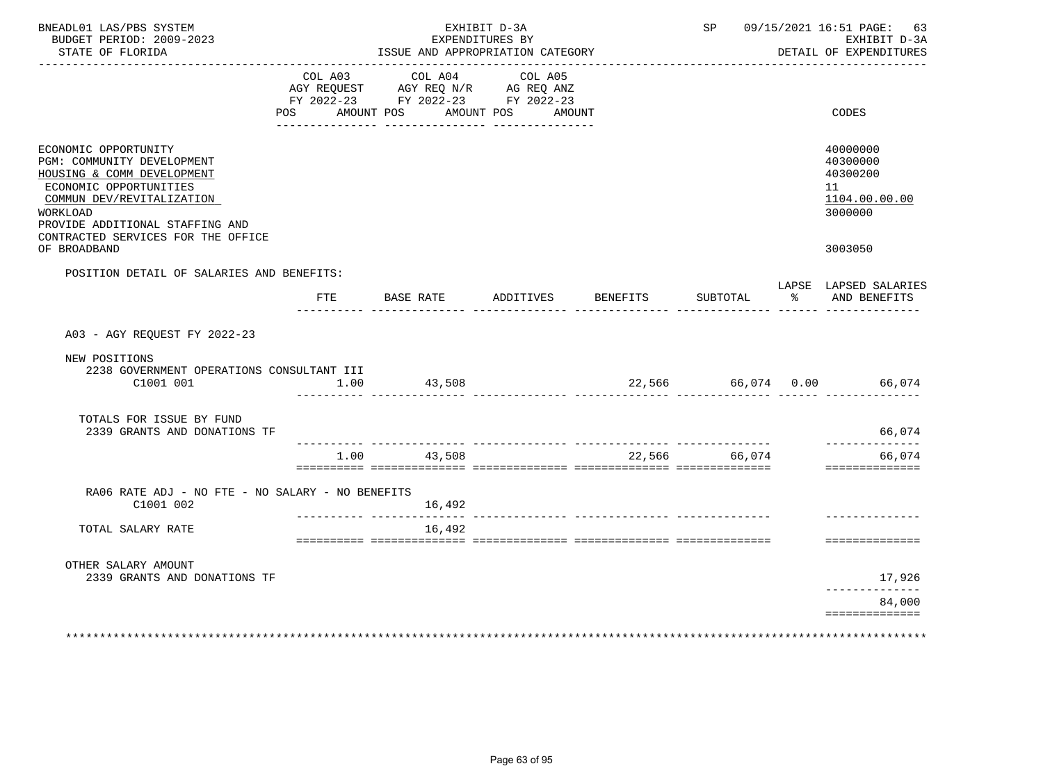| BNEADL01 LAS/PBS SYSTEM<br>BUDGET PERIOD: 2009-2023<br>STATE OF FLORIDA                                                                                                                                                      |                | EXHIBIT D-3A<br>EXPENDITURES BY<br>ISSUE AND APPROPRIATION CATEGORY |                                     |                                                                                                        | SP 09/15/2021 16:51 PAGE: 63<br>EXHIBIT D-3A<br>DETAIL OF EXPENDITURES |               |               |                                                                    |
|------------------------------------------------------------------------------------------------------------------------------------------------------------------------------------------------------------------------------|----------------|---------------------------------------------------------------------|-------------------------------------|--------------------------------------------------------------------------------------------------------|------------------------------------------------------------------------|---------------|---------------|--------------------------------------------------------------------|
|                                                                                                                                                                                                                              | COL A03<br>POS | AMOUNT POS                                                          | COL A04<br>________________         | COL A05<br>AGY REQUEST AGY REQ N/R AG REQ ANZ<br>FY 2022-23 FY 2022-23 FY 2022-23<br>AMOUNT POS AMOUNT |                                                                        |               |               | CODES                                                              |
| ECONOMIC OPPORTUNITY<br>PGM: COMMUNITY DEVELOPMENT<br>HOUSING & COMM DEVELOPMENT<br>ECONOMIC OPPORTUNITIES<br>COMMUN DEV/REVITALIZATION<br>WORKLOAD<br>PROVIDE ADDITIONAL STAFFING AND<br>CONTRACTED SERVICES FOR THE OFFICE |                |                                                                     |                                     |                                                                                                        |                                                                        |               |               | 40000000<br>40300000<br>40300200<br>11<br>1104.00.00.00<br>3000000 |
| OF BROADBAND                                                                                                                                                                                                                 |                |                                                                     |                                     |                                                                                                        |                                                                        |               |               | 3003050                                                            |
| POSITION DETAIL OF SALARIES AND BENEFITS:                                                                                                                                                                                    | <b>FTE</b>     | BASE RATE                                                           |                                     | ADDITIVES                                                                                              | BENEFITS                                                               | SUBTOTAL      | $\sim$ $\sim$ | LAPSE LAPSED SALARIES<br>AND BENEFITS                              |
| A03 - AGY REQUEST FY 2022-23<br>NEW POSITIONS<br>2238 GOVERNMENT OPERATIONS CONSULTANT III<br>C1001 001                                                                                                                      | 1.00           |                                                                     | 43,508                              |                                                                                                        | 22,566 66,074 0.00                                                     |               |               | 66,074                                                             |
| TOTALS FOR ISSUE BY FUND<br>2339 GRANTS AND DONATIONS TF                                                                                                                                                                     |                |                                                                     |                                     |                                                                                                        |                                                                        |               |               | 66,074                                                             |
|                                                                                                                                                                                                                              |                |                                                                     |                                     |                                                                                                        |                                                                        |               |               | --------------                                                     |
|                                                                                                                                                                                                                              |                | 1.00 43,508                                                         |                                     |                                                                                                        | acacacaca acacacacacaca acacacacacaca acacacacacaca acacacacacaca      | 22,566 66,074 |               | 66,074<br>==============                                           |
| RA06 RATE ADJ - NO FTE - NO SALARY - NO BENEFITS<br>C1001 002                                                                                                                                                                |                |                                                                     | 16,492                              |                                                                                                        |                                                                        |               |               |                                                                    |
| TOTAL SALARY RATE                                                                                                                                                                                                            |                |                                                                     | <u> Leonard Leonard L</u><br>16,492 |                                                                                                        |                                                                        |               |               |                                                                    |
|                                                                                                                                                                                                                              |                |                                                                     |                                     |                                                                                                        |                                                                        |               |               | ==============                                                     |
| OTHER SALARY AMOUNT<br>2339 GRANTS AND DONATIONS TF                                                                                                                                                                          |                |                                                                     |                                     |                                                                                                        |                                                                        |               |               | 17,926<br>------------                                             |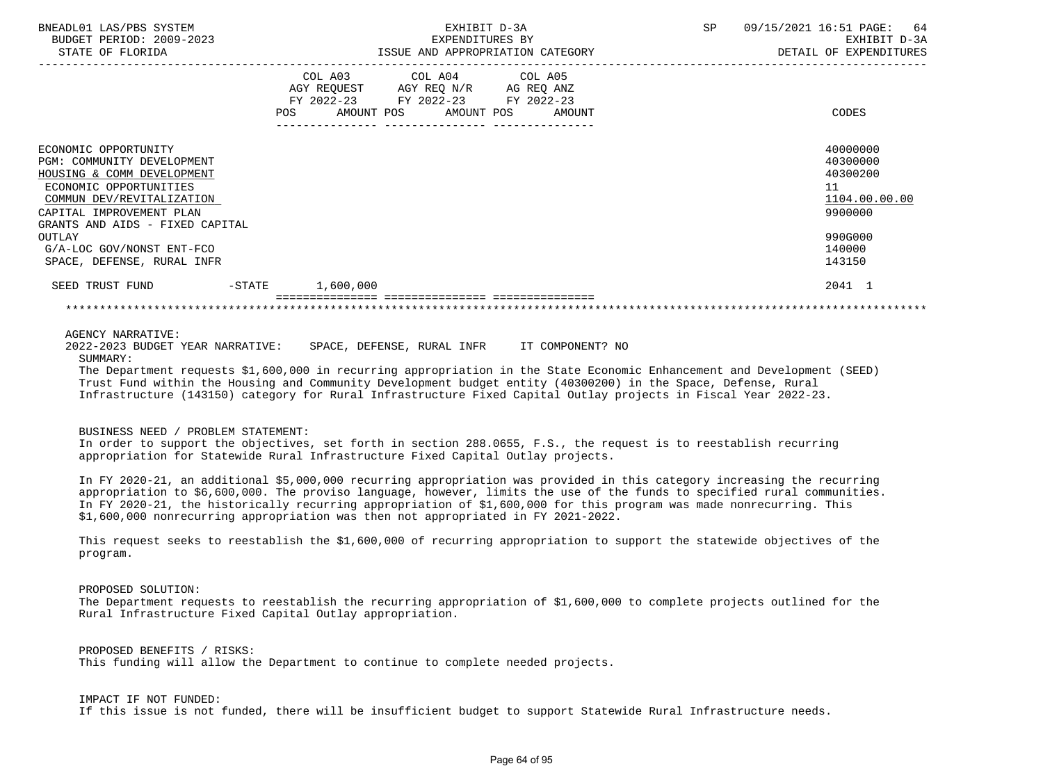| BNEADL01 LAS/PBS SYSTEM<br>BUDGET PERIOD: 2009-2023 | EXHIBIT D-3A<br>EXPENDITURES BY                                  | 09/15/2021 16:51 PAGE: 64<br>SP<br>EXHIBIT D-3A |
|-----------------------------------------------------|------------------------------------------------------------------|-------------------------------------------------|
| STATE OF FLORIDA                                    | ISSUE AND APPROPRIATION CATEGORY                                 | DETAIL OF EXPENDITURES                          |
|                                                     | COL A03 COL A04 COL A05                                          |                                                 |
|                                                     | AGY REQUEST AGY REQ N/R AG REQ ANZ                               |                                                 |
|                                                     | FY 2022-23 FY 2022-23 FY 2022-23<br>AMOUNT POS AMOUNT POS AMOUNT | CODES                                           |
|                                                     |                                                                  |                                                 |
|                                                     |                                                                  |                                                 |
| ECONOMIC OPPORTUNITY                                |                                                                  | 40000000                                        |
| PGM: COMMUNITY DEVELOPMENT                          |                                                                  | 40300000                                        |
| HOUSING & COMM DEVELOPMENT                          |                                                                  | 40300200                                        |
| ECONOMIC OPPORTUNITIES                              |                                                                  | 11                                              |
| COMMUN DEV/REVITALIZATION                           |                                                                  | 1104.00.00.00                                   |
| CAPITAL IMPROVEMENT PLAN                            |                                                                  | 9900000                                         |
| GRANTS AND AIDS - FIXED CAPITAL                     |                                                                  |                                                 |
| OUTLAY                                              |                                                                  | 990G000                                         |
| G/A-LOC GOV/NONST ENT-FCO                           |                                                                  | 140000                                          |
| SPACE, DEFENSE, RURAL INFR                          |                                                                  | 143150                                          |
| SEED TRUST FUND -STATE 1,600,000                    |                                                                  | 2041 1                                          |
|                                                     |                                                                  |                                                 |

AGENCY NARRATIVE:

 2022-2023 BUDGET YEAR NARRATIVE: SPACE, DEFENSE, RURAL INFR IT COMPONENT? NO SUMMARY:

 The Department requests \$1,600,000 in recurring appropriation in the State Economic Enhancement and Development (SEED) Trust Fund within the Housing and Community Development budget entity (40300200) in the Space, Defense, Rural Infrastructure (143150) category for Rural Infrastructure Fixed Capital Outlay projects in Fiscal Year 2022-23.

## BUSINESS NEED / PROBLEM STATEMENT:

 In order to support the objectives, set forth in section 288.0655, F.S., the request is to reestablish recurring appropriation for Statewide Rural Infrastructure Fixed Capital Outlay projects.

 In FY 2020-21, an additional \$5,000,000 recurring appropriation was provided in this category increasing the recurring appropriation to \$6,600,000. The proviso language, however, limits the use of the funds to specified rural communities. In FY 2020-21, the historically recurring appropriation of \$1,600,000 for this program was made nonrecurring. This \$1,600,000 nonrecurring appropriation was then not appropriated in FY 2021-2022.

 This request seeks to reestablish the \$1,600,000 of recurring appropriation to support the statewide objectives of the program.

 PROPOSED SOLUTION: The Department requests to reestablish the recurring appropriation of \$1,600,000 to complete projects outlined for the Rural Infrastructure Fixed Capital Outlay appropriation.

 PROPOSED BENEFITS / RISKS: This funding will allow the Department to continue to complete needed projects.

 IMPACT IF NOT FUNDED: If this issue is not funded, there will be insufficient budget to support Statewide Rural Infrastructure needs.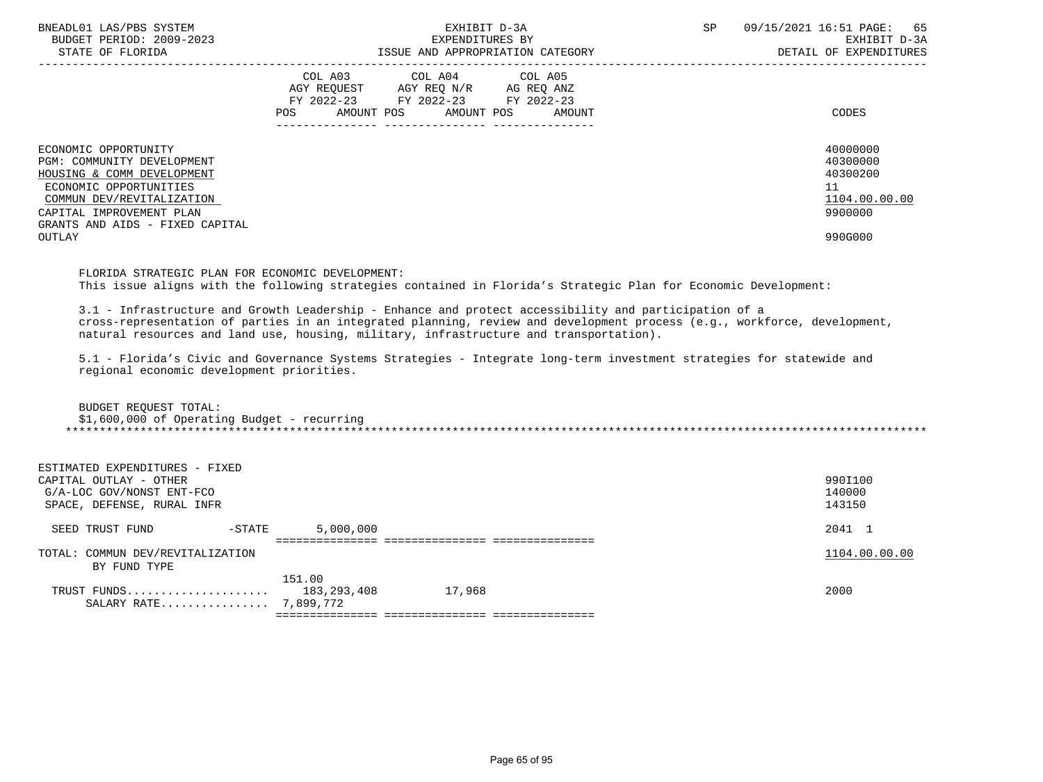| BNEADL01 LAS/PBS SYSTEM<br>BUDGET PERIOD: 2009-2023<br>STATE OF FLORIDA                                                                                                                                          | EXHIBIT D-3A<br>EXPENDITURES BY<br>ISSUE AND APPROPRIATION CATEGORY                                                                         | 09/15/2021 16:51 PAGE: 65<br><b>SP</b><br>EXHIBIT D-3A<br>DETAIL OF EXPENDITURES |
|------------------------------------------------------------------------------------------------------------------------------------------------------------------------------------------------------------------|---------------------------------------------------------------------------------------------------------------------------------------------|----------------------------------------------------------------------------------|
|                                                                                                                                                                                                                  | COL A03 COL A04 COL A05<br>AGY REQUEST AGY REQ N/R AG REQ ANZ<br>FY 2022-23 FY 2022-23 FY 2022-23<br>POS<br>AMOUNT POS AMOUNT POS<br>AMOUNT | CODES                                                                            |
| ECONOMIC OPPORTUNITY<br>PGM: COMMUNITY DEVELOPMENT<br>HOUSING & COMM DEVELOPMENT<br>ECONOMIC OPPORTUNITIES<br>COMMUN DEV/REVITALIZATION<br>CAPITAL IMPROVEMENT PLAN<br>GRANTS AND AIDS - FIXED CAPITAL<br>OUTLAY |                                                                                                                                             | 40000000<br>40300000<br>40300200<br>11<br>1104.00.00.00<br>9900000<br>990G000    |

 FLORIDA STRATEGIC PLAN FOR ECONOMIC DEVELOPMENT: This issue aligns with the following strategies contained in Florida's Strategic Plan for Economic Development:

 3.1 - Infrastructure and Growth Leadership - Enhance and protect accessibility and participation of a cross-representation of parties in an integrated planning, review and development process (e.g., workforce, development, natural resources and land use, housing, military, infrastructure and transportation).

 5.1 - Florida's Civic and Governance Systems Strategies - Integrate long-term investment strategies for statewide and regional economic development priorities.

| BUDGET REOUEST TOTAL:                       |
|---------------------------------------------|
| \$1,600,000 of Operating Budget - recurring |
|                                             |

| ESTIMATED EXPENDITURES - FIXED   |             |                                   |               |
|----------------------------------|-------------|-----------------------------------|---------------|
| CAPITAL OUTLAY - OTHER           |             |                                   | 990I100       |
| G/A-LOC GOV/NONST ENT-FCO        |             |                                   | 140000        |
| SPACE, DEFENSE, RURAL INFR       |             |                                   | 143150        |
|                                  |             |                                   |               |
| $-$ STATE<br>SEED TRUST FUND     | 5,000,000   |                                   | 2041 1        |
|                                  |             |                                   |               |
| TOTAL: COMMUN DEV/REVITALIZATION |             |                                   | 1104.00.00.00 |
| BY FUND TYPE                     |             |                                   |               |
|                                  | 151.00      |                                   |               |
| TRUST FUNDS                      | 183,293,408 | 17,968                            | 2000          |
| SALARY RATE 7,899,772            |             |                                   |               |
|                                  |             | ================================= |               |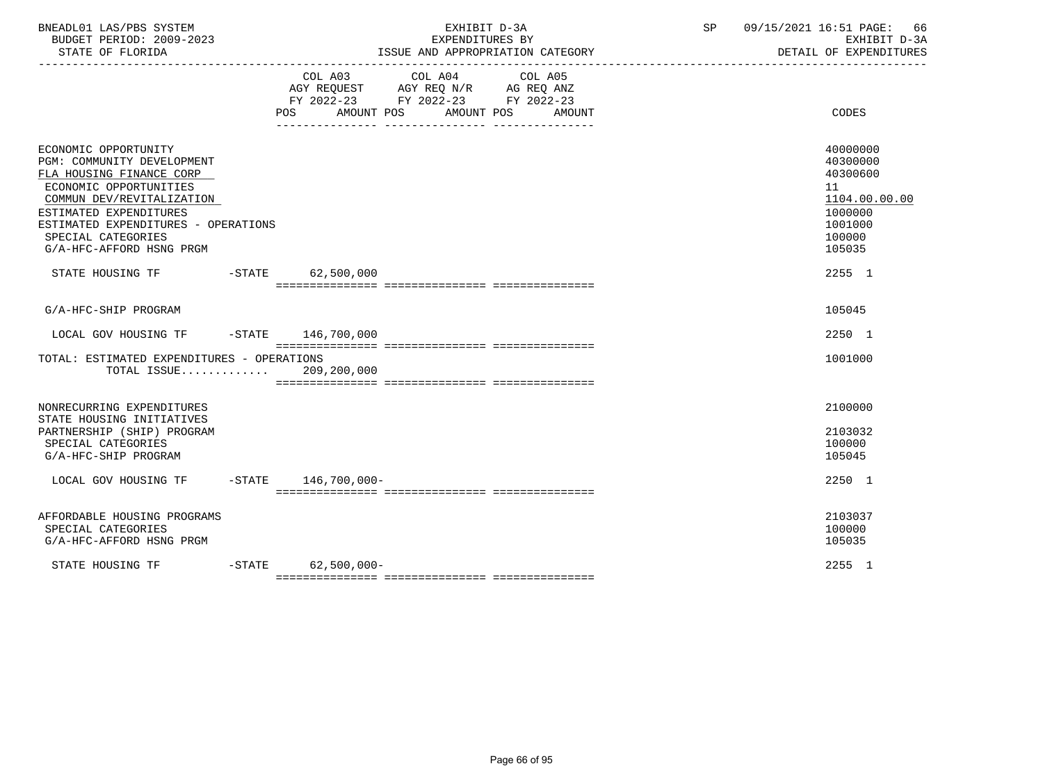|                                                                                                                                                                                                                                                          | COL A03 COL A04 COL A05<br>AGY REQUEST AGY REQ N/R AG REQ ANZ<br>FY 2022-23 FY 2022-23 FY 2022-23<br><b>POS</b><br>AMOUNT POS<br>AMOUNT POS<br>AMOUNT | CODES                                                                                             |
|----------------------------------------------------------------------------------------------------------------------------------------------------------------------------------------------------------------------------------------------------------|-------------------------------------------------------------------------------------------------------------------------------------------------------|---------------------------------------------------------------------------------------------------|
| ECONOMIC OPPORTUNITY<br>PGM: COMMUNITY DEVELOPMENT<br>FLA HOUSING FINANCE CORP<br>ECONOMIC OPPORTUNITIES<br>COMMUN DEV/REVITALIZATION<br>ESTIMATED EXPENDITURES<br>ESTIMATED EXPENDITURES - OPERATIONS<br>SPECIAL CATEGORIES<br>G/A-HFC-AFFORD HSNG PRGM |                                                                                                                                                       | 40000000<br>40300000<br>40300600<br>11<br>1104.00.00.00<br>1000000<br>1001000<br>100000<br>105035 |
| STATE HOUSING TF                                                                                                                                                                                                                                         | $-STATE$ 62,500,000                                                                                                                                   | 2255 1                                                                                            |
| G/A-HFC-SHIP PROGRAM                                                                                                                                                                                                                                     |                                                                                                                                                       | 105045                                                                                            |
| LOCAL GOV HOUSING TF                                                                                                                                                                                                                                     | $-$ STATE $146,700,000$                                                                                                                               | 2250 1                                                                                            |
| TOTAL: ESTIMATED EXPENDITURES - OPERATIONS<br>TOTAL ISSUE 209,200,000                                                                                                                                                                                    |                                                                                                                                                       | 1001000                                                                                           |
| NONRECURRING EXPENDITURES<br>STATE HOUSING INITIATIVES<br>PARTNERSHIP (SHIP) PROGRAM                                                                                                                                                                     |                                                                                                                                                       | 2100000<br>2103032                                                                                |
| SPECIAL CATEGORIES<br>G/A-HFC-SHIP PROGRAM                                                                                                                                                                                                               |                                                                                                                                                       | 100000<br>105045                                                                                  |
| LOCAL GOV HOUSING TF                                                                                                                                                                                                                                     | $-$ STATE $146,700,000-$                                                                                                                              | 2250 1                                                                                            |
| AFFORDABLE HOUSING PROGRAMS<br>SPECIAL CATEGORIES<br>G/A-HFC-AFFORD HSNG PRGM                                                                                                                                                                            |                                                                                                                                                       | 2103037<br>100000<br>105035                                                                       |
| STATE HOUSING TF                                                                                                                                                                                                                                         | $-$ STATE<br>$62,500,000 -$                                                                                                                           | 2255 1                                                                                            |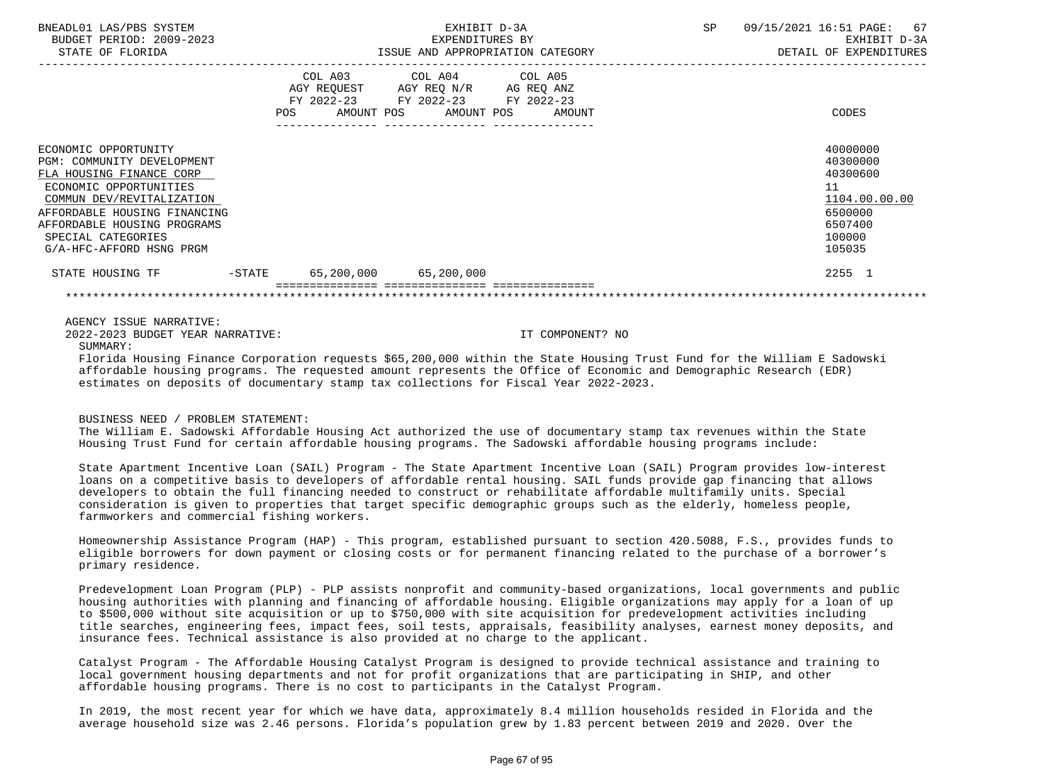| BNEADL01 LAS/PBS SYSTEM<br>BUDGET PERIOD: 2009-2023<br>STATE OF FLORIDA                                                                                                                                                                                | EXHIBIT D-3A<br>EXPENDITURES BY                                                                                                       | ISSUE AND APPROPRIATION CATEGORY | SP 09/15/2021 16:51 PAGE: 67<br>EXHIBIT D-3A<br>DETAIL OF EXPENDITURES                            |
|--------------------------------------------------------------------------------------------------------------------------------------------------------------------------------------------------------------------------------------------------------|---------------------------------------------------------------------------------------------------------------------------------------|----------------------------------|---------------------------------------------------------------------------------------------------|
|                                                                                                                                                                                                                                                        | COL A03 COL A04 COL A05<br>AGY REQUEST AGY REQ N/R AG REQ ANZ<br>FY 2022-23 FY 2022-23 FY 2022-23<br>POS AMOUNT POS AMOUNT POS AMOUNT |                                  | CODES                                                                                             |
| ECONOMIC OPPORTUNITY<br>PGM: COMMUNITY DEVELOPMENT<br>FLA HOUSING FINANCE CORP<br>ECONOMIC OPPORTUNITIES<br>COMMUN DEV/REVITALIZATION<br>AFFORDABLE HOUSING FINANCING<br>AFFORDABLE HOUSING PROGRAMS<br>SPECIAL CATEGORIES<br>G/A-HFC-AFFORD HSNG PRGM |                                                                                                                                       |                                  | 40000000<br>40300000<br>40300600<br>11<br>1104.00.00.00<br>6500000<br>6507400<br>100000<br>105035 |
| STATE HOUSING TF -STATE 65,200,000 65,200,000                                                                                                                                                                                                          |                                                                                                                                       |                                  | 2255 1                                                                                            |
|                                                                                                                                                                                                                                                        |                                                                                                                                       |                                  |                                                                                                   |
| AGENCY ISSUE NARRATIVE:<br>2022-2023 BUDGET YEAR NARRATIVE:<br>SUMMARY:<br>Dlanida Hanaina Dinanga Aswanatish nagusata 665 000 000 within the Atata Hanaina Manat Dund Can the William D Asdamalei                                                     |                                                                                                                                       | IT COMPONENT? NO                 |                                                                                                   |

 Florida Housing Finance Corporation requests \$65,200,000 within the State Housing Trust Fund for the William E Sadowski affordable housing programs. The requested amount represents the Office of Economic and Demographic Research (EDR) estimates on deposits of documentary stamp tax collections for Fiscal Year 2022-2023.

### BUSINESS NEED / PROBLEM STATEMENT:

 The William E. Sadowski Affordable Housing Act authorized the use of documentary stamp tax revenues within the State Housing Trust Fund for certain affordable housing programs. The Sadowski affordable housing programs include:

 State Apartment Incentive Loan (SAIL) Program - The State Apartment Incentive Loan (SAIL) Program provides low-interest loans on a competitive basis to developers of affordable rental housing. SAIL funds provide gap financing that allows developers to obtain the full financing needed to construct or rehabilitate affordable multifamily units. Special consideration is given to properties that target specific demographic groups such as the elderly, homeless people, farmworkers and commercial fishing workers.

 Homeownership Assistance Program (HAP) - This program, established pursuant to section 420.5088, F.S., provides funds to eligible borrowers for down payment or closing costs or for permanent financing related to the purchase of a borrower's primary residence.

 Predevelopment Loan Program (PLP) - PLP assists nonprofit and community-based organizations, local governments and public housing authorities with planning and financing of affordable housing. Eligible organizations may apply for a loan of up to \$500,000 without site acquisition or up to \$750,000 with site acquisition for predevelopment activities including title searches, engineering fees, impact fees, soil tests, appraisals, feasibility analyses, earnest money deposits, and insurance fees. Technical assistance is also provided at no charge to the applicant.

 Catalyst Program - The Affordable Housing Catalyst Program is designed to provide technical assistance and training to local government housing departments and not for profit organizations that are participating in SHIP, and other affordable housing programs. There is no cost to participants in the Catalyst Program.

 In 2019, the most recent year for which we have data, approximately 8.4 million households resided in Florida and the average household size was 2.46 persons. Florida's population grew by 1.83 percent between 2019 and 2020. Over the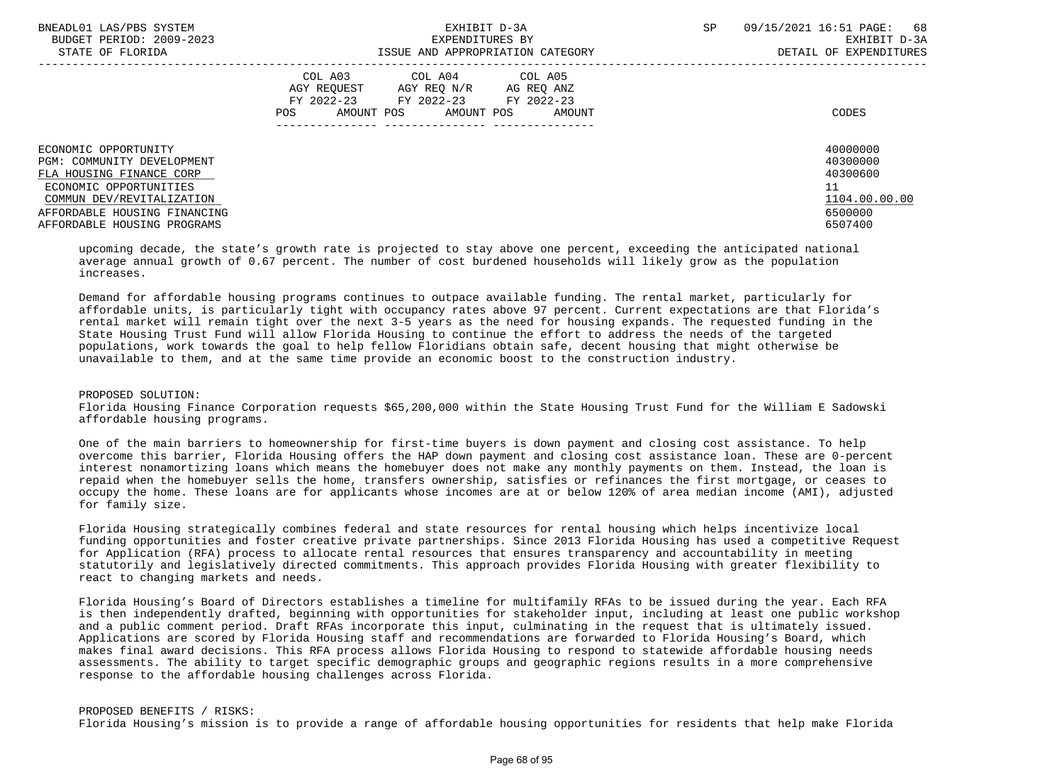| BNEADL01 LAS/PBS SYSTEM<br>BUDGET PERIOD: 2009-2023<br>STATE OF FLORIDA                                                                                                                              | EXHIBIT D-3A<br>EXPENDITURES BY<br>ISSUE AND APPROPRIATION CATEGORY                                                                                     | SP<br>09/15/2021 16:51 PAGE:<br>68<br>EXHIBIT D-3A<br>DETAIL OF EXPENDITURES  |
|------------------------------------------------------------------------------------------------------------------------------------------------------------------------------------------------------|---------------------------------------------------------------------------------------------------------------------------------------------------------|-------------------------------------------------------------------------------|
|                                                                                                                                                                                                      | COL A03 COL A04 COL A05<br>AGY REOUEST<br>AGY REO N/R<br>AG REO ANZ<br>FY 2022-23<br>FY 2022-23 FY 2022-23<br>AMOUNT POS<br>AMOUNT POS<br>AMOUNT<br>POS | CODES                                                                         |
| ECONOMIC OPPORTUNITY<br>PGM: COMMUNITY DEVELOPMENT<br>FLA HOUSING FINANCE CORP<br>ECONOMIC OPPORTUNITIES<br>COMMUN DEV/REVITALIZATION<br>AFFORDABLE HOUSING FINANCING<br>AFFORDABLE HOUSING PROGRAMS |                                                                                                                                                         | 40000000<br>40300000<br>40300600<br>11<br>1104.00.00.00<br>6500000<br>6507400 |

 upcoming decade, the state's growth rate is projected to stay above one percent, exceeding the anticipated national average annual growth of 0.67 percent. The number of cost burdened households will likely grow as the population increases.

 Demand for affordable housing programs continues to outpace available funding. The rental market, particularly for affordable units, is particularly tight with occupancy rates above 97 percent. Current expectations are that Florida's rental market will remain tight over the next 3-5 years as the need for housing expands. The requested funding in the State Housing Trust Fund will allow Florida Housing to continue the effort to address the needs of the targeted populations, work towards the goal to help fellow Floridians obtain safe, decent housing that might otherwise be unavailable to them, and at the same time provide an economic boost to the construction industry.

## PROPOSED SOLUTION:

 Florida Housing Finance Corporation requests \$65,200,000 within the State Housing Trust Fund for the William E Sadowski affordable housing programs.

 One of the main barriers to homeownership for first-time buyers is down payment and closing cost assistance. To help overcome this barrier, Florida Housing offers the HAP down payment and closing cost assistance loan. These are 0-percent interest nonamortizing loans which means the homebuyer does not make any monthly payments on them. Instead, the loan is repaid when the homebuyer sells the home, transfers ownership, satisfies or refinances the first mortgage, or ceases to occupy the home. These loans are for applicants whose incomes are at or below 120% of area median income (AMI), adjusted for family size.

 Florida Housing strategically combines federal and state resources for rental housing which helps incentivize local funding opportunities and foster creative private partnerships. Since 2013 Florida Housing has used a competitive Request for Application (RFA) process to allocate rental resources that ensures transparency and accountability in meeting statutorily and legislatively directed commitments. This approach provides Florida Housing with greater flexibility to react to changing markets and needs.

 Florida Housing's Board of Directors establishes a timeline for multifamily RFAs to be issued during the year. Each RFA is then independently drafted, beginning with opportunities for stakeholder input, including at least one public workshop and a public comment period. Draft RFAs incorporate this input, culminating in the request that is ultimately issued. Applications are scored by Florida Housing staff and recommendations are forwarded to Florida Housing's Board, which makes final award decisions. This RFA process allows Florida Housing to respond to statewide affordable housing needs assessments. The ability to target specific demographic groups and geographic regions results in a more comprehensive response to the affordable housing challenges across Florida.

### PROPOSED BENEFITS / RISKS:

Florida Housing's mission is to provide a range of affordable housing opportunities for residents that help make Florida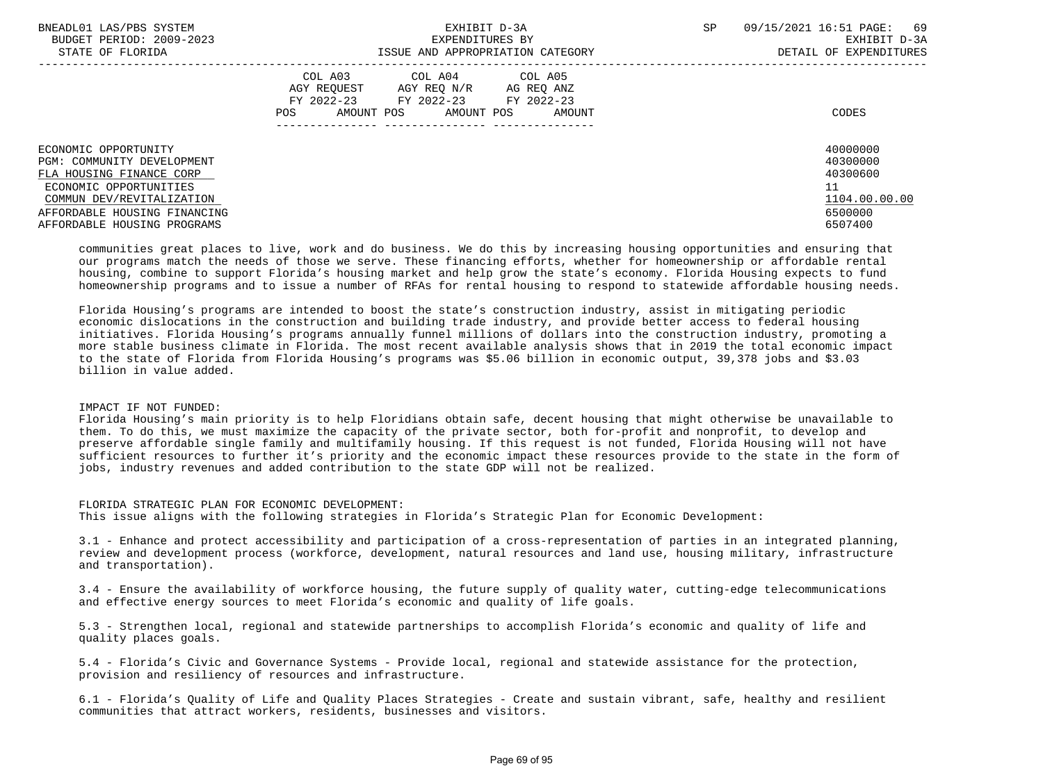| BNEADL01 LAS/PBS SYSTEM<br>BUDGET PERIOD: 2009-2023<br>STATE OF FLORIDA | EXHIBIT D-3A<br>EXPENDITURES BY<br>ISSUE AND APPROPRIATION CATEGORY                                     | SP | 09/15/2021 16:51 PAGE:<br>69<br>EXHIBIT D-3A<br>DETAIL OF EXPENDITURES |
|-------------------------------------------------------------------------|---------------------------------------------------------------------------------------------------------|----|------------------------------------------------------------------------|
|                                                                         |                                                                                                         |    |                                                                        |
|                                                                         | COL A03 COL A04 COL A05<br>AGY REOUEST<br>AGY REO N/R<br>AG REQ ANZ<br>FY 2022-23 FY 2022-23 FY 2022-23 |    |                                                                        |
|                                                                         | AMOUNT POS<br>AMOUNT POS<br>POS<br>AMOUNT                                                               |    | CODES                                                                  |
|                                                                         |                                                                                                         |    |                                                                        |
| ECONOMIC OPPORTUNITY                                                    |                                                                                                         |    | 40000000                                                               |
| PGM: COMMUNITY DEVELOPMENT                                              |                                                                                                         |    | 40300000                                                               |
| FLA HOUSING FINANCE CORP                                                |                                                                                                         |    | 40300600                                                               |
| ECONOMIC OPPORTUNITIES                                                  |                                                                                                         |    | 11                                                                     |
| COMMUN DEV/REVITALIZATION                                               |                                                                                                         |    | 1104.00.00.00                                                          |
| AFFORDABLE HOUSING FINANCING                                            |                                                                                                         |    | 6500000                                                                |
| AFFORDABLE HOUSING PROGRAMS                                             |                                                                                                         |    | 6507400                                                                |

 communities great places to live, work and do business. We do this by increasing housing opportunities and ensuring that our programs match the needs of those we serve. These financing efforts, whether for homeownership or affordable rental housing, combine to support Florida's housing market and help grow the state's economy. Florida Housing expects to fund homeownership programs and to issue a number of RFAs for rental housing to respond to statewide affordable housing needs.

 Florida Housing's programs are intended to boost the state's construction industry, assist in mitigating periodic economic dislocations in the construction and building trade industry, and provide better access to federal housing initiatives. Florida Housing's programs annually funnel millions of dollars into the construction industry, promoting a more stable business climate in Florida. The most recent available analysis shows that in 2019 the total economic impact to the state of Florida from Florida Housing's programs was \$5.06 billion in economic output, 39,378 jobs and \$3.03 billion in value added.

# IMPACT IF NOT FUNDED:

 Florida Housing's main priority is to help Floridians obtain safe, decent housing that might otherwise be unavailable to them. To do this, we must maximize the capacity of the private sector, both for-profit and nonprofit, to develop and preserve affordable single family and multifamily housing. If this request is not funded, Florida Housing will not have sufficient resources to further it's priority and the economic impact these resources provide to the state in the form of jobs, industry revenues and added contribution to the state GDP will not be realized.

 FLORIDA STRATEGIC PLAN FOR ECONOMIC DEVELOPMENT: This issue aligns with the following strategies in Florida's Strategic Plan for Economic Development:

 3.1 - Enhance and protect accessibility and participation of a cross-representation of parties in an integrated planning, review and development process (workforce, development, natural resources and land use, housing military, infrastructure and transportation).

 3.4 - Ensure the availability of workforce housing, the future supply of quality water, cutting-edge telecommunications and effective energy sources to meet Florida's economic and quality of life goals.

 5.3 - Strengthen local, regional and statewide partnerships to accomplish Florida's economic and quality of life and quality places goals.

 5.4 - Florida's Civic and Governance Systems - Provide local, regional and statewide assistance for the protection, provision and resiliency of resources and infrastructure.

 6.1 - Florida's Quality of Life and Quality Places Strategies - Create and sustain vibrant, safe, healthy and resilient communities that attract workers, residents, businesses and visitors.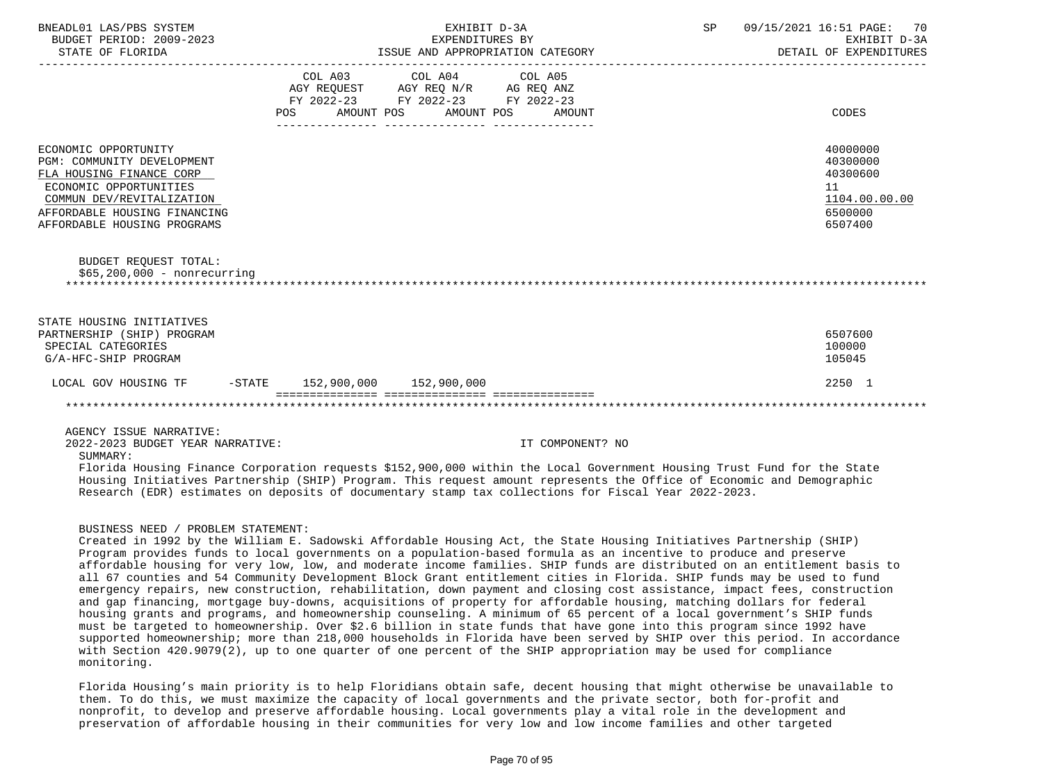| BNEADL01 LAS/PBS SYSTEM<br>BUDGET PERIOD: 2009-2023<br>STATE OF FLORIDA                                                                                                                              | EXHIBIT D-3A<br>EXPENDITURES BY<br>ISSUE AND APPROPRIATION CATEGORY                  |                         | SP 09/15/2021 16:51 PAGE:<br>70<br>EXHIBIT D-3A<br>DETAIL OF EXPENDITURES |  |                                                                               |
|------------------------------------------------------------------------------------------------------------------------------------------------------------------------------------------------------|--------------------------------------------------------------------------------------|-------------------------|---------------------------------------------------------------------------|--|-------------------------------------------------------------------------------|
|                                                                                                                                                                                                      | AGY REQUEST AGY REQ N/R AG REQ ANZ<br>FY 2022-23 FY 2022-23 FY 2022-23<br><b>POS</b> | COL A03 COL A04 COL A05 | AMOUNT POS AMOUNT POS AMOUNT                                              |  | CODES                                                                         |
| ECONOMIC OPPORTUNITY<br>PGM: COMMUNITY DEVELOPMENT<br>FLA HOUSING FINANCE CORP<br>ECONOMIC OPPORTUNITIES<br>COMMUN DEV/REVITALIZATION<br>AFFORDABLE HOUSING FINANCING<br>AFFORDABLE HOUSING PROGRAMS |                                                                                      |                         |                                                                           |  | 40000000<br>40300000<br>40300600<br>11<br>1104.00.00.00<br>6500000<br>6507400 |
| <b>BUDGET REOUEST TOTAL:</b><br>$$65,200,000 - nonrecurring$                                                                                                                                         |                                                                                      |                         |                                                                           |  |                                                                               |
| STATE HOUSING INITIATIVES<br>PARTNERSHIP (SHIP) PROGRAM<br>SPECIAL CATEGORIES<br>G/A-HFC-SHIP PROGRAM                                                                                                |                                                                                      |                         |                                                                           |  | 6507600<br>100000<br>105045                                                   |
| LOCAL GOV HOUSING TF                                                                                                                                                                                 | $-$ STATE 152,900,000 152,900,000                                                    |                         |                                                                           |  | 2250 1                                                                        |
|                                                                                                                                                                                                      |                                                                                      |                         |                                                                           |  |                                                                               |
| AGENCY ISSUE NARRATIVE:                                                                                                                                                                              |                                                                                      |                         |                                                                           |  |                                                                               |

2022-2023 BUDGET YEAR NARRATIVE: IT COMPONENT? NO

SUMMARY:

 Florida Housing Finance Corporation requests \$152,900,000 within the Local Government Housing Trust Fund for the State Housing Initiatives Partnership (SHIP) Program. This request amount represents the Office of Economic and Demographic Research (EDR) estimates on deposits of documentary stamp tax collections for Fiscal Year 2022-2023.

## BUSINESS NEED / PROBLEM STATEMENT:

 Created in 1992 by the William E. Sadowski Affordable Housing Act, the State Housing Initiatives Partnership (SHIP) Program provides funds to local governments on a population-based formula as an incentive to produce and preserve affordable housing for very low, low, and moderate income families. SHIP funds are distributed on an entitlement basis to all 67 counties and 54 Community Development Block Grant entitlement cities in Florida. SHIP funds may be used to fund emergency repairs, new construction, rehabilitation, down payment and closing cost assistance, impact fees, construction and gap financing, mortgage buy-downs, acquisitions of property for affordable housing, matching dollars for federal housing grants and programs, and homeownership counseling. A minimum of 65 percent of a local government's SHIP funds must be targeted to homeownership. Over \$2.6 billion in state funds that have gone into this program since 1992 have supported homeownership; more than 218,000 households in Florida have been served by SHIP over this period. In accordance with Section 420.9079(2), up to one quarter of one percent of the SHIP appropriation may be used for compliance monitoring.

 Florida Housing's main priority is to help Floridians obtain safe, decent housing that might otherwise be unavailable to them. To do this, we must maximize the capacity of local governments and the private sector, both for-profit and nonprofit, to develop and preserve affordable housing. Local governments play a vital role in the development and preservation of affordable housing in their communities for very low and low income families and other targeted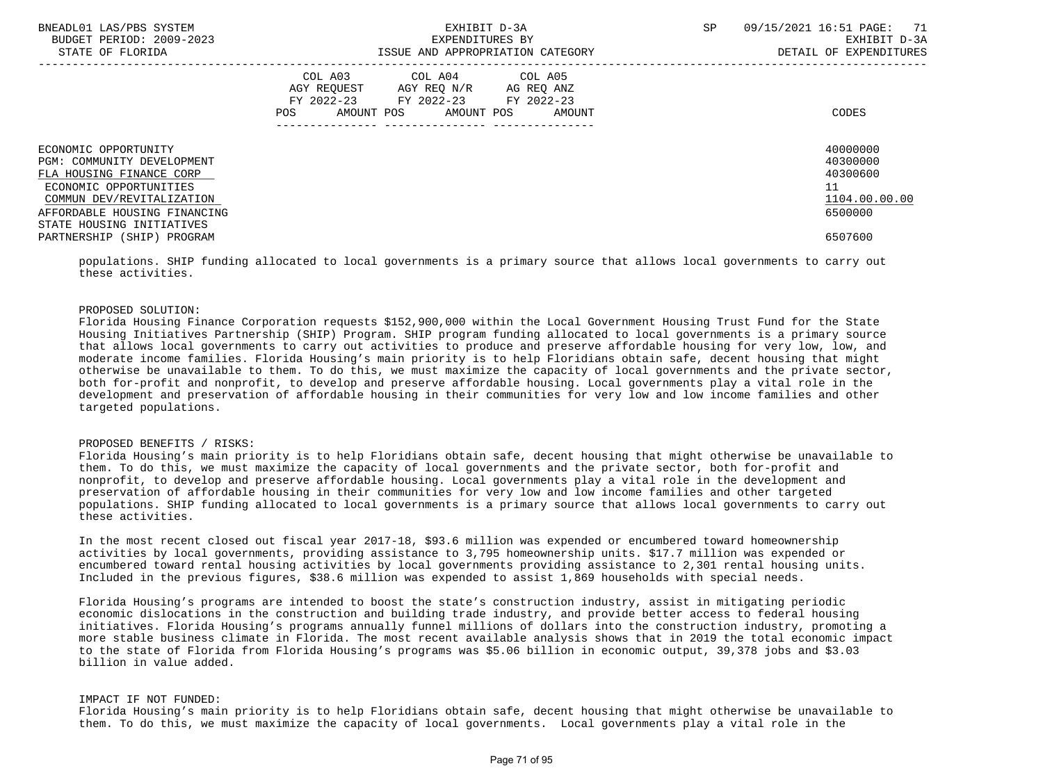| BNEADL01 LAS/PBS SYSTEM<br>BUDGET PERIOD: 2009-2023<br>STATE OF FLORIDA                                                                                                                            | EXHIBIT D-3A<br>EXPENDITURES BY<br>ISSUE AND APPROPRIATION CATEGORY                                                                         | 09/15/2021 16:51 PAGE: 71<br><b>SP</b><br>EXHIBIT D-3A<br>DETAIL OF EXPENDITURES |
|----------------------------------------------------------------------------------------------------------------------------------------------------------------------------------------------------|---------------------------------------------------------------------------------------------------------------------------------------------|----------------------------------------------------------------------------------|
|                                                                                                                                                                                                    | COL A03 COL A04 COL A05<br>AGY REQUEST AGY REQ N/R AG REQ ANZ<br>FY 2022-23 FY 2022-23 FY 2022-23<br>AMOUNT POS AMOUNT POS<br>POS<br>AMOUNT | CODES                                                                            |
| ECONOMIC OPPORTUNITY<br>PGM: COMMUNITY DEVELOPMENT<br>FLA HOUSING FINANCE CORP<br>ECONOMIC OPPORTUNITIES<br>COMMUN DEV/REVITALIZATION<br>AFFORDABLE HOUSING FINANCING<br>STATE HOUSING INITIATIVES |                                                                                                                                             | 40000000<br>40300000<br>40300600<br>11<br>1104.00.00.00<br>6500000               |
| PARTNERSHIP (SHIP) PROGRAM                                                                                                                                                                         |                                                                                                                                             | 6507600                                                                          |

 populations. SHIP funding allocated to local governments is a primary source that allows local governments to carry out these activities.

#### PROPOSED SOLUTION:

 Florida Housing Finance Corporation requests \$152,900,000 within the Local Government Housing Trust Fund for the State Housing Initiatives Partnership (SHIP) Program. SHIP program funding allocated to local governments is a primary source that allows local governments to carry out activities to produce and preserve affordable housing for very low, low, and moderate income families. Florida Housing's main priority is to help Floridians obtain safe, decent housing that might otherwise be unavailable to them. To do this, we must maximize the capacity of local governments and the private sector, both for-profit and nonprofit, to develop and preserve affordable housing. Local governments play a vital role in the development and preservation of affordable housing in their communities for very low and low income families and other targeted populations.

### PROPOSED BENEFITS / RISKS:

 Florida Housing's main priority is to help Floridians obtain safe, decent housing that might otherwise be unavailable to them. To do this, we must maximize the capacity of local governments and the private sector, both for-profit and nonprofit, to develop and preserve affordable housing. Local governments play a vital role in the development and preservation of affordable housing in their communities for very low and low income families and other targeted populations. SHIP funding allocated to local governments is a primary source that allows local governments to carry out these activities.

 In the most recent closed out fiscal year 2017-18, \$93.6 million was expended or encumbered toward homeownership activities by local governments, providing assistance to 3,795 homeownership units. \$17.7 million was expended or encumbered toward rental housing activities by local governments providing assistance to 2,301 rental housing units. Included in the previous figures, \$38.6 million was expended to assist 1,869 households with special needs.

 Florida Housing's programs are intended to boost the state's construction industry, assist in mitigating periodic economic dislocations in the construction and building trade industry, and provide better access to federal housing initiatives. Florida Housing's programs annually funnel millions of dollars into the construction industry, promoting a more stable business climate in Florida. The most recent available analysis shows that in 2019 the total economic impact to the state of Florida from Florida Housing's programs was \$5.06 billion in economic output, 39,378 jobs and \$3.03 billion in value added.

#### IMPACT IF NOT FUNDED:

 Florida Housing's main priority is to help Floridians obtain safe, decent housing that might otherwise be unavailable to them. To do this, we must maximize the capacity of local governments. Local governments play a vital role in the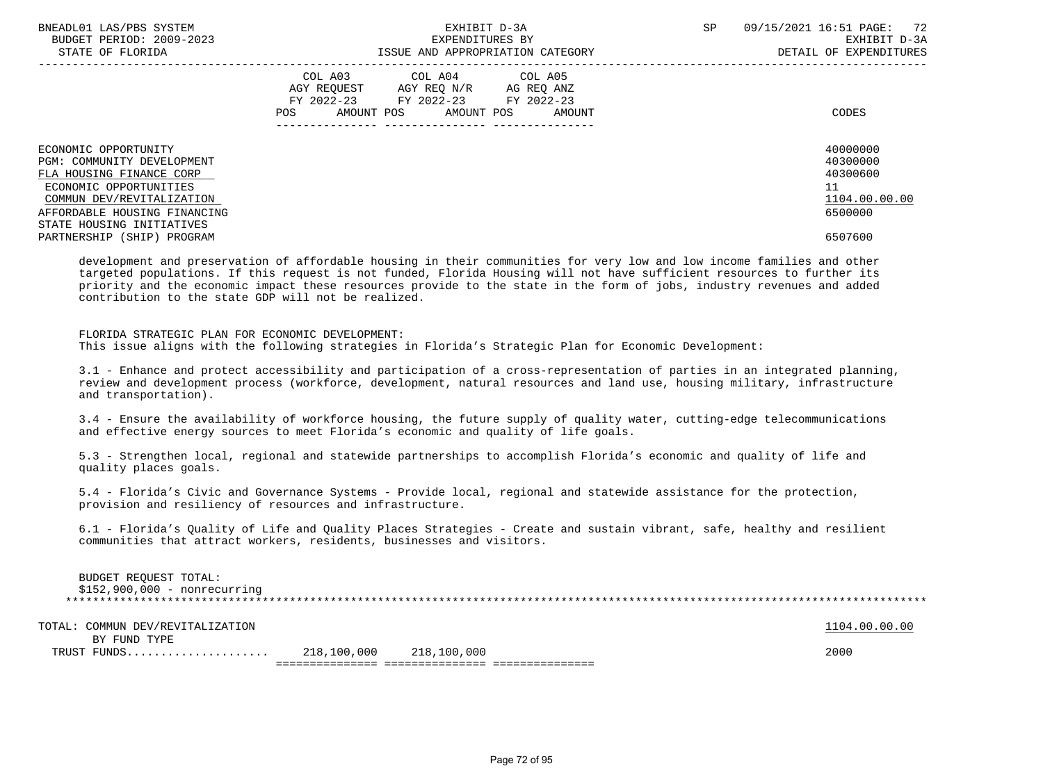| BNEADL01 LAS/PBS SYSTEM<br>BUDGET PERIOD: 2009-2023<br>STATE OF FLORIDA                                                                                                                            | EXHIBIT D-3A<br>EXPENDITURES BY<br>ISSUE AND APPROPRIATION CATEGORY                                                                            | 09/15/2021 16:51 PAGE: 72<br><b>SP</b><br>EXHIBIT D-3A<br>DETAIL OF EXPENDITURES |  |  |
|----------------------------------------------------------------------------------------------------------------------------------------------------------------------------------------------------|------------------------------------------------------------------------------------------------------------------------------------------------|----------------------------------------------------------------------------------|--|--|
|                                                                                                                                                                                                    | COL A03 COL A04 COL A05<br>AGY REOUEST AGY REO N/R<br>AG REO ANZ<br>FY 2022-23 FY 2022-23 FY 2022-23<br>AMOUNT POS AMOUNT POS<br>POS<br>AMOUNT | CODES                                                                            |  |  |
| ECONOMIC OPPORTUNITY<br>PGM: COMMUNITY DEVELOPMENT<br>FLA HOUSING FINANCE CORP<br>ECONOMIC OPPORTUNITIES<br>COMMUN DEV/REVITALIZATION<br>AFFORDABLE HOUSING FINANCING<br>STATE HOUSING INITIATIVES |                                                                                                                                                | 40000000<br>40300000<br>40300600<br>11<br>1104.00.00.00<br>6500000               |  |  |
| PARTNERSHIP (SHIP) PROGRAM                                                                                                                                                                         |                                                                                                                                                | 6507600                                                                          |  |  |
|                                                                                                                                                                                                    |                                                                                                                                                |                                                                                  |  |  |

 development and preservation of affordable housing in their communities for very low and low income families and other targeted populations. If this request is not funded, Florida Housing will not have sufficient resources to further its priority and the economic impact these resources provide to the state in the form of jobs, industry revenues and added contribution to the state GDP will not be realized.

### FLORIDA STRATEGIC PLAN FOR ECONOMIC DEVELOPMENT:

This issue aligns with the following strategies in Florida's Strategic Plan for Economic Development:

 3.1 - Enhance and protect accessibility and participation of a cross-representation of parties in an integrated planning, review and development process (workforce, development, natural resources and land use, housing military, infrastructure and transportation).

 3.4 - Ensure the availability of workforce housing, the future supply of quality water, cutting-edge telecommunications and effective energy sources to meet Florida's economic and quality of life goals.

 5.3 - Strengthen local, regional and statewide partnerships to accomplish Florida's economic and quality of life and quality places goals.

 5.4 - Florida's Civic and Governance Systems - Provide local, regional and statewide assistance for the protection, provision and resiliency of resources and infrastructure.

 6.1 - Florida's Quality of Life and Quality Places Strategies - Create and sustain vibrant, safe, healthy and resilient communities that attract workers, residents, businesses and visitors.

 BUDGET REQUEST TOTAL: \$152,900,000 - nonrecurring \*\*\*\*\*\*\*\*\*\*\*\*\*\*\*\*\*\*\*\*\*\*\*\*\*\*\*\*\*\*\*\*\*\*\*\*\*\*\*\*\*\*\*\*\*\*\*\*\*\*\*\*\*\*\*\*\*\*\*\*\*\*\*\*\*\*\*\*\*\*\*\*\*\*\*\*\*\*\*\*\*\*\*\*\*\*\*\*\*\*\*\*\*\*\*\*\*\*\*\*\*\*\*\*\*\*\*\*\*\*\*\*\*\*\*\*\*\*\*\*\*\*\*\*\*\*\*

| TOTAL: COMMUN DEV/REVITALIZATION |                         |  | 1104.00.00.00 |
|----------------------------------|-------------------------|--|---------------|
| BY FUND TYPE                     |                         |  |               |
| TRUST FUNDS                      | 218,100,000 218,100,000 |  | 2000          |
|                                  |                         |  |               |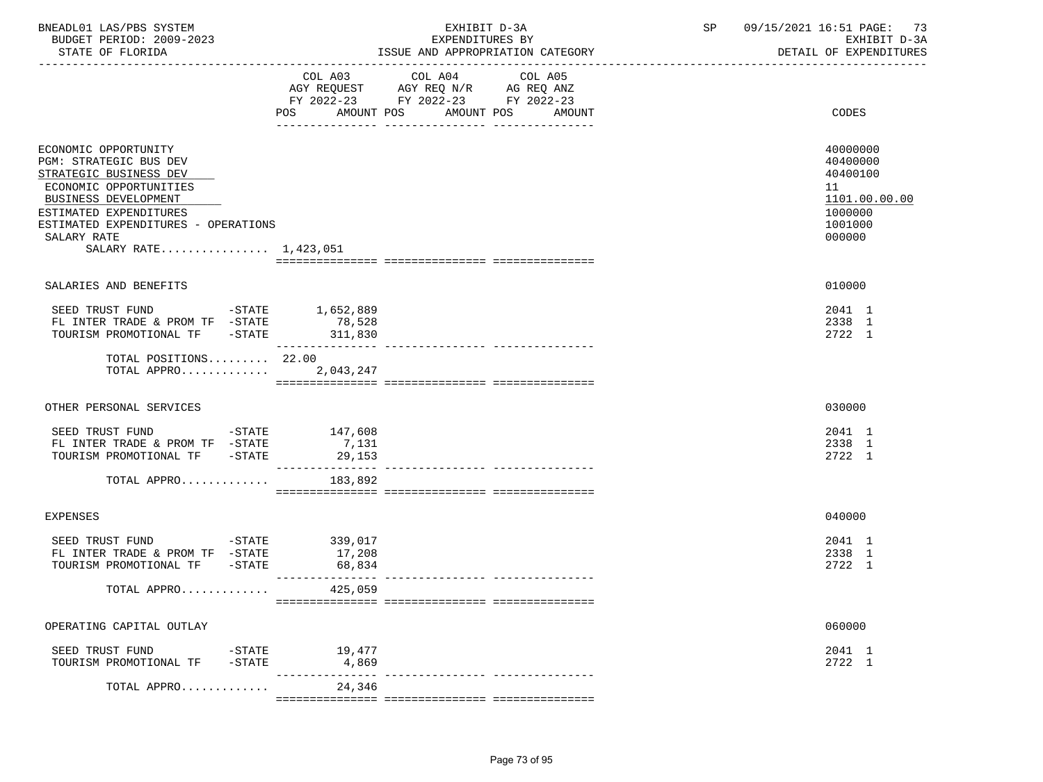| BNEADL01 LAS/PBS SYSTEM<br>BUDGET PERIOD: 2009-2023<br>STATE OF FLORIDA                                                                                                                                                                                                                                                        |                                      | EXHIBIT D-3A<br>EXPENDITURES BY<br>ISSUE AND APPROPRIATION CATEGORY                                                          | SP | 09/15/2021 16:51 PAGE: 73<br>EXHIBIT D-3A<br>DETAIL OF EXPENDITURES                     |
|--------------------------------------------------------------------------------------------------------------------------------------------------------------------------------------------------------------------------------------------------------------------------------------------------------------------------------|--------------------------------------|------------------------------------------------------------------------------------------------------------------------------|----|-----------------------------------------------------------------------------------------|
|                                                                                                                                                                                                                                                                                                                                | AMOUNT POS<br>POS                    | COL A03 COL A04<br>COL A05<br>AGY REQUEST AGY REQ N/R AG REQ ANZ<br>FY 2022-23 FY 2022-23 FY 2022-23<br>AMOUNT POS<br>AMOUNT |    | CODES                                                                                   |
| ECONOMIC OPPORTUNITY<br>PGM: STRATEGIC BUS DEV<br>STRATEGIC BUSINESS DEV<br>ECONOMIC OPPORTUNITIES<br>BUSINESS DEVELOPMENT<br>ESTIMATED EXPENDITURES<br>ESTIMATED EXPENDITURES - OPERATIONS<br>SALARY RATE<br>SALARY RATE 1,423,051                                                                                            |                                      |                                                                                                                              |    | 40000000<br>40400000<br>40400100<br>11<br>1101.00.00.00<br>1000000<br>1001000<br>000000 |
| SALARIES AND BENEFITS                                                                                                                                                                                                                                                                                                          |                                      |                                                                                                                              |    | 010000                                                                                  |
| SEED TRUST FUND -STATE 1,652,889<br>$\begin{tabular}{lllllllll} \multicolumn{2}{l}{{\bf FL}} & {\bf INTER} & {\bf TRADE} & & {\bf PROM} & {\bf TF} & -{\bf STATE} & & \multicolumn{2}{l}{{\bf 78,528}} \\ & {\bf TOURISM} & {\bf PROMOTIONAL} & {\bf TF} & -{\bf STATE} & & 311,830 \\ \end{tabular}$<br>TOTAL POSITIONS 22.00 | ________________                     |                                                                                                                              |    | 2041 1<br>2338 1<br>2722 1                                                              |
| TOTAL APPRO                                                                                                                                                                                                                                                                                                                    | 2,043,247                            |                                                                                                                              |    |                                                                                         |
| OTHER PERSONAL SERVICES                                                                                                                                                                                                                                                                                                        |                                      |                                                                                                                              |    | 030000                                                                                  |
| SEED TRUST FUND -STATE 147,608<br>FL INTER TRADE & PROM TF -STATE<br>TOURISM PROMOTIONAL TF -STATE                                                                                                                                                                                                                             | 7,131<br>29,153                      |                                                                                                                              |    | 2041 1<br>2338 1<br>2722 1                                                              |
| TOTAL APPRO $183,892$                                                                                                                                                                                                                                                                                                          |                                      |                                                                                                                              |    |                                                                                         |
| <b>EXPENSES</b>                                                                                                                                                                                                                                                                                                                |                                      |                                                                                                                              |    | 040000                                                                                  |
| SEED TRUST FUND<br>FL INTER TRADE & PROM TF -STATE<br>TOURISM PROMOTIONAL TF -STATE                                                                                                                                                                                                                                            | $-STATE$ 339,017<br>17,208<br>68,834 |                                                                                                                              |    | 2041 1<br>2338 1<br>2722 1                                                              |
| TOTAL APPRO                                                                                                                                                                                                                                                                                                                    | 425,059                              |                                                                                                                              |    |                                                                                         |
| OPERATING CAPITAL OUTLAY                                                                                                                                                                                                                                                                                                       |                                      |                                                                                                                              |    | 060000                                                                                  |
| SEED TRUST FUND<br>$-$ STATE<br>TOURISM PROMOTIONAL TF<br>$-$ STATE                                                                                                                                                                                                                                                            | 19,477<br>4,869                      |                                                                                                                              |    | 2041 1<br>2722 1                                                                        |
| TOTAL APPRO                                                                                                                                                                                                                                                                                                                    | 24,346                               |                                                                                                                              |    |                                                                                         |

=============== =============== ===============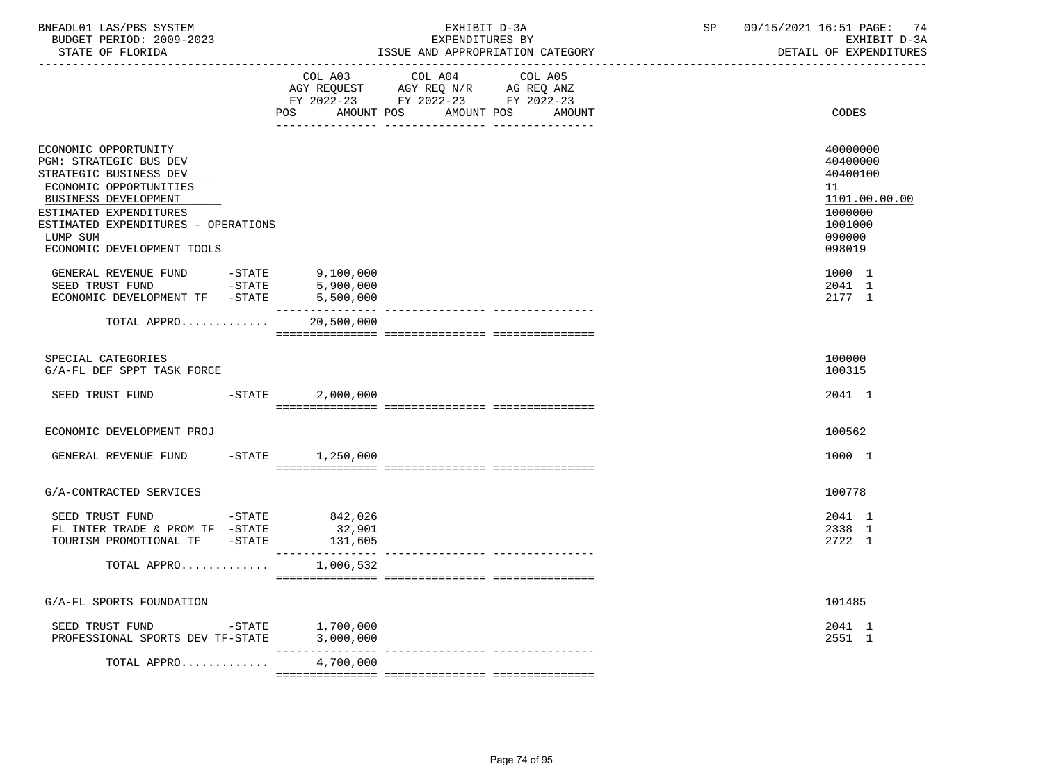| BNEADL01 LAS/PBS SYSTEM |                  |                          | EXHIBIT D-3A                     |  |  |  |  |
|-------------------------|------------------|--------------------------|----------------------------------|--|--|--|--|
|                         |                  | BUDGET PERIOD: 2009-2023 | EXPENDITURES BY                  |  |  |  |  |
|                         | STATE OF FLORIDA |                          | ISSUE AND APPROPRIATION CATEGORY |  |  |  |  |

BUDGET PERIOD: 2009-2023 EXPENDITURES BY EXHIBIT D-3A

|                                                                                                                                                                                                                                       | COL A03                                       | COL A04<br>COL A05<br>AGY REQUEST AGY REQ N/R AG REQ ANZ<br>FY 2022-23 FY 2022-23 FY 2022-23 |                                                                                                   |
|---------------------------------------------------------------------------------------------------------------------------------------------------------------------------------------------------------------------------------------|-----------------------------------------------|----------------------------------------------------------------------------------------------|---------------------------------------------------------------------------------------------------|
|                                                                                                                                                                                                                                       | POS<br>AMOUNT POS                             | AMOUNT POS<br>AMOUNT                                                                         | CODES                                                                                             |
| ECONOMIC OPPORTUNITY<br>PGM: STRATEGIC BUS DEV<br>STRATEGIC BUSINESS DEV<br>ECONOMIC OPPORTUNITIES<br>BUSINESS DEVELOPMENT<br>ESTIMATED EXPENDITURES<br>ESTIMATED EXPENDITURES - OPERATIONS<br>LUMP SUM<br>ECONOMIC DEVELOPMENT TOOLS |                                               |                                                                                              | 40000000<br>40400000<br>40400100<br>11<br>1101.00.00.00<br>1000000<br>1001000<br>090000<br>098019 |
| GENERAL REVENUE FUND -STATE<br>SEED TRUST FUND -STATE<br>ECONOMIC DEVELOPMENT TF -STATE                                                                                                                                               | , יטב, 9<br>5,900,000<br>ירה החר<br>5,500,000 |                                                                                              | 1000 1<br>2041 1<br>2177 1                                                                        |
| TOTAL APPRO                                                                                                                                                                                                                           | 20,500,000                                    |                                                                                              |                                                                                                   |
| SPECIAL CATEGORIES<br>G/A-FL DEF SPPT TASK FORCE                                                                                                                                                                                      |                                               |                                                                                              | 100000<br>100315                                                                                  |
| SEED TRUST FUND<br>$-STATE$                                                                                                                                                                                                           | 2,000,000                                     |                                                                                              | 2041 1                                                                                            |
| ECONOMIC DEVELOPMENT PROJ                                                                                                                                                                                                             |                                               |                                                                                              | 100562                                                                                            |
| GENERAL REVENUE FUND -STATE 1,250,000                                                                                                                                                                                                 |                                               |                                                                                              | 1000 1                                                                                            |
| G/A-CONTRACTED SERVICES                                                                                                                                                                                                               |                                               |                                                                                              | 100778                                                                                            |
| $-STATE$<br>SEED TRUST FUND<br>FL INTER TRADE & PROM TF $-$ STATE<br>TOURISM PROMOTIONAL TF -STATE                                                                                                                                    | 842,026<br>32,901<br>131,605                  |                                                                                              | 2041 1<br>2338 1<br>2722 1                                                                        |
| TOTAL APPRO                                                                                                                                                                                                                           | 1,006,532                                     |                                                                                              |                                                                                                   |
| G/A-FL SPORTS FOUNDATION                                                                                                                                                                                                              |                                               |                                                                                              | 101485                                                                                            |
| SEED TRUST FUND<br>PROFESSIONAL SPORTS DEV TF-STATE 3,000,000                                                                                                                                                                         | $-STATE$ 1,700,000                            |                                                                                              | 2041 1<br>2551 1                                                                                  |
| TOTAL APPRO                                                                                                                                                                                                                           | 4,700,000                                     |                                                                                              |                                                                                                   |

=============== =============== ===============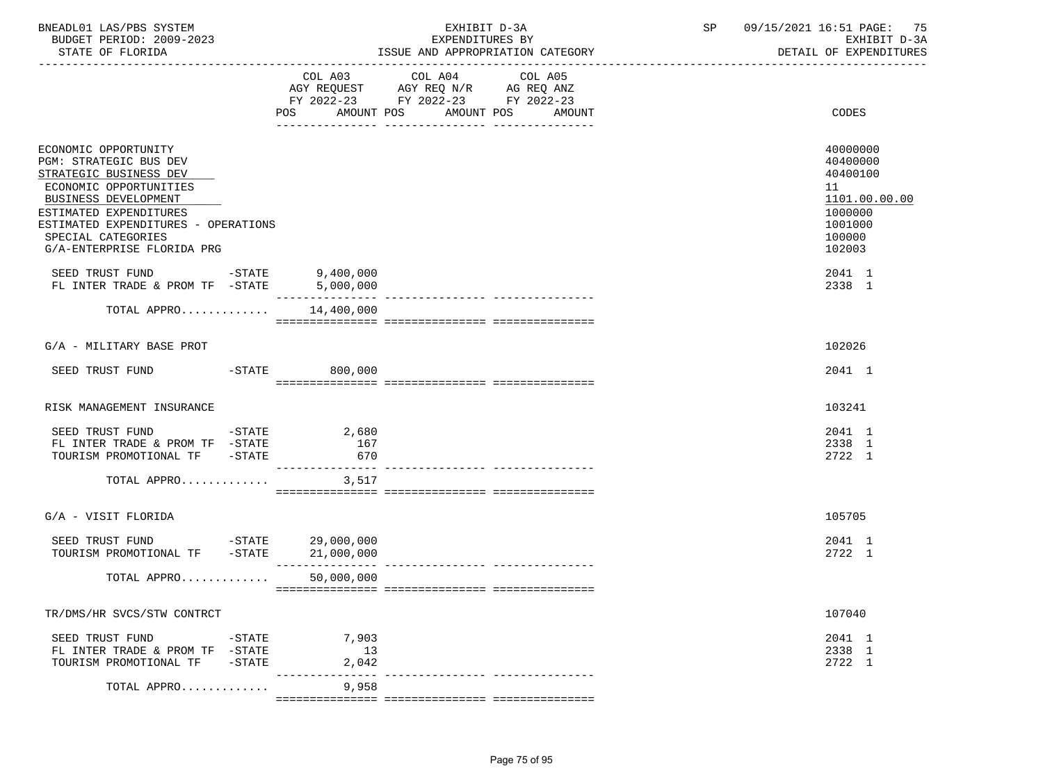| BNEADL01 LAS/PBS SYSTEM |                  |                          |
|-------------------------|------------------|--------------------------|
|                         |                  | BUDGET PERIOD: 2009-2023 |
|                         | STATE OF FLORIDA |                          |

|                                                                                                                                                                                                                                                 | COL A03<br>AMOUNT POS<br>POS                          | COL A04<br>FY 2022-23 FY 2022-23 FY 2022-23<br>AMOUNT POS | COL A05<br>AMOUNT | CODES                                                                                             |
|-------------------------------------------------------------------------------------------------------------------------------------------------------------------------------------------------------------------------------------------------|-------------------------------------------------------|-----------------------------------------------------------|-------------------|---------------------------------------------------------------------------------------------------|
| ECONOMIC OPPORTUNITY<br>PGM: STRATEGIC BUS DEV<br>STRATEGIC BUSINESS DEV<br>ECONOMIC OPPORTUNITIES<br>BUSINESS DEVELOPMENT<br>ESTIMATED EXPENDITURES<br>ESTIMATED EXPENDITURES - OPERATIONS<br>SPECIAL CATEGORIES<br>G/A-ENTERPRISE FLORIDA PRG |                                                       |                                                           |                   | 40000000<br>40400000<br>40400100<br>11<br>1101.00.00.00<br>1000000<br>1001000<br>100000<br>102003 |
| SEED TRUST FUND $-$ STATE 9,400,000<br>FL INTER TRADE & PROM TF $-$ STATE 5,000,000<br>FL INTER TRADE & PROM TF -STATE                                                                                                                          | 5,000,000                                             |                                                           |                   | 2041 1<br>2338 1                                                                                  |
| TOTAL APPRO $14,400,000$                                                                                                                                                                                                                        | _______________                                       |                                                           |                   |                                                                                                   |
| G/A - MILITARY BASE PROT                                                                                                                                                                                                                        |                                                       |                                                           |                   | 102026                                                                                            |
| SEED TRUST FUND -STATE 800,000                                                                                                                                                                                                                  |                                                       |                                                           |                   | 2041 1                                                                                            |
| RISK MANAGEMENT INSURANCE                                                                                                                                                                                                                       |                                                       |                                                           |                   | 103241                                                                                            |
| SEED TRUST FUND<br>FL INTER TRADE & PROM TF $-STATE$<br>TOURISM PROMOTIONAL TF -STATE<br>TOTAL APPRO                                                                                                                                            | $-STATE$ 2,680<br>167<br>670<br>. <u>.</u> .<br>3,517 |                                                           |                   | 2041 1<br>2338 1<br>2722 1                                                                        |
|                                                                                                                                                                                                                                                 |                                                       |                                                           |                   |                                                                                                   |
| G/A - VISIT FLORIDA                                                                                                                                                                                                                             |                                                       |                                                           |                   | 105705                                                                                            |
| SEED TRUST FUND<br>TOURISM PROMOTIONAL TF -STATE 21,000,000                                                                                                                                                                                     | -STATE 29,000,000                                     |                                                           |                   | 2041 1<br>2722 1                                                                                  |
| TOTAL APPRO                                                                                                                                                                                                                                     | 50,000,000                                            |                                                           |                   |                                                                                                   |
| TR/DMS/HR SVCS/STW CONTRCT                                                                                                                                                                                                                      |                                                       |                                                           |                   | 107040                                                                                            |
| $-STATE$<br>SEED TRUST FUND<br>FL INTER TRADE & PROM TF -STATE<br>TOURISM PROMOTIONAL TF -STATE                                                                                                                                                 | 7,903<br>13<br>2,042<br>--------------- -             |                                                           |                   | 2041 1<br>2338 1<br>2722 1                                                                        |
| TOTAL APPRO                                                                                                                                                                                                                                     | 9,958                                                 |                                                           |                   |                                                                                                   |

=============== =============== ===============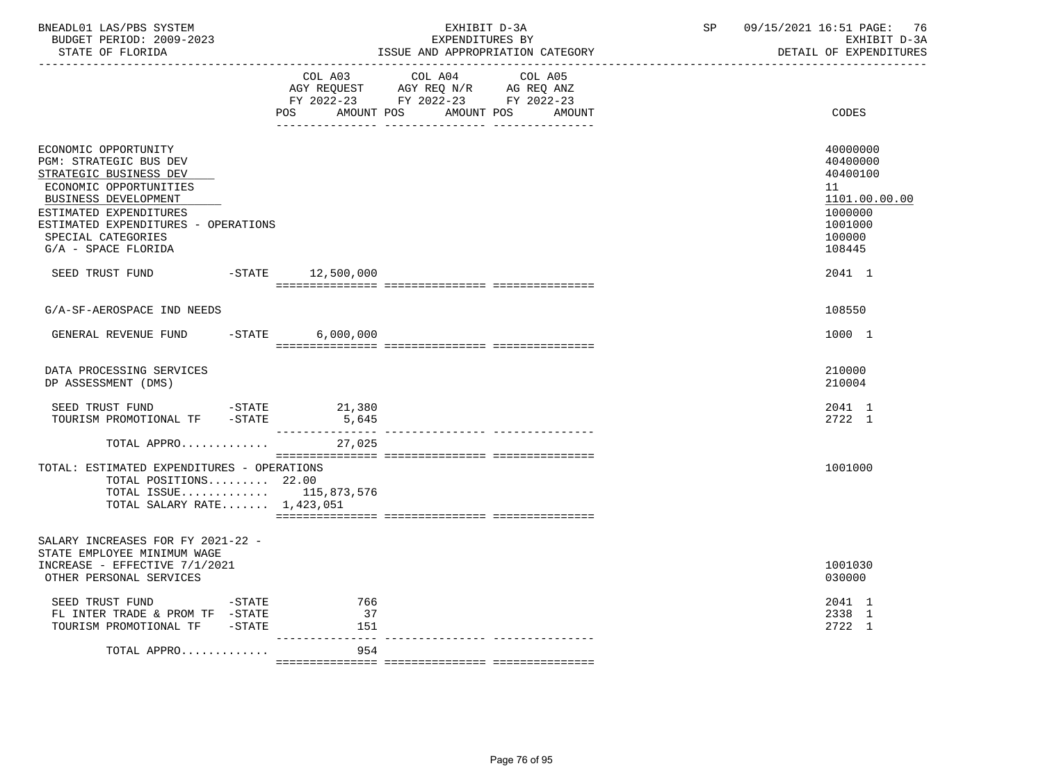| BNEADL01 LAS/PBS SYSTEM<br>BUDGET PERIOD: 2009-2023<br>STATE OF FLORIDA                                                                                                                                                                  | ____________________________________ | EXHIBIT D-3A<br>EXPENDITURES BY                                                                                    | ISSUE AND APPROPRIATION CATEGORY | SP | 09/15/2021 16:51 PAGE:<br>76<br>EXHIBIT D-3A<br>DETAIL OF EXPENDITURES                            |
|------------------------------------------------------------------------------------------------------------------------------------------------------------------------------------------------------------------------------------------|--------------------------------------|--------------------------------------------------------------------------------------------------------------------|----------------------------------|----|---------------------------------------------------------------------------------------------------|
|                                                                                                                                                                                                                                          | <b>POS</b>                           | COL A03 COL A04<br>AGY REQUEST AGY REQ N/R AG REQ ANZ<br>FY 2022-23 FY 2022-23 FY 2022-23<br>AMOUNT POS AMOUNT POS | COL A05<br>AMOUNT                |    | CODES                                                                                             |
| ECONOMIC OPPORTUNITY<br>PGM: STRATEGIC BUS DEV<br>STRATEGIC BUSINESS DEV<br>ECONOMIC OPPORTUNITIES<br>BUSINESS DEVELOPMENT<br>ESTIMATED EXPENDITURES<br>ESTIMATED EXPENDITURES - OPERATIONS<br>SPECIAL CATEGORIES<br>G/A - SPACE FLORIDA |                                      |                                                                                                                    |                                  |    | 40000000<br>40400000<br>40400100<br>11<br>1101.00.00.00<br>1000000<br>1001000<br>100000<br>108445 |
| SEED TRUST FUND                                                                                                                                                                                                                          | $-STATE$ 12,500,000                  |                                                                                                                    |                                  |    | 2041 1                                                                                            |
| G/A-SF-AEROSPACE IND NEEDS                                                                                                                                                                                                               |                                      |                                                                                                                    |                                  |    | 108550                                                                                            |
| GENERAL REVENUE FUND                                                                                                                                                                                                                     | $-STATE$ 6,000,000                   |                                                                                                                    |                                  |    | 1000 1                                                                                            |
| DATA PROCESSING SERVICES<br>DP ASSESSMENT (DMS)                                                                                                                                                                                          |                                      |                                                                                                                    |                                  |    | 210000<br>210004                                                                                  |
| SEED TRUST FUND<br>TOURISM PROMOTIONAL TF -STATE                                                                                                                                                                                         | $-STATE$ 21,380<br>5,645             |                                                                                                                    |                                  |    | 2041 1<br>2722 1                                                                                  |
| TOTAL APPRO                                                                                                                                                                                                                              | 27,025                               |                                                                                                                    |                                  |    |                                                                                                   |
| TOTAL: ESTIMATED EXPENDITURES - OPERATIONS<br>TOTAL POSITIONS $22.00$<br>TOTAL ISSUE $115,873,576$<br>TOTAL SALARY RATE $1,423,051$                                                                                                      |                                      |                                                                                                                    |                                  |    | 1001000                                                                                           |
| SALARY INCREASES FOR FY 2021-22 -<br>STATE EMPLOYEE MINIMUM WAGE<br>INCREASE - EFFECTIVE 7/1/2021<br>OTHER PERSONAL SERVICES                                                                                                             |                                      |                                                                                                                    |                                  |    | 1001030<br>030000                                                                                 |
| SEED TRUST FUND<br>$-STATE$<br>FL INTER TRADE & PROM TF $-$ STATE<br>TOURISM PROMOTIONAL TF -STATE                                                                                                                                       | 766<br>37<br>151                     |                                                                                                                    |                                  |    | 2041 1<br>2338 1<br>2722 1                                                                        |
| TOTAL APPRO                                                                                                                                                                                                                              | ---------------<br>954               |                                                                                                                    |                                  |    |                                                                                                   |
|                                                                                                                                                                                                                                          |                                      |                                                                                                                    |                                  |    |                                                                                                   |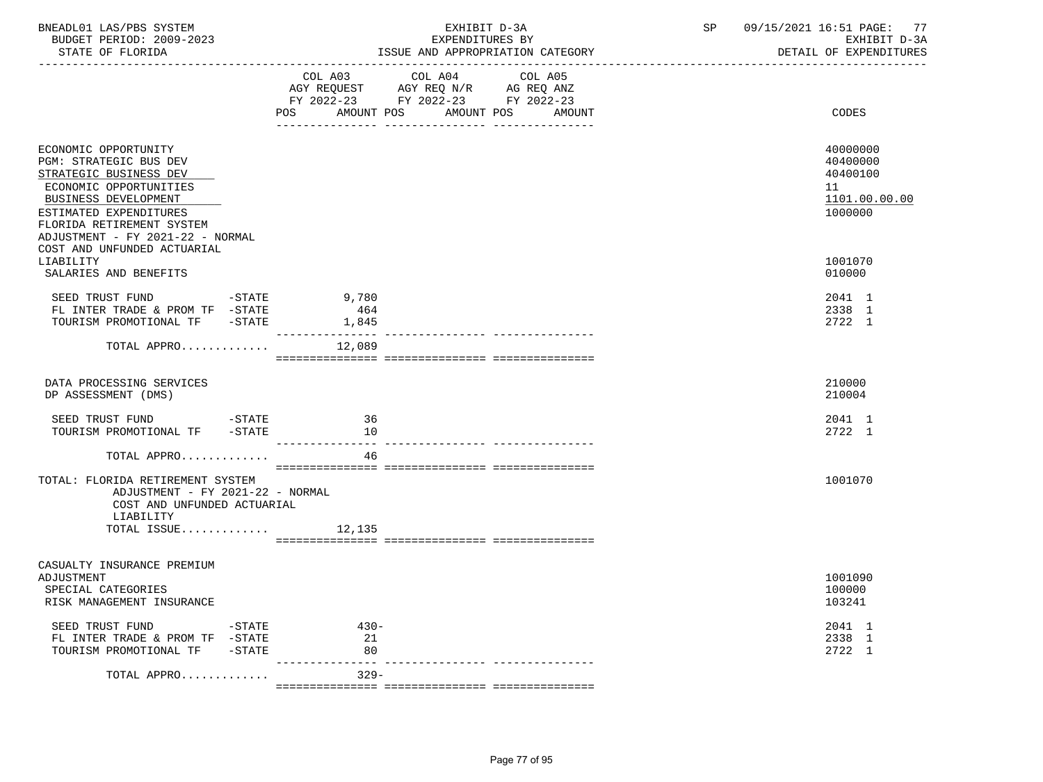| BNEADL01 LAS/PBS SYSTEM<br>BUDGET PERIOD: 2009-2023<br>STATE OF FLORIDA                                                                                                                                                      |                                                                                                                | EXHIBIT D-3A<br>EXPENDITURES BY<br>ISSUE AND APPROPRIATION CATEGORY                                                               | SP 09/15/2021 16:51 PAGE: 77<br>EXHIBIT D-3A<br>DETAIL OF EXPENDITURES |
|------------------------------------------------------------------------------------------------------------------------------------------------------------------------------------------------------------------------------|----------------------------------------------------------------------------------------------------------------|-----------------------------------------------------------------------------------------------------------------------------------|------------------------------------------------------------------------|
|                                                                                                                                                                                                                              | POS FOR THE POST OF THE STATE STATE STATE STATE STATE STATE STATE STATE STATE STATE STATE STATE STATE STATE ST | COL A03 COL A04 COL A05<br>AGY REQUEST AGY REQ N/R AG REQ ANZ<br>FY 2022-23 FY 2022-23 FY 2022-23<br>AMOUNT POS AMOUNT POS AMOUNT | CODES                                                                  |
|                                                                                                                                                                                                                              |                                                                                                                |                                                                                                                                   |                                                                        |
| ECONOMIC OPPORTUNITY<br><b>PGM: STRATEGIC BUS DEV</b><br>STRATEGIC BUSINESS DEV<br>ECONOMIC OPPORTUNITIES<br>BUSINESS DEVELOPMENT<br>ESTIMATED EXPENDITURES<br>FLORIDA RETIREMENT SYSTEM<br>ADJUSTMENT - FY 2021-22 - NORMAL |                                                                                                                |                                                                                                                                   | 40000000<br>40400000<br>40400100<br>11<br>1101.00.00.00<br>1000000     |
| COST AND UNFUNDED ACTUARIAL<br>LIABILITY<br>SALARIES AND BENEFITS                                                                                                                                                            |                                                                                                                |                                                                                                                                   | 1001070<br>010000                                                      |
| SEED TRUST FUND -STATE 9,780<br>FL INTER TRADE & PROM TF -STATE<br>TOURISM PROMOTIONAL TF -STATE                                                                                                                             | 464<br>1,845                                                                                                   |                                                                                                                                   | 2041 1<br>2338 1<br>2722 1                                             |
| TOTAL APPRO                                                                                                                                                                                                                  | 12,089                                                                                                         |                                                                                                                                   |                                                                        |
| DATA PROCESSING SERVICES<br>DP ASSESSMENT (DMS)                                                                                                                                                                              |                                                                                                                |                                                                                                                                   | 210000<br>210004                                                       |
| $-STATE$<br>SEED TRUST FUND<br>TOURISM PROMOTIONAL TF -STATE                                                                                                                                                                 | 36<br>10                                                                                                       |                                                                                                                                   | 2041 1<br>2722 1                                                       |
| TOTAL APPRO                                                                                                                                                                                                                  | 46                                                                                                             |                                                                                                                                   |                                                                        |
| TOTAL: FLORIDA RETIREMENT SYSTEM<br>ADJUSTMENT - FY 2021-22 - NORMAL<br>COST AND UNFUNDED ACTUARIAL<br>LIABILITY<br>TOTAL ISSUE $12,135$                                                                                     |                                                                                                                |                                                                                                                                   | 1001070                                                                |
|                                                                                                                                                                                                                              |                                                                                                                |                                                                                                                                   |                                                                        |
| CASUALTY INSURANCE PREMIUM<br>ADJUSTMENT<br>SPECIAL CATEGORIES<br>RISK MANAGEMENT INSURANCE                                                                                                                                  |                                                                                                                |                                                                                                                                   | 1001090<br>100000<br>103241                                            |
| SEED TRUST FUND<br>$-$ STATE<br>FL INTER TRADE & PROM TF -STATE<br>TOURISM PROMOTIONAL TF<br>$-$ STATE                                                                                                                       | $430 -$<br>21<br>80                                                                                            |                                                                                                                                   | 2041 1<br>2338 1<br>2722 1                                             |
| TOTAL APPRO                                                                                                                                                                                                                  | $---$<br>$329 -$                                                                                               |                                                                                                                                   |                                                                        |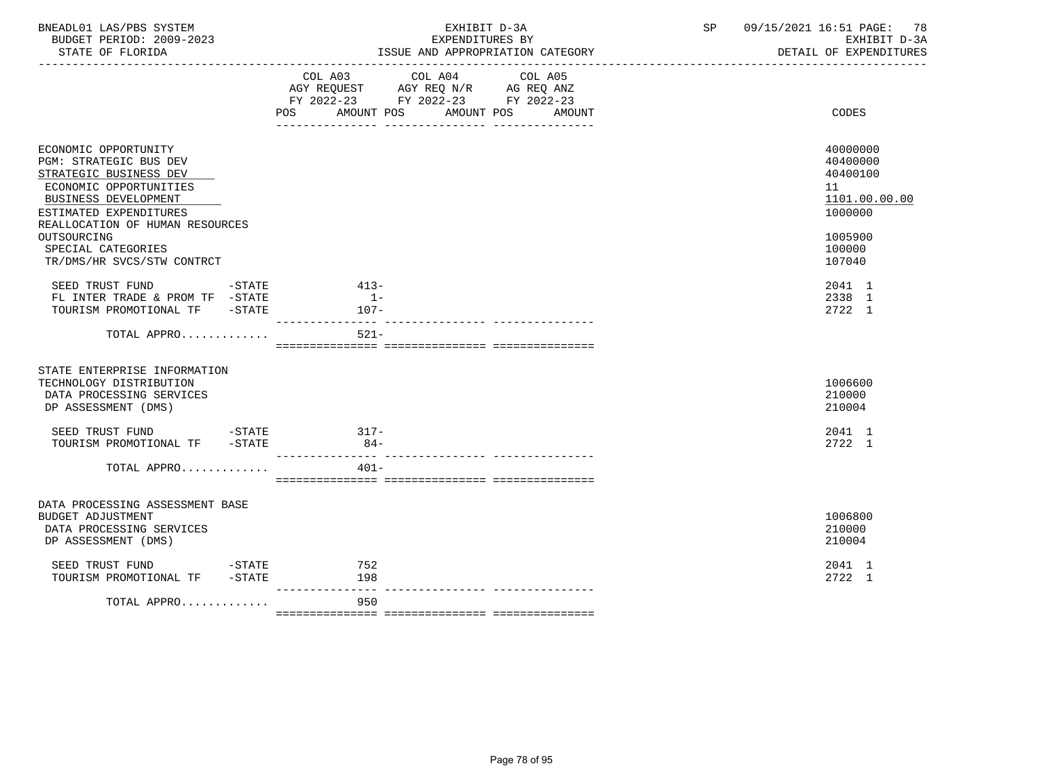| BNEADL01 LAS/PBS SYSTEM<br>BUDGET PERIOD: 2009-2023<br>STATE OF FLORIDA                                                                                                                                                      | EXHIBIT D-3A<br>EXPENDITURES BY<br>ISSUE AND APPROPRIATION CATEGORY                                                                            | 09/15/2021 16:51 PAGE: 78<br>SP | EXHIBIT D-3A<br>DETAIL OF EXPENDITURES                                            |
|------------------------------------------------------------------------------------------------------------------------------------------------------------------------------------------------------------------------------|------------------------------------------------------------------------------------------------------------------------------------------------|---------------------------------|-----------------------------------------------------------------------------------|
|                                                                                                                                                                                                                              | COL A03 COL A04<br>COL A05<br>AGY REQUEST AGY REQ N/R AG REQ ANZ<br>FY 2022-23 FY 2022-23 FY 2022-23<br>POS<br>AMOUNT POS AMOUNT POS<br>AMOUNT |                                 | CODES                                                                             |
|                                                                                                                                                                                                                              |                                                                                                                                                |                                 |                                                                                   |
| ECONOMIC OPPORTUNITY<br>PGM: STRATEGIC BUS DEV<br>STRATEGIC BUSINESS DEV<br>ECONOMIC OPPORTUNITIES<br>BUSINESS DEVELOPMENT<br>ESTIMATED EXPENDITURES<br>REALLOCATION OF HUMAN RESOURCES<br>OUTSOURCING<br>SPECIAL CATEGORIES |                                                                                                                                                | 11                              | 40000000<br>40400000<br>40400100<br>1101.00.00.00<br>1000000<br>1005900<br>100000 |
| TR/DMS/HR SVCS/STW CONTRCT                                                                                                                                                                                                   |                                                                                                                                                |                                 | 107040                                                                            |
| SEED TRUST FUND -STATE<br>FL INTER TRADE & PROM TF -STATE<br>TOURISM PROMOTIONAL TF -STATE                                                                                                                                   | $413-$<br>$1 -$<br>107-                                                                                                                        |                                 | 2041 1<br>2338 1<br>2722 1                                                        |
| TOTAL APPRO                                                                                                                                                                                                                  | $521 -$                                                                                                                                        |                                 |                                                                                   |
| STATE ENTERPRISE INFORMATION<br>TECHNOLOGY DISTRIBUTION<br>DATA PROCESSING SERVICES<br>DP ASSESSMENT (DMS)                                                                                                                   |                                                                                                                                                |                                 | 1006600<br>210000<br>210004                                                       |
| SEED TRUST FUND -STATE 317-<br>TOURISM PROMOTIONAL TF -STATE                                                                                                                                                                 | $84-$                                                                                                                                          |                                 | 2041 1<br>2722 1                                                                  |
| TOTAL APPRO                                                                                                                                                                                                                  | $401 -$                                                                                                                                        |                                 |                                                                                   |
| DATA PROCESSING ASSESSMENT BASE<br><b>BUDGET ADJUSTMENT</b><br>DATA PROCESSING SERVICES<br>DP ASSESSMENT (DMS)                                                                                                               |                                                                                                                                                |                                 | 1006800<br>210000<br>210004                                                       |
| SEED TRUST FUND -STATE 752<br>TOURISM PROMOTIONAL TF -STATE                                                                                                                                                                  | 198                                                                                                                                            |                                 | 2041 1<br>2722 1                                                                  |
| TOTAL APPRO                                                                                                                                                                                                                  | _______________<br>950                                                                                                                         |                                 |                                                                                   |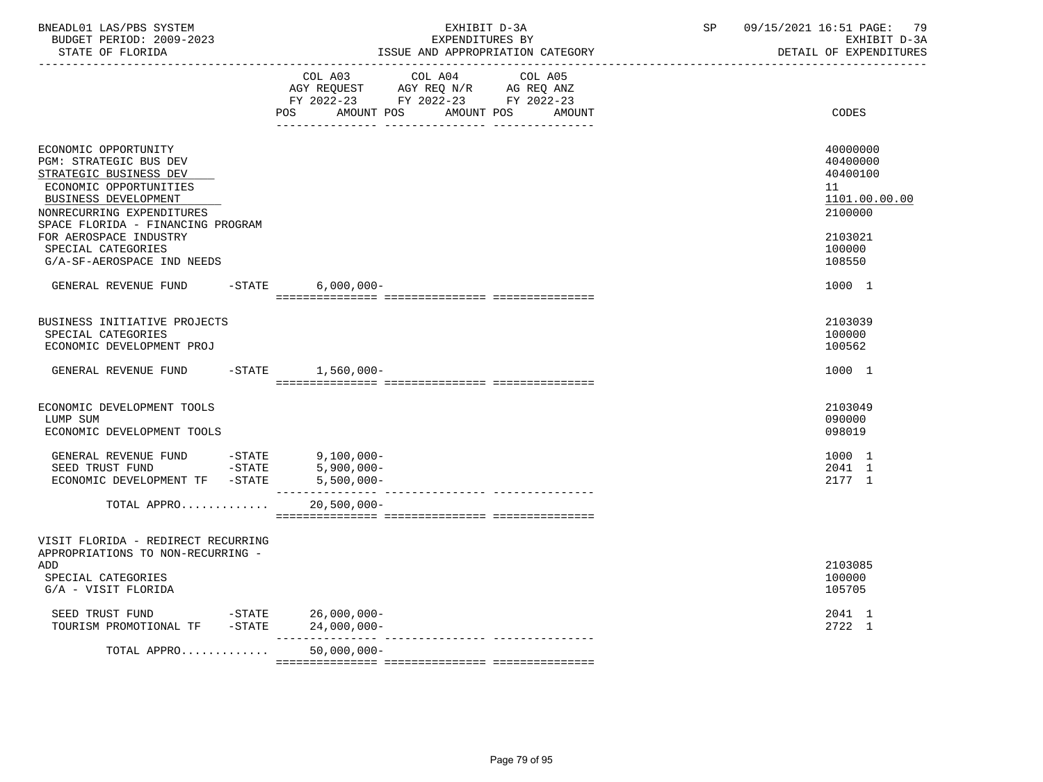| BNEADL01 LAS/PBS SYSTEM<br>BUDGET PERIOD: 2009-2023<br>STATE OF FLORIDA<br>----------------                                                                                                                                                                                | EXHIBIT D-3A<br>EXPENDITURES BY<br>ISSUE AND APPROPRIATION CATEGORY                                                                                                                                                                                                     | 09/15/2021 16:51 PAGE: 79<br>SP<br>EXHIBIT D-3A<br>DETAIL OF EXPENDITURES                         |
|----------------------------------------------------------------------------------------------------------------------------------------------------------------------------------------------------------------------------------------------------------------------------|-------------------------------------------------------------------------------------------------------------------------------------------------------------------------------------------------------------------------------------------------------------------------|---------------------------------------------------------------------------------------------------|
|                                                                                                                                                                                                                                                                            | COL A03 COL A04<br>COL A05<br>$\begin{tabular}{lllllll} AGY & \texttt{REQUEST} & \texttt{AGY} & \texttt{REG} & \texttt{N/R} & \texttt{AG} & \texttt{REQ} & \texttt{ANZ} \end{tabular}$<br>FY 2022-23 FY 2022-23 FY 2022-23<br>POS<br>AMOUNT POS<br>AMOUNT POS<br>AMOUNT | CODES                                                                                             |
| ECONOMIC OPPORTUNITY<br>PGM: STRATEGIC BUS DEV<br>STRATEGIC BUSINESS DEV<br>ECONOMIC OPPORTUNITIES<br>BUSINESS DEVELOPMENT<br>NONRECURRING EXPENDITURES<br>SPACE FLORIDA - FINANCING PROGRAM<br>FOR AEROSPACE INDUSTRY<br>SPECIAL CATEGORIES<br>G/A-SF-AEROSPACE IND NEEDS |                                                                                                                                                                                                                                                                         | 40000000<br>40400000<br>40400100<br>11<br>1101.00.00.00<br>2100000<br>2103021<br>100000<br>108550 |
| GENERAL REVENUE FUND                                                                                                                                                                                                                                                       | -STATE 6,000,000-                                                                                                                                                                                                                                                       | 1000 1                                                                                            |
| BUSINESS INITIATIVE PROJECTS<br>SPECIAL CATEGORIES<br>ECONOMIC DEVELOPMENT PROJ                                                                                                                                                                                            |                                                                                                                                                                                                                                                                         | 2103039<br>100000<br>100562                                                                       |
| GENERAL REVENUE FUND                                                                                                                                                                                                                                                       | -STATE 1,560,000-                                                                                                                                                                                                                                                       | 1000 1                                                                                            |
| ECONOMIC DEVELOPMENT TOOLS<br>LUMP SUM<br>ECONOMIC DEVELOPMENT TOOLS                                                                                                                                                                                                       |                                                                                                                                                                                                                                                                         | 2103049<br>090000<br>098019                                                                       |
| GENERAL REVENUE FUND -STATE 9,100,000-<br>$-STATE$<br>SEED TRUST FUND<br>ECONOMIC DEVELOPMENT TF -STATE                                                                                                                                                                    | $5,900,000 -$<br>$5,500,000 -$                                                                                                                                                                                                                                          | 1000 1<br>2041 1<br>2177 1                                                                        |
| TOTAL APPRO                                                                                                                                                                                                                                                                | $20,500,000 -$                                                                                                                                                                                                                                                          |                                                                                                   |
| VISIT FLORIDA - REDIRECT RECURRING<br>APPROPRIATIONS TO NON-RECURRING -<br>ADD<br>SPECIAL CATEGORIES<br>G/A - VISIT FLORIDA                                                                                                                                                |                                                                                                                                                                                                                                                                         | 2103085<br>100000<br>105705                                                                       |
| SEED TRUST FUND<br>TOURISM PROMOTIONAL TF -STATE 24,000,000-                                                                                                                                                                                                               | $-STATE$ 26,000,000-                                                                                                                                                                                                                                                    | 2041 1<br>2722 1                                                                                  |
| TOTAL APPRO                                                                                                                                                                                                                                                                | $50,000,000 -$                                                                                                                                                                                                                                                          |                                                                                                   |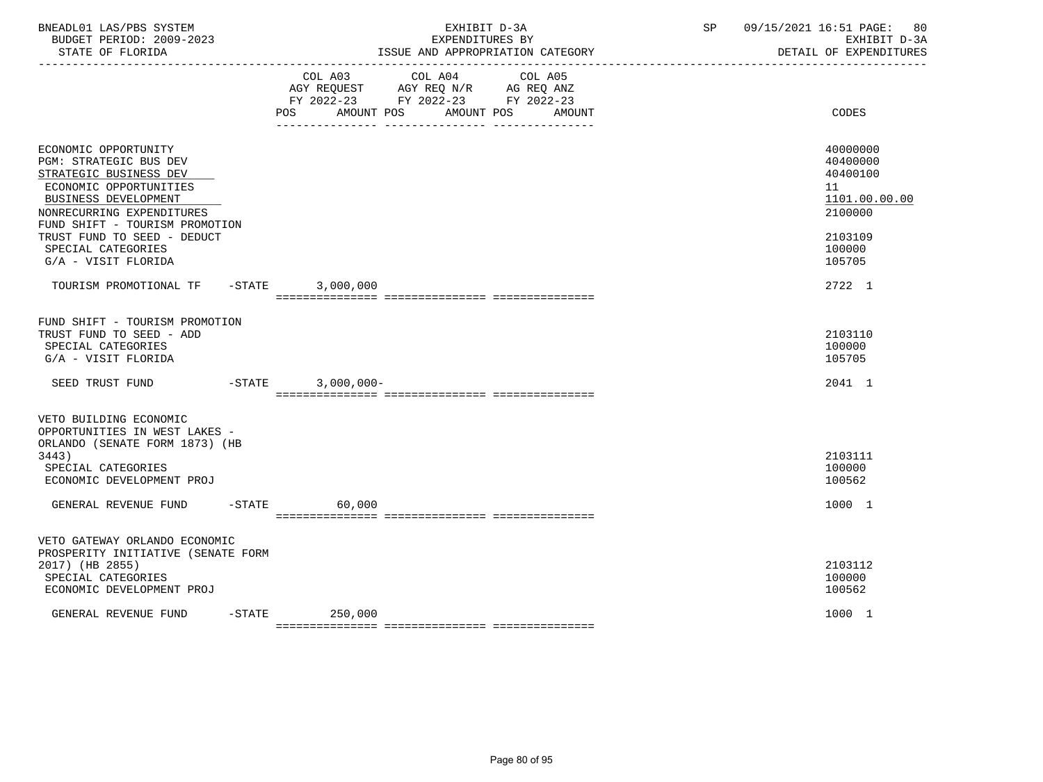| BNEADL01 LAS/PBS SYSTEM<br>BUDGET PERIOD: 2009-2023<br>STATE OF FLORIDA                                                                                                                   | EXHIBIT D-3A<br>EXPENDITURES BY<br>ISSUE AND APPROPRIATION CATEGORY  | SP 09/15/2021 16:51 PAGE: 80<br>EXHIBIT D-3A<br>DETAIL OF EXPENDITURES |
|-------------------------------------------------------------------------------------------------------------------------------------------------------------------------------------------|----------------------------------------------------------------------|------------------------------------------------------------------------|
|                                                                                                                                                                                           | COL A03<br>COL A04<br>COL A05<br>POS AMOUNT POS AMOUNT POS<br>AMOUNT | CODES                                                                  |
| ECONOMIC OPPORTUNITY<br>PGM: STRATEGIC BUS DEV<br>STRATEGIC BUSINESS DEV<br>ECONOMIC OPPORTUNITIES<br>BUSINESS DEVELOPMENT<br>NONRECURRING EXPENDITURES<br>FUND SHIFT - TOURISM PROMOTION |                                                                      | 40000000<br>40400000<br>40400100<br>11<br>1101.00.00.00<br>2100000     |
| TRUST FUND TO SEED - DEDUCT<br>SPECIAL CATEGORIES<br>G/A - VISIT FLORIDA                                                                                                                  |                                                                      | 2103109<br>100000<br>105705                                            |
| TOURISM PROMOTIONAL TF -STATE 3,000,000                                                                                                                                                   |                                                                      | 2722 1                                                                 |
| FUND SHIFT - TOURISM PROMOTION<br>TRUST FUND TO SEED - ADD<br>SPECIAL CATEGORIES<br>G/A - VISIT FLORIDA                                                                                   |                                                                      | 2103110<br>100000<br>105705                                            |
| SEED TRUST FUND                                                                                                                                                                           | $-STATE$ 3,000,000-                                                  | 2041 1                                                                 |
| VETO BUILDING ECONOMIC<br>OPPORTUNITIES IN WEST LAKES -<br>ORLANDO (SENATE FORM 1873) (HB<br>3443)<br>SPECIAL CATEGORIES<br>ECONOMIC DEVELOPMENT PROJ                                     |                                                                      | 2103111<br>100000<br>100562                                            |
| GENERAL REVENUE FUND -STATE                                                                                                                                                               | 60,000                                                               | 1000 1                                                                 |
| VETO GATEWAY ORLANDO ECONOMIC<br>PROSPERITY INITIATIVE (SENATE FORM<br>2017) (HB 2855)<br>SPECIAL CATEGORIES<br>ECONOMIC DEVELOPMENT PROJ                                                 |                                                                      | 2103112<br>100000<br>100562                                            |
| GENERAL REVENUE FUND                                                                                                                                                                      | $-STATE$<br>250,000                                                  | 1000 1                                                                 |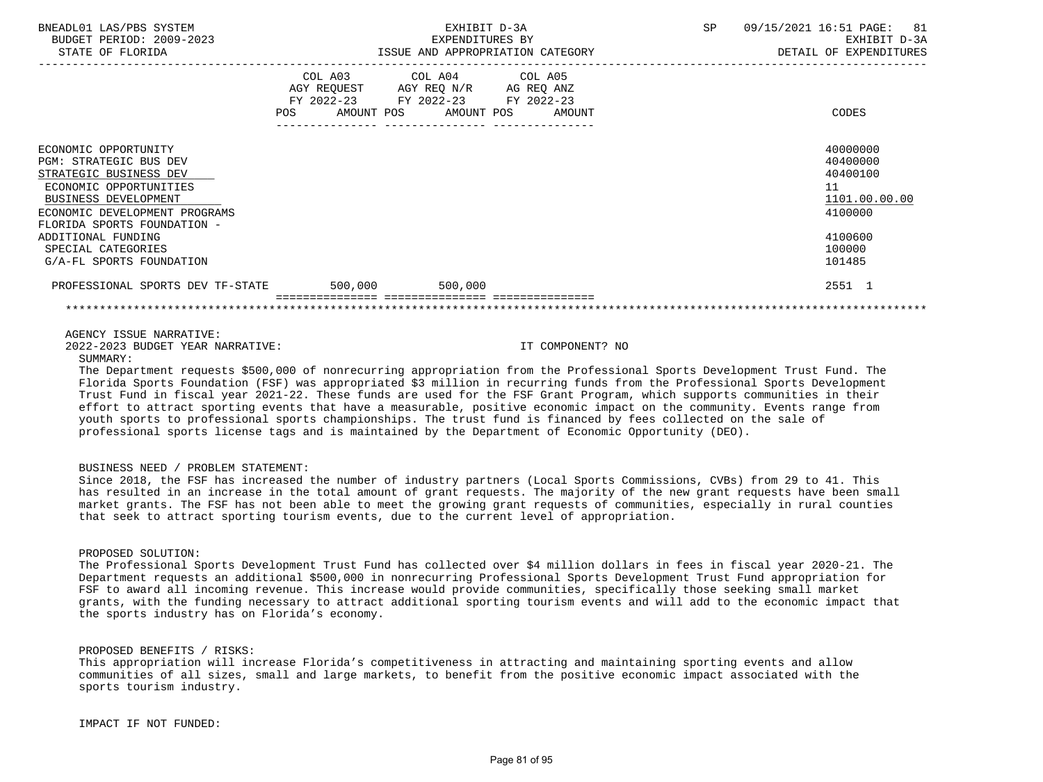| BNEADL01 LAS/PBS SYSTEM                  | EXHIBIT D-3A                     |                                                                                                   |                                  | SP | 09/15/2021 16:51 PAGE: 81 |
|------------------------------------------|----------------------------------|---------------------------------------------------------------------------------------------------|----------------------------------|----|---------------------------|
| BUDGET PERIOD: 2009-2023                 |                                  | EXPENDITURES BY                                                                                   |                                  |    | EXHIBIT D-3A              |
| STATE OF FLORIDA                         |                                  |                                                                                                   | ISSUE AND APPROPRIATION CATEGORY |    | DETAIL OF EXPENDITURES    |
|                                          | POS AMOUNT POS AMOUNT POS AMOUNT | COL A03 COL A04 COL A05<br>AGY REQUEST AGY REQ N/R AG REQ ANZ<br>FY 2022-23 FY 2022-23 FY 2022-23 |                                  |    | CODES                     |
| ECONOMIC OPPORTUNITY                     |                                  |                                                                                                   |                                  |    | 40000000                  |
| <b>PGM: STRATEGIC BUS DEV</b>            |                                  |                                                                                                   |                                  |    | 40400000                  |
| STRATEGIC BUSINESS DEV                   |                                  |                                                                                                   |                                  |    | 40400100                  |
| ECONOMIC OPPORTUNITIES                   |                                  |                                                                                                   |                                  |    | 11                        |
| BUSINESS DEVELOPMENT                     |                                  |                                                                                                   |                                  |    | 1101.00.00.00             |
| ECONOMIC DEVELOPMENT PROGRAMS            |                                  |                                                                                                   |                                  |    | 4100000                   |
| FLORIDA SPORTS FOUNDATION -              |                                  |                                                                                                   |                                  |    |                           |
| ADDITIONAL FUNDING                       |                                  |                                                                                                   |                                  |    | 4100600                   |
| SPECIAL CATEGORIES                       |                                  |                                                                                                   |                                  |    | 100000                    |
| G/A-FL SPORTS FOUNDATION                 |                                  |                                                                                                   |                                  |    | 101485                    |
| PROFESSIONAL SPORTS DEV TF-STATE 500,000 |                                  | 500,000                                                                                           |                                  |    | 2551 1                    |
|                                          |                                  |                                                                                                   |                                  |    |                           |

AGENCY ISSUE NARRATIVE:

SUMMARY:

2022-2023 BUDGET YEAR NARRATIVE: IT COMPONENT? NO

 The Department requests \$500,000 of nonrecurring appropriation from the Professional Sports Development Trust Fund. The Florida Sports Foundation (FSF) was appropriated \$3 million in recurring funds from the Professional Sports Development Trust Fund in fiscal year 2021-22. These funds are used for the FSF Grant Program, which supports communities in their effort to attract sporting events that have a measurable, positive economic impact on the community. Events range from youth sports to professional sports championships. The trust fund is financed by fees collected on the sale of professional sports license tags and is maintained by the Department of Economic Opportunity (DEO).

## BUSINESS NEED / PROBLEM STATEMENT:

 Since 2018, the FSF has increased the number of industry partners (Local Sports Commissions, CVBs) from 29 to 41. This has resulted in an increase in the total amount of grant requests. The majority of the new grant requests have been small market grants. The FSF has not been able to meet the growing grant requests of communities, especially in rural counties that seek to attract sporting tourism events, due to the current level of appropriation.

# PROPOSED SOLUTION:

 The Professional Sports Development Trust Fund has collected over \$4 million dollars in fees in fiscal year 2020-21. The Department requests an additional \$500,000 in nonrecurring Professional Sports Development Trust Fund appropriation for FSF to award all incoming revenue. This increase would provide communities, specifically those seeking small market grants, with the funding necessary to attract additional sporting tourism events and will add to the economic impact that the sports industry has on Florida's economy.

PROPOSED BENEFITS / RISKS:

 This appropriation will increase Florida's competitiveness in attracting and maintaining sporting events and allow communities of all sizes, small and large markets, to benefit from the positive economic impact associated with the sports tourism industry.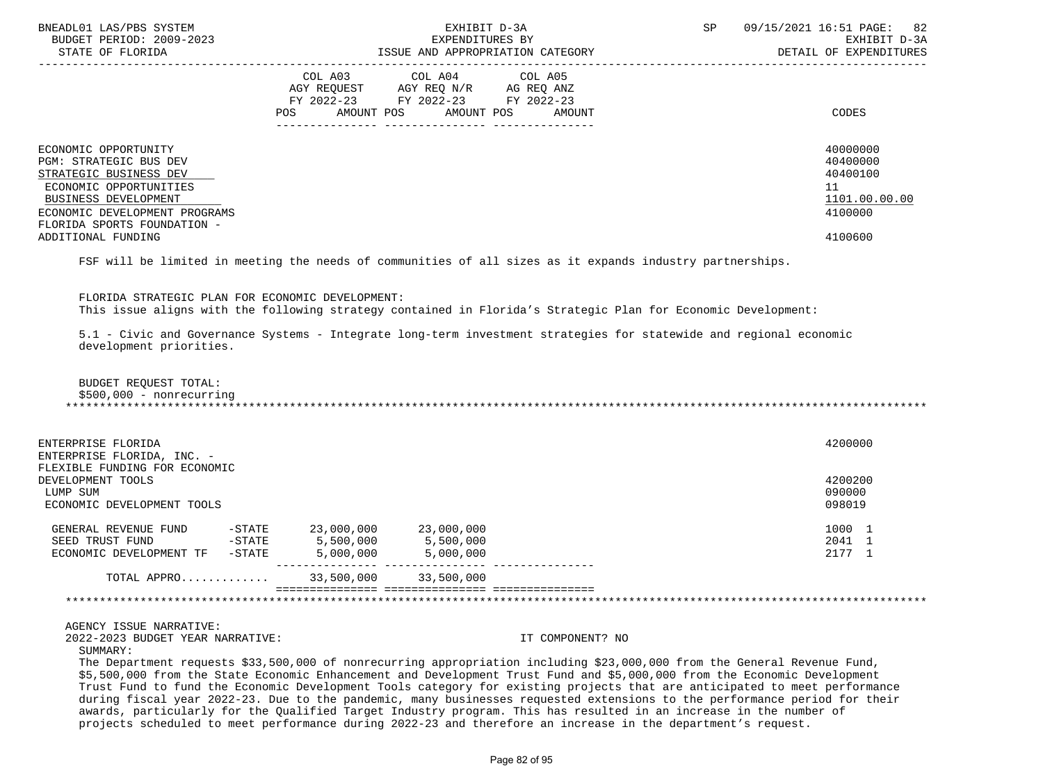| BNEADL01 LAS/PBS SYSTEM<br>BUDGET PERIOD: 2009-2023<br>STATE OF FLORIDA | EXHIBIT D-3A<br>EXPENDITURES BY<br>ISSUE AND APPROPRIATION CATEGORY                                                                               | 09/15/2021 16:51 PAGE: 82<br>SP<br>EXHIBIT D-3A<br>DETAIL OF EXPENDITURES |
|-------------------------------------------------------------------------|---------------------------------------------------------------------------------------------------------------------------------------------------|---------------------------------------------------------------------------|
|                                                                         | COL A03<br>COL A04 COL A05<br>AGY REQUEST AGY REQ N/R AG REQ ANZ<br>FY 2022-23 FY 2022-23 FY 2022-23<br>AMOUNT POS<br>AMOUNT POS<br>AMOUNT<br>POS | CODES                                                                     |
| ECONOMIC OPPORTUNITY                                                    |                                                                                                                                                   | 40000000                                                                  |
| PGM: STRATEGIC BUS DEV                                                  |                                                                                                                                                   | 40400000<br>40400100                                                      |
| STRATEGIC BUSINESS DEV<br>ECONOMIC OPPORTUNITIES                        |                                                                                                                                                   | 11                                                                        |
| BUSINESS DEVELOPMENT                                                    |                                                                                                                                                   | 1101.00.00.00                                                             |
| ECONOMIC DEVELOPMENT PROGRAMS                                           |                                                                                                                                                   | 4100000                                                                   |
| FLORIDA SPORTS FOUNDATION -                                             |                                                                                                                                                   |                                                                           |
| ADDITIONAL FUNDING                                                      |                                                                                                                                                   | 4100600                                                                   |
|                                                                         | mam odii to ifofesi fo oscelor eta osciar de comunistar de cii aforcra fe consolar foiceno oscensortico.                                          |                                                                           |

FSF will be limited in meeting the needs of communities of all sizes as it expands industry partnerships.

 FLORIDA STRATEGIC PLAN FOR ECONOMIC DEVELOPMENT: This issue aligns with the following strategy contained in Florida's Strategic Plan for Economic Development:

 5.1 - Civic and Governance Systems - Integrate long-term investment strategies for statewide and regional economic development priorities.

 BUDGET REQUEST TOTAL: \$500,000 - nonrecurring \*\*\*\*\*\*\*\*\*\*\*\*\*\*\*\*\*\*\*\*\*\*\*\*\*\*\*\*\*\*\*\*\*\*\*\*\*\*\*\*\*\*\*\*\*\*\*\*\*\*\*\*\*\*\*\*\*\*\*\*\*\*\*\*\*\*\*\*\*\*\*\*\*\*\*\*\*\*\*\*\*\*\*\*\*\*\*\*\*\*\*\*\*\*\*\*\*\*\*\*\*\*\*\*\*\*\*\*\*\*\*\*\*\*\*\*\*\*\*\*\*\*\*\*\*\*\*

| ENTERPRISE FLORIDA<br>ENTERPRISE FLORIDA, INC. -   |           |            |            | 4200000          |
|----------------------------------------------------|-----------|------------|------------|------------------|
| FLEXIBLE FUNDING FOR ECONOMIC<br>DEVELOPMENT TOOLS |           |            |            | 4200200          |
| LUMP SUM<br>ECONOMIC DEVELOPMENT TOOLS             |           |            |            | 090000<br>098019 |
| GENERAL REVENUE FUND                               | $-$ STATE | 23,000,000 | 23,000,000 | 1000 7           |
| SEED TRUST FUND                                    | $-$ STATE | 5,500,000  | 5,500,000  | 2041 1           |
| ECONOMIC DEVELOPMENT TF                            | $-$ STATE | 5,000,000  | 5,000,000  | 2177 1           |
| TOTAL APPRO                                        |           | 33,500,000 | 33,500,000 |                  |
|                                                    |           |            |            |                  |

AGENCY ISSUE NARRATIVE:

2022-2023 BUDGET YEAR NARRATIVE: IT COMPONENT? NO

SUMMARY:

 The Department requests \$33,500,000 of nonrecurring appropriation including \$23,000,000 from the General Revenue Fund, \$5,500,000 from the State Economic Enhancement and Development Trust Fund and \$5,000,000 from the Economic Development Trust Fund to fund the Economic Development Tools category for existing projects that are anticipated to meet performance during fiscal year 2022-23. Due to the pandemic, many businesses requested extensions to the performance period for their awards, particularly for the Qualified Target Industry program. This has resulted in an increase in the number of projects scheduled to meet performance during 2022-23 and therefore an increase in the department's request.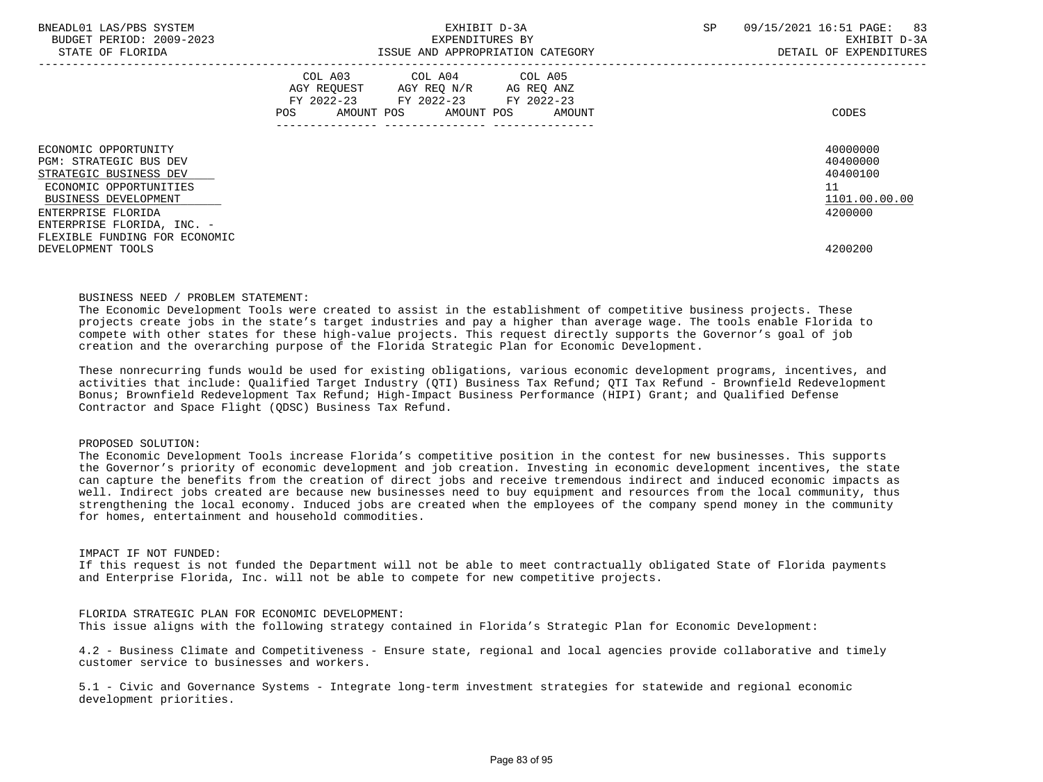| BNEADL01 LAS/PBS SYSTEM<br>BUDGET PERIOD: 2009-2023<br>STATE OF FLORIDA | EXHIBIT D-3A<br>EXPENDITURES BY<br>ISSUE AND APPROPRIATION CATEGORY                                                                                                                                                                                 | SP<br>09/15/2021 16:51 PAGE:<br>83<br>EXHIBIT D-3A<br>DETAIL OF EXPENDITURES |
|-------------------------------------------------------------------------|-----------------------------------------------------------------------------------------------------------------------------------------------------------------------------------------------------------------------------------------------------|------------------------------------------------------------------------------|
|                                                                         | COL A03 COL A04 COL A05<br>AGY REOUEST AGY REO N/R AG REO ANZ<br>FY 2022-23 FY 2022-23 FY 2022-23<br>AMOUNT POS AMOUNT POS AMOUNT<br>POS FOR THE POST OF THE POST OF THE POST OF THE POST OF THE POST OF THE POST OF THE POST OF THE POST OF THE PO | CODES                                                                        |
| ECONOMIC OPPORTUNITY                                                    |                                                                                                                                                                                                                                                     | 40000000                                                                     |
| <b>PGM: STRATEGIC BUS DEV</b><br>STRATEGIC BUSINESS DEV                 |                                                                                                                                                                                                                                                     | 40400000<br>40400100                                                         |
| ECONOMIC OPPORTUNITIES                                                  |                                                                                                                                                                                                                                                     | 11                                                                           |
| BUSINESS DEVELOPMENT                                                    |                                                                                                                                                                                                                                                     | 1101.00.00.00                                                                |
| ENTERPRISE FLORIDA                                                      |                                                                                                                                                                                                                                                     | 4200000                                                                      |
| ENTERPRISE FLORIDA, INC. -                                              |                                                                                                                                                                                                                                                     |                                                                              |
| FLEXIBLE FUNDING FOR ECONOMIC                                           |                                                                                                                                                                                                                                                     |                                                                              |
| DEVELOPMENT TOOLS                                                       |                                                                                                                                                                                                                                                     | 4200200                                                                      |

### BUSINESS NEED / PROBLEM STATEMENT:

 The Economic Development Tools were created to assist in the establishment of competitive business projects. These projects create jobs in the state's target industries and pay a higher than average wage. The tools enable Florida to compete with other states for these high-value projects. This request directly supports the Governor's goal of job creation and the overarching purpose of the Florida Strategic Plan for Economic Development.

 These nonrecurring funds would be used for existing obligations, various economic development programs, incentives, and activities that include: Qualified Target Industry (QTI) Business Tax Refund; QTI Tax Refund - Brownfield Redevelopment Bonus; Brownfield Redevelopment Tax Refund; High-Impact Business Performance (HIPI) Grant; and Qualified Defense Contractor and Space Flight (QDSC) Business Tax Refund.

## PROPOSED SOLUTION:

 The Economic Development Tools increase Florida's competitive position in the contest for new businesses. This supports the Governor's priority of economic development and job creation. Investing in economic development incentives, the state can capture the benefits from the creation of direct jobs and receive tremendous indirect and induced economic impacts as well. Indirect jobs created are because new businesses need to buy equipment and resources from the local community, thus strengthening the local economy. Induced jobs are created when the employees of the company spend money in the community for homes, entertainment and household commodities.

### IMPACT IF NOT FUNDED:

 If this request is not funded the Department will not be able to meet contractually obligated State of Florida payments and Enterprise Florida, Inc. will not be able to compete for new competitive projects.

## FLORIDA STRATEGIC PLAN FOR ECONOMIC DEVELOPMENT:

This issue aligns with the following strategy contained in Florida's Strategic Plan for Economic Development:

 4.2 - Business Climate and Competitiveness - Ensure state, regional and local agencies provide collaborative and timely customer service to businesses and workers.

 5.1 - Civic and Governance Systems - Integrate long-term investment strategies for statewide and regional economic development priorities.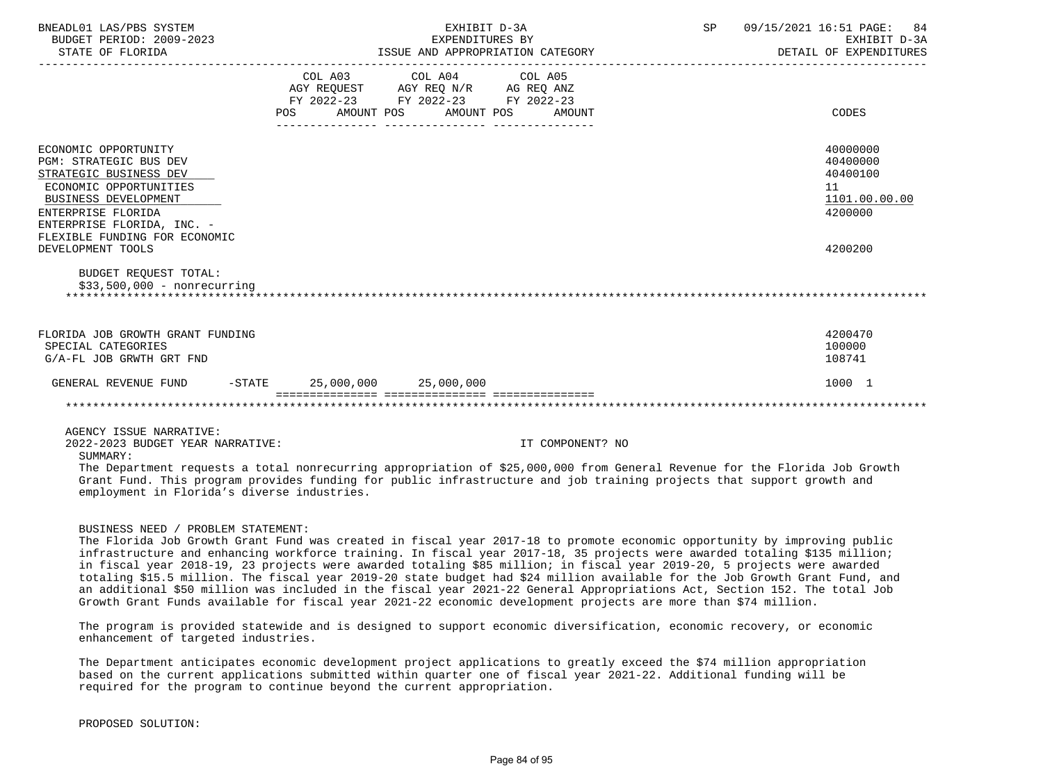| BNEADL01 LAS/PBS SYSTEM<br>BUDGET PERIOD: 2009-2023<br>STATE OF FLORIDA                                                                                                                                                              |                                | EXHIBIT D-3A<br>EXPENDITURES BY                                                                   | ISSUE AND APPROPRIATION CATEGORY | SP | 09/15/2021 16:51 PAGE:<br>84<br>EXHIBIT D-3A<br>DETAIL OF EXPENDITURES        |
|--------------------------------------------------------------------------------------------------------------------------------------------------------------------------------------------------------------------------------------|--------------------------------|---------------------------------------------------------------------------------------------------|----------------------------------|----|-------------------------------------------------------------------------------|
|                                                                                                                                                                                                                                      | <b>POS</b>                     | COL A03 COL A04 COL A05<br>AGY REQUEST AGY REQ N/R AG REQ ANZ<br>FY 2022-23 FY 2022-23 FY 2022-23 | AMOUNT POS AMOUNT POS AMOUNT     |    | <b>CODES</b>                                                                  |
| ECONOMIC OPPORTUNITY<br>PGM: STRATEGIC BUS DEV<br>STRATEGIC BUSINESS DEV<br>ECONOMIC OPPORTUNITIES<br>BUSINESS DEVELOPMENT<br>ENTERPRISE FLORIDA<br>ENTERPRISE FLORIDA, INC. -<br>FLEXIBLE FUNDING FOR ECONOMIC<br>DEVELOPMENT TOOLS |                                |                                                                                                   |                                  |    | 40000000<br>40400000<br>40400100<br>11<br>1101.00.00.00<br>4200000<br>4200200 |
| <b>BUDGET REOUEST TOTAL:</b><br>$$33,500,000 - nonrecurring$                                                                                                                                                                         |                                |                                                                                                   |                                  |    |                                                                               |
| FLORIDA JOB GROWTH GRANT FUNDING<br>SPECIAL CATEGORIES<br>G/A-FL JOB GRWTH GRT FND                                                                                                                                                   |                                |                                                                                                   |                                  |    | 4200470<br>100000<br>108741                                                   |
| GENERAL REVENUE FUND                                                                                                                                                                                                                 | $-STATE$ 25,000,000 25,000,000 |                                                                                                   |                                  |    | 1000 1                                                                        |
|                                                                                                                                                                                                                                      |                                |                                                                                                   |                                  |    |                                                                               |
| AGENCY ISSUE NARRATIVE:                                                                                                                                                                                                              |                                |                                                                                                   |                                  |    |                                                                               |

2022-2023 BUDGET YEAR NARRATIVE: IT COMPONENT? NO

SUMMARY:

 The Department requests a total nonrecurring appropriation of \$25,000,000 from General Revenue for the Florida Job Growth Grant Fund. This program provides funding for public infrastructure and job training projects that support growth and employment in Florida's diverse industries.

## BUSINESS NEED / PROBLEM STATEMENT:

 The Florida Job Growth Grant Fund was created in fiscal year 2017-18 to promote economic opportunity by improving public infrastructure and enhancing workforce training. In fiscal year 2017-18, 35 projects were awarded totaling \$135 million; in fiscal year 2018-19, 23 projects were awarded totaling \$85 million; in fiscal year 2019-20, 5 projects were awarded totaling \$15.5 million. The fiscal year 2019-20 state budget had \$24 million available for the Job Growth Grant Fund, and an additional \$50 million was included in the fiscal year 2021-22 General Appropriations Act, Section 152. The total Job Growth Grant Funds available for fiscal year 2021-22 economic development projects are more than \$74 million.

 The program is provided statewide and is designed to support economic diversification, economic recovery, or economic enhancement of targeted industries.

 The Department anticipates economic development project applications to greatly exceed the \$74 million appropriation based on the current applications submitted within quarter one of fiscal year 2021-22. Additional funding will be required for the program to continue beyond the current appropriation.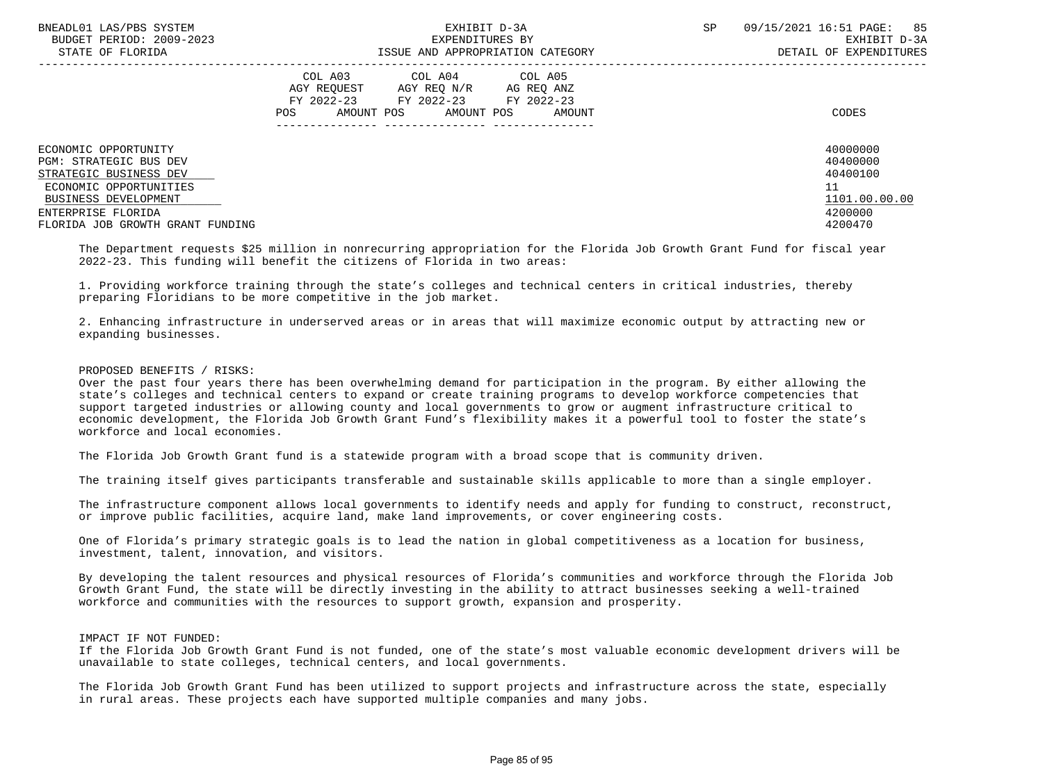| BNEADL01 LAS/PBS SYSTEM<br>BUDGET PERIOD: 2009-2023<br>STATE OF FLORIDA | EXHIBIT D-3A<br>EXPENDITURES BY<br>ISSUE AND APPROPRIATION CATEGORY                                                                                     | <b>SP</b> | 85<br>09/15/2021 16:51 PAGE:<br>EXHIBIT D-3A<br>DETAIL OF EXPENDITURES |  |
|-------------------------------------------------------------------------|---------------------------------------------------------------------------------------------------------------------------------------------------------|-----------|------------------------------------------------------------------------|--|
|                                                                         | COL A03<br>COL A04 COL A05<br>AGY REOUEST<br>AGY REO N/R<br>AG REO ANZ<br>FY 2022-23 FY 2022-23 FY 2022-23<br>AMOUNT POS<br>POS<br>AMOUNT POS<br>AMOUNT |           | CODES                                                                  |  |
| ECONOMIC OPPORTUNITY                                                    |                                                                                                                                                         |           | 40000000                                                               |  |
| <b>PGM: STRATEGIC BUS DEV</b>                                           |                                                                                                                                                         |           | 40400000                                                               |  |
| STRATEGIC BUSINESS DEV                                                  |                                                                                                                                                         |           | 40400100<br>11                                                         |  |
| ECONOMIC OPPORTUNITIES<br>BUSINESS DEVELOPMENT                          |                                                                                                                                                         |           | 1101.00.00.00                                                          |  |
| ENTERPRISE FLORIDA                                                      |                                                                                                                                                         |           | 4200000                                                                |  |
| FLORIDA JOB GROWTH GRANT FUNDING                                        |                                                                                                                                                         |           | 4200470                                                                |  |

 The Department requests \$25 million in nonrecurring appropriation for the Florida Job Growth Grant Fund for fiscal year 2022-23. This funding will benefit the citizens of Florida in two areas:

 1. Providing workforce training through the state's colleges and technical centers in critical industries, thereby preparing Floridians to be more competitive in the job market.

 2. Enhancing infrastructure in underserved areas or in areas that will maximize economic output by attracting new or expanding businesses.

## PROPOSED BENEFITS / RISKS:

 Over the past four years there has been overwhelming demand for participation in the program. By either allowing the state's colleges and technical centers to expand or create training programs to develop workforce competencies that support targeted industries or allowing county and local governments to grow or augment infrastructure critical to economic development, the Florida Job Growth Grant Fund's flexibility makes it a powerful tool to foster the state's workforce and local economies.

The Florida Job Growth Grant fund is a statewide program with a broad scope that is community driven.

The training itself gives participants transferable and sustainable skills applicable to more than a single employer.

 The infrastructure component allows local governments to identify needs and apply for funding to construct, reconstruct, or improve public facilities, acquire land, make land improvements, or cover engineering costs.

 One of Florida's primary strategic goals is to lead the nation in global competitiveness as a location for business, investment, talent, innovation, and visitors.

 By developing the talent resources and physical resources of Florida's communities and workforce through the Florida Job Growth Grant Fund, the state will be directly investing in the ability to attract businesses seeking a well-trained workforce and communities with the resources to support growth, expansion and prosperity.

IMPACT IF NOT FUNDED:

 If the Florida Job Growth Grant Fund is not funded, one of the state's most valuable economic development drivers will be unavailable to state colleges, technical centers, and local governments.

 The Florida Job Growth Grant Fund has been utilized to support projects and infrastructure across the state, especially in rural areas. These projects each have supported multiple companies and many jobs.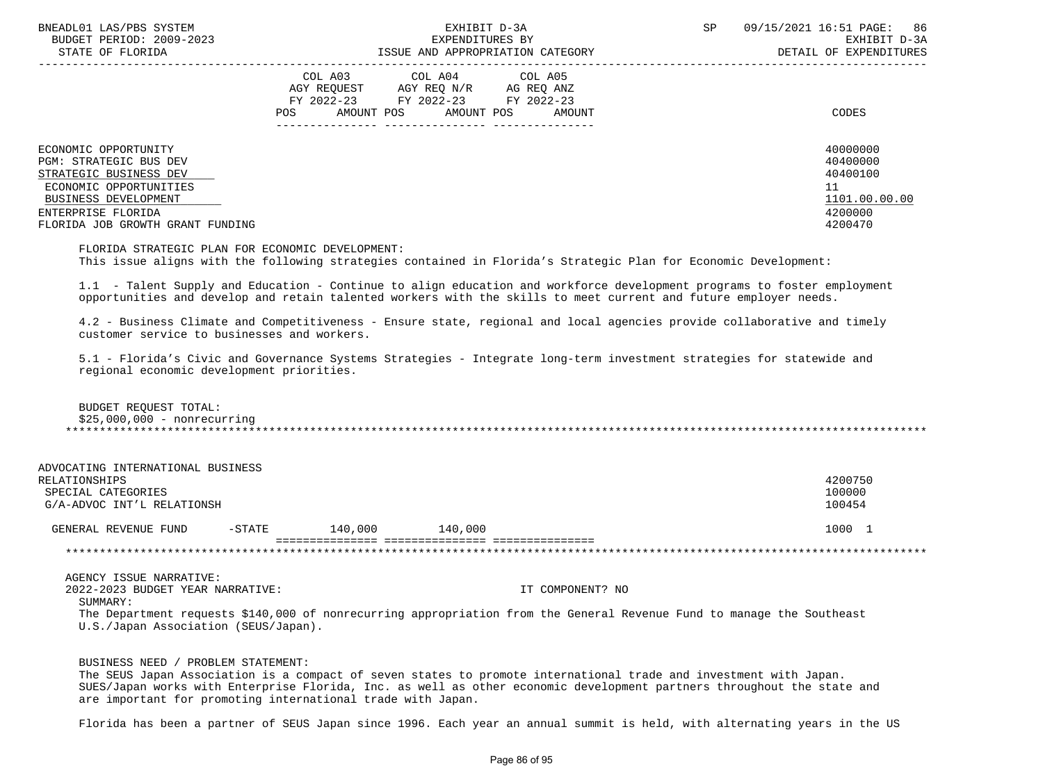| BNEADL01 LAS/PBS SYSTEM<br>BUDGET PERIOD: 2009-2023<br>STATE OF FLORIDA | EXHIBIT D-3A<br>EXPENDITURES BY<br>ISSUE AND APPROPRIATION CATEGORY                                                                                        | 86<br>09/15/2021 16:51 PAGE:<br><b>SP</b><br>EXHIBIT D-3A<br>DETAIL OF EXPENDITURES |
|-------------------------------------------------------------------------|------------------------------------------------------------------------------------------------------------------------------------------------------------|-------------------------------------------------------------------------------------|
|                                                                         | COL A03<br>COL A04<br>COL A05<br>AGY REO N/R AG REO ANZ<br>AGY REOUEST<br>FY 2022-23 FY 2022-23<br>FY 2022-23<br>AMOUNT POS<br>POS<br>AMOUNT POS<br>AMOUNT | CODES                                                                               |
| ECONOMIC OPPORTUNITY                                                    |                                                                                                                                                            | 40000000                                                                            |
| PGM: STRATEGIC BUS DEV                                                  |                                                                                                                                                            | 40400000<br>40400100                                                                |
| STRATEGIC BUSINESS DEV<br>ECONOMIC OPPORTUNITIES                        |                                                                                                                                                            | 11                                                                                  |
| BUSINESS DEVELOPMENT                                                    |                                                                                                                                                            | 1101.00.00.00                                                                       |
| ENTERPRISE FLORIDA                                                      |                                                                                                                                                            | 4200000                                                                             |
| FLORIDA JOB GROWTH GRANT FUNDING                                        |                                                                                                                                                            | 4200470                                                                             |
|                                                                         |                                                                                                                                                            |                                                                                     |

 FLORIDA STRATEGIC PLAN FOR ECONOMIC DEVELOPMENT: This issue aligns with the following strategies contained in Florida's Strategic Plan for Economic Development:

 1.1 - Talent Supply and Education - Continue to align education and workforce development programs to foster employment opportunities and develop and retain talented workers with the skills to meet current and future employer needs.

 4.2 - Business Climate and Competitiveness - Ensure state, regional and local agencies provide collaborative and timely customer service to businesses and workers.

 5.1 - Florida's Civic and Governance Systems Strategies - Integrate long-term investment strategies for statewide and regional economic development priorities.

| BUDGET REQUEST TOTAL:       |
|-----------------------------|
| \$25,000,000 - nonrecurring |
|                             |

| ADVOCATING INTERNATIONAL BUSINESS |                  |         |         |         |
|-----------------------------------|------------------|---------|---------|---------|
| RELATIONSHIPS                     |                  |         |         | 4200750 |
| SPECIAL CATEGORIES                |                  |         |         | 100000  |
| G/A-ADVOC INT'L RELATIONSH        |                  |         |         | 100454  |
|                                   |                  |         |         |         |
| GENERAL REVENUE FUND              | $- \text{STATE}$ | 140.000 | 140,000 | 1000    |
|                                   |                  |         |         |         |
|                                   |                  |         |         |         |

 AGENCY ISSUE NARRATIVE: 2022-2023 BUDGET YEAR NARRATIVE: IT COMPONENT? NO SUMMARY: The Department requests \$140,000 of nonrecurring appropriation from the General Revenue Fund to manage the Southeast U.S./Japan Association (SEUS/Japan).

# BUSINESS NEED / PROBLEM STATEMENT:

 The SEUS Japan Association is a compact of seven states to promote international trade and investment with Japan. SUES/Japan works with Enterprise Florida, Inc. as well as other economic development partners throughout the state and are important for promoting international trade with Japan.

Florida has been a partner of SEUS Japan since 1996. Each year an annual summit is held, with alternating years in the US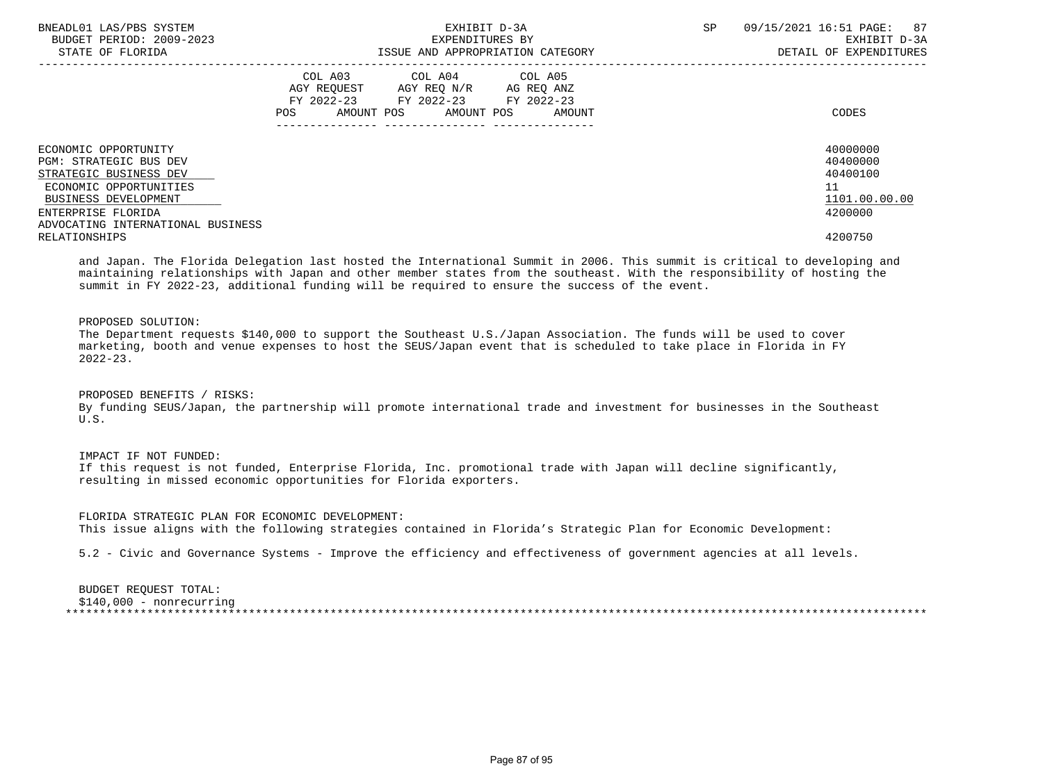| BNEADL01 LAS/PBS SYSTEM<br>BUDGET PERIOD: 2009-2023<br>STATE OF FLORIDA | EXHIBIT D-3A<br>EXPENDITURES BY<br>ISSUE AND APPROPRIATION CATEGORY                                                                         | 09/15/2021 16:51 PAGE:<br>SP.<br>87<br>EXHIBIT D-3A<br>DETAIL OF EXPENDITURES |
|-------------------------------------------------------------------------|---------------------------------------------------------------------------------------------------------------------------------------------|-------------------------------------------------------------------------------|
|                                                                         | COL A03<br>COL A04 COL A05<br>AGY REQUEST AGY REQ N/R AG REQ ANZ<br>FY 2022-23 FY 2022-23 FY 2022-23<br>POS<br>AMOUNT POS AMOUNT POS AMOUNT | CODES                                                                         |
| ECONOMIC OPPORTUNITY<br>PGM: STRATEGIC BUS DEV                          |                                                                                                                                             | 40000000<br>40400000                                                          |
| STRATEGIC BUSINESS DEV                                                  |                                                                                                                                             | 40400100                                                                      |
| ECONOMIC OPPORTUNITIES                                                  |                                                                                                                                             | 11                                                                            |
| BUSINESS DEVELOPMENT                                                    |                                                                                                                                             | 1101.00.00.00                                                                 |
| ENTERPRISE FLORIDA                                                      |                                                                                                                                             | 4200000                                                                       |
| ADVOCATING INTERNATIONAL BUSINESS                                       |                                                                                                                                             |                                                                               |
| RELATIONSHIPS                                                           |                                                                                                                                             | 4200750                                                                       |

 and Japan. The Florida Delegation last hosted the International Summit in 2006. This summit is critical to developing and maintaining relationships with Japan and other member states from the southeast. With the responsibility of hosting the summit in FY 2022-23, additional funding will be required to ensure the success of the event.

# PROPOSED SOLUTION:

 The Department requests \$140,000 to support the Southeast U.S./Japan Association. The funds will be used to cover marketing, booth and venue expenses to host the SEUS/Japan event that is scheduled to take place in Florida in FY 2022-23.

 PROPOSED BENEFITS / RISKS: By funding SEUS/Japan, the partnership will promote international trade and investment for businesses in the Southeast U.S.

 IMPACT IF NOT FUNDED: If this request is not funded, Enterprise Florida, Inc. promotional trade with Japan will decline significantly, resulting in missed economic opportunities for Florida exporters.

 FLORIDA STRATEGIC PLAN FOR ECONOMIC DEVELOPMENT: This issue aligns with the following strategies contained in Florida's Strategic Plan for Economic Development:

5.2 - Civic and Governance Systems - Improve the efficiency and effectiveness of government agencies at all levels.

 BUDGET REQUEST TOTAL: \$140,000 - nonrecurring \*\*\*\*\*\*\*\*\*\*\*\*\*\*\*\*\*\*\*\*\*\*\*\*\*\*\*\*\*\*\*\*\*\*\*\*\*\*\*\*\*\*\*\*\*\*\*\*\*\*\*\*\*\*\*\*\*\*\*\*\*\*\*\*\*\*\*\*\*\*\*\*\*\*\*\*\*\*\*\*\*\*\*\*\*\*\*\*\*\*\*\*\*\*\*\*\*\*\*\*\*\*\*\*\*\*\*\*\*\*\*\*\*\*\*\*\*\*\*\*\*\*\*\*\*\*\*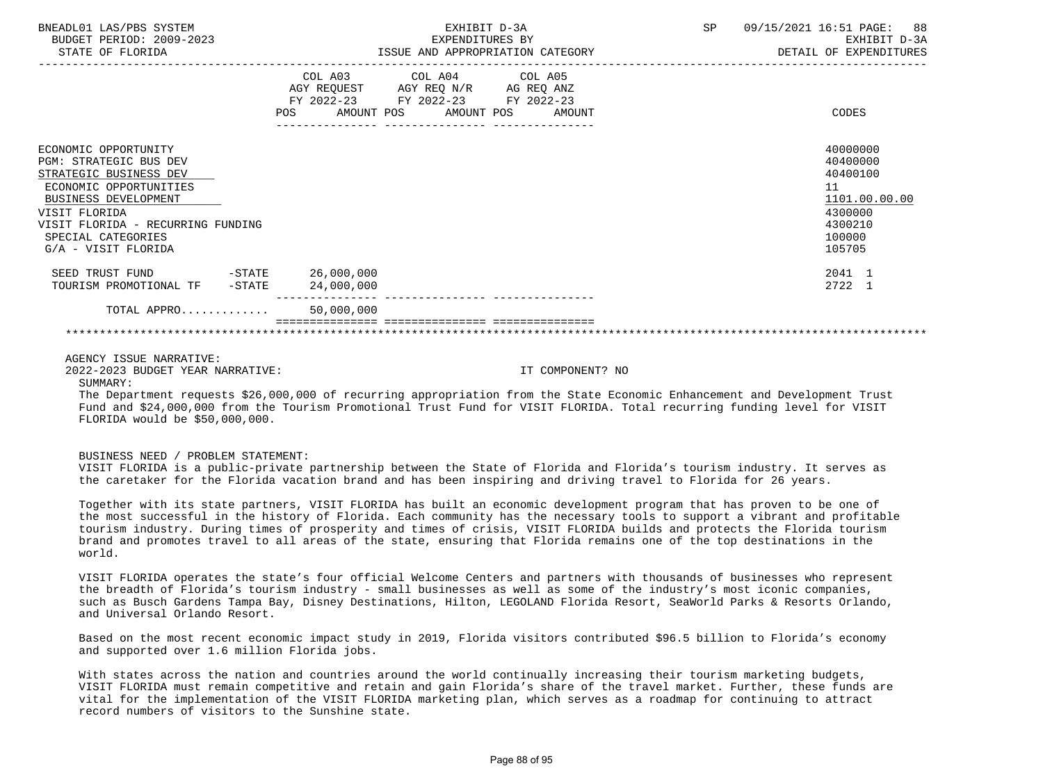| BNEADL01 LAS/PBS SYSTEM<br>BUDGET PERIOD: 2009-2023<br>STATE OF FLORIDA                                                                                                                                                                     | EXHIBIT D-3A<br>EXPENDITURES BY<br>ISSUE AND APPROPRIATION CATEGORY                                                                         | SP<br>09/15/2021 16:51 PAGE: 88<br>EXHIBIT D-3A<br>DETAIL OF EXPENDITURES                         |
|---------------------------------------------------------------------------------------------------------------------------------------------------------------------------------------------------------------------------------------------|---------------------------------------------------------------------------------------------------------------------------------------------|---------------------------------------------------------------------------------------------------|
|                                                                                                                                                                                                                                             | COL A03 COL A04 COL A05<br>AGY REQUEST AGY REQ N/R AG REQ ANZ<br>FY 2022-23 FY 2022-23 FY 2022-23<br>AMOUNT POS AMOUNT POS<br>AMOUNT<br>POS | CODES                                                                                             |
| ECONOMIC OPPORTUNITY<br><b>PGM: STRATEGIC BUS DEV</b><br>STRATEGIC BUSINESS DEV<br>ECONOMIC OPPORTUNITIES<br><b>BUSINESS DEVELOPMENT</b><br>VISIT FLORIDA<br>VISIT FLORIDA - RECURRING FUNDING<br>SPECIAL CATEGORIES<br>G/A - VISIT FLORIDA |                                                                                                                                             | 40000000<br>40400000<br>40400100<br>11<br>1101.00.00.00<br>4300000<br>4300210<br>100000<br>105705 |
| SEED TRUST FUND<br>TOURISM PROMOTIONAL TF -STATE                                                                                                                                                                                            | $-STATE$ 26,000,000<br>24,000,000                                                                                                           | 2041 1<br>2722 1                                                                                  |
| TOTAL APPRO $50,000,000$                                                                                                                                                                                                                    |                                                                                                                                             |                                                                                                   |
|                                                                                                                                                                                                                                             |                                                                                                                                             |                                                                                                   |
| AGENCY ISSUE NARRATIVE:                                                                                                                                                                                                                     |                                                                                                                                             |                                                                                                   |

2022-2023 BUDGET YEAR NARRATIVE: IT COMPONENT? NO

# SIIMMARY:

 The Department requests \$26,000,000 of recurring appropriation from the State Economic Enhancement and Development Trust Fund and \$24,000,000 from the Tourism Promotional Trust Fund for VISIT FLORIDA. Total recurring funding level for VISIT FLORIDA would be \$50,000,000.

#### BUSINESS NEED / PROBLEM STATEMENT:

 VISIT FLORIDA is a public-private partnership between the State of Florida and Florida's tourism industry. It serves as the caretaker for the Florida vacation brand and has been inspiring and driving travel to Florida for 26 years.

 Together with its state partners, VISIT FLORIDA has built an economic development program that has proven to be one of the most successful in the history of Florida. Each community has the necessary tools to support a vibrant and profitable tourism industry. During times of prosperity and times of crisis, VISIT FLORIDA builds and protects the Florida tourism brand and promotes travel to all areas of the state, ensuring that Florida remains one of the top destinations in the world.

 VISIT FLORIDA operates the state's four official Welcome Centers and partners with thousands of businesses who represent the breadth of Florida's tourism industry - small businesses as well as some of the industry's most iconic companies, such as Busch Gardens Tampa Bay, Disney Destinations, Hilton, LEGOLAND Florida Resort, SeaWorld Parks & Resorts Orlando, and Universal Orlando Resort.

 Based on the most recent economic impact study in 2019, Florida visitors contributed \$96.5 billion to Florida's economy and supported over 1.6 million Florida jobs.

 With states across the nation and countries around the world continually increasing their tourism marketing budgets, VISIT FLORIDA must remain competitive and retain and gain Florida's share of the travel market. Further, these funds are vital for the implementation of the VISIT FLORIDA marketing plan, which serves as a roadmap for continuing to attract record numbers of visitors to the Sunshine state.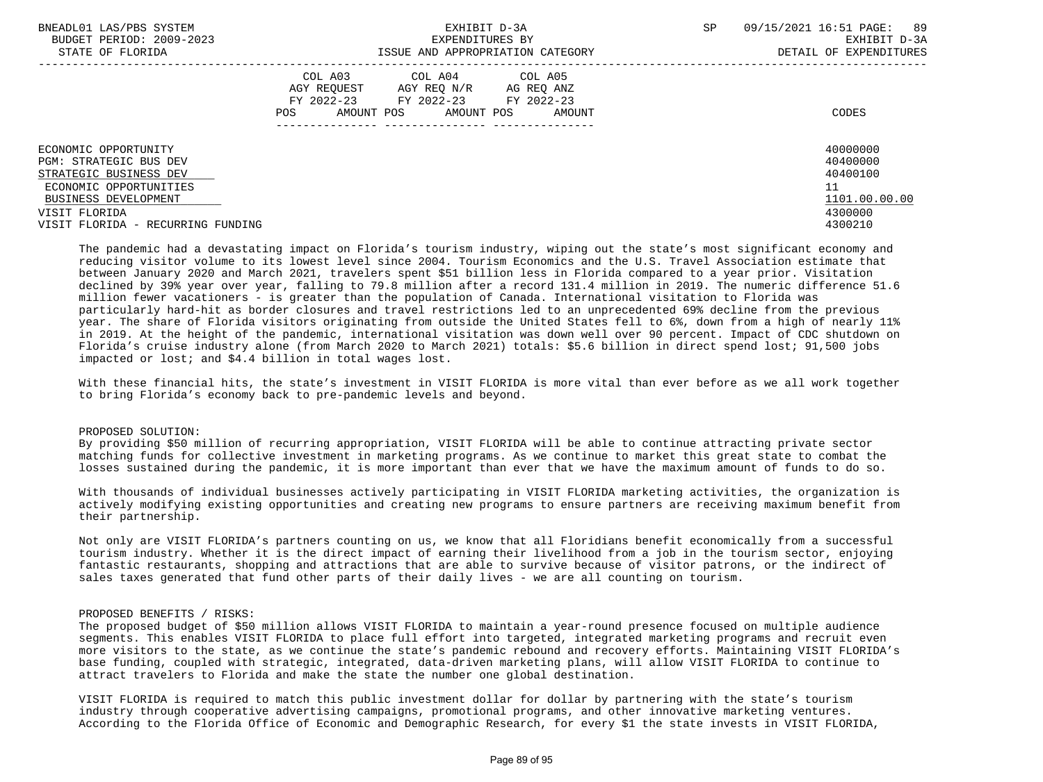| BNEADL01 LAS/PBS SYSTEM<br>BUDGET PERIOD: 2009-2023 | EXHIBIT D-3A<br>EXPENDITURES BY                                                                                                                            | SP<br>09/15/2021 16:51 PAGE:<br>89<br>EXHIBIT D-3A |
|-----------------------------------------------------|------------------------------------------------------------------------------------------------------------------------------------------------------------|----------------------------------------------------|
| STATE OF FLORIDA                                    | ISSUE AND APPROPRIATION CATEGORY                                                                                                                           | DETAIL OF EXPENDITURES                             |
|                                                     | COL A03<br>COL A04 COL A05<br>AGY REQ N/R<br>AGY REOUEST<br>AG REQ ANZ<br>FY 2022-23 FY 2022-23<br>FY 2022-23<br>AMOUNT POS<br>AMOUNT POS<br>POS<br>AMOUNT | CODES                                              |
| ECONOMIC OPPORTUNITY<br>PGM: STRATEGIC BUS DEV      |                                                                                                                                                            | 40000000<br>40400000                               |
| STRATEGIC BUSINESS DEV                              |                                                                                                                                                            | 40400100                                           |
| ECONOMIC OPPORTUNITIES                              |                                                                                                                                                            | 11                                                 |
| BUSINESS DEVELOPMENT                                |                                                                                                                                                            | 1101.00.00.00                                      |
| VISIT FLORIDA                                       |                                                                                                                                                            | 4300000                                            |
| VISIT FLORIDA - RECURRING FUNDING                   |                                                                                                                                                            | 4300210                                            |

 The pandemic had a devastating impact on Florida's tourism industry, wiping out the state's most significant economy and reducing visitor volume to its lowest level since 2004. Tourism Economics and the U.S. Travel Association estimate that between January 2020 and March 2021, travelers spent \$51 billion less in Florida compared to a year prior. Visitation declined by 39% year over year, falling to 79.8 million after a record 131.4 million in 2019. The numeric difference 51.6 million fewer vacationers - is greater than the population of Canada. International visitation to Florida was particularly hard-hit as border closures and travel restrictions led to an unprecedented 69% decline from the previous year. The share of Florida visitors originating from outside the United States fell to 6%, down from a high of nearly 11% in 2019. At the height of the pandemic, international visitation was down well over 90 percent. Impact of CDC shutdown on Florida's cruise industry alone (from March 2020 to March 2021) totals: \$5.6 billion in direct spend lost; 91,500 jobs impacted or lost; and \$4.4 billion in total wages lost.

 With these financial hits, the state's investment in VISIT FLORIDA is more vital than ever before as we all work together to bring Florida's economy back to pre-pandemic levels and beyond.

## PROPOSED SOLUTION:

 By providing \$50 million of recurring appropriation, VISIT FLORIDA will be able to continue attracting private sector matching funds for collective investment in marketing programs. As we continue to market this great state to combat the losses sustained during the pandemic, it is more important than ever that we have the maximum amount of funds to do so.

 With thousands of individual businesses actively participating in VISIT FLORIDA marketing activities, the organization is actively modifying existing opportunities and creating new programs to ensure partners are receiving maximum benefit from their partnership.

 Not only are VISIT FLORIDA's partners counting on us, we know that all Floridians benefit economically from a successful tourism industry. Whether it is the direct impact of earning their livelihood from a job in the tourism sector, enjoying fantastic restaurants, shopping and attractions that are able to survive because of visitor patrons, or the indirect of sales taxes generated that fund other parts of their daily lives - we are all counting on tourism.

## PROPOSED BENEFITS / RISKS:

 The proposed budget of \$50 million allows VISIT FLORIDA to maintain a year-round presence focused on multiple audience segments. This enables VISIT FLORIDA to place full effort into targeted, integrated marketing programs and recruit even more visitors to the state, as we continue the state's pandemic rebound and recovery efforts. Maintaining VISIT FLORIDA's base funding, coupled with strategic, integrated, data-driven marketing plans, will allow VISIT FLORIDA to continue to attract travelers to Florida and make the state the number one global destination.

 VISIT FLORIDA is required to match this public investment dollar for dollar by partnering with the state's tourism industry through cooperative advertising campaigns, promotional programs, and other innovative marketing ventures. According to the Florida Office of Economic and Demographic Research, for every \$1 the state invests in VISIT FLORIDA,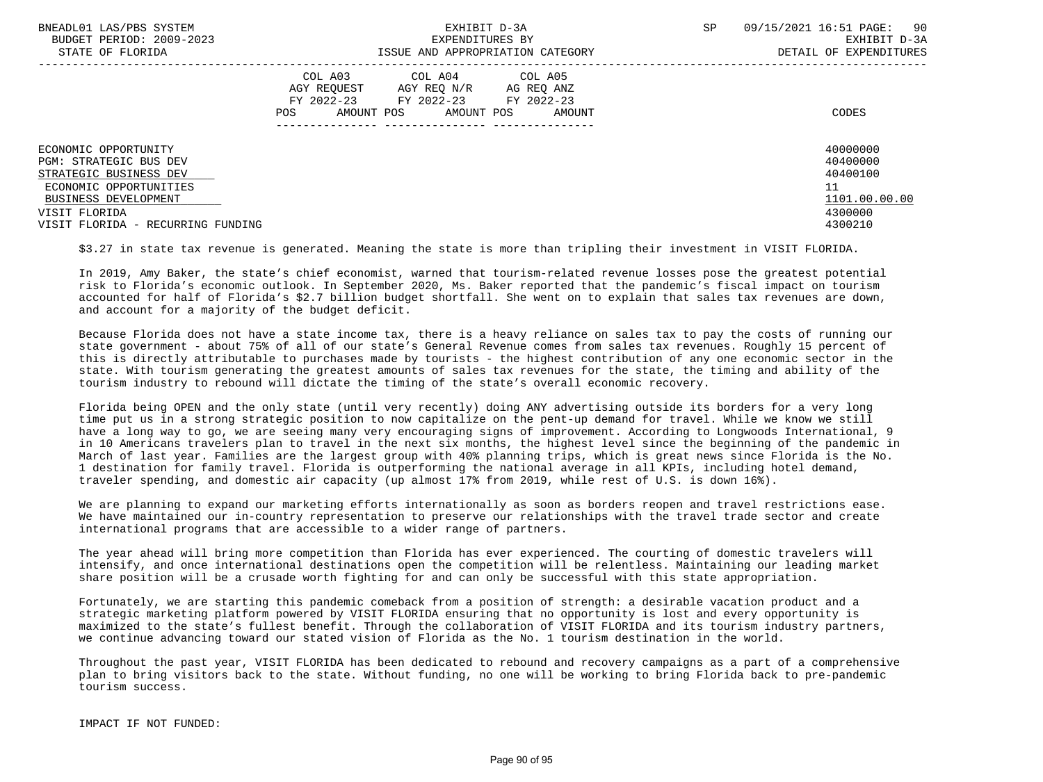| BNEADL01 LAS/PBS SYSTEM<br>BUDGET PERIOD: 2009-2023<br>STATE OF FLORIDA                                                                            | EXHIBIT D-3A<br>EXPENDITURES BY<br>ISSUE AND APPROPRIATION CATEGORY                                                                                           | SP<br>09/15/2021 16:51 PAGE:<br>90<br>EXHIBIT D-3A<br>DETAIL OF EXPENDITURES |
|----------------------------------------------------------------------------------------------------------------------------------------------------|---------------------------------------------------------------------------------------------------------------------------------------------------------------|------------------------------------------------------------------------------|
|                                                                                                                                                    | COL A03<br>COL A04 COL A05<br>AGY REOUEST<br>AGY REO N/R<br>AG REQ ANZ<br>FY 2022-23<br>FY 2022-23<br>FY 2022-23<br>AMOUNT POS<br>AMOUNT POS<br>POS<br>AMOUNT | CODES                                                                        |
| ECONOMIC OPPORTUNITY<br><b>PGM: STRATEGIC BUS DEV</b><br>STRATEGIC BUSINESS DEV<br>ECONOMIC OPPORTUNITIES<br>BUSINESS DEVELOPMENT<br>VISIT FLORIDA |                                                                                                                                                               | 40000000<br>40400000<br>40400100<br>11<br>1101.00.00.00<br>4300000           |
| VISIT FLORIDA - RECURRING FUNDING                                                                                                                  |                                                                                                                                                               | 4300210                                                                      |

\$3.27 in state tax revenue is generated. Meaning the state is more than tripling their investment in VISIT FLORIDA.

 In 2019, Amy Baker, the state's chief economist, warned that tourism-related revenue losses pose the greatest potential risk to Florida's economic outlook. In September 2020, Ms. Baker reported that the pandemic's fiscal impact on tourism accounted for half of Florida's \$2.7 billion budget shortfall. She went on to explain that sales tax revenues are down, and account for a majority of the budget deficit.

 Because Florida does not have a state income tax, there is a heavy reliance on sales tax to pay the costs of running our state government - about 75% of all of our state's General Revenue comes from sales tax revenues. Roughly 15 percent of this is directly attributable to purchases made by tourists - the highest contribution of any one economic sector in the state. With tourism generating the greatest amounts of sales tax revenues for the state, the timing and ability of the tourism industry to rebound will dictate the timing of the state's overall economic recovery.

 Florida being OPEN and the only state (until very recently) doing ANY advertising outside its borders for a very long time put us in a strong strategic position to now capitalize on the pent-up demand for travel. While we know we still have a long way to go, we are seeing many very encouraging signs of improvement. According to Longwoods International, 9 in 10 Americans travelers plan to travel in the next six months, the highest level since the beginning of the pandemic in March of last year. Families are the largest group with 40% planning trips, which is great news since Florida is the No. 1 destination for family travel. Florida is outperforming the national average in all KPIs, including hotel demand, traveler spending, and domestic air capacity (up almost 17% from 2019, while rest of U.S. is down 16%).

 We are planning to expand our marketing efforts internationally as soon as borders reopen and travel restrictions ease. We have maintained our in-country representation to preserve our relationships with the travel trade sector and create international programs that are accessible to a wider range of partners.

 The year ahead will bring more competition than Florida has ever experienced. The courting of domestic travelers will intensify, and once international destinations open the competition will be relentless. Maintaining our leading market share position will be a crusade worth fighting for and can only be successful with this state appropriation.

 Fortunately, we are starting this pandemic comeback from a position of strength: a desirable vacation product and a strategic marketing platform powered by VISIT FLORIDA ensuring that no opportunity is lost and every opportunity is maximized to the state's fullest benefit. Through the collaboration of VISIT FLORIDA and its tourism industry partners, we continue advancing toward our stated vision of Florida as the No. 1 tourism destination in the world.

 Throughout the past year, VISIT FLORIDA has been dedicated to rebound and recovery campaigns as a part of a comprehensive plan to bring visitors back to the state. Without funding, no one will be working to bring Florida back to pre-pandemic tourism success.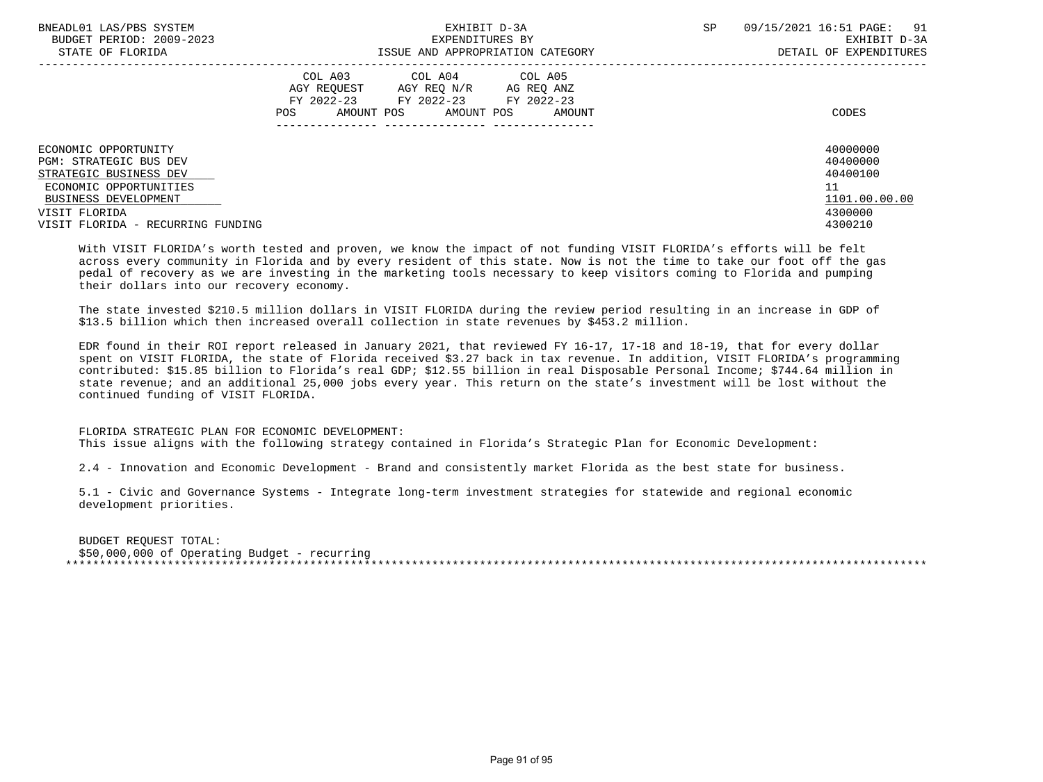| BNEADL01 LAS/PBS SYSTEM<br>BUDGET PERIOD: 2009-2023 | EXHIBIT D-3A<br>EXPENDITURES BY                                                                                                                         | <b>SP</b> | 09/15/2021 16:51 PAGE:<br>91<br>EXHIBIT D-3A |
|-----------------------------------------------------|---------------------------------------------------------------------------------------------------------------------------------------------------------|-----------|----------------------------------------------|
| STATE OF FLORIDA                                    | ISSUE AND APPROPRIATION CATEGORY                                                                                                                        |           | DETAIL OF EXPENDITURES                       |
|                                                     | COL A03<br>COL A04 COL A05<br>AGY REOUEST<br>AGY REO N/R<br>AG REQ ANZ<br>FY 2022-23 FY 2022-23 FY 2022-23<br>AMOUNT POS<br>AMOUNT POS<br>POS<br>AMOUNT |           | CODES                                        |
| ECONOMIC OPPORTUNITY                                |                                                                                                                                                         |           | 40000000                                     |
| PGM: STRATEGIC BUS DEV                              |                                                                                                                                                         |           | 40400000                                     |
| STRATEGIC BUSINESS DEV                              |                                                                                                                                                         |           | 40400100                                     |
| ECONOMIC OPPORTUNITIES                              |                                                                                                                                                         |           | 11                                           |
| BUSINESS DEVELOPMENT                                |                                                                                                                                                         |           | 1101.00.00.00                                |
| VISIT FLORIDA                                       |                                                                                                                                                         |           | 4300000                                      |
| VISIT FLORIDA - RECURRING FUNDING                   |                                                                                                                                                         |           | 4300210                                      |

 With VISIT FLORIDA's worth tested and proven, we know the impact of not funding VISIT FLORIDA's efforts will be felt across every community in Florida and by every resident of this state. Now is not the time to take our foot off the gas pedal of recovery as we are investing in the marketing tools necessary to keep visitors coming to Florida and pumping their dollars into our recovery economy.

 The state invested \$210.5 million dollars in VISIT FLORIDA during the review period resulting in an increase in GDP of \$13.5 billion which then increased overall collection in state revenues by \$453.2 million.

 EDR found in their ROI report released in January 2021, that reviewed FY 16-17, 17-18 and 18-19, that for every dollar spent on VISIT FLORIDA, the state of Florida received \$3.27 back in tax revenue. In addition, VISIT FLORIDA's programming contributed: \$15.85 billion to Florida's real GDP; \$12.55 billion in real Disposable Personal Income; \$744.64 million in state revenue; and an additional 25,000 jobs every year. This return on the state's investment will be lost without the continued funding of VISIT FLORIDA.

## FLORIDA STRATEGIC PLAN FOR ECONOMIC DEVELOPMENT:

This issue aligns with the following strategy contained in Florida's Strategic Plan for Economic Development:

2.4 - Innovation and Economic Development - Brand and consistently market Florida as the best state for business.

 5.1 - Civic and Governance Systems - Integrate long-term investment strategies for statewide and regional economic development priorities.

 BUDGET REQUEST TOTAL: \$50,000,000 of Operating Budget - recurring \*\*\*\*\*\*\*\*\*\*\*\*\*\*\*\*\*\*\*\*\*\*\*\*\*\*\*\*\*\*\*\*\*\*\*\*\*\*\*\*\*\*\*\*\*\*\*\*\*\*\*\*\*\*\*\*\*\*\*\*\*\*\*\*\*\*\*\*\*\*\*\*\*\*\*\*\*\*\*\*\*\*\*\*\*\*\*\*\*\*\*\*\*\*\*\*\*\*\*\*\*\*\*\*\*\*\*\*\*\*\*\*\*\*\*\*\*\*\*\*\*\*\*\*\*\*\*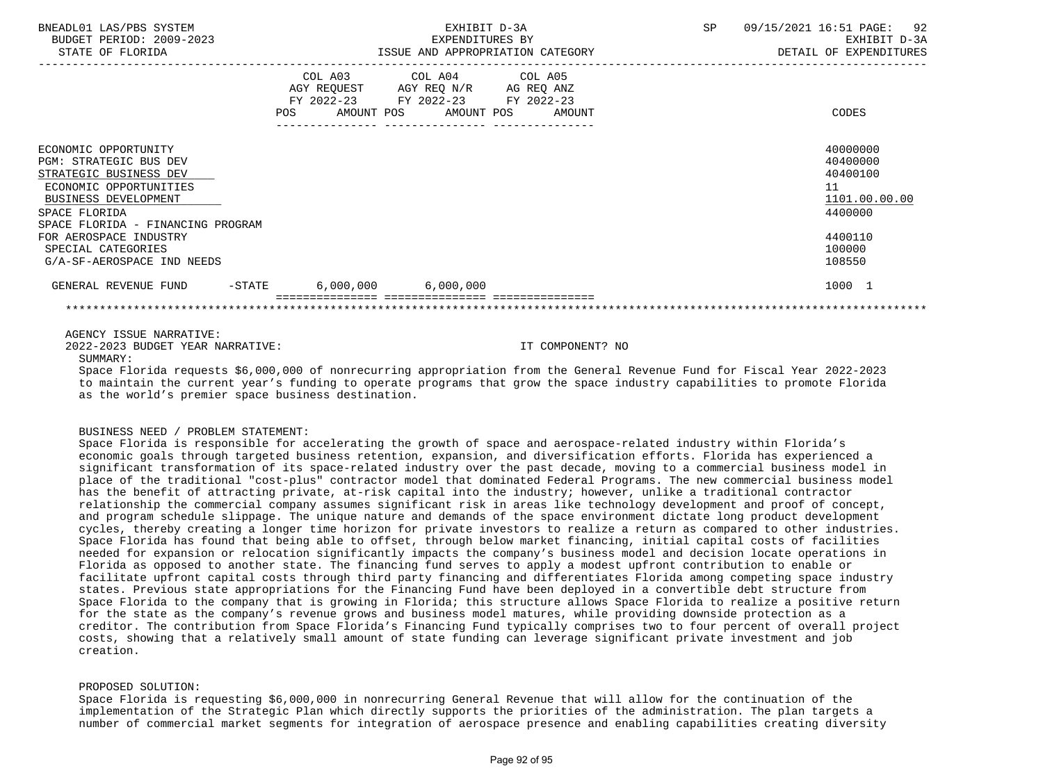| BNEADL01 LAS/PBS SYSTEM<br>BUDGET PERIOD: 2009-2023                                                                                                |                                            | EXHIBIT D-3A<br>EXPENDITURES BY                                                                        | SP<br>09/15/2021 16:51 PAGE: | 92<br>EXHIBIT D-3A                                           |
|----------------------------------------------------------------------------------------------------------------------------------------------------|--------------------------------------------|--------------------------------------------------------------------------------------------------------|------------------------------|--------------------------------------------------------------|
| STATE OF FLORIDA                                                                                                                                   |                                            | ISSUE AND APPROPRIATION CATEGORY                                                                       |                              | DETAIL OF EXPENDITURES                                       |
|                                                                                                                                                    | COL A03<br>FY 2022-23<br>POS<br>AMOUNT POS | COL A04 COL A05<br>AGY REQUEST AGY REQ N/R AG REQ ANZ<br>FY 2022-23 FY 2022-23<br>AMOUNT POS<br>AMOUNT |                              | CODES                                                        |
| ECONOMIC OPPORTUNITY<br><b>PGM: STRATEGIC BUS DEV</b><br>STRATEGIC BUSINESS DEV<br>ECONOMIC OPPORTUNITIES<br>BUSINESS DEVELOPMENT<br>SPACE FLORIDA |                                            |                                                                                                        | 11                           | 40000000<br>40400000<br>40400100<br>1101.00.00.00<br>4400000 |
| SPACE FLORIDA - FINANCING PROGRAM<br>FOR AEROSPACE INDUSTRY<br>SPECIAL CATEGORIES<br>G/A-SF-AEROSPACE IND NEEDS                                    |                                            |                                                                                                        |                              | 4400110<br>100000<br>108550                                  |
| GENERAL REVENUE FUND<br>$-$ STATE                                                                                                                  | $6,000,000$ $6,000,000$                    |                                                                                                        |                              | 1000 1                                                       |
|                                                                                                                                                    |                                            |                                                                                                        |                              |                                                              |

## AGENCY ISSUE NARRATIVE:

2022-2023 BUDGET YEAR NARRATIVE: IT COMPONENT? NO

SUMMARY:

 Space Florida requests \$6,000,000 of nonrecurring appropriation from the General Revenue Fund for Fiscal Year 2022-2023 to maintain the current year's funding to operate programs that grow the space industry capabilities to promote Florida as the world's premier space business destination.

## BUSINESS NEED / PROBLEM STATEMENT:

 Space Florida is responsible for accelerating the growth of space and aerospace-related industry within Florida's economic goals through targeted business retention, expansion, and diversification efforts. Florida has experienced a significant transformation of its space-related industry over the past decade, moving to a commercial business model in place of the traditional "cost-plus" contractor model that dominated Federal Programs. The new commercial business model has the benefit of attracting private, at-risk capital into the industry; however, unlike a traditional contractor relationship the commercial company assumes significant risk in areas like technology development and proof of concept, and program schedule slippage. The unique nature and demands of the space environment dictate long product development cycles, thereby creating a longer time horizon for private investors to realize a return as compared to other industries. Space Florida has found that being able to offset, through below market financing, initial capital costs of facilities needed for expansion or relocation significantly impacts the company's business model and decision locate operations in Florida as opposed to another state. The financing fund serves to apply a modest upfront contribution to enable or facilitate upfront capital costs through third party financing and differentiates Florida among competing space industry states. Previous state appropriations for the Financing Fund have been deployed in a convertible debt structure from Space Florida to the company that is growing in Florida; this structure allows Space Florida to realize a positive return for the state as the company's revenue grows and business model matures, while providing downside protection as a creditor. The contribution from Space Florida's Financing Fund typically comprises two to four percent of overall project costs, showing that a relatively small amount of state funding can leverage significant private investment and job creation.

## PROPOSED SOLUTION:

 Space Florida is requesting \$6,000,000 in nonrecurring General Revenue that will allow for the continuation of the implementation of the Strategic Plan which directly supports the priorities of the administration. The plan targets a number of commercial market segments for integration of aerospace presence and enabling capabilities creating diversity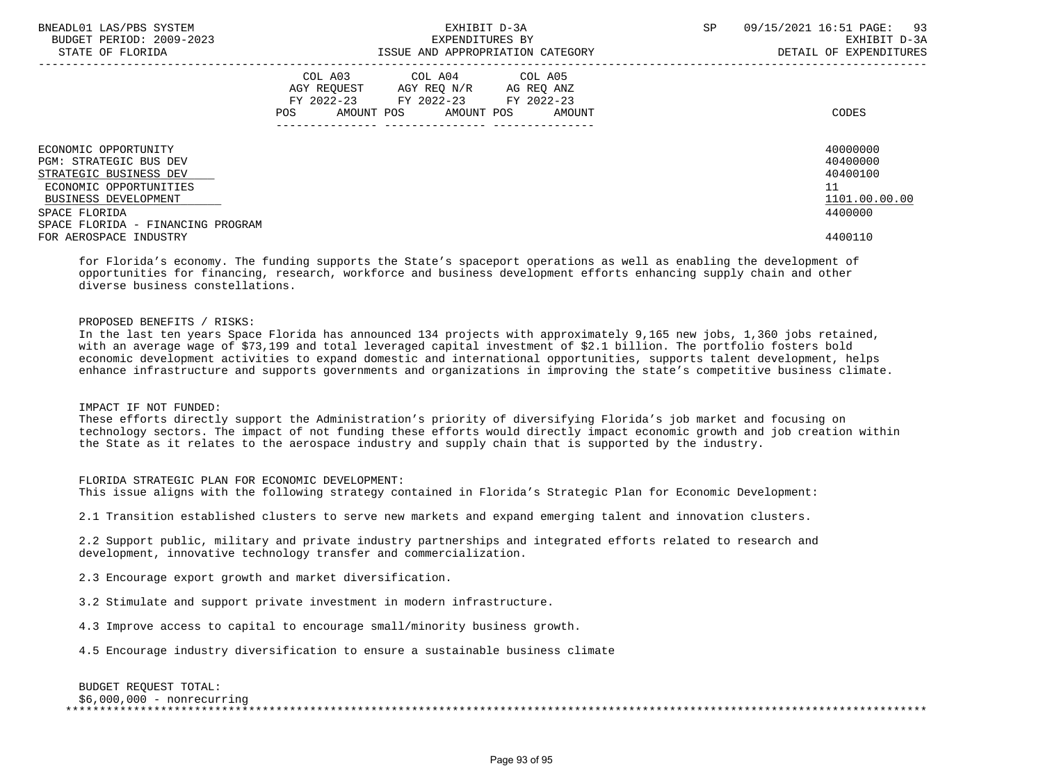| BNEADL01 LAS/PBS SYSTEM<br>BUDGET PERIOD: 2009-2023<br>STATE OF FLORIDA         |                                                                    | EXHIBIT D-3A<br>EXPENDITURES BY<br>ISSUE AND APPROPRIATION CATEGORY | <b>SP</b>            | 93<br>09/15/2021 16:51 PAGE:<br>EXHIBIT D-3A<br>DETAIL OF EXPENDITURES |                                  |
|---------------------------------------------------------------------------------|--------------------------------------------------------------------|---------------------------------------------------------------------|----------------------|------------------------------------------------------------------------|----------------------------------|
|                                                                                 | AGY REQUEST AGY REQ N/R<br>FY 2022-23 FY 2022-23 FY 2022-23<br>POS | COL A03 COL A04 COL A05<br>AMOUNT POS AMOUNT POS                    | AG REQ ANZ<br>AMOUNT |                                                                        | CODES                            |
| ECONOMIC OPPORTUNITY<br><b>PGM: STRATEGIC BUS DEV</b><br>STRATEGIC BUSINESS DEV |                                                                    |                                                                     |                      |                                                                        | 40000000<br>40400000<br>40400100 |
| ECONOMIC OPPORTUNITIES<br>BUSINESS DEVELOPMENT<br>SPACE FLORIDA                 |                                                                    |                                                                     |                      |                                                                        | 11<br>1101.00.00.00<br>4400000   |
| SPACE FLORIDA - FINANCING PROGRAM<br>FOR AEROSPACE INDUSTRY                     |                                                                    |                                                                     |                      |                                                                        | 4400110                          |

 for Florida's economy. The funding supports the State's spaceport operations as well as enabling the development of opportunities for financing, research, workforce and business development efforts enhancing supply chain and other diverse business constellations.

# PROPOSED BENEFITS / RISKS:

 In the last ten years Space Florida has announced 134 projects with approximately 9,165 new jobs, 1,360 jobs retained, with an average wage of \$73,199 and total leveraged capital investment of \$2.1 billion. The portfolio fosters bold economic development activities to expand domestic and international opportunities, supports talent development, helps enhance infrastructure and supports governments and organizations in improving the state's competitive business climate.

## IMPACT IF NOT FUNDED:

 These efforts directly support the Administration's priority of diversifying Florida's job market and focusing on technology sectors. The impact of not funding these efforts would directly impact economic growth and job creation within the State as it relates to the aerospace industry and supply chain that is supported by the industry.

## FLORIDA STRATEGIC PLAN FOR ECONOMIC DEVELOPMENT:

This issue aligns with the following strategy contained in Florida's Strategic Plan for Economic Development:

2.1 Transition established clusters to serve new markets and expand emerging talent and innovation clusters.

 2.2 Support public, military and private industry partnerships and integrated efforts related to research and development, innovative technology transfer and commercialization.

2.3 Encourage export growth and market diversification.

3.2 Stimulate and support private investment in modern infrastructure.

4.3 Improve access to capital to encourage small/minority business growth.

4.5 Encourage industry diversification to ensure a sustainable business climate

 BUDGET REQUEST TOTAL: \$6,000,000 - nonrecurring \*\*\*\*\*\*\*\*\*\*\*\*\*\*\*\*\*\*\*\*\*\*\*\*\*\*\*\*\*\*\*\*\*\*\*\*\*\*\*\*\*\*\*\*\*\*\*\*\*\*\*\*\*\*\*\*\*\*\*\*\*\*\*\*\*\*\*\*\*\*\*\*\*\*\*\*\*\*\*\*\*\*\*\*\*\*\*\*\*\*\*\*\*\*\*\*\*\*\*\*\*\*\*\*\*\*\*\*\*\*\*\*\*\*\*\*\*\*\*\*\*\*\*\*\*\*\*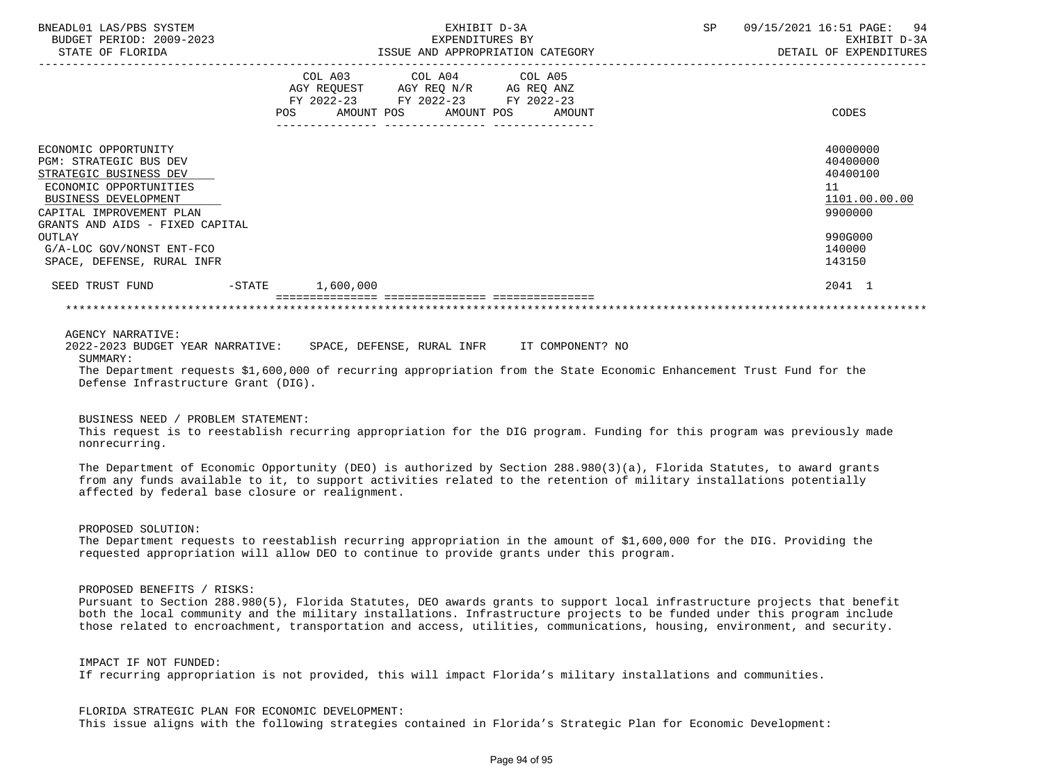| BNEADL01 LAS/PBS SYSTEM<br>BUDGET PERIOD: 2009-2023<br>STATE OF FLORIDA |                       | EXHIBIT D-3A<br>EXPENDITURES BY<br>ISSUE AND APPROPRIATION CATEGORY |                                                                  |  | SP<br>09/15/2021 16:51 PAGE: 94<br>EXHIBIT D-3A<br>DETAIL OF EXPENDITURES |  |               |  |
|-------------------------------------------------------------------------|-----------------------|---------------------------------------------------------------------|------------------------------------------------------------------|--|---------------------------------------------------------------------------|--|---------------|--|
|                                                                         |                       |                                                                     | COL A03 COL A04 COL A05<br>AGY REQUEST AGY REQ N/R AG REQ ANZ    |  |                                                                           |  |               |  |
|                                                                         |                       | <b>POS</b>                                                          | FY 2022-23 FY 2022-23 FY 2022-23<br>AMOUNT POS AMOUNT POS AMOUNT |  |                                                                           |  | CODES         |  |
| ECONOMIC OPPORTUNITY                                                    |                       |                                                                     |                                                                  |  |                                                                           |  | 40000000      |  |
| <b>PGM: STRATEGIC BUS DEV</b>                                           |                       |                                                                     |                                                                  |  |                                                                           |  | 40400000      |  |
| STRATEGIC BUSINESS DEV                                                  |                       |                                                                     |                                                                  |  |                                                                           |  | 40400100      |  |
| ECONOMIC OPPORTUNITIES                                                  |                       |                                                                     |                                                                  |  |                                                                           |  | 11            |  |
| BUSINESS DEVELOPMENT                                                    |                       |                                                                     |                                                                  |  |                                                                           |  | 1101.00.00.00 |  |
| CAPITAL IMPROVEMENT PLAN                                                |                       |                                                                     |                                                                  |  |                                                                           |  | 9900000       |  |
| GRANTS AND AIDS - FIXED CAPITAL                                         |                       |                                                                     |                                                                  |  |                                                                           |  |               |  |
| OUTLAY                                                                  |                       |                                                                     |                                                                  |  |                                                                           |  | 990G000       |  |
| G/A-LOC GOV/NONST ENT-FCO                                               |                       |                                                                     |                                                                  |  |                                                                           |  | 140000        |  |
| SPACE, DEFENSE, RURAL INFR                                              |                       |                                                                     |                                                                  |  |                                                                           |  | 143150        |  |
| SEED TRUST FUND                                                         | $-$ STATE $1,600,000$ |                                                                     |                                                                  |  |                                                                           |  | 2041 1        |  |
|                                                                         |                       |                                                                     |                                                                  |  |                                                                           |  |               |  |
| $\lambda$                                                               |                       |                                                                     |                                                                  |  |                                                                           |  |               |  |

AGENCY NARRATIVE:

 2022-2023 BUDGET YEAR NARRATIVE: SPACE, DEFENSE, RURAL INFR IT COMPONENT? NO SUMMARY: The Department requests \$1,600,000 of recurring appropriation from the State Economic Enhancement Trust Fund for the Defense Infrastructure Grant (DIG).

#### BUSINESS NEED / PROBLEM STATEMENT:

 This request is to reestablish recurring appropriation for the DIG program. Funding for this program was previously made nonrecurring.

 The Department of Economic Opportunity (DEO) is authorized by Section 288.980(3)(a), Florida Statutes, to award grants from any funds available to it, to support activities related to the retention of military installations potentially affected by federal base closure or realignment.

PROPOSED SOLUTION:

 The Department requests to reestablish recurring appropriation in the amount of \$1,600,000 for the DIG. Providing the requested appropriation will allow DEO to continue to provide grants under this program.

PROPOSED BENEFITS / RISKS:

 Pursuant to Section 288.980(5), Florida Statutes, DEO awards grants to support local infrastructure projects that benefit both the local community and the military installations. Infrastructure projects to be funded under this program include those related to encroachment, transportation and access, utilities, communications, housing, environment, and security.

 IMPACT IF NOT FUNDED: If recurring appropriation is not provided, this will impact Florida's military installations and communities.

 FLORIDA STRATEGIC PLAN FOR ECONOMIC DEVELOPMENT: This issue aligns with the following strategies contained in Florida's Strategic Plan for Economic Development: